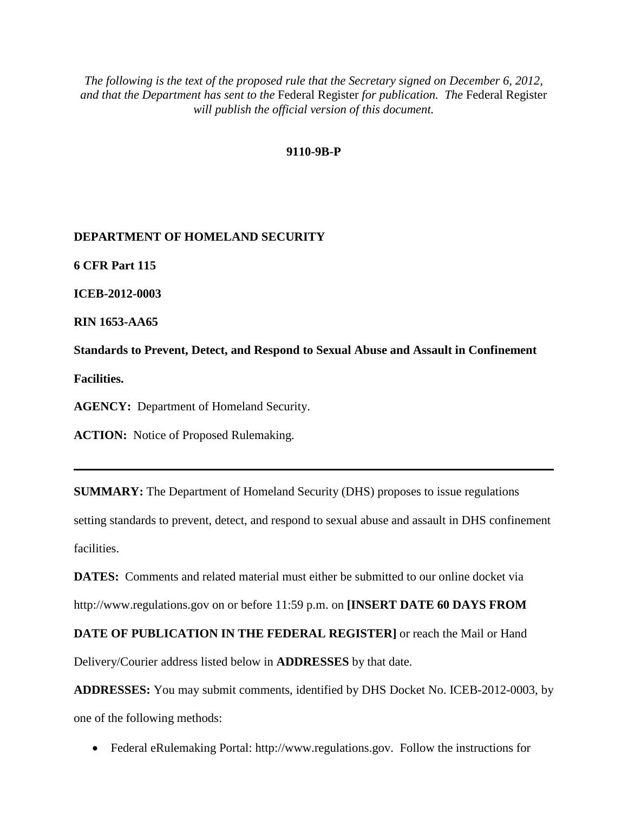# **9110-9B-P**

# **DEPARTMENT OF HOMELAND SECURITY**

**6 CFR Part 115**

**ICEB-2012-0003**

**RIN 1653-AA65**

**Standards to Prevent, Detect, and Respond to Sexual Abuse and Assault in Confinement Facilities.**

**AGENCY:** Department of Homeland Security.

**ACTION:** Notice of Proposed Rulemaking.

**SUMMARY:** The Department of Homeland Security (DHS) proposes to issue regulations setting standards to prevent, detect, and respond to sexual abuse and assault in DHS confinement facilities.

**DATES:** Comments and related material must either be submitted to our online docket via http://www.regulations.gov on or before 11:59 p.m. on **[INSERT DATE 60 DAYS FROM** 

**DATE OF PUBLICATION IN THE FEDERAL REGISTER]** or reach the Mail or Hand

Delivery/Courier address listed below in **ADDRESSES** by that date.

**ADDRESSES:** You may submit comments, identified by DHS Docket No. ICEB-2012-0003, by one of the following methods:

• Federal eRulemaking Portal: http://www.regulations.gov. Follow the instructions for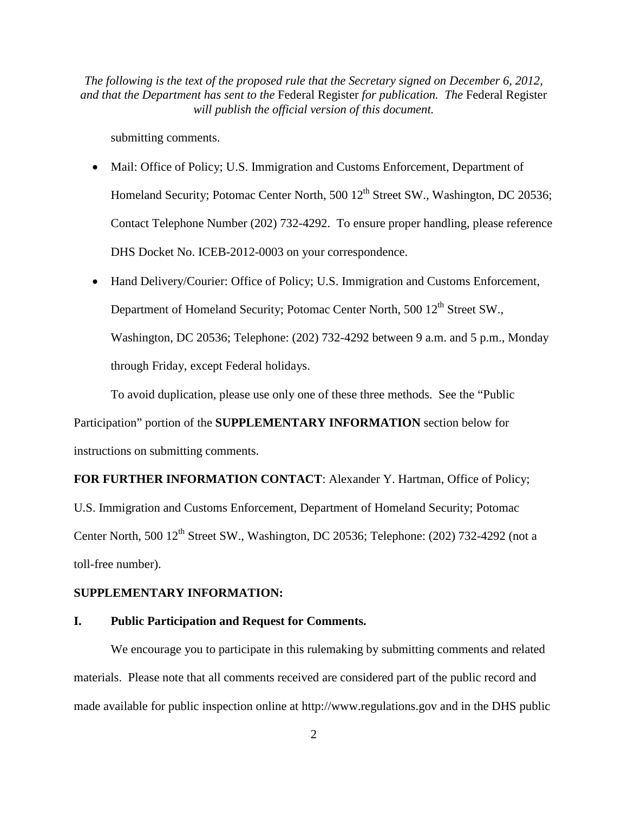submitting comments.

- Mail: Office of Policy; U.S. Immigration and Customs Enforcement, Department of Homeland Security; Potomac Center North, 500 12<sup>th</sup> Street SW., Washington, DC 20536; Contact Telephone Number (202) 732-4292. To ensure proper handling, please reference DHS Docket No. ICEB-2012-0003 on your correspondence.
- Hand Delivery/Courier: Office of Policy; U.S. Immigration and Customs Enforcement, Department of Homeland Security; Potomac Center North, 500 12<sup>th</sup> Street SW., Washington, DC 20536; Telephone: (202) 732-4292 between 9 a.m. and 5 p.m., Monday through Friday, except Federal holidays.

To avoid duplication, please use only one of these three methods. See the "Public

Participation" portion of the **SUPPLEMENTARY INFORMATION** section below for instructions on submitting comments.

**FOR FURTHER INFORMATION CONTACT**: Alexander Y. Hartman, Office of Policy;

U.S. Immigration and Customs Enforcement, Department of Homeland Security; Potomac Center North, 500 12<sup>th</sup> Street SW., Washington, DC 20536; Telephone: (202) 732-4292 (not a toll-free number).

# **SUPPLEMENTARY INFORMATION:**

## **I. Public Participation and Request for Comments.**

We encourage you to participate in this rulemaking by submitting comments and related materials. Please note that all comments received are considered part of the public record and made available for public inspection online at http://www.regulations.gov and in the DHS public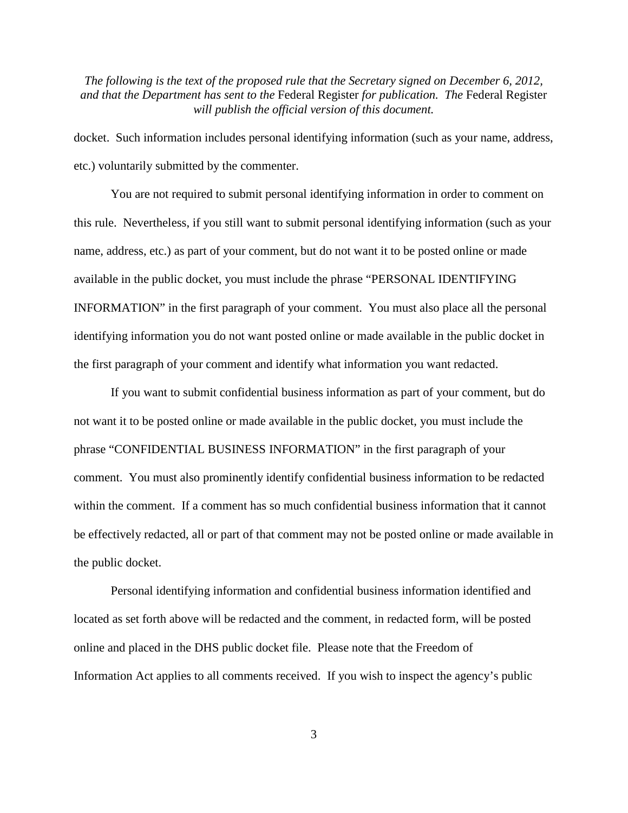docket. Such information includes personal identifying information (such as your name, address, etc.) voluntarily submitted by the commenter.

You are not required to submit personal identifying information in order to comment on this rule. Nevertheless, if you still want to submit personal identifying information (such as your name, address, etc.) as part of your comment, but do not want it to be posted online or made available in the public docket, you must include the phrase "PERSONAL IDENTIFYING INFORMATION" in the first paragraph of your comment. You must also place all the personal identifying information you do not want posted online or made available in the public docket in the first paragraph of your comment and identify what information you want redacted.

If you want to submit confidential business information as part of your comment, but do not want it to be posted online or made available in the public docket, you must include the phrase "CONFIDENTIAL BUSINESS INFORMATION" in the first paragraph of your comment. You must also prominently identify confidential business information to be redacted within the comment. If a comment has so much confidential business information that it cannot be effectively redacted, all or part of that comment may not be posted online or made available in the public docket.

Personal identifying information and confidential business information identified and located as set forth above will be redacted and the comment, in redacted form, will be posted online and placed in the DHS public docket file. Please note that the Freedom of Information Act applies to all comments received. If you wish to inspect the agency's public

3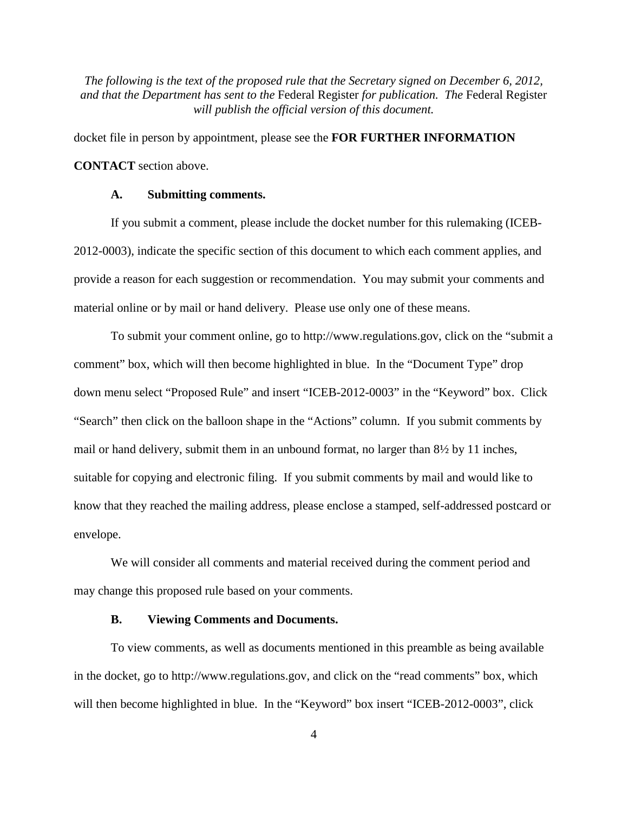docket file in person by appointment, please see the **FOR FURTHER INFORMATION CONTACT** section above.

## **A. Submitting comments.**

If you submit a comment, please include the docket number for this rulemaking (ICEB-2012-0003), indicate the specific section of this document to which each comment applies, and provide a reason for each suggestion or recommendation. You may submit your comments and material online or by mail or hand delivery. Please use only one of these means.

To submit your comment online, go to http://www.regulations.gov, click on the "submit a comment" box, which will then become highlighted in blue. In the "Document Type" drop down menu select "Proposed Rule" and insert "ICEB-2012-0003" in the "Keyword" box. Click "Search" then click on the balloon shape in the "Actions" column. If you submit comments by mail or hand delivery, submit them in an unbound format, no larger than 8½ by 11 inches, suitable for copying and electronic filing. If you submit comments by mail and would like to know that they reached the mailing address, please enclose a stamped, self-addressed postcard or envelope.

We will consider all comments and material received during the comment period and may change this proposed rule based on your comments.

## **B. Viewing Comments and Documents.**

To view comments, as well as documents mentioned in this preamble as being available in the docket, go to http://www.regulations.gov, and click on the "read comments" box, which will then become highlighted in blue. In the "Keyword" box insert "ICEB-2012-0003", click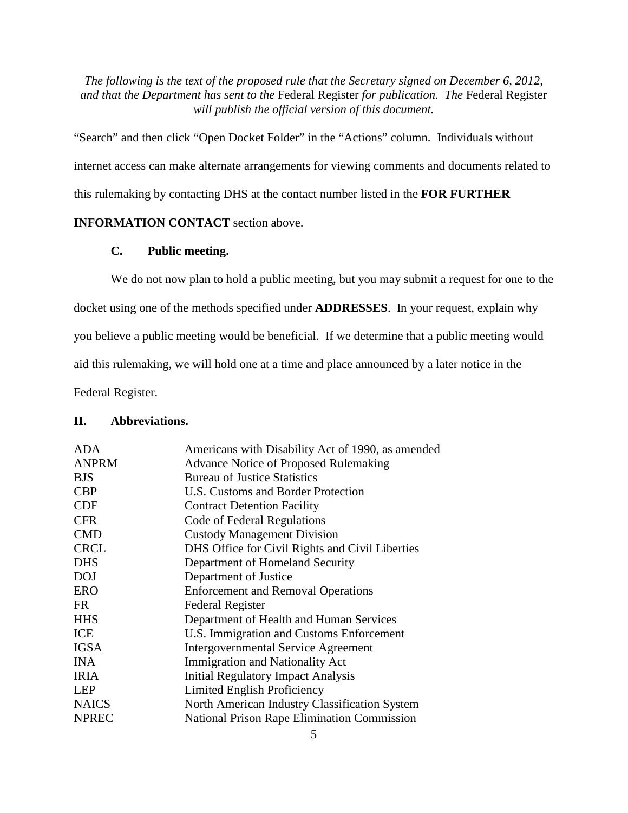"Search" and then click "Open Docket Folder" in the "Actions" column. Individuals without internet access can make alternate arrangements for viewing comments and documents related to this rulemaking by contacting DHS at the contact number listed in the **FOR FURTHER** 

# **INFORMATION CONTACT** section above.

# **C. Public meeting.**

We do not now plan to hold a public meeting, but you may submit a request for one to the

docket using one of the methods specified under **ADDRESSES**. In your request, explain why

you believe a public meeting would be beneficial. If we determine that a public meeting would

aid this rulemaking, we will hold one at a time and place announced by a later notice in the

Federal Register.

#### **II. Abbreviations.**

| <b>ADA</b>   | Americans with Disability Act of 1990, as amended  |  |  |  |
|--------------|----------------------------------------------------|--|--|--|
| <b>ANPRM</b> | <b>Advance Notice of Proposed Rulemaking</b>       |  |  |  |
| <b>BJS</b>   | <b>Bureau of Justice Statistics</b>                |  |  |  |
| <b>CBP</b>   | U.S. Customs and Border Protection                 |  |  |  |
| <b>CDF</b>   | <b>Contract Detention Facility</b>                 |  |  |  |
| <b>CFR</b>   | Code of Federal Regulations                        |  |  |  |
| <b>CMD</b>   | <b>Custody Management Division</b>                 |  |  |  |
| <b>CRCL</b>  | DHS Office for Civil Rights and Civil Liberties    |  |  |  |
| <b>DHS</b>   | Department of Homeland Security                    |  |  |  |
| <b>DOJ</b>   | Department of Justice                              |  |  |  |
| <b>ERO</b>   | <b>Enforcement and Removal Operations</b>          |  |  |  |
| FR           | <b>Federal Register</b>                            |  |  |  |
| <b>HHS</b>   | Department of Health and Human Services            |  |  |  |
| <b>ICE</b>   | U.S. Immigration and Customs Enforcement           |  |  |  |
| <b>IGSA</b>  | <b>Intergovernmental Service Agreement</b>         |  |  |  |
| <b>INA</b>   | <b>Immigration and Nationality Act</b>             |  |  |  |
| <b>IRIA</b>  | <b>Initial Regulatory Impact Analysis</b>          |  |  |  |
| <b>LEP</b>   | Limited English Proficiency                        |  |  |  |
| <b>NAICS</b> | North American Industry Classification System      |  |  |  |
| <b>NPREC</b> | <b>National Prison Rape Elimination Commission</b> |  |  |  |
|              |                                                    |  |  |  |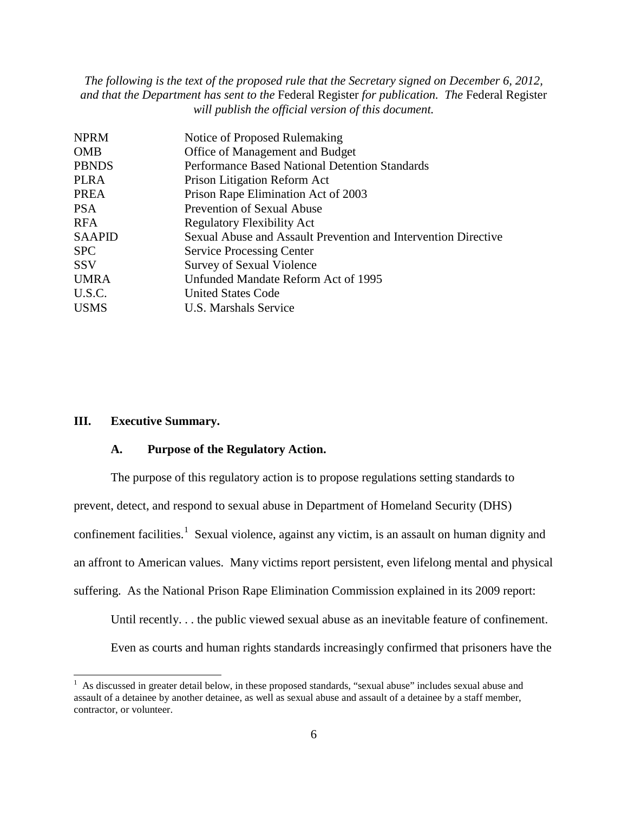| <b>NPRM</b>   | Notice of Proposed Rulemaking                                  |
|---------------|----------------------------------------------------------------|
| <b>OMB</b>    | Office of Management and Budget                                |
| <b>PBNDS</b>  | Performance Based National Detention Standards                 |
| <b>PLRA</b>   | Prison Litigation Reform Act                                   |
| <b>PREA</b>   | Prison Rape Elimination Act of 2003                            |
| PSA           | <b>Prevention of Sexual Abuse</b>                              |
| RFA           | <b>Regulatory Flexibility Act</b>                              |
| <b>SAAPID</b> | Sexual Abuse and Assault Prevention and Intervention Directive |
| <b>SPC</b>    | <b>Service Processing Center</b>                               |
| <b>SSV</b>    | Survey of Sexual Violence                                      |
| <b>UMRA</b>   | Unfunded Mandate Reform Act of 1995                            |
| U.S.C.        | <b>United States Code</b>                                      |
| <b>USMS</b>   | U.S. Marshals Service                                          |
|               |                                                                |

#### **III. Executive Summary.**

#### **A. Purpose of the Regulatory Action.**

The purpose of this regulatory action is to propose regulations setting standards to prevent, detect, and respond to sexual abuse in Department of Homeland Security (DHS) confinement facilities.<sup>[1](#page-5-0)</sup> Sexual violence, against any victim, is an assault on human dignity and an affront to American values. Many victims report persistent, even lifelong mental and physical suffering. As the National Prison Rape Elimination Commission explained in its 2009 report:

Until recently. . . the public viewed sexual abuse as an inevitable feature of confinement.

Even as courts and human rights standards increasingly confirmed that prisoners have the

<span id="page-5-0"></span><sup>&</sup>lt;sup>1</sup> As discussed in greater detail below, in these proposed standards, "sexual abuse" includes sexual abuse and assault of a detainee by another detainee, as well as sexual abuse and assault of a detainee by a staff member, contractor, or volunteer.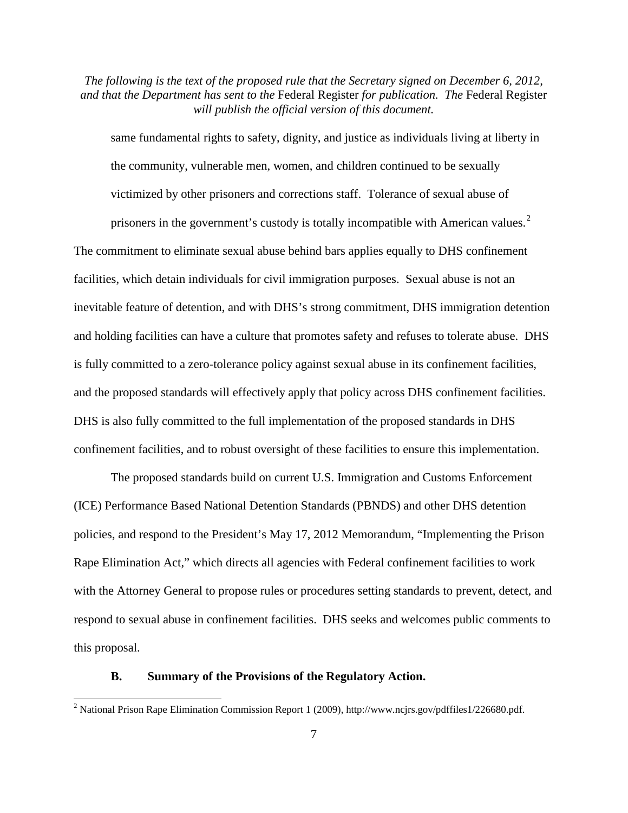same fundamental rights to safety, dignity, and justice as individuals living at liberty in the community, vulnerable men, women, and children continued to be sexually victimized by other prisoners and corrections staff. Tolerance of sexual abuse of

prisoners in the government's custody is totally incompatible with American values.<sup>[2](#page-6-0)</sup> The commitment to eliminate sexual abuse behind bars applies equally to DHS confinement facilities, which detain individuals for civil immigration purposes. Sexual abuse is not an inevitable feature of detention, and with DHS's strong commitment, DHS immigration detention and holding facilities can have a culture that promotes safety and refuses to tolerate abuse. DHS is fully committed to a zero-tolerance policy against sexual abuse in its confinement facilities, and the proposed standards will effectively apply that policy across DHS confinement facilities. DHS is also fully committed to the full implementation of the proposed standards in DHS confinement facilities, and to robust oversight of these facilities to ensure this implementation.

The proposed standards build on current U.S. Immigration and Customs Enforcement (ICE) Performance Based National Detention Standards (PBNDS) and other DHS detention policies, and respond to the President's May 17, 2012 Memorandum, "Implementing the Prison Rape Elimination Act," which directs all agencies with Federal confinement facilities to work with the Attorney General to propose rules or procedures setting standards to prevent, detect, and respond to sexual abuse in confinement facilities. DHS seeks and welcomes public comments to this proposal.

#### **B. Summary of the Provisions of the Regulatory Action.**

<span id="page-6-0"></span> <sup>2</sup> National Prison Rape Elimination Commission Report 1 (2009), http://www.ncjrs.gov/pdffiles1/226680.pdf.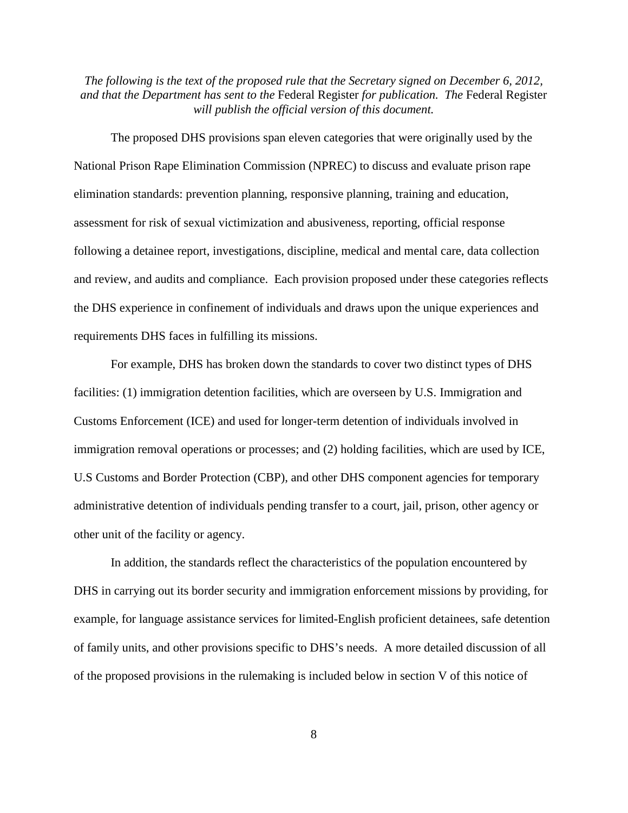The proposed DHS provisions span eleven categories that were originally used by the National Prison Rape Elimination Commission (NPREC) to discuss and evaluate prison rape elimination standards: prevention planning, responsive planning, training and education, assessment for risk of sexual victimization and abusiveness, reporting, official response following a detainee report, investigations, discipline, medical and mental care, data collection and review, and audits and compliance. Each provision proposed under these categories reflects the DHS experience in confinement of individuals and draws upon the unique experiences and requirements DHS faces in fulfilling its missions.

For example, DHS has broken down the standards to cover two distinct types of DHS facilities: (1) immigration detention facilities, which are overseen by U.S. Immigration and Customs Enforcement (ICE) and used for longer-term detention of individuals involved in immigration removal operations or processes; and (2) holding facilities, which are used by ICE, U.S Customs and Border Protection (CBP), and other DHS component agencies for temporary administrative detention of individuals pending transfer to a court, jail, prison, other agency or other unit of the facility or agency.

In addition, the standards reflect the characteristics of the population encountered by DHS in carrying out its border security and immigration enforcement missions by providing, for example, for language assistance services for limited-English proficient detainees, safe detention of family units, and other provisions specific to DHS's needs. A more detailed discussion of all of the proposed provisions in the rulemaking is included below in section V of this notice of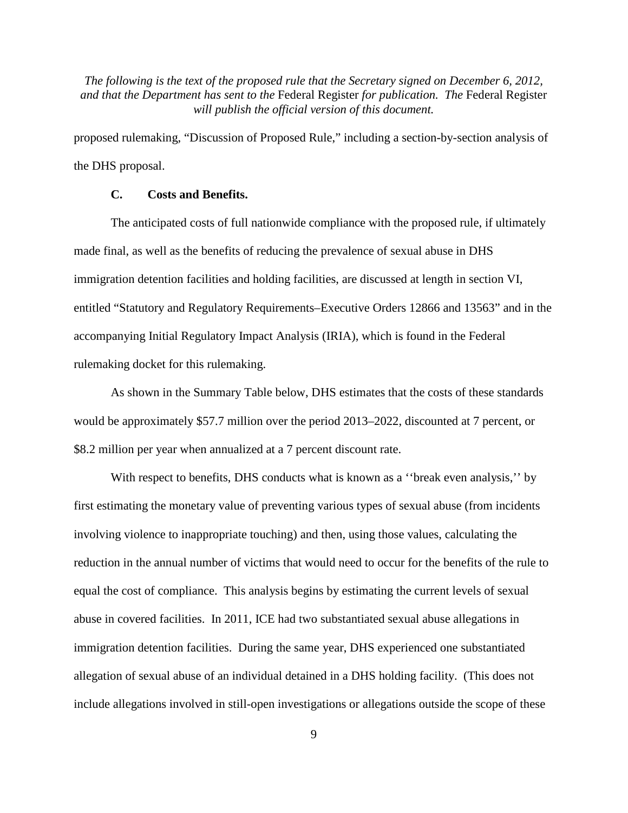proposed rulemaking, "Discussion of Proposed Rule," including a section-by-section analysis of the DHS proposal.

# **C. Costs and Benefits.**

The anticipated costs of full nationwide compliance with the proposed rule, if ultimately made final, as well as the benefits of reducing the prevalence of sexual abuse in DHS immigration detention facilities and holding facilities, are discussed at length in section VI, entitled "Statutory and Regulatory Requirements–Executive Orders 12866 and 13563" and in the accompanying Initial Regulatory Impact Analysis (IRIA), which is found in the Federal rulemaking docket for this rulemaking.

As shown in the Summary Table below, DHS estimates that the costs of these standards would be approximately \$57.7 million over the period 2013–2022, discounted at 7 percent, or \$8.2 million per year when annualized at a 7 percent discount rate.

With respect to benefits, DHS conducts what is known as a "break even analysis," by first estimating the monetary value of preventing various types of sexual abuse (from incidents involving violence to inappropriate touching) and then, using those values, calculating the reduction in the annual number of victims that would need to occur for the benefits of the rule to equal the cost of compliance. This analysis begins by estimating the current levels of sexual abuse in covered facilities. In 2011, ICE had two substantiated sexual abuse allegations in immigration detention facilities. During the same year, DHS experienced one substantiated allegation of sexual abuse of an individual detained in a DHS holding facility. (This does not include allegations involved in still-open investigations or allegations outside the scope of these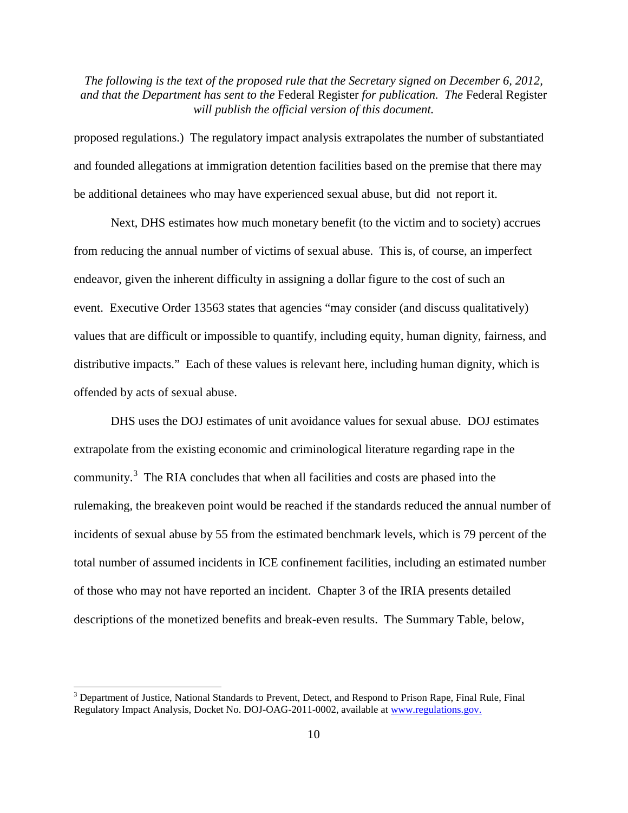proposed regulations.) The regulatory impact analysis extrapolates the number of substantiated and founded allegations at immigration detention facilities based on the premise that there may be additional detainees who may have experienced sexual abuse, but did not report it.

Next, DHS estimates how much monetary benefit (to the victim and to society) accrues from reducing the annual number of victims of sexual abuse. This is, of course, an imperfect endeavor, given the inherent difficulty in assigning a dollar figure to the cost of such an event. Executive Order 13563 states that agencies "may consider (and discuss qualitatively) values that are difficult or impossible to quantify, including equity, human dignity, fairness, and distributive impacts." Each of these values is relevant here, including human dignity, which is offended by acts of sexual abuse.

DHS uses the DOJ estimates of unit avoidance values for sexual abuse. DOJ estimates extrapolate from the existing economic and criminological literature regarding rape in the community.[3](#page-9-0) The RIA concludes that when all facilities and costs are phased into the rulemaking, the breakeven point would be reached if the standards reduced the annual number of incidents of sexual abuse by 55 from the estimated benchmark levels, which is 79 percent of the total number of assumed incidents in ICE confinement facilities, including an estimated number of those who may not have reported an incident. Chapter 3 of the IRIA presents detailed descriptions of the monetized benefits and break-even results. The Summary Table, below,

<span id="page-9-0"></span><sup>&</sup>lt;sup>3</sup> Department of Justice, National Standards to Prevent, Detect, and Respond to Prison Rape, Final Rule, Final Regulatory Impact Analysis, Docket No. DOJ-OAG-2011-0002, available at [www.regulations.gov.](http://www.regulations.gov/)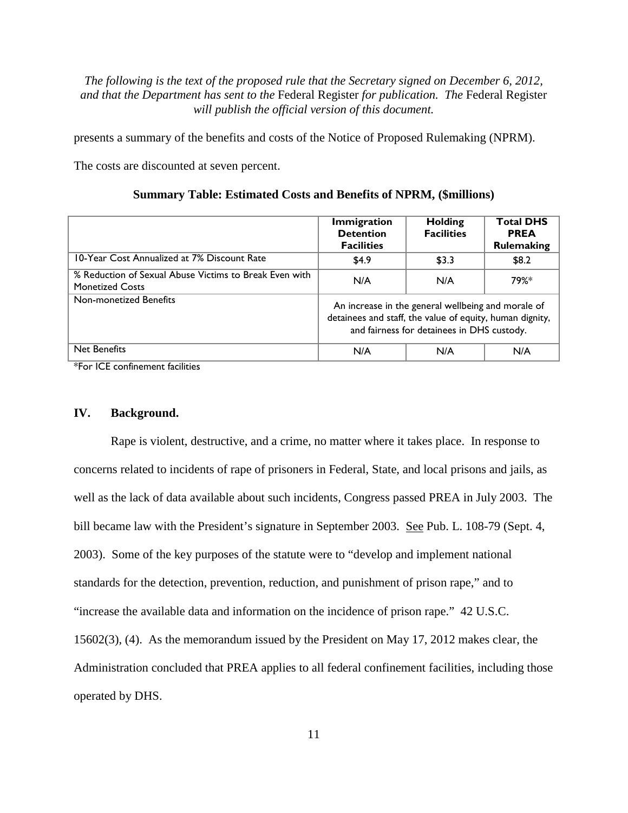presents a summary of the benefits and costs of the Notice of Proposed Rulemaking (NPRM).

The costs are discounted at seven percent.

| <b>Summary Table: Estimated Costs and Benefits of NPRM, (\$millions)</b> |  |  |  |  |  |
|--------------------------------------------------------------------------|--|--|--|--|--|
|--------------------------------------------------------------------------|--|--|--|--|--|

|                                                                                  | <b>Immigration</b><br><b>Detention</b><br><b>Facilities</b>                                                                                                  | <b>Holding</b><br><b>Facilities</b> | <b>Total DHS</b><br><b>PREA</b><br><b>Rulemaking</b> |
|----------------------------------------------------------------------------------|--------------------------------------------------------------------------------------------------------------------------------------------------------------|-------------------------------------|------------------------------------------------------|
| 10-Year Cost Annualized at 7% Discount Rate                                      | \$4.9                                                                                                                                                        | \$3.3                               | \$8.2                                                |
| % Reduction of Sexual Abuse Victims to Break Even with<br><b>Monetized Costs</b> | N/A                                                                                                                                                          | N/A                                 | 79%*                                                 |
| Non-monetized Benefits                                                           | An increase in the general wellbeing and morale of<br>detainees and staff, the value of equity, human dignity,<br>and fairness for detainees in DHS custody. |                                     |                                                      |
| <b>Net Benefits</b><br>シー<br>$-$<br>. .                                          | N/A                                                                                                                                                          | N/A                                 | N/A                                                  |

\*For ICE confinement facilities

## **IV. Background.**

Rape is violent, destructive, and a crime, no matter where it takes place. In response to concerns related to incidents of rape of prisoners in Federal, State, and local prisons and jails, as well as the lack of data available about such incidents, Congress passed PREA in July 2003. The bill became law with the President's signature in September 2003. See Pub. L. 108-79 (Sept. 4, 2003). Some of the key purposes of the statute were to "develop and implement national standards for the detection, prevention, reduction, and punishment of prison rape," and to "increase the available data and information on the incidence of prison rape." 42 U.S.C. 15602(3), (4). As the memorandum issued by the President on May 17, 2012 makes clear, the Administration concluded that PREA applies to all federal confinement facilities, including those operated by DHS.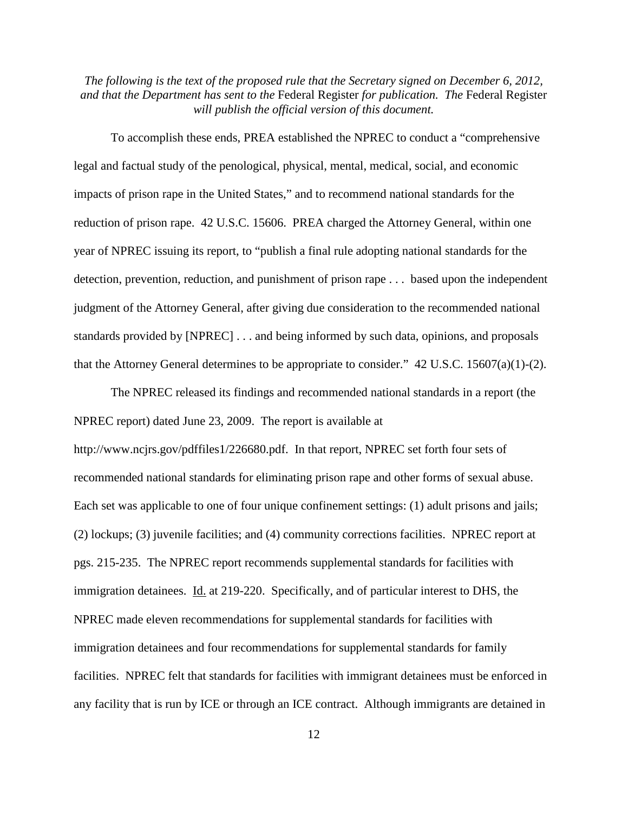To accomplish these ends, PREA established the NPREC to conduct a "comprehensive legal and factual study of the penological, physical, mental, medical, social, and economic impacts of prison rape in the United States," and to recommend national standards for the reduction of prison rape. 42 U.S.C. 15606. PREA charged the Attorney General, within one year of NPREC issuing its report, to "publish a final rule adopting national standards for the detection, prevention, reduction, and punishment of prison rape . . . based upon the independent judgment of the Attorney General, after giving due consideration to the recommended national standards provided by [NPREC] . . . and being informed by such data, opinions, and proposals that the Attorney General determines to be appropriate to consider." 42 U.S.C. 15607(a)(1)-(2).

The NPREC released its findings and recommended national standards in a report (the NPREC report) dated June 23, 2009. The report is available at http://www.ncjrs.gov/pdffiles1/226680.pdf. In that report, NPREC set forth four sets of recommended national standards for eliminating prison rape and other forms of sexual abuse. Each set was applicable to one of four unique confinement settings: (1) adult prisons and jails; (2) lockups; (3) juvenile facilities; and (4) community corrections facilities. NPREC report at pgs. 215-235. The NPREC report recommends supplemental standards for facilities with immigration detainees. Id. at 219-220. Specifically, and of particular interest to DHS, the NPREC made eleven recommendations for supplemental standards for facilities with immigration detainees and four recommendations for supplemental standards for family facilities. NPREC felt that standards for facilities with immigrant detainees must be enforced in any facility that is run by ICE or through an ICE contract. Although immigrants are detained in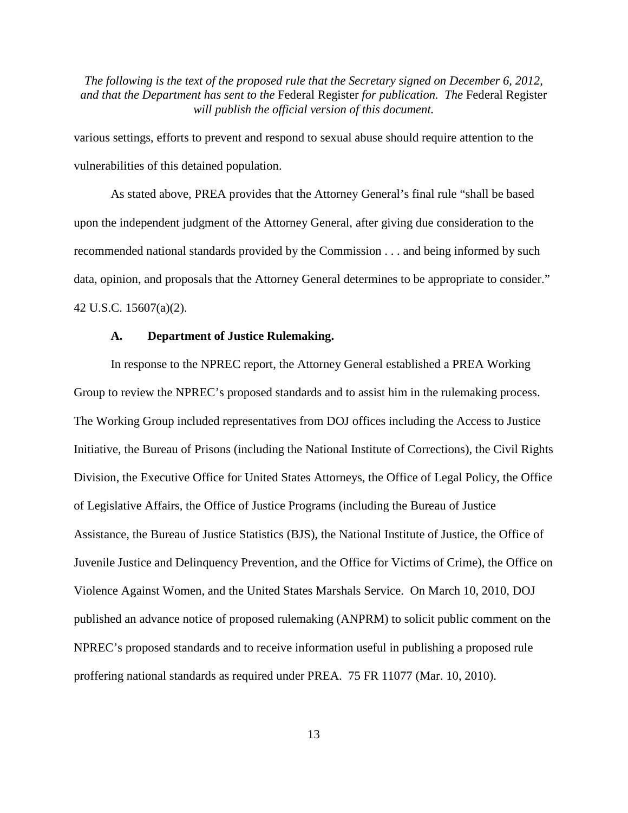various settings, efforts to prevent and respond to sexual abuse should require attention to the vulnerabilities of this detained population.

As stated above, PREA provides that the Attorney General's final rule "shall be based upon the independent judgment of the Attorney General, after giving due consideration to the recommended national standards provided by the Commission . . . and being informed by such data, opinion, and proposals that the Attorney General determines to be appropriate to consider." 42 U.S.C. 15607(a)(2).

#### **A. Department of Justice Rulemaking.**

In response to the NPREC report, the Attorney General established a PREA Working Group to review the NPREC's proposed standards and to assist him in the rulemaking process. The Working Group included representatives from DOJ offices including the Access to Justice Initiative, the Bureau of Prisons (including the National Institute of Corrections), the Civil Rights Division, the Executive Office for United States Attorneys, the Office of Legal Policy, the Office of Legislative Affairs, the Office of Justice Programs (including the Bureau of Justice Assistance, the Bureau of Justice Statistics (BJS), the National Institute of Justice, the Office of Juvenile Justice and Delinquency Prevention, and the Office for Victims of Crime), the Office on Violence Against Women, and the United States Marshals Service. On March 10, 2010, DOJ published an advance notice of proposed rulemaking (ANPRM) to solicit public comment on the NPREC's proposed standards and to receive information useful in publishing a proposed rule proffering national standards as required under PREA. 75 FR 11077 (Mar. 10, 2010).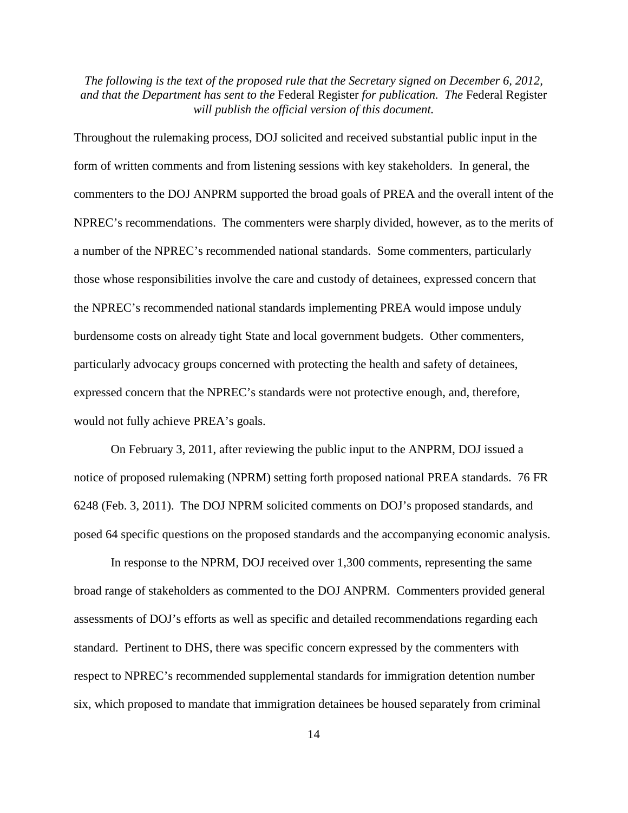Throughout the rulemaking process, DOJ solicited and received substantial public input in the form of written comments and from listening sessions with key stakeholders. In general, the commenters to the DOJ ANPRM supported the broad goals of PREA and the overall intent of the NPREC's recommendations. The commenters were sharply divided, however, as to the merits of a number of the NPREC's recommended national standards. Some commenters, particularly those whose responsibilities involve the care and custody of detainees, expressed concern that the NPREC's recommended national standards implementing PREA would impose unduly burdensome costs on already tight State and local government budgets. Other commenters, particularly advocacy groups concerned with protecting the health and safety of detainees, expressed concern that the NPREC's standards were not protective enough, and, therefore, would not fully achieve PREA's goals.

On February 3, 2011, after reviewing the public input to the ANPRM, DOJ issued a notice of proposed rulemaking (NPRM) setting forth proposed national PREA standards. 76 FR 6248 (Feb. 3, 2011). The DOJ NPRM solicited comments on DOJ's proposed standards, and posed 64 specific questions on the proposed standards and the accompanying economic analysis.

In response to the NPRM, DOJ received over 1,300 comments, representing the same broad range of stakeholders as commented to the DOJ ANPRM. Commenters provided general assessments of DOJ's efforts as well as specific and detailed recommendations regarding each standard. Pertinent to DHS, there was specific concern expressed by the commenters with respect to NPREC's recommended supplemental standards for immigration detention number six, which proposed to mandate that immigration detainees be housed separately from criminal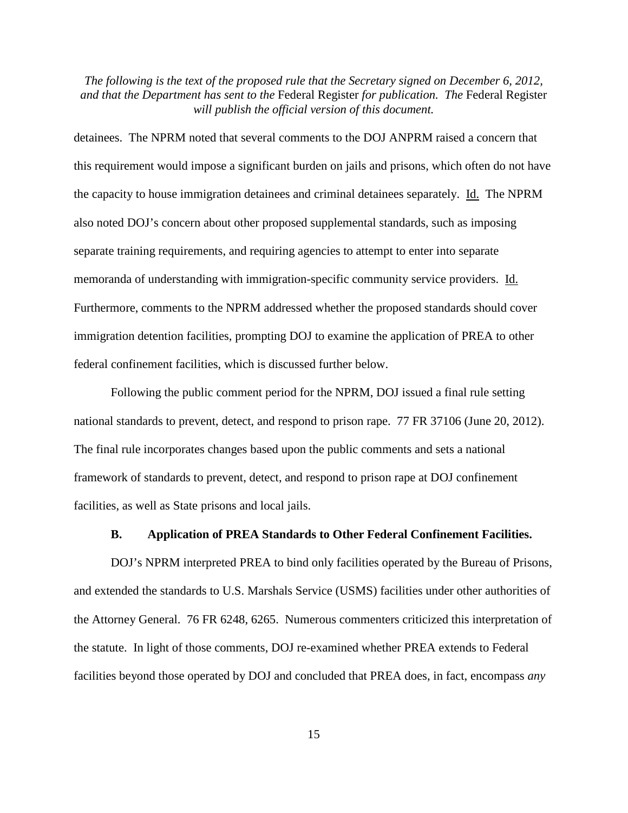detainees. The NPRM noted that several comments to the DOJ ANPRM raised a concern that this requirement would impose a significant burden on jails and prisons, which often do not have the capacity to house immigration detainees and criminal detainees separately. Id. The NPRM also noted DOJ's concern about other proposed supplemental standards, such as imposing separate training requirements, and requiring agencies to attempt to enter into separate memoranda of understanding with immigration-specific community service providers. Id. Furthermore, comments to the NPRM addressed whether the proposed standards should cover immigration detention facilities, prompting DOJ to examine the application of PREA to other federal confinement facilities, which is discussed further below.

Following the public comment period for the NPRM, DOJ issued a final rule setting national standards to prevent, detect, and respond to prison rape. 77 FR 37106 (June 20, 2012). The final rule incorporates changes based upon the public comments and sets a national framework of standards to prevent, detect, and respond to prison rape at DOJ confinement facilities, as well as State prisons and local jails.

#### **B. Application of PREA Standards to Other Federal Confinement Facilities.**

DOJ's NPRM interpreted PREA to bind only facilities operated by the Bureau of Prisons, and extended the standards to U.S. Marshals Service (USMS) facilities under other authorities of the Attorney General. 76 FR 6248, 6265. Numerous commenters criticized this interpretation of the statute. In light of those comments, DOJ re-examined whether PREA extends to Federal facilities beyond those operated by DOJ and concluded that PREA does, in fact, encompass *any*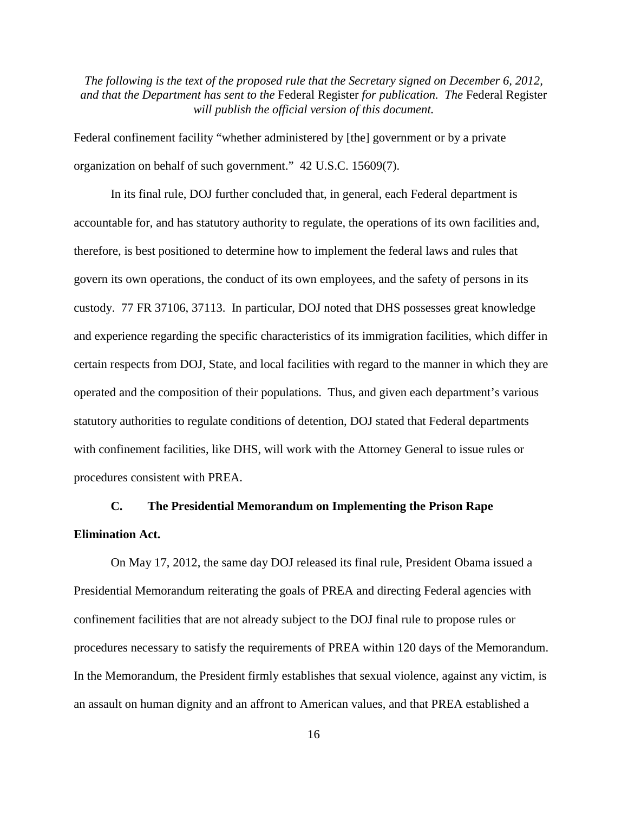Federal confinement facility "whether administered by [the] government or by a private organization on behalf of such government." 42 U.S.C. 15609(7).

In its final rule, DOJ further concluded that, in general, each Federal department is accountable for, and has statutory authority to regulate, the operations of its own facilities and, therefore, is best positioned to determine how to implement the federal laws and rules that govern its own operations, the conduct of its own employees, and the safety of persons in its custody. 77 FR 37106, 37113. In particular, DOJ noted that DHS possesses great knowledge and experience regarding the specific characteristics of its immigration facilities, which differ in certain respects from DOJ, State, and local facilities with regard to the manner in which they are operated and the composition of their populations. Thus, and given each department's various statutory authorities to regulate conditions of detention, DOJ stated that Federal departments with confinement facilities, like DHS, will work with the Attorney General to issue rules or procedures consistent with PREA.

# **C. The Presidential Memorandum on Implementing the Prison Rape Elimination Act.**

On May 17, 2012, the same day DOJ released its final rule, President Obama issued a Presidential Memorandum reiterating the goals of PREA and directing Federal agencies with confinement facilities that are not already subject to the DOJ final rule to propose rules or procedures necessary to satisfy the requirements of PREA within 120 days of the Memorandum. In the Memorandum, the President firmly establishes that sexual violence, against any victim, is an assault on human dignity and an affront to American values, and that PREA established a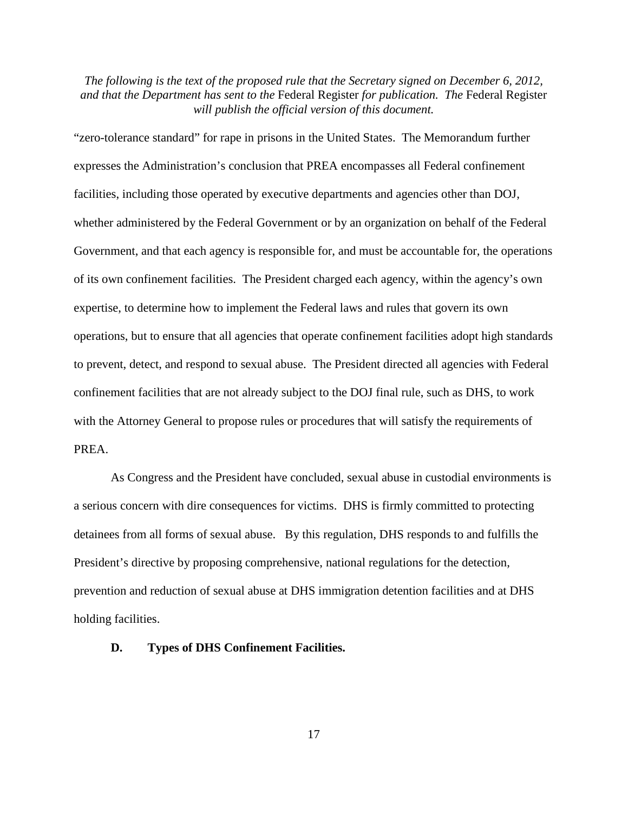"zero-tolerance standard" for rape in prisons in the United States. The Memorandum further expresses the Administration's conclusion that PREA encompasses all Federal confinement facilities, including those operated by executive departments and agencies other than DOJ, whether administered by the Federal Government or by an organization on behalf of the Federal Government, and that each agency is responsible for, and must be accountable for, the operations of its own confinement facilities. The President charged each agency, within the agency's own expertise, to determine how to implement the Federal laws and rules that govern its own operations, but to ensure that all agencies that operate confinement facilities adopt high standards to prevent, detect, and respond to sexual abuse. The President directed all agencies with Federal confinement facilities that are not already subject to the DOJ final rule, such as DHS, to work with the Attorney General to propose rules or procedures that will satisfy the requirements of PREA.

As Congress and the President have concluded, sexual abuse in custodial environments is a serious concern with dire consequences for victims. DHS is firmly committed to protecting detainees from all forms of sexual abuse. By this regulation, DHS responds to and fulfills the President's directive by proposing comprehensive, national regulations for the detection, prevention and reduction of sexual abuse at DHS immigration detention facilities and at DHS holding facilities.

#### **D. Types of DHS Confinement Facilities.**

17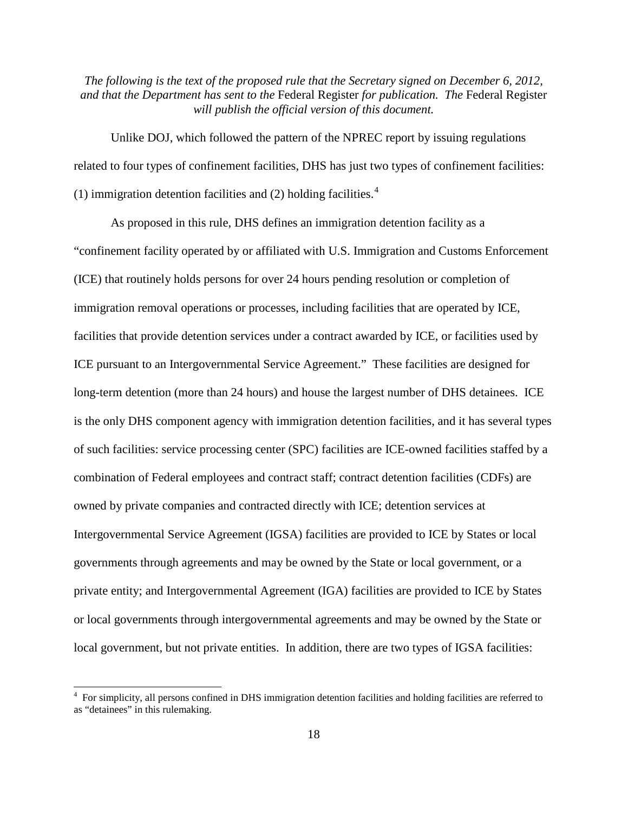Unlike DOJ, which followed the pattern of the NPREC report by issuing regulations related to four types of confinement facilities, DHS has just two types of confinement facilities: (1) immigration detention facilities and (2) holding facilities. $4$ 

As proposed in this rule, DHS defines an immigration detention facility as a "confinement facility operated by or affiliated with U.S. Immigration and Customs Enforcement (ICE) that routinely holds persons for over 24 hours pending resolution or completion of immigration removal operations or processes, including facilities that are operated by ICE, facilities that provide detention services under a contract awarded by ICE, or facilities used by ICE pursuant to an Intergovernmental Service Agreement." These facilities are designed for long-term detention (more than 24 hours) and house the largest number of DHS detainees. ICE is the only DHS component agency with immigration detention facilities, and it has several types of such facilities: service processing center (SPC) facilities are ICE-owned facilities staffed by a combination of Federal employees and contract staff; contract detention facilities (CDFs) are owned by private companies and contracted directly with ICE; detention services at Intergovernmental Service Agreement (IGSA) facilities are provided to ICE by States or local governments through agreements and may be owned by the State or local government, or a private entity; and Intergovernmental Agreement (IGA) facilities are provided to ICE by States or local governments through intergovernmental agreements and may be owned by the State or local government, but not private entities. In addition, there are two types of IGSA facilities:

<span id="page-17-0"></span><sup>&</sup>lt;sup>4</sup> For simplicity, all persons confined in DHS immigration detention facilities and holding facilities are referred to as "detainees" in this rulemaking.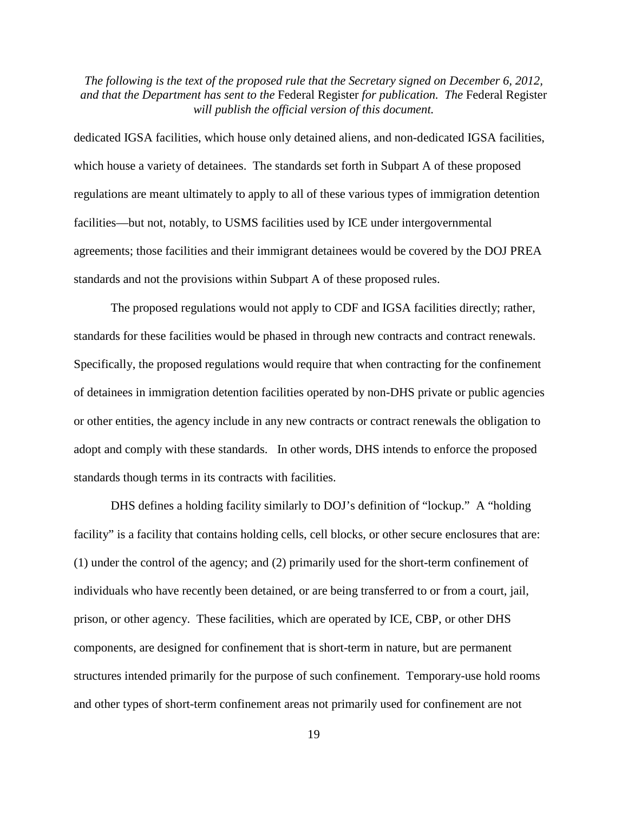dedicated IGSA facilities, which house only detained aliens, and non-dedicated IGSA facilities, which house a variety of detainees. The standards set forth in Subpart A of these proposed regulations are meant ultimately to apply to all of these various types of immigration detention facilities—but not, notably, to USMS facilities used by ICE under intergovernmental agreements; those facilities and their immigrant detainees would be covered by the DOJ PREA standards and not the provisions within Subpart A of these proposed rules.

The proposed regulations would not apply to CDF and IGSA facilities directly; rather, standards for these facilities would be phased in through new contracts and contract renewals. Specifically, the proposed regulations would require that when contracting for the confinement of detainees in immigration detention facilities operated by non-DHS private or public agencies or other entities, the agency include in any new contracts or contract renewals the obligation to adopt and comply with these standards. In other words, DHS intends to enforce the proposed standards though terms in its contracts with facilities.

DHS defines a holding facility similarly to DOJ's definition of "lockup." A "holding facility" is a facility that contains holding cells, cell blocks, or other secure enclosures that are: (1) under the control of the agency; and (2) primarily used for the short-term confinement of individuals who have recently been detained, or are being transferred to or from a court, jail, prison, or other agency. These facilities, which are operated by ICE, CBP, or other DHS components, are designed for confinement that is short-term in nature, but are permanent structures intended primarily for the purpose of such confinement. Temporary-use hold rooms and other types of short-term confinement areas not primarily used for confinement are not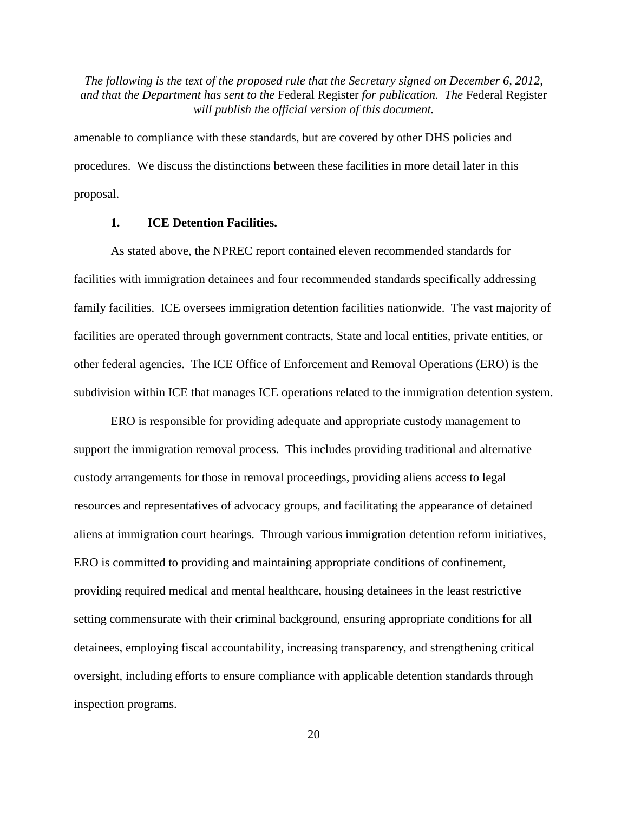amenable to compliance with these standards, but are covered by other DHS policies and procedures. We discuss the distinctions between these facilities in more detail later in this proposal.

## **1. ICE Detention Facilities.**

As stated above, the NPREC report contained eleven recommended standards for facilities with immigration detainees and four recommended standards specifically addressing family facilities. ICE oversees immigration detention facilities nationwide. The vast majority of facilities are operated through government contracts, State and local entities, private entities, or other federal agencies. The ICE Office of Enforcement and Removal Operations (ERO) is the subdivision within ICE that manages ICE operations related to the immigration detention system.

ERO is responsible for providing adequate and appropriate custody management to support the immigration removal process. This includes providing traditional and alternative custody arrangements for those in removal proceedings, providing aliens access to legal resources and representatives of advocacy groups, and facilitating the appearance of detained aliens at immigration court hearings. Through various immigration detention reform initiatives, ERO is committed to providing and maintaining appropriate conditions of confinement, providing required medical and mental healthcare, housing detainees in the least restrictive setting commensurate with their criminal background, ensuring appropriate conditions for all detainees, employing fiscal accountability, increasing transparency, and strengthening critical oversight, including efforts to ensure compliance with applicable detention standards through inspection programs.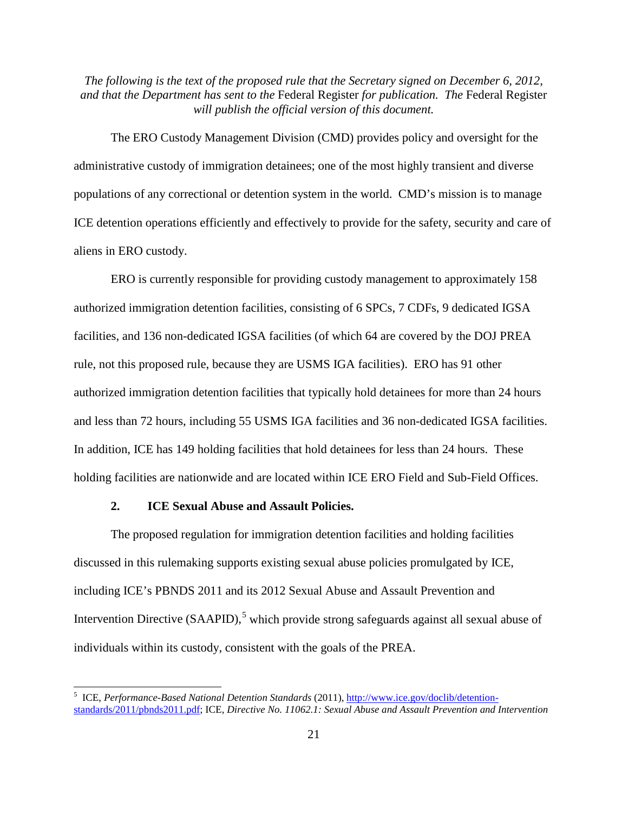The ERO Custody Management Division (CMD) provides policy and oversight for the administrative custody of immigration detainees; one of the most highly transient and diverse populations of any correctional or detention system in the world. CMD's mission is to manage ICE detention operations efficiently and effectively to provide for the safety, security and care of aliens in ERO custody.

ERO is currently responsible for providing custody management to approximately 158 authorized immigration detention facilities, consisting of 6 SPCs, 7 CDFs, 9 dedicated IGSA facilities, and 136 non-dedicated IGSA facilities (of which 64 are covered by the DOJ PREA rule, not this proposed rule, because they are USMS IGA facilities). ERO has 91 other authorized immigration detention facilities that typically hold detainees for more than 24 hours and less than 72 hours, including 55 USMS IGA facilities and 36 non-dedicated IGSA facilities. In addition, ICE has 149 holding facilities that hold detainees for less than 24 hours. These holding facilities are nationwide and are located within ICE ERO Field and Sub-Field Offices.

## **2. ICE Sexual Abuse and Assault Policies.**

The proposed regulation for immigration detention facilities and holding facilities discussed in this rulemaking supports existing sexual abuse policies promulgated by ICE, including ICE's PBNDS 2011 and its 2012 Sexual Abuse and Assault Prevention and Intervention Directive (SAAPID),<sup>[5](#page-20-0)</sup> which provide strong safeguards against all sexual abuse of individuals within its custody, consistent with the goals of the PREA.

<span id="page-20-0"></span> <sup>5</sup> ICE, *Performance-Based National Detention Standards* (2011), [http://www.ice.gov/doclib/detention](http://www.ice.gov/doclib/detention-standards/2011/pbnds2011.pdf)[standards/2011/pbnds2011.pdf;](http://www.ice.gov/doclib/detention-standards/2011/pbnds2011.pdf) ICE, *Directive No. 11062.1: Sexual Abuse and Assault Prevention and Intervention*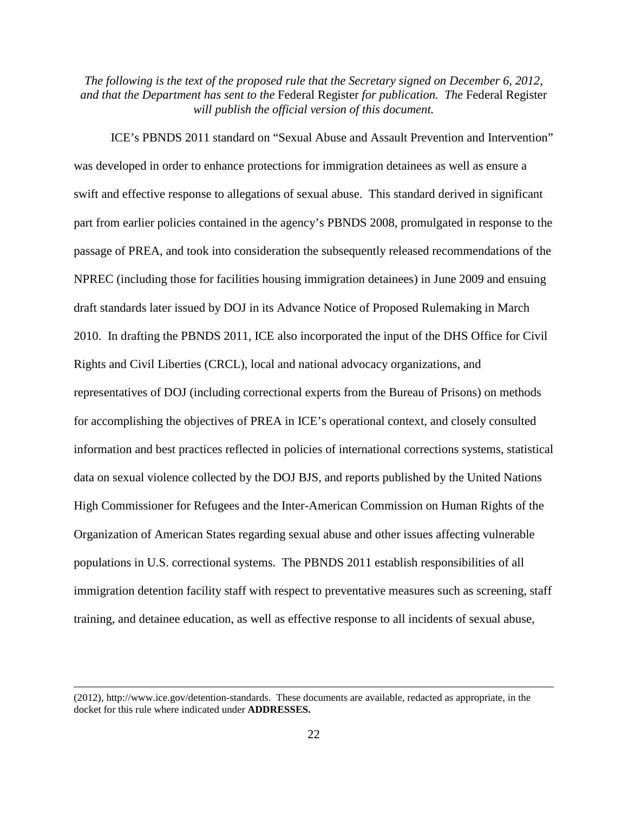ICE's PBNDS 2011 standard on "Sexual Abuse and Assault Prevention and Intervention" was developed in order to enhance protections for immigration detainees as well as ensure a swift and effective response to allegations of sexual abuse. This standard derived in significant part from earlier policies contained in the agency's PBNDS 2008, promulgated in response to the passage of PREA, and took into consideration the subsequently released recommendations of the NPREC (including those for facilities housing immigration detainees) in June 2009 and ensuing draft standards later issued by DOJ in its Advance Notice of Proposed Rulemaking in March 2010. In drafting the PBNDS 2011, ICE also incorporated the input of the DHS Office for Civil Rights and Civil Liberties (CRCL), local and national advocacy organizations, and representatives of DOJ (including correctional experts from the Bureau of Prisons) on methods for accomplishing the objectives of PREA in ICE's operational context, and closely consulted information and best practices reflected in policies of international corrections systems, statistical data on sexual violence collected by the DOJ BJS, and reports published by the United Nations High Commissioner for Refugees and the Inter-American Commission on Human Rights of the Organization of American States regarding sexual abuse and other issues affecting vulnerable populations in U.S. correctional systems. The PBNDS 2011 establish responsibilities of all immigration detention facility staff with respect to preventative measures such as screening, staff training, and detainee education, as well as effective response to all incidents of sexual abuse,

 $\overline{a}$ 

<sup>(2012),</sup> http://www.ice.gov/detention-standards. These documents are available, redacted as appropriate, in the docket for this rule where indicated under **ADDRESSES.**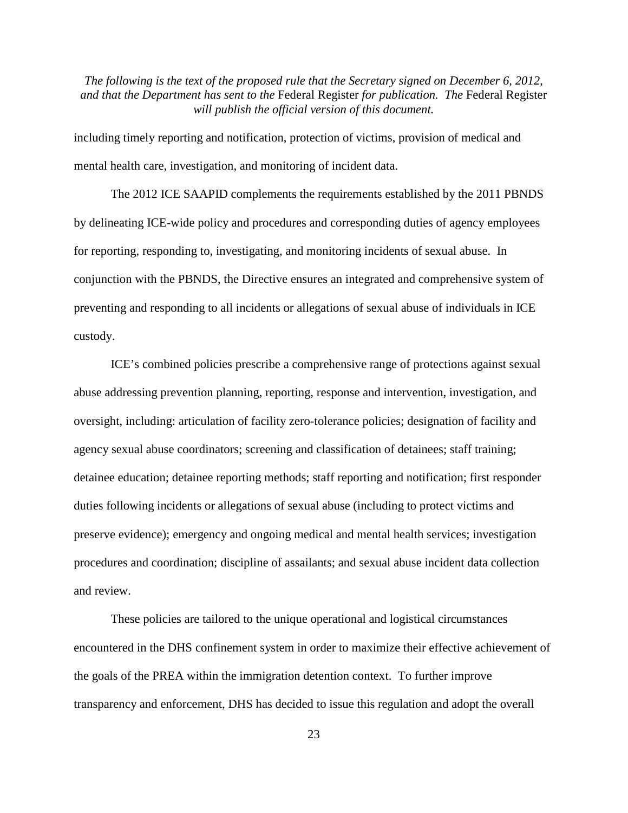including timely reporting and notification, protection of victims, provision of medical and mental health care, investigation, and monitoring of incident data.

The 2012 ICE SAAPID complements the requirements established by the 2011 PBNDS by delineating ICE-wide policy and procedures and corresponding duties of agency employees for reporting, responding to, investigating, and monitoring incidents of sexual abuse. In conjunction with the PBNDS, the Directive ensures an integrated and comprehensive system of preventing and responding to all incidents or allegations of sexual abuse of individuals in ICE custody.

ICE's combined policies prescribe a comprehensive range of protections against sexual abuse addressing prevention planning, reporting, response and intervention, investigation, and oversight, including: articulation of facility zero-tolerance policies; designation of facility and agency sexual abuse coordinators; screening and classification of detainees; staff training; detainee education; detainee reporting methods; staff reporting and notification; first responder duties following incidents or allegations of sexual abuse (including to protect victims and preserve evidence); emergency and ongoing medical and mental health services; investigation procedures and coordination; discipline of assailants; and sexual abuse incident data collection and review.

These policies are tailored to the unique operational and logistical circumstances encountered in the DHS confinement system in order to maximize their effective achievement of the goals of the PREA within the immigration detention context. To further improve transparency and enforcement, DHS has decided to issue this regulation and adopt the overall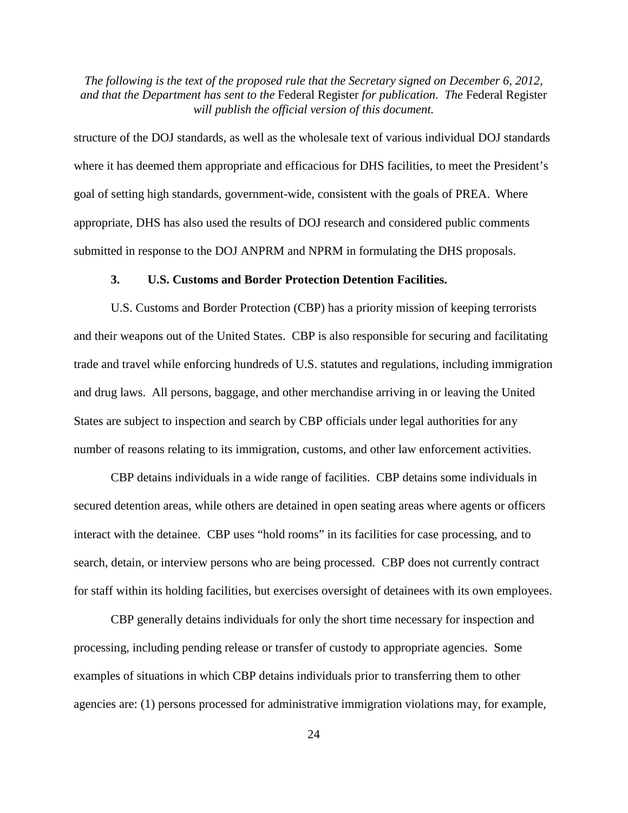structure of the DOJ standards, as well as the wholesale text of various individual DOJ standards where it has deemed them appropriate and efficacious for DHS facilities, to meet the President's goal of setting high standards, government-wide, consistent with the goals of PREA. Where appropriate, DHS has also used the results of DOJ research and considered public comments submitted in response to the DOJ ANPRM and NPRM in formulating the DHS proposals.

#### **3. U.S. Customs and Border Protection Detention Facilities.**

U.S. Customs and Border Protection (CBP) has a priority mission of keeping terrorists and their weapons out of the United States. CBP is also responsible for securing and facilitating trade and travel while enforcing hundreds of U.S. statutes and regulations, including immigration and drug laws. All persons, baggage, and other merchandise arriving in or leaving the United States are subject to inspection and search by CBP officials under legal authorities for any number of reasons relating to its immigration, customs, and other law enforcement activities.

CBP detains individuals in a wide range of facilities. CBP detains some individuals in secured detention areas, while others are detained in open seating areas where agents or officers interact with the detainee. CBP uses "hold rooms" in its facilities for case processing, and to search, detain, or interview persons who are being processed. CBP does not currently contract for staff within its holding facilities, but exercises oversight of detainees with its own employees.

CBP generally detains individuals for only the short time necessary for inspection and processing, including pending release or transfer of custody to appropriate agencies. Some examples of situations in which CBP detains individuals prior to transferring them to other agencies are: (1) persons processed for administrative immigration violations may, for example,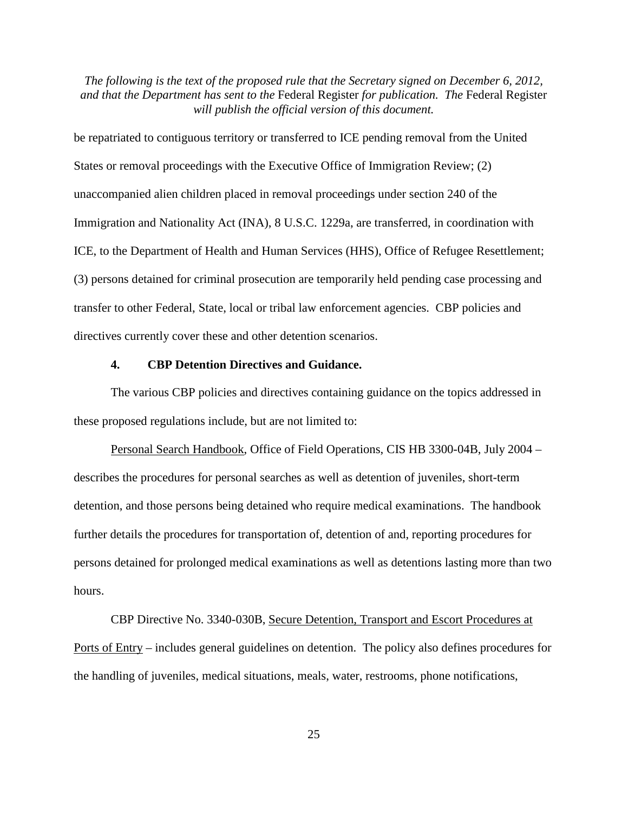be repatriated to contiguous territory or transferred to ICE pending removal from the United States or removal proceedings with the Executive Office of Immigration Review; (2) unaccompanied alien children placed in removal proceedings under section 240 of the Immigration and Nationality Act (INA), 8 U.S.C. 1229a, are transferred, in coordination with ICE, to the Department of Health and Human Services (HHS), Office of Refugee Resettlement; (3) persons detained for criminal prosecution are temporarily held pending case processing and transfer to other Federal, State, local or tribal law enforcement agencies. CBP policies and directives currently cover these and other detention scenarios.

## **4. CBP Detention Directives and Guidance.**

The various CBP policies and directives containing guidance on the topics addressed in these proposed regulations include, but are not limited to:

Personal Search Handbook, Office of Field Operations, CIS HB 3300-04B, July 2004 – describes the procedures for personal searches as well as detention of juveniles, short-term detention, and those persons being detained who require medical examinations. The handbook further details the procedures for transportation of, detention of and, reporting procedures for persons detained for prolonged medical examinations as well as detentions lasting more than two hours.

CBP Directive No. 3340-030B, Secure Detention, Transport and Escort Procedures at Ports of Entry – includes general guidelines on detention. The policy also defines procedures for the handling of juveniles, medical situations, meals, water, restrooms, phone notifications,

25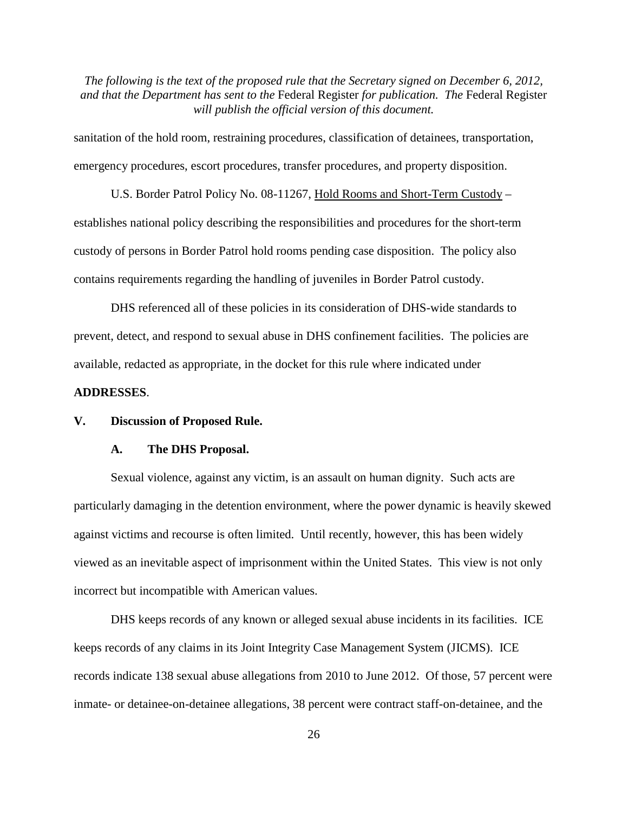sanitation of the hold room, restraining procedures, classification of detainees, transportation, emergency procedures, escort procedures, transfer procedures, and property disposition.

U.S. Border Patrol Policy No. 08-11267, Hold Rooms and Short-Term Custody – establishes national policy describing the responsibilities and procedures for the short-term custody of persons in Border Patrol hold rooms pending case disposition. The policy also contains requirements regarding the handling of juveniles in Border Patrol custody.

DHS referenced all of these policies in its consideration of DHS-wide standards to prevent, detect, and respond to sexual abuse in DHS confinement facilities. The policies are available, redacted as appropriate, in the docket for this rule where indicated under

## **ADDRESSES**.

#### **V. Discussion of Proposed Rule.**

#### **A. The DHS Proposal.**

Sexual violence, against any victim, is an assault on human dignity. Such acts are particularly damaging in the detention environment, where the power dynamic is heavily skewed against victims and recourse is often limited. Until recently, however, this has been widely viewed as an inevitable aspect of imprisonment within the United States. This view is not only incorrect but incompatible with American values.

DHS keeps records of any known or alleged sexual abuse incidents in its facilities. ICE keeps records of any claims in its Joint Integrity Case Management System (JICMS). ICE records indicate 138 sexual abuse allegations from 2010 to June 2012. Of those, 57 percent were inmate- or detainee-on-detainee allegations, 38 percent were contract staff-on-detainee, and the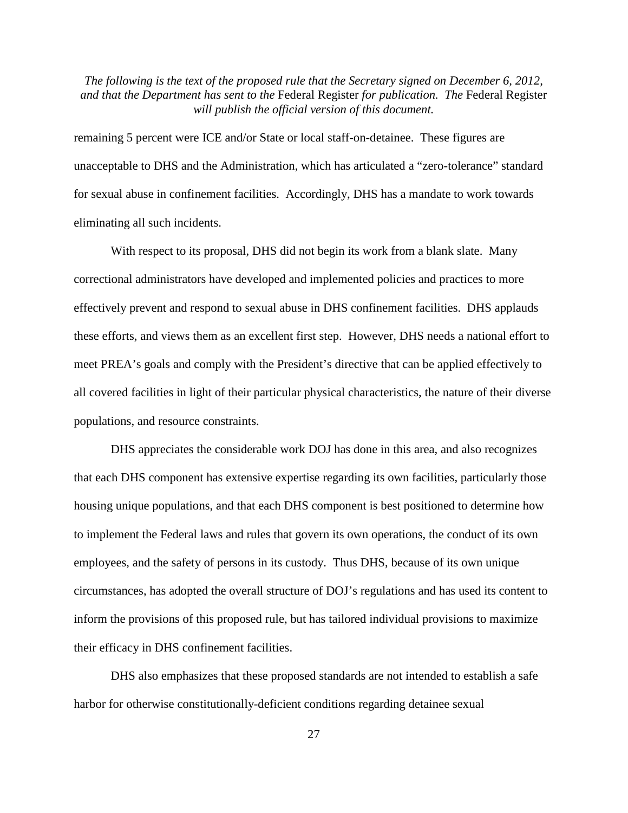remaining 5 percent were ICE and/or State or local staff-on-detainee. These figures are unacceptable to DHS and the Administration, which has articulated a "zero-tolerance" standard for sexual abuse in confinement facilities. Accordingly, DHS has a mandate to work towards eliminating all such incidents.

With respect to its proposal, DHS did not begin its work from a blank slate. Many correctional administrators have developed and implemented policies and practices to more effectively prevent and respond to sexual abuse in DHS confinement facilities. DHS applauds these efforts, and views them as an excellent first step. However, DHS needs a national effort to meet PREA's goals and comply with the President's directive that can be applied effectively to all covered facilities in light of their particular physical characteristics, the nature of their diverse populations, and resource constraints.

DHS appreciates the considerable work DOJ has done in this area, and also recognizes that each DHS component has extensive expertise regarding its own facilities, particularly those housing unique populations, and that each DHS component is best positioned to determine how to implement the Federal laws and rules that govern its own operations, the conduct of its own employees, and the safety of persons in its custody. Thus DHS, because of its own unique circumstances, has adopted the overall structure of DOJ's regulations and has used its content to inform the provisions of this proposed rule, but has tailored individual provisions to maximize their efficacy in DHS confinement facilities.

DHS also emphasizes that these proposed standards are not intended to establish a safe harbor for otherwise constitutionally-deficient conditions regarding detainee sexual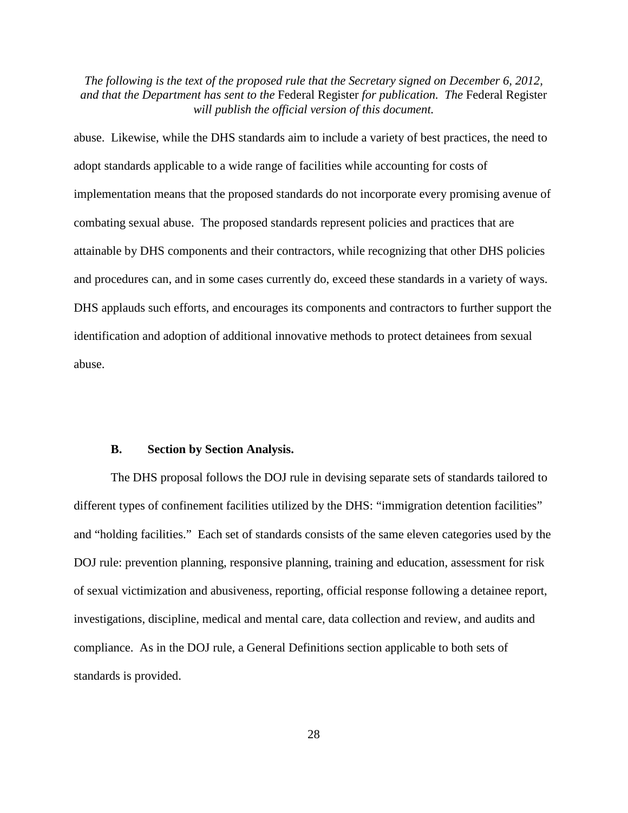abuse. Likewise, while the DHS standards aim to include a variety of best practices, the need to adopt standards applicable to a wide range of facilities while accounting for costs of implementation means that the proposed standards do not incorporate every promising avenue of combating sexual abuse. The proposed standards represent policies and practices that are attainable by DHS components and their contractors, while recognizing that other DHS policies and procedures can, and in some cases currently do, exceed these standards in a variety of ways. DHS applauds such efforts, and encourages its components and contractors to further support the identification and adoption of additional innovative methods to protect detainees from sexual abuse.

#### **B. Section by Section Analysis.**

The DHS proposal follows the DOJ rule in devising separate sets of standards tailored to different types of confinement facilities utilized by the DHS: "immigration detention facilities" and "holding facilities." Each set of standards consists of the same eleven categories used by the DOJ rule: prevention planning, responsive planning, training and education, assessment for risk of sexual victimization and abusiveness, reporting, official response following a detainee report, investigations, discipline, medical and mental care, data collection and review, and audits and compliance. As in the DOJ rule, a General Definitions section applicable to both sets of standards is provided.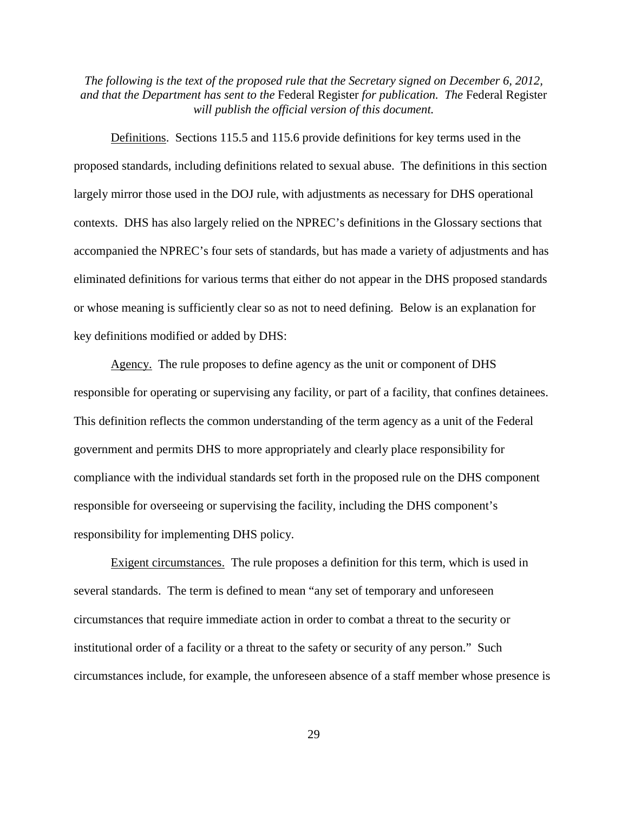Definitions. Sections 115.5 and 115.6 provide definitions for key terms used in the proposed standards, including definitions related to sexual abuse. The definitions in this section largely mirror those used in the DOJ rule, with adjustments as necessary for DHS operational contexts. DHS has also largely relied on the NPREC's definitions in the Glossary sections that accompanied the NPREC's four sets of standards, but has made a variety of adjustments and has eliminated definitions for various terms that either do not appear in the DHS proposed standards or whose meaning is sufficiently clear so as not to need defining. Below is an explanation for key definitions modified or added by DHS:

Agency. The rule proposes to define agency as the unit or component of DHS responsible for operating or supervising any facility, or part of a facility, that confines detainees. This definition reflects the common understanding of the term agency as a unit of the Federal government and permits DHS to more appropriately and clearly place responsibility for compliance with the individual standards set forth in the proposed rule on the DHS component responsible for overseeing or supervising the facility, including the DHS component's responsibility for implementing DHS policy.

Exigent circumstances.The rule proposes a definition for this term, which is used in several standards. The term is defined to mean "any set of temporary and unforeseen circumstances that require immediate action in order to combat a threat to the security or institutional order of a facility or a threat to the safety or security of any person." Such circumstances include, for example, the unforeseen absence of a staff member whose presence is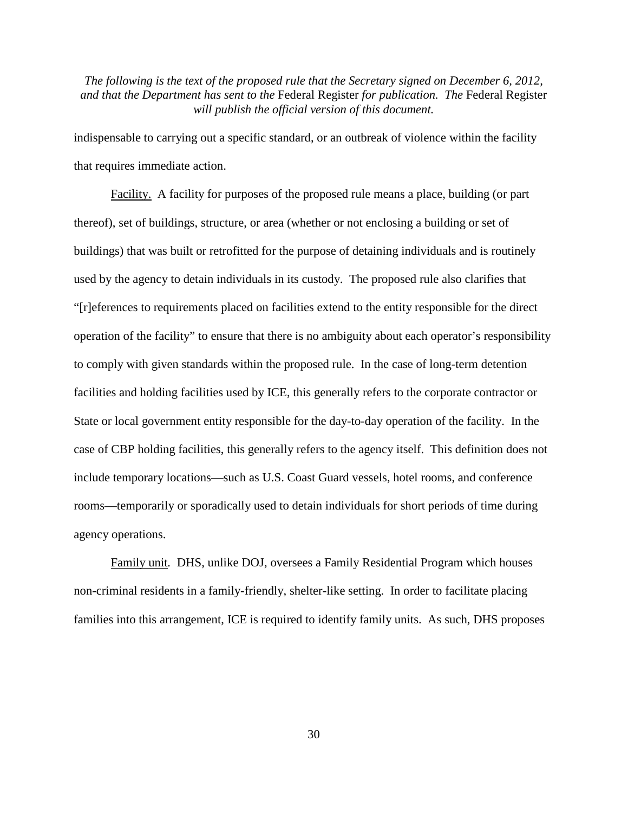indispensable to carrying out a specific standard, or an outbreak of violence within the facility that requires immediate action.

Facility.A facility for purposes of the proposed rule means a place, building (or part thereof), set of buildings, structure, or area (whether or not enclosing a building or set of buildings) that was built or retrofitted for the purpose of detaining individuals and is routinely used by the agency to detain individuals in its custody. The proposed rule also clarifies that "[r]eferences to requirements placed on facilities extend to the entity responsible for the direct operation of the facility" to ensure that there is no ambiguity about each operator's responsibility to comply with given standards within the proposed rule. In the case of long-term detention facilities and holding facilities used by ICE, this generally refers to the corporate contractor or State or local government entity responsible for the day-to-day operation of the facility. In the case of CBP holding facilities, this generally refers to the agency itself. This definition does not include temporary locations—such as U.S. Coast Guard vessels, hotel rooms, and conference rooms—temporarily or sporadically used to detain individuals for short periods of time during agency operations.

Family unit*.* DHS, unlike DOJ, oversees a Family Residential Program which houses non-criminal residents in a family-friendly, shelter-like setting. In order to facilitate placing families into this arrangement, ICE is required to identify family units. As such, DHS proposes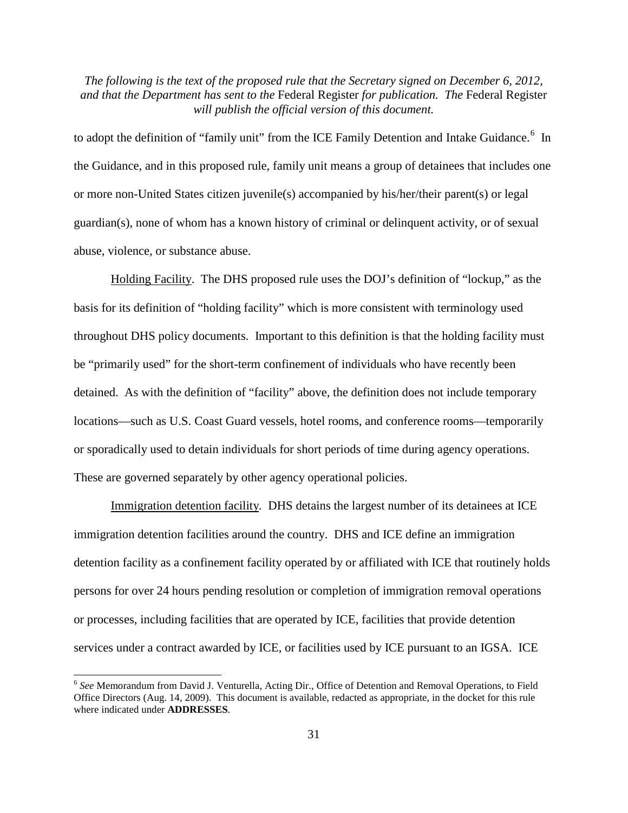to adopt the definition of "family unit" from the ICE Family Detention and Intake Guidance.<sup>[6](#page-30-0)</sup> In the Guidance, and in this proposed rule, family unit means a group of detainees that includes one or more non-United States citizen juvenile(s) accompanied by his/her/their parent(s) or legal guardian(s), none of whom has a known history of criminal or delinquent activity, or of sexual abuse, violence, or substance abuse.

Holding Facility. The DHS proposed rule uses the DOJ's definition of "lockup," as the basis for its definition of "holding facility" which is more consistent with terminology used throughout DHS policy documents. Important to this definition is that the holding facility must be "primarily used" for the short-term confinement of individuals who have recently been detained. As with the definition of "facility" above, the definition does not include temporary locations—such as U.S. Coast Guard vessels, hotel rooms, and conference rooms—temporarily or sporadically used to detain individuals for short periods of time during agency operations. These are governed separately by other agency operational policies.

Immigration detention facility*.* DHS detains the largest number of its detainees at ICE immigration detention facilities around the country. DHS and ICE define an immigration detention facility as a confinement facility operated by or affiliated with ICE that routinely holds persons for over 24 hours pending resolution or completion of immigration removal operations or processes, including facilities that are operated by ICE, facilities that provide detention services under a contract awarded by ICE, or facilities used by ICE pursuant to an IGSA. ICE

<span id="page-30-0"></span> <sup>6</sup> *See* Memorandum from David J. Venturella, Acting Dir., Office of Detention and Removal Operations, to Field Office Directors (Aug. 14, 2009). This document is available, redacted as appropriate, in the docket for this rule where indicated under **ADDRESSES**.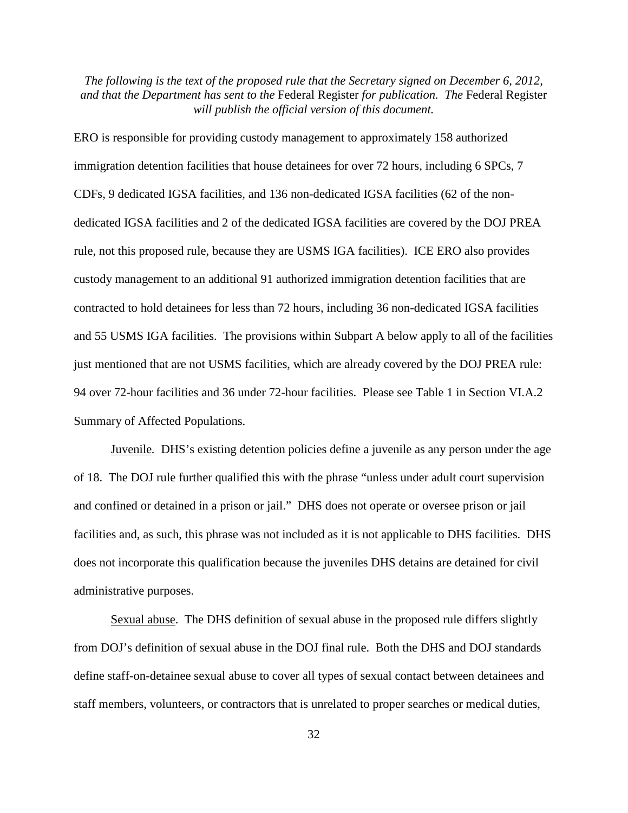ERO is responsible for providing custody management to approximately 158 authorized immigration detention facilities that house detainees for over 72 hours, including 6 SPCs, 7 CDFs, 9 dedicated IGSA facilities, and 136 non-dedicated IGSA facilities (62 of the nondedicated IGSA facilities and 2 of the dedicated IGSA facilities are covered by the DOJ PREA rule, not this proposed rule, because they are USMS IGA facilities). ICE ERO also provides custody management to an additional 91 authorized immigration detention facilities that are contracted to hold detainees for less than 72 hours, including 36 non-dedicated IGSA facilities and 55 USMS IGA facilities. The provisions within Subpart A below apply to all of the facilities just mentioned that are not USMS facilities, which are already covered by the DOJ PREA rule: 94 over 72-hour facilities and 36 under 72-hour facilities. Please see Table 1 in Section VI.A.2 Summary of Affected Populations.

Juvenile*.* DHS's existing detention policies define a juvenile as any person under the age of 18. The DOJ rule further qualified this with the phrase "unless under adult court supervision and confined or detained in a prison or jail." DHS does not operate or oversee prison or jail facilities and, as such, this phrase was not included as it is not applicable to DHS facilities. DHS does not incorporate this qualification because the juveniles DHS detains are detained for civil administrative purposes.

Sexual abuse. The DHS definition of sexual abuse in the proposed rule differs slightly from DOJ's definition of sexual abuse in the DOJ final rule. Both the DHS and DOJ standards define staff-on-detainee sexual abuse to cover all types of sexual contact between detainees and staff members, volunteers, or contractors that is unrelated to proper searches or medical duties,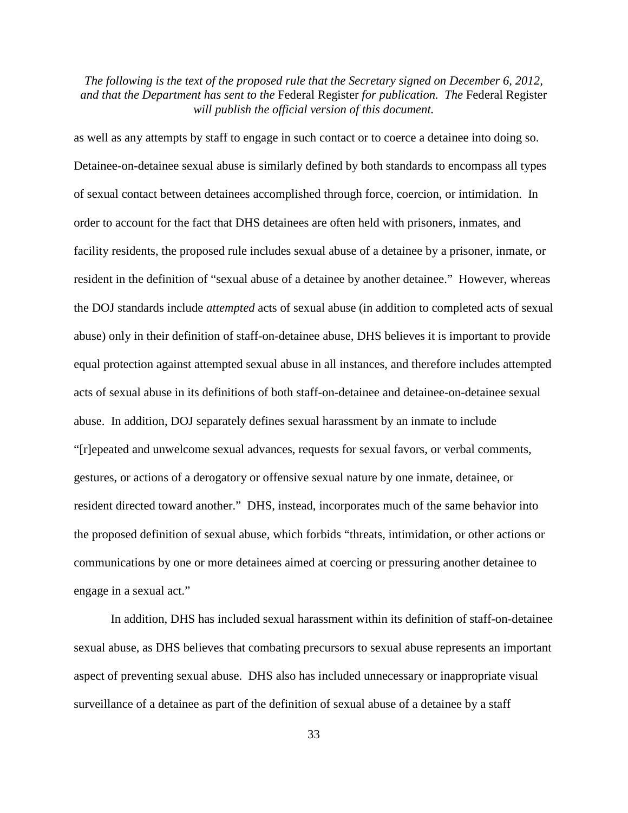as well as any attempts by staff to engage in such contact or to coerce a detainee into doing so. Detainee-on-detainee sexual abuse is similarly defined by both standards to encompass all types of sexual contact between detainees accomplished through force, coercion, or intimidation. In order to account for the fact that DHS detainees are often held with prisoners, inmates, and facility residents, the proposed rule includes sexual abuse of a detainee by a prisoner, inmate, or resident in the definition of "sexual abuse of a detainee by another detainee." However, whereas the DOJ standards include *attempted* acts of sexual abuse (in addition to completed acts of sexual abuse) only in their definition of staff-on-detainee abuse, DHS believes it is important to provide equal protection against attempted sexual abuse in all instances, and therefore includes attempted acts of sexual abuse in its definitions of both staff-on-detainee and detainee-on-detainee sexual abuse. In addition, DOJ separately defines sexual harassment by an inmate to include "[r]epeated and unwelcome sexual advances, requests for sexual favors, or verbal comments, gestures, or actions of a derogatory or offensive sexual nature by one inmate, detainee, or resident directed toward another." DHS, instead, incorporates much of the same behavior into the proposed definition of sexual abuse, which forbids "threats, intimidation, or other actions or communications by one or more detainees aimed at coercing or pressuring another detainee to engage in a sexual act."

In addition, DHS has included sexual harassment within its definition of staff-on-detainee sexual abuse, as DHS believes that combating precursors to sexual abuse represents an important aspect of preventing sexual abuse. DHS also has included unnecessary or inappropriate visual surveillance of a detainee as part of the definition of sexual abuse of a detainee by a staff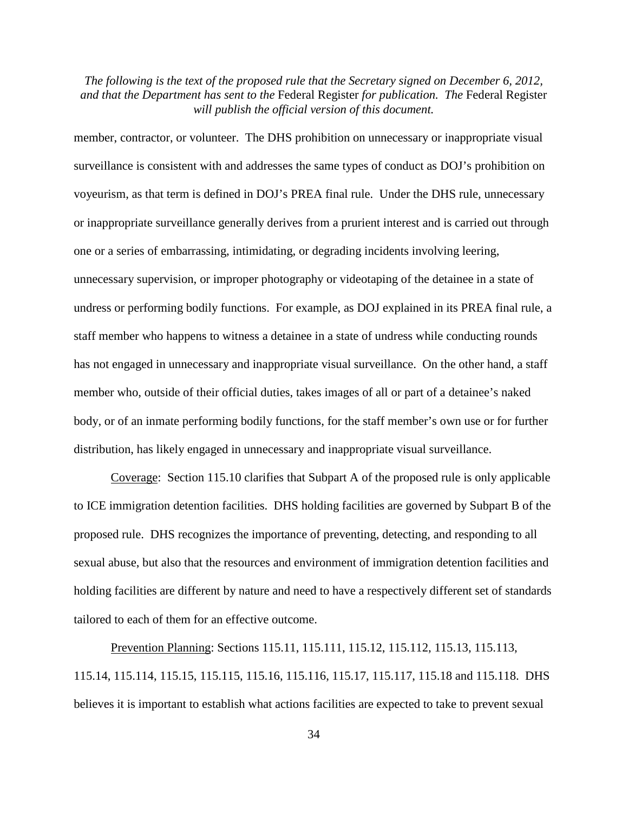member, contractor, or volunteer. The DHS prohibition on unnecessary or inappropriate visual surveillance is consistent with and addresses the same types of conduct as DOJ's prohibition on voyeurism, as that term is defined in DOJ's PREA final rule. Under the DHS rule, unnecessary or inappropriate surveillance generally derives from a prurient interest and is carried out through one or a series of embarrassing, intimidating, or degrading incidents involving leering, unnecessary supervision, or improper photography or videotaping of the detainee in a state of undress or performing bodily functions. For example, as DOJ explained in its PREA final rule, a staff member who happens to witness a detainee in a state of undress while conducting rounds has not engaged in unnecessary and inappropriate visual surveillance. On the other hand, a staff member who, outside of their official duties, takes images of all or part of a detainee's naked body, or of an inmate performing bodily functions, for the staff member's own use or for further distribution, has likely engaged in unnecessary and inappropriate visual surveillance.

Coverage: Section 115.10 clarifies that Subpart A of the proposed rule is only applicable to ICE immigration detention facilities. DHS holding facilities are governed by Subpart B of the proposed rule. DHS recognizes the importance of preventing, detecting, and responding to all sexual abuse, but also that the resources and environment of immigration detention facilities and holding facilities are different by nature and need to have a respectively different set of standards tailored to each of them for an effective outcome.

Prevention Planning: Sections 115.11, 115.111, 115.12, 115.112, 115.13, 115.113, 115.14, 115.114, 115.15, 115.115, 115.16, 115.116, 115.17, 115.117, 115.18 and 115.118. DHS believes it is important to establish what actions facilities are expected to take to prevent sexual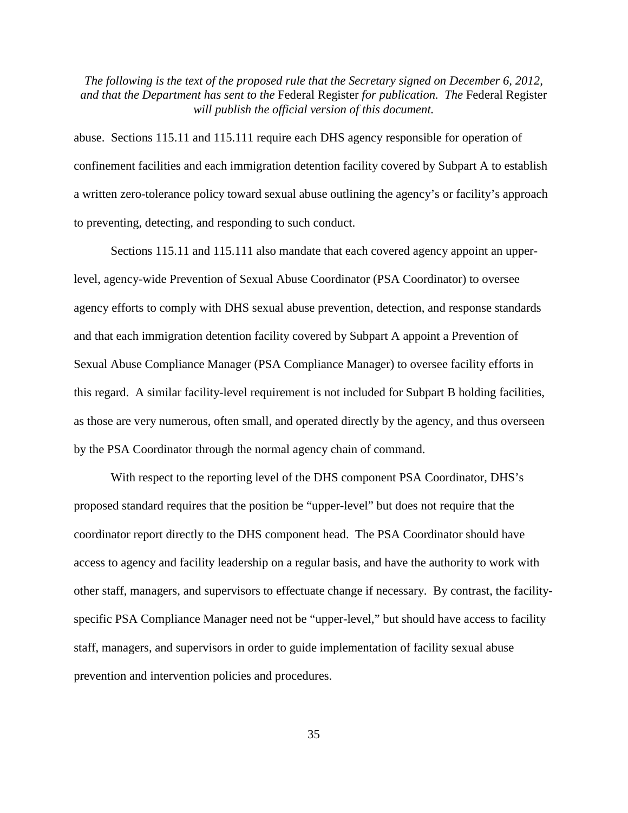abuse. Sections 115.11 and 115.111 require each DHS agency responsible for operation of confinement facilities and each immigration detention facility covered by Subpart A to establish a written zero-tolerance policy toward sexual abuse outlining the agency's or facility's approach to preventing, detecting, and responding to such conduct.

Sections 115.11 and 115.111 also mandate that each covered agency appoint an upperlevel, agency-wide Prevention of Sexual Abuse Coordinator (PSA Coordinator) to oversee agency efforts to comply with DHS sexual abuse prevention, detection, and response standards and that each immigration detention facility covered by Subpart A appoint a Prevention of Sexual Abuse Compliance Manager (PSA Compliance Manager) to oversee facility efforts in this regard. A similar facility-level requirement is not included for Subpart B holding facilities, as those are very numerous, often small, and operated directly by the agency, and thus overseen by the PSA Coordinator through the normal agency chain of command.

With respect to the reporting level of the DHS component PSA Coordinator, DHS's proposed standard requires that the position be "upper-level" but does not require that the coordinator report directly to the DHS component head. The PSA Coordinator should have access to agency and facility leadership on a regular basis, and have the authority to work with other staff, managers, and supervisors to effectuate change if necessary. By contrast, the facilityspecific PSA Compliance Manager need not be "upper-level," but should have access to facility staff, managers, and supervisors in order to guide implementation of facility sexual abuse prevention and intervention policies and procedures.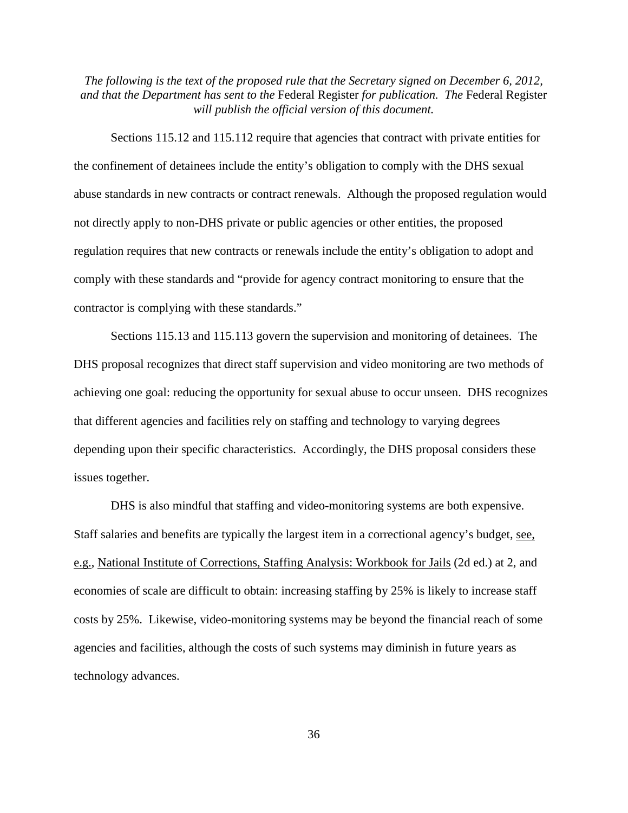Sections 115.12 and 115.112 require that agencies that contract with private entities for the confinement of detainees include the entity's obligation to comply with the DHS sexual abuse standards in new contracts or contract renewals. Although the proposed regulation would not directly apply to non-DHS private or public agencies or other entities, the proposed regulation requires that new contracts or renewals include the entity's obligation to adopt and comply with these standards and "provide for agency contract monitoring to ensure that the contractor is complying with these standards."

Sections 115.13 and 115.113 govern the supervision and monitoring of detainees. The DHS proposal recognizes that direct staff supervision and video monitoring are two methods of achieving one goal: reducing the opportunity for sexual abuse to occur unseen. DHS recognizes that different agencies and facilities rely on staffing and technology to varying degrees depending upon their specific characteristics. Accordingly, the DHS proposal considers these issues together.

DHS is also mindful that staffing and video-monitoring systems are both expensive. Staff salaries and benefits are typically the largest item in a correctional agency's budget, see, e.g., National Institute of Corrections, Staffing Analysis: Workbook for Jails (2d ed.) at 2, and economies of scale are difficult to obtain: increasing staffing by 25% is likely to increase staff costs by 25%. Likewise, video-monitoring systems may be beyond the financial reach of some agencies and facilities, although the costs of such systems may diminish in future years as technology advances.

36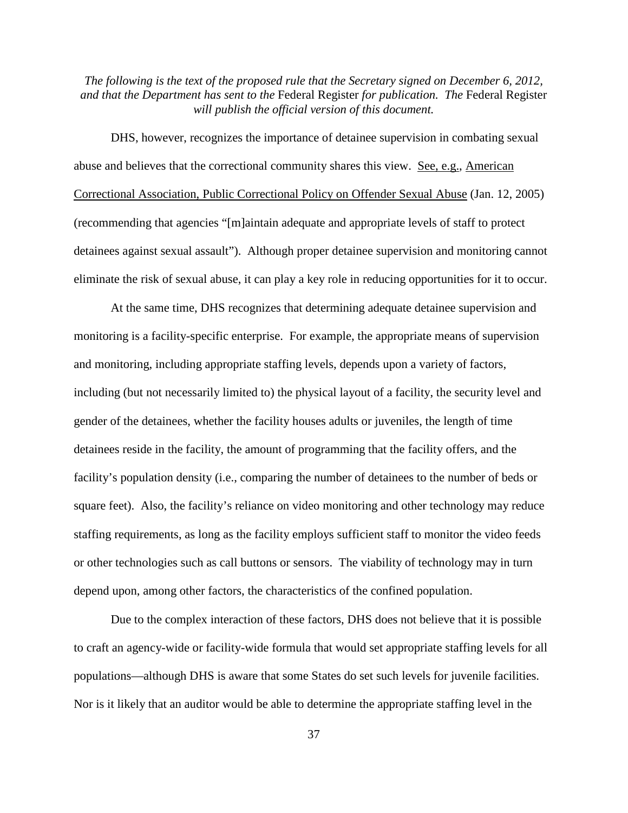DHS, however, recognizes the importance of detainee supervision in combating sexual abuse and believes that the correctional community shares this view. See, e.g., American Correctional Association, Public Correctional Policy on Offender Sexual Abuse (Jan. 12, 2005) (recommending that agencies "[m]aintain adequate and appropriate levels of staff to protect detainees against sexual assault"). Although proper detainee supervision and monitoring cannot eliminate the risk of sexual abuse, it can play a key role in reducing opportunities for it to occur.

At the same time, DHS recognizes that determining adequate detainee supervision and monitoring is a facility-specific enterprise. For example, the appropriate means of supervision and monitoring, including appropriate staffing levels, depends upon a variety of factors, including (but not necessarily limited to) the physical layout of a facility, the security level and gender of the detainees, whether the facility houses adults or juveniles, the length of time detainees reside in the facility, the amount of programming that the facility offers, and the facility's population density (i.e., comparing the number of detainees to the number of beds or square feet). Also, the facility's reliance on video monitoring and other technology may reduce staffing requirements, as long as the facility employs sufficient staff to monitor the video feeds or other technologies such as call buttons or sensors. The viability of technology may in turn depend upon, among other factors, the characteristics of the confined population.

Due to the complex interaction of these factors, DHS does not believe that it is possible to craft an agency-wide or facility-wide formula that would set appropriate staffing levels for all populations—although DHS is aware that some States do set such levels for juvenile facilities. Nor is it likely that an auditor would be able to determine the appropriate staffing level in the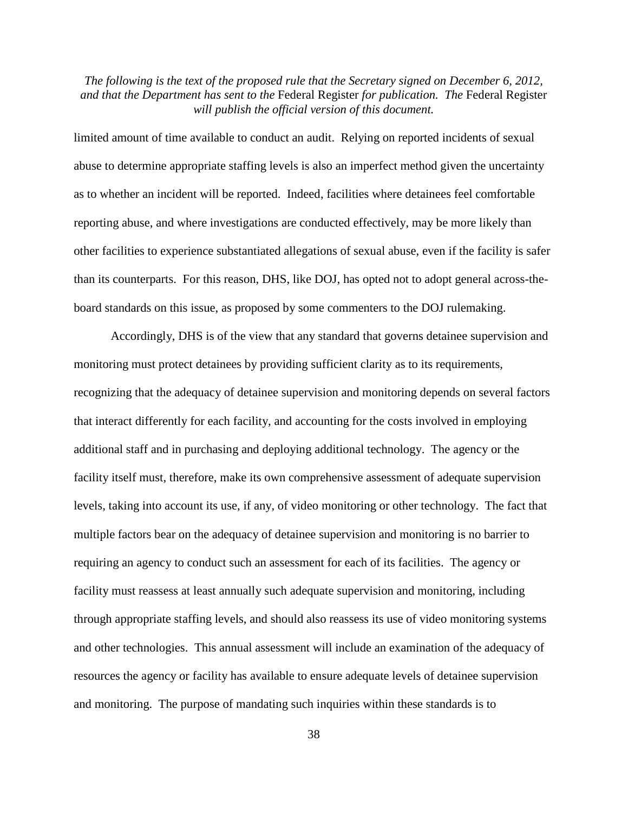limited amount of time available to conduct an audit. Relying on reported incidents of sexual abuse to determine appropriate staffing levels is also an imperfect method given the uncertainty as to whether an incident will be reported. Indeed, facilities where detainees feel comfortable reporting abuse, and where investigations are conducted effectively, may be more likely than other facilities to experience substantiated allegations of sexual abuse, even if the facility is safer than its counterparts. For this reason, DHS, like DOJ, has opted not to adopt general across-theboard standards on this issue, as proposed by some commenters to the DOJ rulemaking.

Accordingly, DHS is of the view that any standard that governs detainee supervision and monitoring must protect detainees by providing sufficient clarity as to its requirements, recognizing that the adequacy of detainee supervision and monitoring depends on several factors that interact differently for each facility, and accounting for the costs involved in employing additional staff and in purchasing and deploying additional technology. The agency or the facility itself must, therefore, make its own comprehensive assessment of adequate supervision levels, taking into account its use, if any, of video monitoring or other technology. The fact that multiple factors bear on the adequacy of detainee supervision and monitoring is no barrier to requiring an agency to conduct such an assessment for each of its facilities. The agency or facility must reassess at least annually such adequate supervision and monitoring, including through appropriate staffing levels, and should also reassess its use of video monitoring systems and other technologies. This annual assessment will include an examination of the adequacy of resources the agency or facility has available to ensure adequate levels of detainee supervision and monitoring. The purpose of mandating such inquiries within these standards is to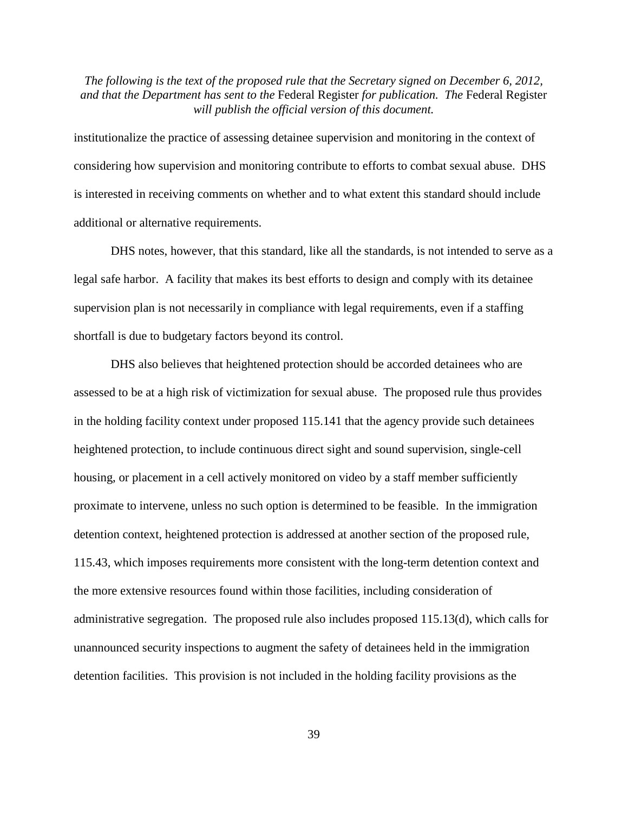institutionalize the practice of assessing detainee supervision and monitoring in the context of considering how supervision and monitoring contribute to efforts to combat sexual abuse. DHS is interested in receiving comments on whether and to what extent this standard should include additional or alternative requirements.

DHS notes, however, that this standard, like all the standards, is not intended to serve as a legal safe harbor. A facility that makes its best efforts to design and comply with its detainee supervision plan is not necessarily in compliance with legal requirements, even if a staffing shortfall is due to budgetary factors beyond its control.

DHS also believes that heightened protection should be accorded detainees who are assessed to be at a high risk of victimization for sexual abuse. The proposed rule thus provides in the holding facility context under proposed 115.141 that the agency provide such detainees heightened protection, to include continuous direct sight and sound supervision, single-cell housing, or placement in a cell actively monitored on video by a staff member sufficiently proximate to intervene, unless no such option is determined to be feasible. In the immigration detention context, heightened protection is addressed at another section of the proposed rule, 115.43, which imposes requirements more consistent with the long-term detention context and the more extensive resources found within those facilities, including consideration of administrative segregation. The proposed rule also includes proposed 115.13(d), which calls for unannounced security inspections to augment the safety of detainees held in the immigration detention facilities. This provision is not included in the holding facility provisions as the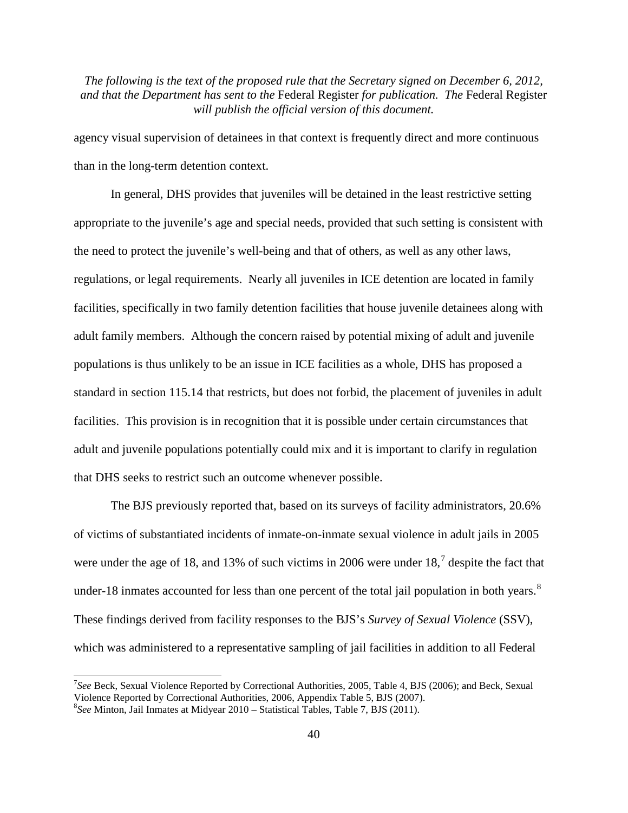agency visual supervision of detainees in that context is frequently direct and more continuous than in the long-term detention context.

In general, DHS provides that juveniles will be detained in the least restrictive setting appropriate to the juvenile's age and special needs, provided that such setting is consistent with the need to protect the juvenile's well-being and that of others, as well as any other laws, regulations, or legal requirements. Nearly all juveniles in ICE detention are located in family facilities, specifically in two family detention facilities that house juvenile detainees along with adult family members. Although the concern raised by potential mixing of adult and juvenile populations is thus unlikely to be an issue in ICE facilities as a whole, DHS has proposed a standard in section 115.14 that restricts, but does not forbid, the placement of juveniles in adult facilities. This provision is in recognition that it is possible under certain circumstances that adult and juvenile populations potentially could mix and it is important to clarify in regulation that DHS seeks to restrict such an outcome whenever possible.

The BJS previously reported that, based on its surveys of facility administrators, 20.6% of victims of substantiated incidents of inmate-on-inmate sexual violence in adult jails in 2005 were under the age of 18, and 13% of such victims in 2006 were under  $18<sup>7</sup>$  $18<sup>7</sup>$  $18<sup>7</sup>$  despite the fact that under-1[8](#page-39-1) inmates accounted for less than one percent of the total jail population in both years. $8$ These findings derived from facility responses to the BJS's *Survey of Sexual Violence* (SSV), which was administered to a representative sampling of jail facilities in addition to all Federal

<span id="page-39-0"></span><sup>&</sup>lt;sup>7</sup>See Beck, Sexual Violence Reported by Correctional Authorities, 2005, Table 4, BJS (2006); and Beck, Sexual Violence Reported by Correctional Authorities, 2006, Appendix Table 5, BJS (2007). <sup>8</sup>

<span id="page-39-1"></span>*See* Minton, Jail Inmates at Midyear 2010 – Statistical Tables, Table 7, BJS (2011).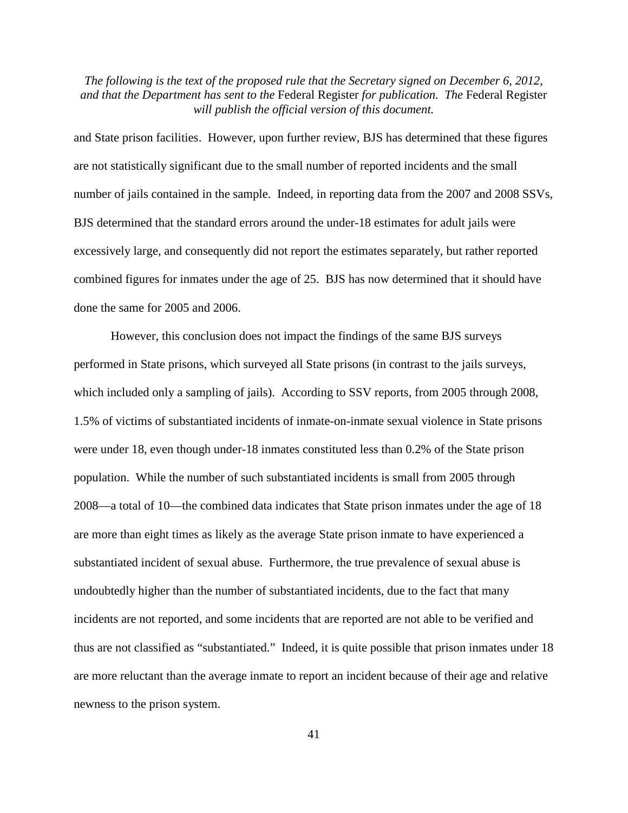and State prison facilities. However, upon further review, BJS has determined that these figures are not statistically significant due to the small number of reported incidents and the small number of jails contained in the sample. Indeed, in reporting data from the 2007 and 2008 SSVs, BJS determined that the standard errors around the under-18 estimates for adult jails were excessively large, and consequently did not report the estimates separately, but rather reported combined figures for inmates under the age of 25. BJS has now determined that it should have done the same for 2005 and 2006.

However, this conclusion does not impact the findings of the same BJS surveys performed in State prisons, which surveyed all State prisons (in contrast to the jails surveys, which included only a sampling of jails). According to SSV reports, from 2005 through 2008, 1.5% of victims of substantiated incidents of inmate-on-inmate sexual violence in State prisons were under 18, even though under-18 inmates constituted less than 0.2% of the State prison population. While the number of such substantiated incidents is small from 2005 through 2008—a total of 10—the combined data indicates that State prison inmates under the age of 18 are more than eight times as likely as the average State prison inmate to have experienced a substantiated incident of sexual abuse. Furthermore, the true prevalence of sexual abuse is undoubtedly higher than the number of substantiated incidents, due to the fact that many incidents are not reported, and some incidents that are reported are not able to be verified and thus are not classified as "substantiated." Indeed, it is quite possible that prison inmates under 18 are more reluctant than the average inmate to report an incident because of their age and relative newness to the prison system.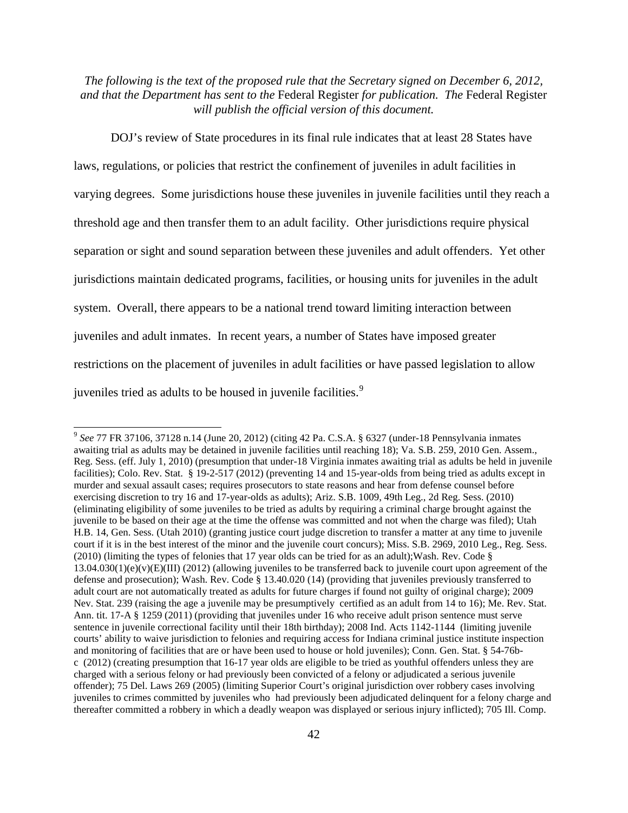DOJ's review of State procedures in its final rule indicates that at least 28 States have laws, regulations, or policies that restrict the confinement of juveniles in adult facilities in varying degrees. Some jurisdictions house these juveniles in juvenile facilities until they reach a threshold age and then transfer them to an adult facility. Other jurisdictions require physical separation or sight and sound separation between these juveniles and adult offenders. Yet other jurisdictions maintain dedicated programs, facilities, or housing units for juveniles in the adult system. Overall, there appears to be a national trend toward limiting interaction between juveniles and adult inmates. In recent years, a number of States have imposed greater restrictions on the placement of juveniles in adult facilities or have passed legislation to allow juveniles tried as adults to be housed in juvenile facilities.<sup>[9](#page-41-0)</sup>

<span id="page-41-0"></span> <sup>9</sup> *See* 77 FR 37106, 37128 n.14 (June 20, 2012) (citing 42 Pa. C.S.A. § 6327 (under-18 Pennsylvania inmates awaiting trial as adults may be detained in juvenile facilities until reaching 18); Va. S.B. 259, 2010 Gen. Assem., Reg. Sess. (eff. July 1, 2010) (presumption that under-18 Virginia inmates awaiting trial as adults be held in juvenile facilities); Colo. Rev. Stat. § 19-2-517 (2012) (preventing 14 and 15-year-olds from being tried as adults except in murder and sexual assault cases; requires prosecutors to state reasons and hear from defense counsel before exercising discretion to try 16 and 17-year-olds as adults); Ariz. S.B. 1009, 49th Leg., 2d Reg. Sess. (2010) (eliminating eligibility of some juveniles to be tried as adults by requiring a criminal charge brought against the juvenile to be based on their age at the time the offense was committed and not when the charge was filed); Utah H.B. 14, Gen. Sess. (Utah 2010) (granting justice court judge discretion to transfer a matter at any time to juvenile court if it is in the best interest of the minor and the juvenile court concurs); Miss. S.B. 2969, 2010 Leg., Reg. Sess. (2010) (limiting the types of felonies that 17 year olds can be tried for as an adult);Wash. Rev. Code §  $13.04.030(1)(e)(v)(E)(III)$  (2012) (allowing juveniles to be transferred back to juvenile court upon agreement of the defense and prosecution); Wash. Rev. Code § 13.40.020 (14) (providing that juveniles previously transferred to adult court are not automatically treated as adults for future charges if found not guilty of original charge); 2009 Nev. Stat. 239 (raising the age a juvenile may be presumptively certified as an adult from 14 to 16); Me. Rev. Stat. Ann. tit. 17-A § 1259 (2011) (providing that juveniles under 16 who receive adult prison sentence must serve sentence in juvenile correctional facility until their 18th birthday); 2008 Ind. Acts 1142-1144 (limiting juvenile courts' ability to waive jurisdiction to felonies and requiring access for Indiana criminal justice institute inspection and monitoring of facilities that are or have been used to house or hold juveniles); Conn. Gen. Stat. § 54-76bc (2012) (creating presumption that 16-17 year olds are eligible to be tried as youthful offenders unless they are charged with a serious felony or had previously been convicted of a felony or adjudicated a serious juvenile offender); 75 Del. Laws 269 (2005) (limiting Superior Court's original jurisdiction over robbery cases involving juveniles to crimes committed by juveniles who had previously been adjudicated delinquent for a felony charge and thereafter committed a robbery in which a deadly weapon was displayed or serious injury inflicted); 705 Ill. Comp.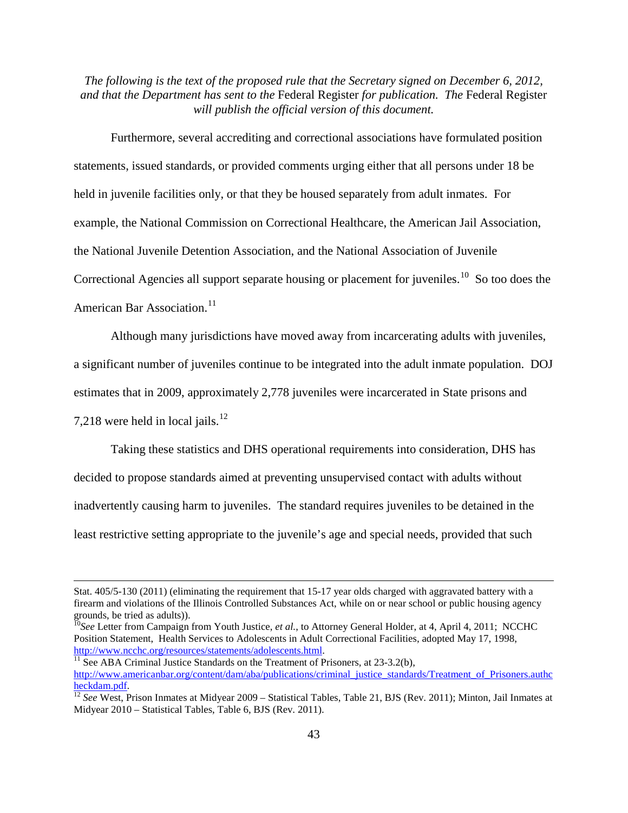Furthermore, several accrediting and correctional associations have formulated position statements, issued standards, or provided comments urging either that all persons under 18 be held in juvenile facilities only, or that they be housed separately from adult inmates. For example, the National Commission on Correctional Healthcare, the American Jail Association, the National Juvenile Detention Association, and the National Association of Juvenile Correctional Agencies all support separate housing or placement for juveniles.<sup>[10](#page-42-0)</sup> So too does the American Bar Association.<sup>[11](#page-42-1)</sup>

Although many jurisdictions have moved away from incarcerating adults with juveniles, a significant number of juveniles continue to be integrated into the adult inmate population. DOJ estimates that in 2009, approximately 2,778 juveniles were incarcerated in State prisons and 7,218 were held in local jails.<sup>[12](#page-42-2)</sup>

Taking these statistics and DHS operational requirements into consideration, DHS has decided to propose standards aimed at preventing unsupervised contact with adults without inadvertently causing harm to juveniles. The standard requires juveniles to be detained in the least restrictive setting appropriate to the juvenile's age and special needs, provided that such

 $\overline{a}$ 

<span id="page-42-1"></span> $\frac{11}{11}$  See ABA Criminal Justice Standards on the Treatment of Prisoners, at 23-3.2(b), [http://www.americanbar.org/content/dam/aba/publications/criminal\\_justice\\_standards/Treatment\\_of\\_Prisoners.authc](http://www.americanbar.org/content/dam/aba/publications/criminal_justice_standards/Treatment_of_Prisoners.authcheckdam.pdf)le<br>heckdam.ndf.

Stat. 405/5-130 (2011) (eliminating the requirement that 15-17 year olds charged with aggravated battery with a firearm and violations of the Illinois Controlled Substances Act, while on or near school or public housing agency

<span id="page-42-0"></span><sup>&</sup>lt;sup>10</sup>See Letter from Campaign from Youth Justice, *et al.*, to Attorney General Holder, at 4, April 4, 2011; NCCHC Position Statement, Health Services to Adolescents in Adult Correctional Facilities, adopted May 17, 1998, http://www.ncchc.org/resources/statements/adolescents.html.

<span id="page-42-2"></span><sup>&</sup>lt;sup>[12](http://www.americanbar.org/content/dam/aba/publications/criminal_justice_standards/Treatment_of_Prisoners.authcheckdam.pdf)</sup> See West, Prison Inmates at Midyear 2009 – Statistical Tables, Table 21, BJS (Rev. 2011); Minton, Jail Inmates at Midyear 2010 – Statistical Tables, Table 6, BJS (Rev. 2011).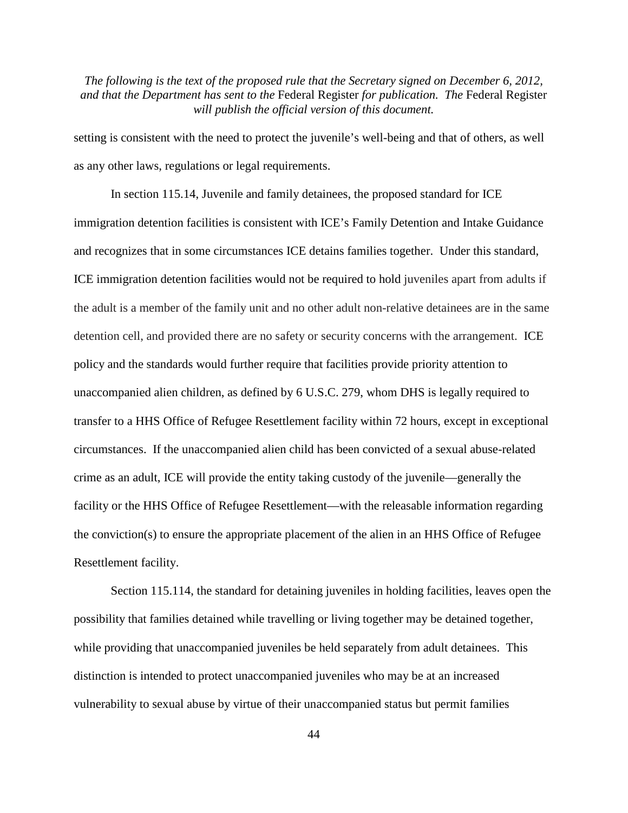setting is consistent with the need to protect the juvenile's well-being and that of others, as well as any other laws, regulations or legal requirements.

In section 115.14, Juvenile and family detainees, the proposed standard for ICE immigration detention facilities is consistent with ICE's Family Detention and Intake Guidance and recognizes that in some circumstances ICE detains families together. Under this standard, ICE immigration detention facilities would not be required to hold juveniles apart from adults if the adult is a member of the family unit and no other adult non-relative detainees are in the same detention cell, and provided there are no safety or security concerns with the arrangement. ICE policy and the standards would further require that facilities provide priority attention to unaccompanied alien children, as defined by 6 U.S.C. 279, whom DHS is legally required to transfer to a HHS Office of Refugee Resettlement facility within 72 hours, except in exceptional circumstances. If the unaccompanied alien child has been convicted of a sexual abuse-related crime as an adult, ICE will provide the entity taking custody of the juvenile—generally the facility or the HHS Office of Refugee Resettlement—with the releasable information regarding the conviction(s) to ensure the appropriate placement of the alien in an HHS Office of Refugee Resettlement facility.

Section 115.114, the standard for detaining juveniles in holding facilities, leaves open the possibility that families detained while travelling or living together may be detained together, while providing that unaccompanied juveniles be held separately from adult detainees. This distinction is intended to protect unaccompanied juveniles who may be at an increased vulnerability to sexual abuse by virtue of their unaccompanied status but permit families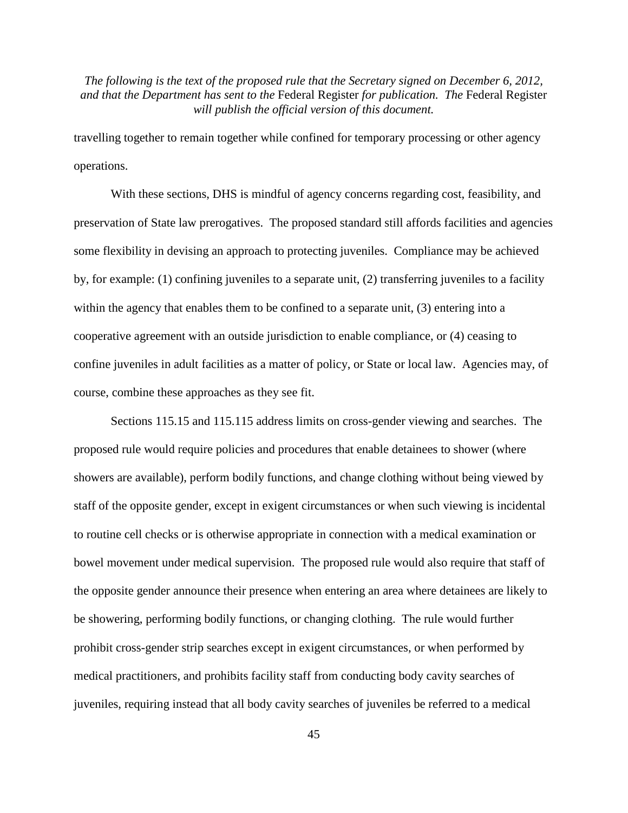travelling together to remain together while confined for temporary processing or other agency operations.

With these sections, DHS is mindful of agency concerns regarding cost, feasibility, and preservation of State law prerogatives. The proposed standard still affords facilities and agencies some flexibility in devising an approach to protecting juveniles. Compliance may be achieved by, for example: (1) confining juveniles to a separate unit, (2) transferring juveniles to a facility within the agency that enables them to be confined to a separate unit, (3) entering into a cooperative agreement with an outside jurisdiction to enable compliance, or (4) ceasing to confine juveniles in adult facilities as a matter of policy, or State or local law. Agencies may, of course, combine these approaches as they see fit.

Sections 115.15 and 115.115 address limits on cross-gender viewing and searches. The proposed rule would require policies and procedures that enable detainees to shower (where showers are available), perform bodily functions, and change clothing without being viewed by staff of the opposite gender, except in exigent circumstances or when such viewing is incidental to routine cell checks or is otherwise appropriate in connection with a medical examination or bowel movement under medical supervision. The proposed rule would also require that staff of the opposite gender announce their presence when entering an area where detainees are likely to be showering, performing bodily functions, or changing clothing. The rule would further prohibit cross-gender strip searches except in exigent circumstances, or when performed by medical practitioners, and prohibits facility staff from conducting body cavity searches of juveniles, requiring instead that all body cavity searches of juveniles be referred to a medical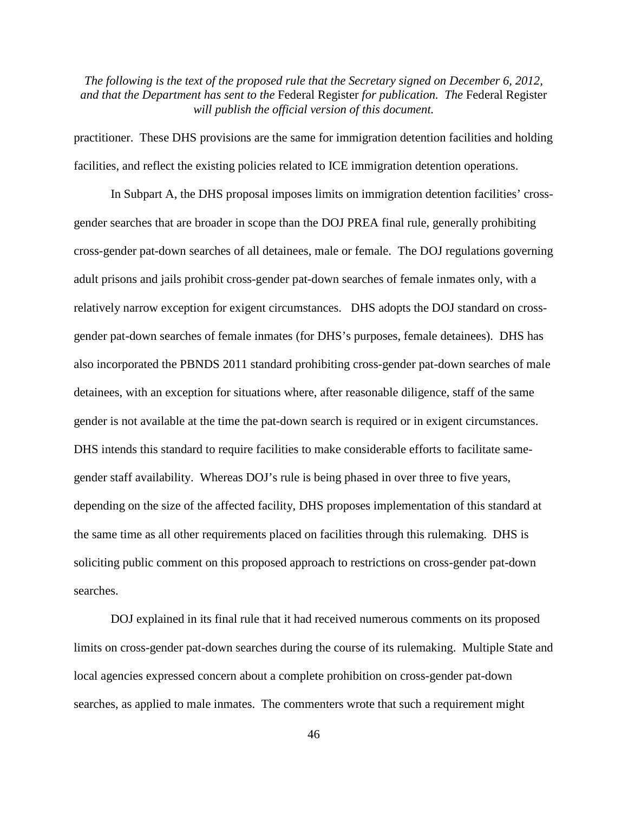practitioner. These DHS provisions are the same for immigration detention facilities and holding facilities, and reflect the existing policies related to ICE immigration detention operations.

In Subpart A, the DHS proposal imposes limits on immigration detention facilities' crossgender searches that are broader in scope than the DOJ PREA final rule, generally prohibiting cross-gender pat-down searches of all detainees, male or female. The DOJ regulations governing adult prisons and jails prohibit cross-gender pat-down searches of female inmates only, with a relatively narrow exception for exigent circumstances. DHS adopts the DOJ standard on crossgender pat-down searches of female inmates (for DHS's purposes, female detainees). DHS has also incorporated the PBNDS 2011 standard prohibiting cross-gender pat-down searches of male detainees, with an exception for situations where, after reasonable diligence, staff of the same gender is not available at the time the pat-down search is required or in exigent circumstances. DHS intends this standard to require facilities to make considerable efforts to facilitate samegender staff availability. Whereas DOJ's rule is being phased in over three to five years, depending on the size of the affected facility, DHS proposes implementation of this standard at the same time as all other requirements placed on facilities through this rulemaking. DHS is soliciting public comment on this proposed approach to restrictions on cross-gender pat-down searches.

DOJ explained in its final rule that it had received numerous comments on its proposed limits on cross-gender pat-down searches during the course of its rulemaking. Multiple State and local agencies expressed concern about a complete prohibition on cross-gender pat-down searches, as applied to male inmates. The commenters wrote that such a requirement might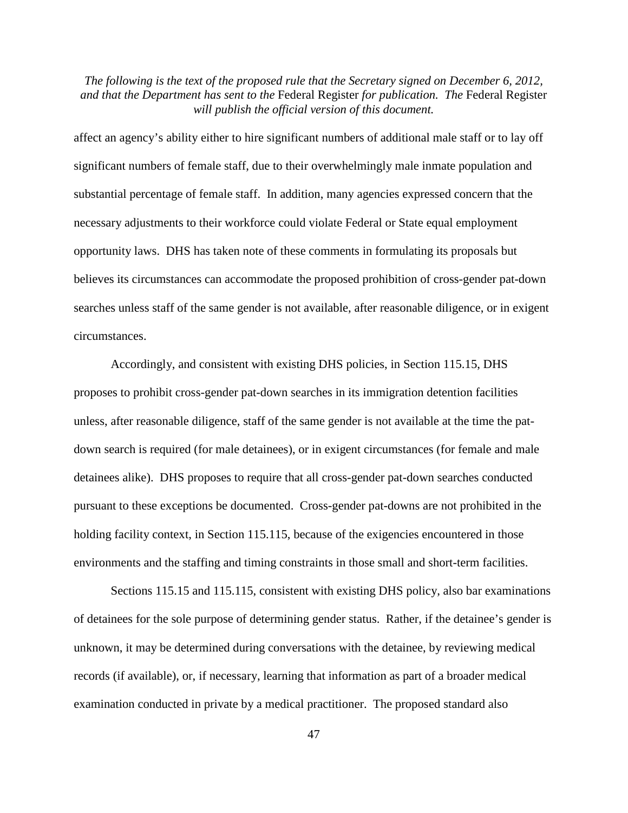affect an agency's ability either to hire significant numbers of additional male staff or to lay off significant numbers of female staff, due to their overwhelmingly male inmate population and substantial percentage of female staff. In addition, many agencies expressed concern that the necessary adjustments to their workforce could violate Federal or State equal employment opportunity laws. DHS has taken note of these comments in formulating its proposals but believes its circumstances can accommodate the proposed prohibition of cross-gender pat-down searches unless staff of the same gender is not available, after reasonable diligence, or in exigent circumstances.

Accordingly, and consistent with existing DHS policies, in Section 115.15, DHS proposes to prohibit cross-gender pat-down searches in its immigration detention facilities unless, after reasonable diligence, staff of the same gender is not available at the time the patdown search is required (for male detainees), or in exigent circumstances (for female and male detainees alike). DHS proposes to require that all cross-gender pat-down searches conducted pursuant to these exceptions be documented. Cross-gender pat-downs are not prohibited in the holding facility context, in Section 115.115, because of the exigencies encountered in those environments and the staffing and timing constraints in those small and short-term facilities.

Sections 115.15 and 115.115, consistent with existing DHS policy, also bar examinations of detainees for the sole purpose of determining gender status. Rather, if the detainee's gender is unknown, it may be determined during conversations with the detainee, by reviewing medical records (if available), or, if necessary, learning that information as part of a broader medical examination conducted in private by a medical practitioner. The proposed standard also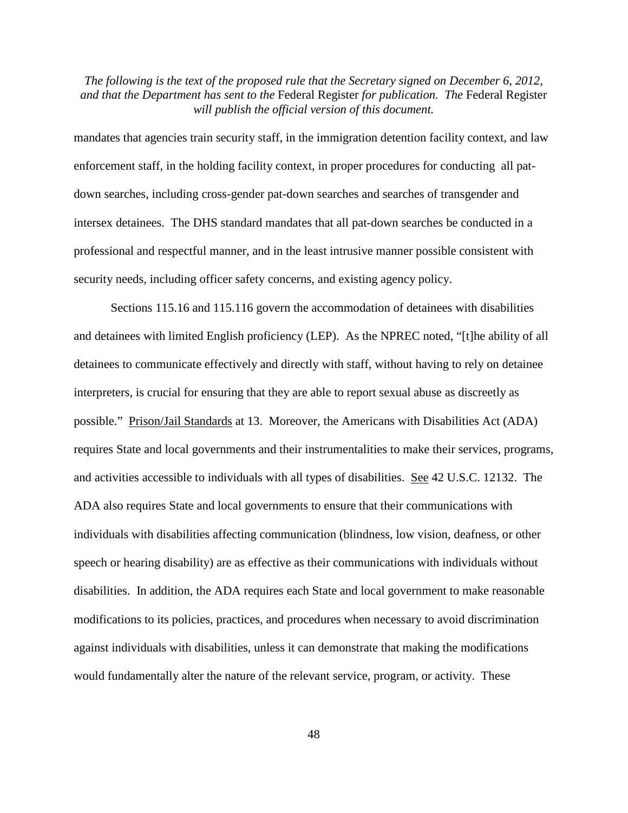mandates that agencies train security staff, in the immigration detention facility context, and law enforcement staff, in the holding facility context, in proper procedures for conducting all patdown searches, including cross-gender pat-down searches and searches of transgender and intersex detainees. The DHS standard mandates that all pat-down searches be conducted in a professional and respectful manner, and in the least intrusive manner possible consistent with security needs, including officer safety concerns, and existing agency policy.

Sections 115.16 and 115.116 govern the accommodation of detainees with disabilities and detainees with limited English proficiency (LEP). As the NPREC noted, "[t]he ability of all detainees to communicate effectively and directly with staff, without having to rely on detainee interpreters, is crucial for ensuring that they are able to report sexual abuse as discreetly as possible." Prison/Jail Standards at 13. Moreover, the Americans with Disabilities Act (ADA) requires State and local governments and their instrumentalities to make their services, programs, and activities accessible to individuals with all types of disabilities. See 42 U.S.C. 12132. The ADA also requires State and local governments to ensure that their communications with individuals with disabilities affecting communication (blindness, low vision, deafness, or other speech or hearing disability) are as effective as their communications with individuals without disabilities. In addition, the ADA requires each State and local government to make reasonable modifications to its policies, practices, and procedures when necessary to avoid discrimination against individuals with disabilities, unless it can demonstrate that making the modifications would fundamentally alter the nature of the relevant service, program, or activity. These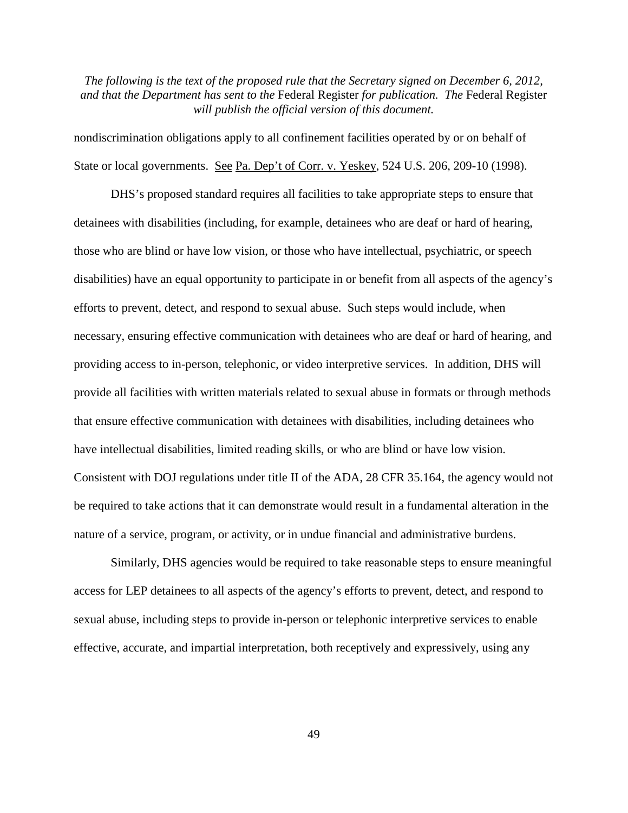nondiscrimination obligations apply to all confinement facilities operated by or on behalf of State or local governments. See Pa. Dep't of Corr. v. Yeskey, 524 U.S. 206, 209-10 (1998).

DHS's proposed standard requires all facilities to take appropriate steps to ensure that detainees with disabilities (including, for example, detainees who are deaf or hard of hearing, those who are blind or have low vision, or those who have intellectual, psychiatric, or speech disabilities) have an equal opportunity to participate in or benefit from all aspects of the agency's efforts to prevent, detect, and respond to sexual abuse. Such steps would include, when necessary, ensuring effective communication with detainees who are deaf or hard of hearing, and providing access to in-person, telephonic, or video interpretive services. In addition, DHS will provide all facilities with written materials related to sexual abuse in formats or through methods that ensure effective communication with detainees with disabilities, including detainees who have intellectual disabilities, limited reading skills, or who are blind or have low vision. Consistent with DOJ regulations under title II of the ADA, 28 CFR 35.164, the agency would not be required to take actions that it can demonstrate would result in a fundamental alteration in the nature of a service, program, or activity, or in undue financial and administrative burdens.

Similarly, DHS agencies would be required to take reasonable steps to ensure meaningful access for LEP detainees to all aspects of the agency's efforts to prevent, detect, and respond to sexual abuse, including steps to provide in-person or telephonic interpretive services to enable effective, accurate, and impartial interpretation, both receptively and expressively, using any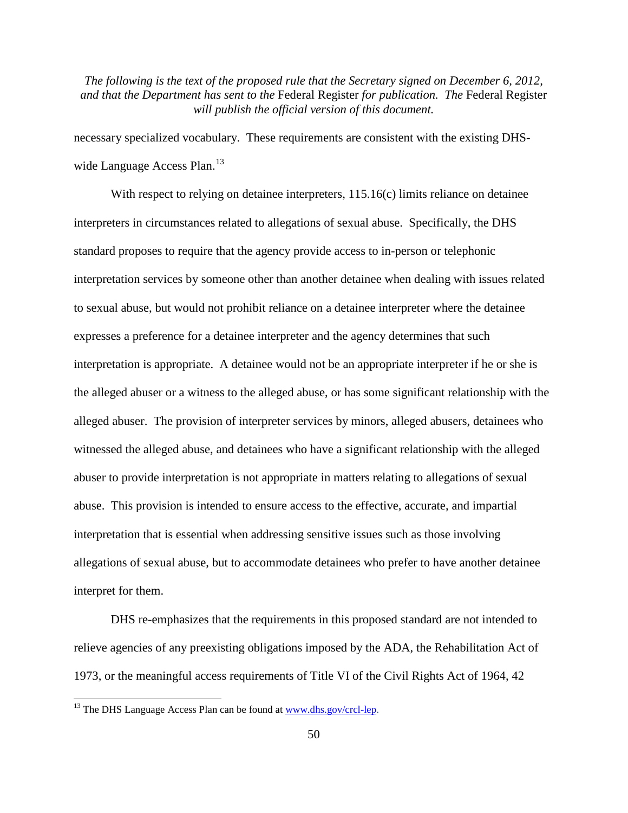necessary specialized vocabulary. These requirements are consistent with the existing DHS-wide Language Access Plan.<sup>[13](#page-49-0)</sup>

With respect to relying on detainee interpreters, 115.16(c) limits reliance on detainee interpreters in circumstances related to allegations of sexual abuse. Specifically, the DHS standard proposes to require that the agency provide access to in-person or telephonic interpretation services by someone other than another detainee when dealing with issues related to sexual abuse, but would not prohibit reliance on a detainee interpreter where the detainee expresses a preference for a detainee interpreter and the agency determines that such interpretation is appropriate. A detainee would not be an appropriate interpreter if he or she is the alleged abuser or a witness to the alleged abuse, or has some significant relationship with the alleged abuser. The provision of interpreter services by minors, alleged abusers, detainees who witnessed the alleged abuse, and detainees who have a significant relationship with the alleged abuser to provide interpretation is not appropriate in matters relating to allegations of sexual abuse. This provision is intended to ensure access to the effective, accurate, and impartial interpretation that is essential when addressing sensitive issues such as those involving allegations of sexual abuse, but to accommodate detainees who prefer to have another detainee interpret for them.

DHS re-emphasizes that the requirements in this proposed standard are not intended to relieve agencies of any preexisting obligations imposed by the ADA, the Rehabilitation Act of 1973, or the meaningful access requirements of Title VI of the Civil Rights Act of 1964, 42

<span id="page-49-0"></span> $13$  The DHS Language Access Plan can be found at [www.dhs.gov/crcl-lep.](http://www.dhs.gov/crcl-lep)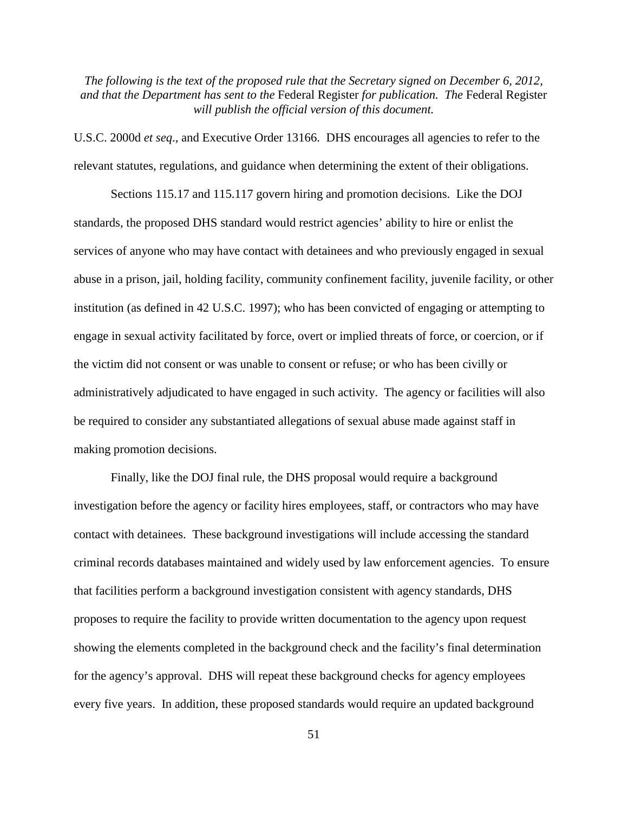U.S.C. 2000d *et seq*., and Executive Order 13166. DHS encourages all agencies to refer to the relevant statutes, regulations, and guidance when determining the extent of their obligations.

Sections 115.17 and 115.117 govern hiring and promotion decisions. Like the DOJ standards, the proposed DHS standard would restrict agencies' ability to hire or enlist the services of anyone who may have contact with detainees and who previously engaged in sexual abuse in a prison, jail, holding facility, community confinement facility, juvenile facility, or other institution (as defined in 42 U.S.C. 1997); who has been convicted of engaging or attempting to engage in sexual activity facilitated by force, overt or implied threats of force, or coercion, or if the victim did not consent or was unable to consent or refuse; or who has been civilly or administratively adjudicated to have engaged in such activity. The agency or facilities will also be required to consider any substantiated allegations of sexual abuse made against staff in making promotion decisions.

Finally, like the DOJ final rule, the DHS proposal would require a background investigation before the agency or facility hires employees, staff, or contractors who may have contact with detainees. These background investigations will include accessing the standard criminal records databases maintained and widely used by law enforcement agencies. To ensure that facilities perform a background investigation consistent with agency standards, DHS proposes to require the facility to provide written documentation to the agency upon request showing the elements completed in the background check and the facility's final determination for the agency's approval. DHS will repeat these background checks for agency employees every five years. In addition, these proposed standards would require an updated background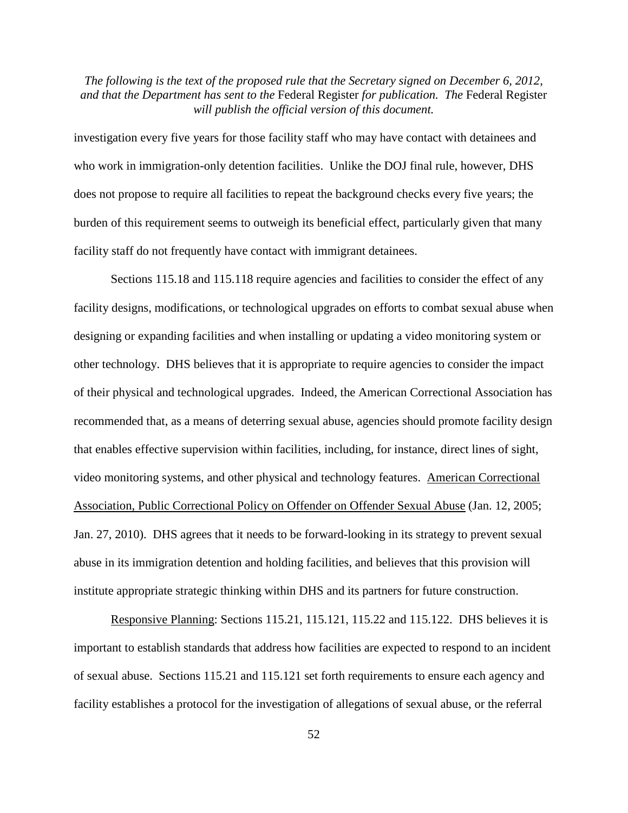investigation every five years for those facility staff who may have contact with detainees and who work in immigration-only detention facilities. Unlike the DOJ final rule, however, DHS does not propose to require all facilities to repeat the background checks every five years; the burden of this requirement seems to outweigh its beneficial effect, particularly given that many facility staff do not frequently have contact with immigrant detainees.

Sections 115.18 and 115.118 require agencies and facilities to consider the effect of any facility designs, modifications, or technological upgrades on efforts to combat sexual abuse when designing or expanding facilities and when installing or updating a video monitoring system or other technology. DHS believes that it is appropriate to require agencies to consider the impact of their physical and technological upgrades. Indeed, the American Correctional Association has recommended that, as a means of deterring sexual abuse, agencies should promote facility design that enables effective supervision within facilities, including, for instance, direct lines of sight, video monitoring systems, and other physical and technology features. American Correctional Association, Public Correctional Policy on Offender on Offender Sexual Abuse (Jan. 12, 2005; Jan. 27, 2010). DHS agrees that it needs to be forward-looking in its strategy to prevent sexual abuse in its immigration detention and holding facilities, and believes that this provision will institute appropriate strategic thinking within DHS and its partners for future construction.

Responsive Planning: Sections 115.21, 115.121, 115.22 and 115.122. DHS believes it is important to establish standards that address how facilities are expected to respond to an incident of sexual abuse. Sections 115.21 and 115.121 set forth requirements to ensure each agency and facility establishes a protocol for the investigation of allegations of sexual abuse, or the referral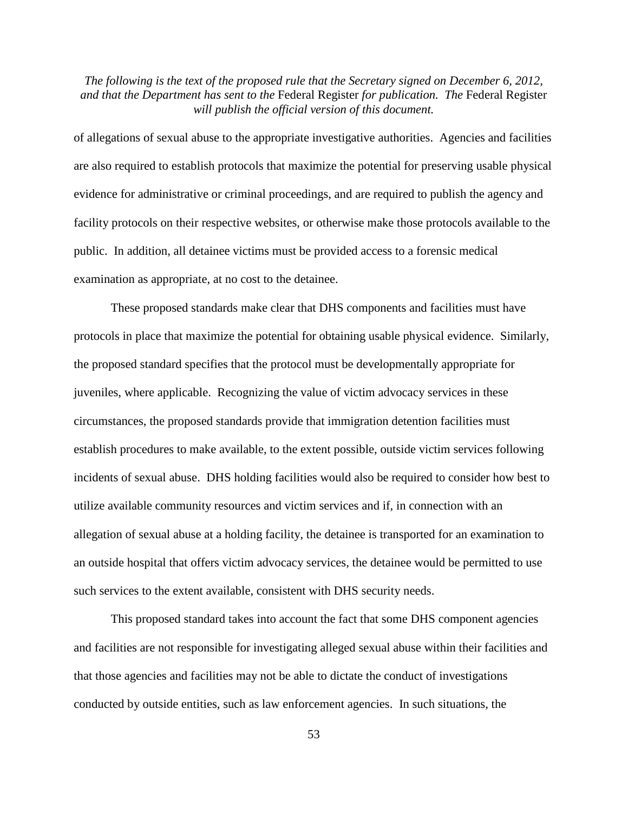of allegations of sexual abuse to the appropriate investigative authorities. Agencies and facilities are also required to establish protocols that maximize the potential for preserving usable physical evidence for administrative or criminal proceedings, and are required to publish the agency and facility protocols on their respective websites, or otherwise make those protocols available to the public. In addition, all detainee victims must be provided access to a forensic medical examination as appropriate, at no cost to the detainee.

These proposed standards make clear that DHS components and facilities must have protocols in place that maximize the potential for obtaining usable physical evidence. Similarly, the proposed standard specifies that the protocol must be developmentally appropriate for juveniles, where applicable. Recognizing the value of victim advocacy services in these circumstances, the proposed standards provide that immigration detention facilities must establish procedures to make available, to the extent possible, outside victim services following incidents of sexual abuse. DHS holding facilities would also be required to consider how best to utilize available community resources and victim services and if, in connection with an allegation of sexual abuse at a holding facility, the detainee is transported for an examination to an outside hospital that offers victim advocacy services, the detainee would be permitted to use such services to the extent available, consistent with DHS security needs.

This proposed standard takes into account the fact that some DHS component agencies and facilities are not responsible for investigating alleged sexual abuse within their facilities and that those agencies and facilities may not be able to dictate the conduct of investigations conducted by outside entities, such as law enforcement agencies. In such situations, the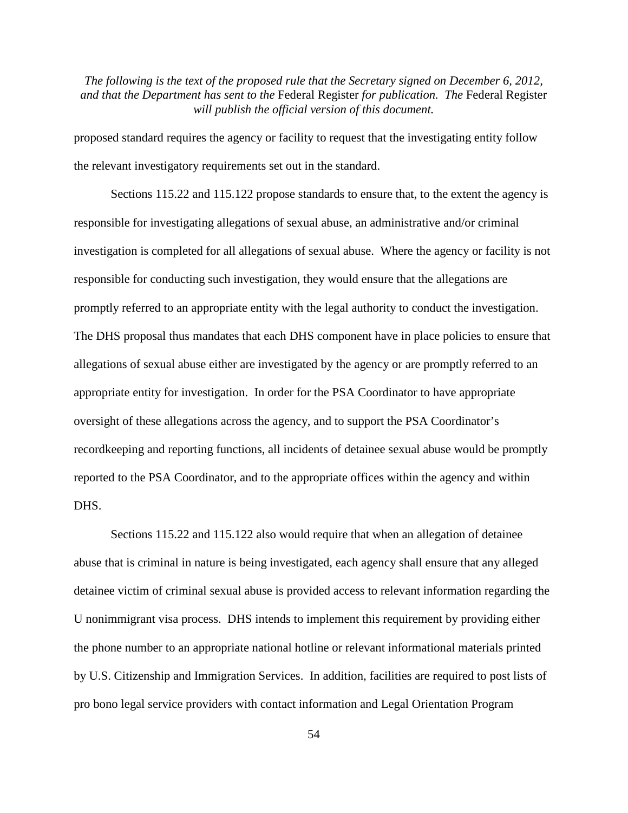proposed standard requires the agency or facility to request that the investigating entity follow the relevant investigatory requirements set out in the standard.

Sections 115.22 and 115.122 propose standards to ensure that, to the extent the agency is responsible for investigating allegations of sexual abuse, an administrative and/or criminal investigation is completed for all allegations of sexual abuse. Where the agency or facility is not responsible for conducting such investigation, they would ensure that the allegations are promptly referred to an appropriate entity with the legal authority to conduct the investigation. The DHS proposal thus mandates that each DHS component have in place policies to ensure that allegations of sexual abuse either are investigated by the agency or are promptly referred to an appropriate entity for investigation. In order for the PSA Coordinator to have appropriate oversight of these allegations across the agency, and to support the PSA Coordinator's recordkeeping and reporting functions, all incidents of detainee sexual abuse would be promptly reported to the PSA Coordinator, and to the appropriate offices within the agency and within DHS.

Sections 115.22 and 115.122 also would require that when an allegation of detainee abuse that is criminal in nature is being investigated, each agency shall ensure that any alleged detainee victim of criminal sexual abuse is provided access to relevant information regarding the U nonimmigrant visa process. DHS intends to implement this requirement by providing either the phone number to an appropriate national hotline or relevant informational materials printed by U.S. Citizenship and Immigration Services. In addition, facilities are required to post lists of pro bono legal service providers with contact information and Legal Orientation Program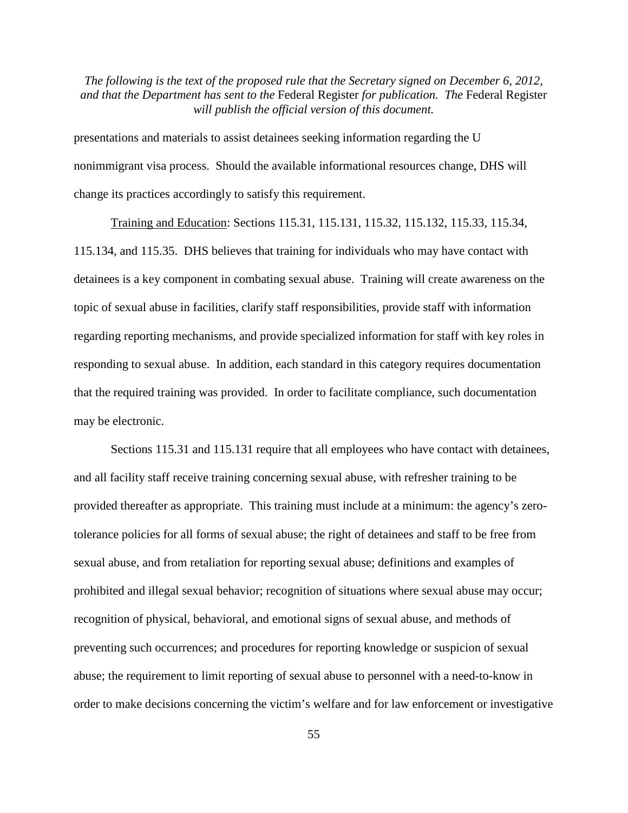presentations and materials to assist detainees seeking information regarding the U nonimmigrant visa process. Should the available informational resources change, DHS will change its practices accordingly to satisfy this requirement.

Training and Education: Sections 115.31, 115.131, 115.32, 115.132, 115.33, 115.34, 115.134, and 115.35. DHS believes that training for individuals who may have contact with detainees is a key component in combating sexual abuse. Training will create awareness on the topic of sexual abuse in facilities, clarify staff responsibilities, provide staff with information regarding reporting mechanisms, and provide specialized information for staff with key roles in responding to sexual abuse. In addition, each standard in this category requires documentation that the required training was provided. In order to facilitate compliance, such documentation may be electronic.

Sections 115.31 and 115.131 require that all employees who have contact with detainees, and all facility staff receive training concerning sexual abuse, with refresher training to be provided thereafter as appropriate. This training must include at a minimum: the agency's zerotolerance policies for all forms of sexual abuse; the right of detainees and staff to be free from sexual abuse, and from retaliation for reporting sexual abuse; definitions and examples of prohibited and illegal sexual behavior; recognition of situations where sexual abuse may occur; recognition of physical, behavioral, and emotional signs of sexual abuse, and methods of preventing such occurrences; and procedures for reporting knowledge or suspicion of sexual abuse; the requirement to limit reporting of sexual abuse to personnel with a need-to-know in order to make decisions concerning the victim's welfare and for law enforcement or investigative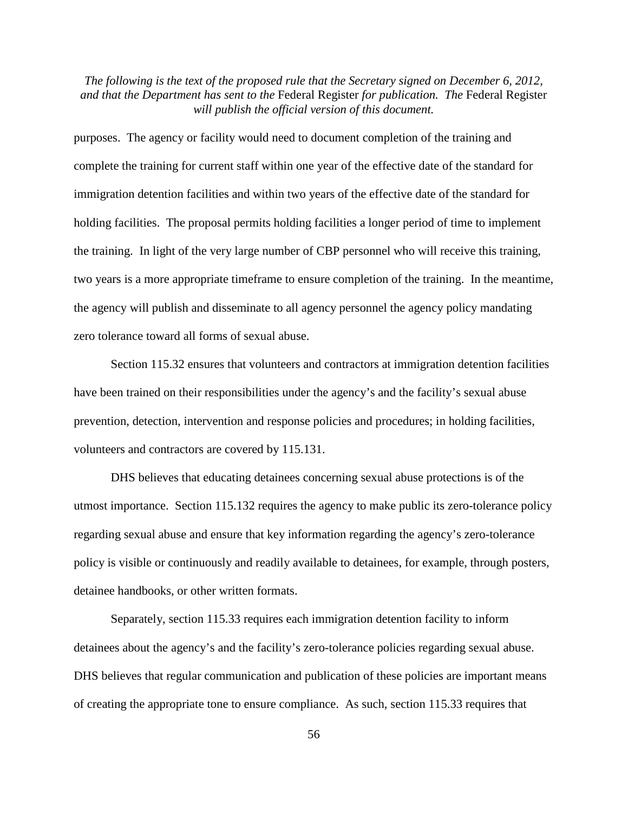purposes. The agency or facility would need to document completion of the training and complete the training for current staff within one year of the effective date of the standard for immigration detention facilities and within two years of the effective date of the standard for holding facilities. The proposal permits holding facilities a longer period of time to implement the training. In light of the very large number of CBP personnel who will receive this training, two years is a more appropriate timeframe to ensure completion of the training. In the meantime, the agency will publish and disseminate to all agency personnel the agency policy mandating zero tolerance toward all forms of sexual abuse.

Section 115.32 ensures that volunteers and contractors at immigration detention facilities have been trained on their responsibilities under the agency's and the facility's sexual abuse prevention, detection, intervention and response policies and procedures; in holding facilities, volunteers and contractors are covered by 115.131.

DHS believes that educating detainees concerning sexual abuse protections is of the utmost importance. Section 115.132 requires the agency to make public its zero-tolerance policy regarding sexual abuse and ensure that key information regarding the agency's zero-tolerance policy is visible or continuously and readily available to detainees, for example, through posters, detainee handbooks, or other written formats.

Separately, section 115.33 requires each immigration detention facility to inform detainees about the agency's and the facility's zero-tolerance policies regarding sexual abuse. DHS believes that regular communication and publication of these policies are important means of creating the appropriate tone to ensure compliance. As such, section 115.33 requires that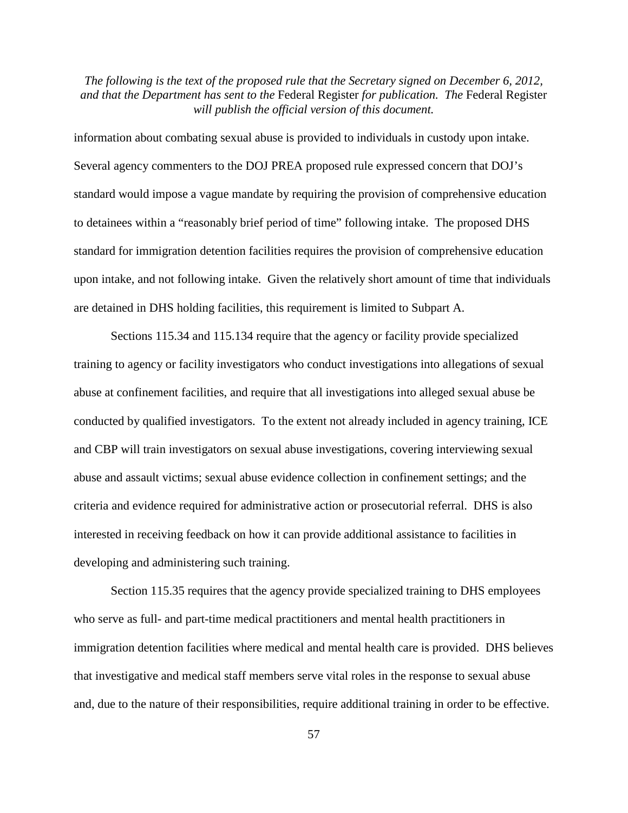information about combating sexual abuse is provided to individuals in custody upon intake. Several agency commenters to the DOJ PREA proposed rule expressed concern that DOJ's standard would impose a vague mandate by requiring the provision of comprehensive education to detainees within a "reasonably brief period of time" following intake. The proposed DHS standard for immigration detention facilities requires the provision of comprehensive education upon intake, and not following intake. Given the relatively short amount of time that individuals are detained in DHS holding facilities, this requirement is limited to Subpart A.

Sections 115.34 and 115.134 require that the agency or facility provide specialized training to agency or facility investigators who conduct investigations into allegations of sexual abuse at confinement facilities, and require that all investigations into alleged sexual abuse be conducted by qualified investigators. To the extent not already included in agency training, ICE and CBP will train investigators on sexual abuse investigations, covering interviewing sexual abuse and assault victims; sexual abuse evidence collection in confinement settings; and the criteria and evidence required for administrative action or prosecutorial referral. DHS is also interested in receiving feedback on how it can provide additional assistance to facilities in developing and administering such training.

Section 115.35 requires that the agency provide specialized training to DHS employees who serve as full- and part-time medical practitioners and mental health practitioners in immigration detention facilities where medical and mental health care is provided. DHS believes that investigative and medical staff members serve vital roles in the response to sexual abuse and, due to the nature of their responsibilities, require additional training in order to be effective.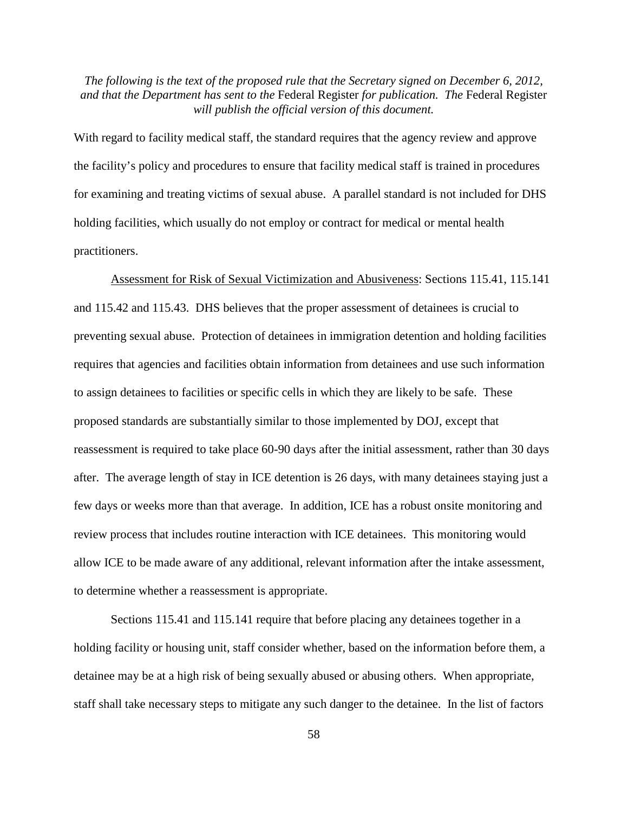With regard to facility medical staff, the standard requires that the agency review and approve the facility's policy and procedures to ensure that facility medical staff is trained in procedures for examining and treating victims of sexual abuse. A parallel standard is not included for DHS holding facilities, which usually do not employ or contract for medical or mental health practitioners.

Assessment for Risk of Sexual Victimization and Abusiveness: Sections 115.41, 115.141 and 115.42 and 115.43. DHS believes that the proper assessment of detainees is crucial to preventing sexual abuse. Protection of detainees in immigration detention and holding facilities requires that agencies and facilities obtain information from detainees and use such information to assign detainees to facilities or specific cells in which they are likely to be safe. These proposed standards are substantially similar to those implemented by DOJ, except that reassessment is required to take place 60-90 days after the initial assessment, rather than 30 days after. The average length of stay in ICE detention is 26 days, with many detainees staying just a few days or weeks more than that average. In addition, ICE has a robust onsite monitoring and review process that includes routine interaction with ICE detainees. This monitoring would allow ICE to be made aware of any additional, relevant information after the intake assessment, to determine whether a reassessment is appropriate.

Sections 115.41 and 115.141 require that before placing any detainees together in a holding facility or housing unit, staff consider whether, based on the information before them, a detainee may be at a high risk of being sexually abused or abusing others. When appropriate, staff shall take necessary steps to mitigate any such danger to the detainee. In the list of factors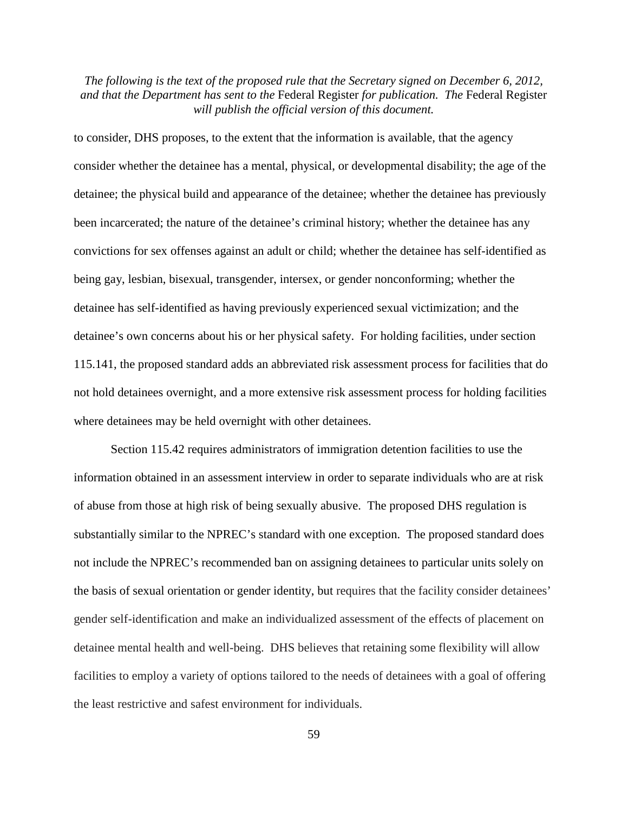to consider, DHS proposes, to the extent that the information is available, that the agency consider whether the detainee has a mental, physical, or developmental disability; the age of the detainee; the physical build and appearance of the detainee; whether the detainee has previously been incarcerated; the nature of the detainee's criminal history; whether the detainee has any convictions for sex offenses against an adult or child; whether the detainee has self-identified as being gay, lesbian, bisexual, transgender, intersex, or gender nonconforming; whether the detainee has self-identified as having previously experienced sexual victimization; and the detainee's own concerns about his or her physical safety. For holding facilities, under section 115.141, the proposed standard adds an abbreviated risk assessment process for facilities that do not hold detainees overnight, and a more extensive risk assessment process for holding facilities where detainees may be held overnight with other detainees.

Section 115.42 requires administrators of immigration detention facilities to use the information obtained in an assessment interview in order to separate individuals who are at risk of abuse from those at high risk of being sexually abusive. The proposed DHS regulation is substantially similar to the NPREC's standard with one exception. The proposed standard does not include the NPREC's recommended ban on assigning detainees to particular units solely on the basis of sexual orientation or gender identity, but requires that the facility consider detainees' gender self-identification and make an individualized assessment of the effects of placement on detainee mental health and well-being. DHS believes that retaining some flexibility will allow facilities to employ a variety of options tailored to the needs of detainees with a goal of offering the least restrictive and safest environment for individuals.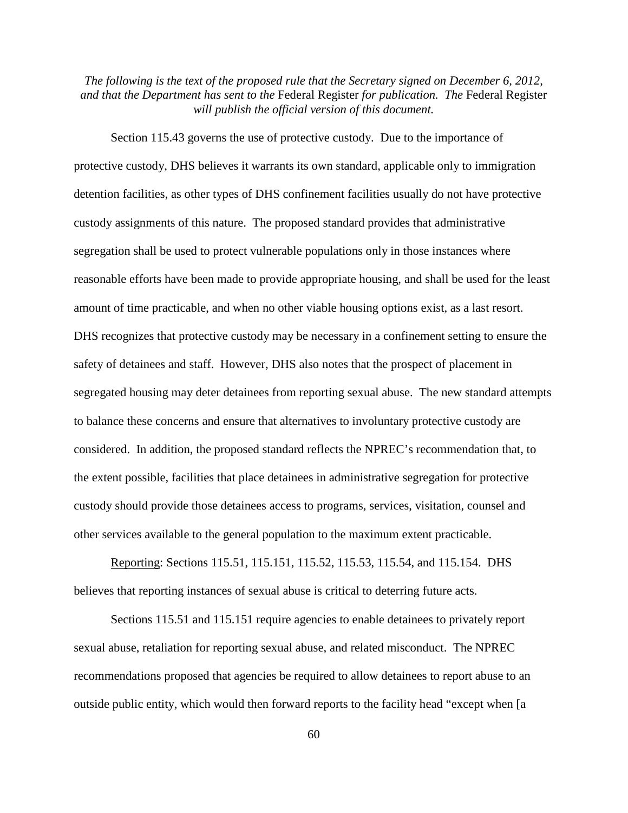Section 115.43 governs the use of protective custody. Due to the importance of protective custody, DHS believes it warrants its own standard, applicable only to immigration detention facilities, as other types of DHS confinement facilities usually do not have protective custody assignments of this nature. The proposed standard provides that administrative segregation shall be used to protect vulnerable populations only in those instances where reasonable efforts have been made to provide appropriate housing, and shall be used for the least amount of time practicable, and when no other viable housing options exist, as a last resort. DHS recognizes that protective custody may be necessary in a confinement setting to ensure the safety of detainees and staff. However, DHS also notes that the prospect of placement in segregated housing may deter detainees from reporting sexual abuse. The new standard attempts to balance these concerns and ensure that alternatives to involuntary protective custody are considered. In addition, the proposed standard reflects the NPREC's recommendation that, to the extent possible, facilities that place detainees in administrative segregation for protective custody should provide those detainees access to programs, services, visitation, counsel and other services available to the general population to the maximum extent practicable.

Reporting: Sections 115.51, 115.151, 115.52, 115.53, 115.54, and 115.154. DHS believes that reporting instances of sexual abuse is critical to deterring future acts.

Sections 115.51 and 115.151 require agencies to enable detainees to privately report sexual abuse, retaliation for reporting sexual abuse, and related misconduct. The NPREC recommendations proposed that agencies be required to allow detainees to report abuse to an outside public entity, which would then forward reports to the facility head "except when [a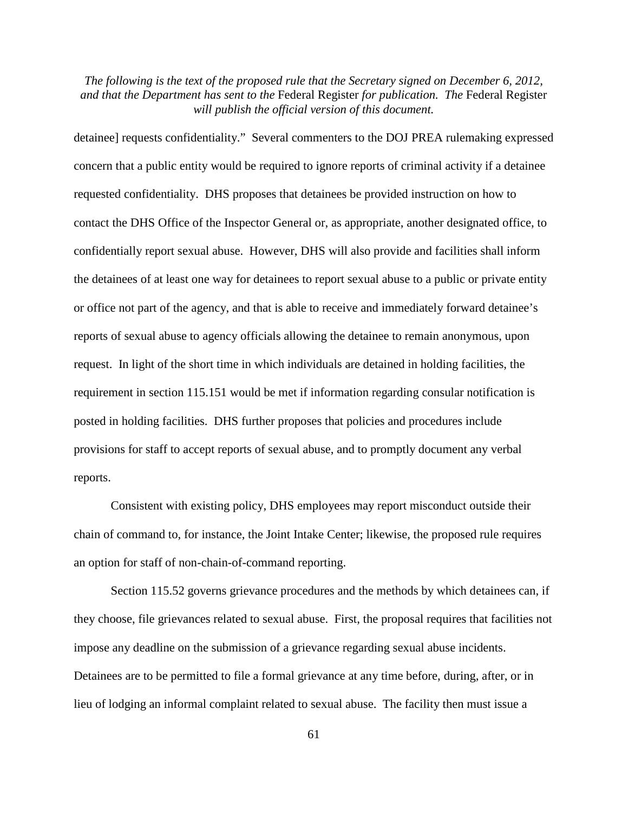detainee] requests confidentiality." Several commenters to the DOJ PREA rulemaking expressed concern that a public entity would be required to ignore reports of criminal activity if a detainee requested confidentiality. DHS proposes that detainees be provided instruction on how to contact the DHS Office of the Inspector General or, as appropriate, another designated office, to confidentially report sexual abuse. However, DHS will also provide and facilities shall inform the detainees of at least one way for detainees to report sexual abuse to a public or private entity or office not part of the agency, and that is able to receive and immediately forward detainee's reports of sexual abuse to agency officials allowing the detainee to remain anonymous, upon request. In light of the short time in which individuals are detained in holding facilities, the requirement in section 115.151 would be met if information regarding consular notification is posted in holding facilities. DHS further proposes that policies and procedures include provisions for staff to accept reports of sexual abuse, and to promptly document any verbal reports.

Consistent with existing policy, DHS employees may report misconduct outside their chain of command to, for instance, the Joint Intake Center; likewise, the proposed rule requires an option for staff of non-chain-of-command reporting.

Section 115.52 governs grievance procedures and the methods by which detainees can, if they choose, file grievances related to sexual abuse. First, the proposal requires that facilities not impose any deadline on the submission of a grievance regarding sexual abuse incidents. Detainees are to be permitted to file a formal grievance at any time before, during, after, or in lieu of lodging an informal complaint related to sexual abuse. The facility then must issue a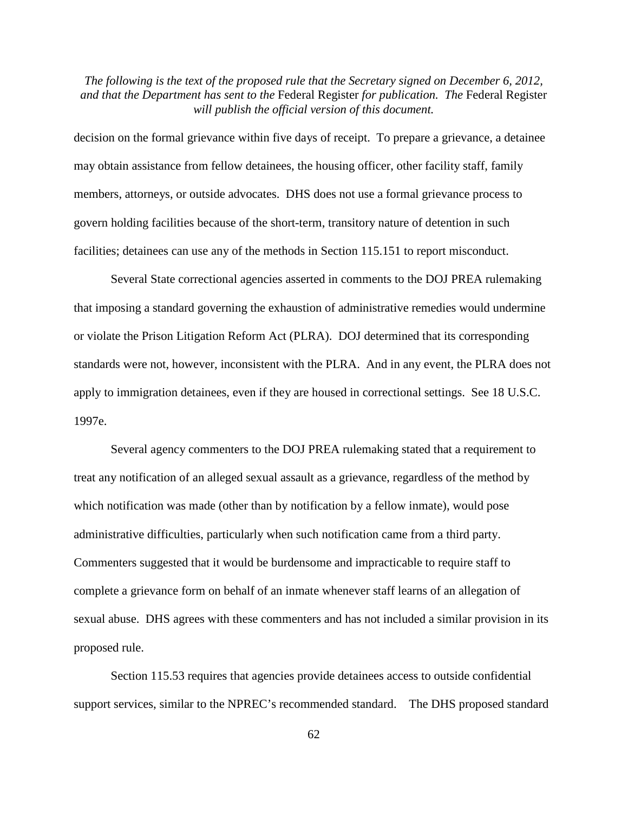decision on the formal grievance within five days of receipt. To prepare a grievance, a detainee may obtain assistance from fellow detainees, the housing officer, other facility staff, family members, attorneys, or outside advocates. DHS does not use a formal grievance process to govern holding facilities because of the short-term, transitory nature of detention in such facilities; detainees can use any of the methods in Section 115.151 to report misconduct.

Several State correctional agencies asserted in comments to the DOJ PREA rulemaking that imposing a standard governing the exhaustion of administrative remedies would undermine or violate the Prison Litigation Reform Act (PLRA). DOJ determined that its corresponding standards were not, however, inconsistent with the PLRA. And in any event, the PLRA does not apply to immigration detainees, even if they are housed in correctional settings. See 18 U.S.C. 1997e.

Several agency commenters to the DOJ PREA rulemaking stated that a requirement to treat any notification of an alleged sexual assault as a grievance, regardless of the method by which notification was made (other than by notification by a fellow inmate), would pose administrative difficulties, particularly when such notification came from a third party. Commenters suggested that it would be burdensome and impracticable to require staff to complete a grievance form on behalf of an inmate whenever staff learns of an allegation of sexual abuse. DHS agrees with these commenters and has not included a similar provision in its proposed rule.

Section 115.53 requires that agencies provide detainees access to outside confidential support services, similar to the NPREC's recommended standard. The DHS proposed standard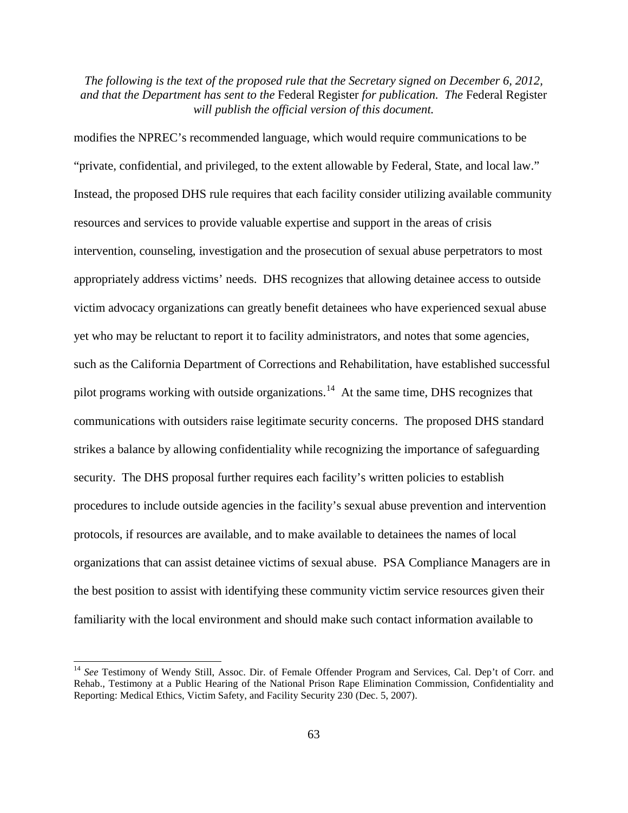modifies the NPREC's recommended language, which would require communications to be "private, confidential, and privileged, to the extent allowable by Federal, State, and local law." Instead, the proposed DHS rule requires that each facility consider utilizing available community resources and services to provide valuable expertise and support in the areas of crisis intervention, counseling, investigation and the prosecution of sexual abuse perpetrators to most appropriately address victims' needs. DHS recognizes that allowing detainee access to outside victim advocacy organizations can greatly benefit detainees who have experienced sexual abuse yet who may be reluctant to report it to facility administrators, and notes that some agencies, such as the California Department of Corrections and Rehabilitation, have established successful pilot programs working with outside organizations.<sup>14</sup> At the same time, DHS recognizes that communications with outsiders raise legitimate security concerns. The proposed DHS standard strikes a balance by allowing confidentiality while recognizing the importance of safeguarding security. The DHS proposal further requires each facility's written policies to establish procedures to include outside agencies in the facility's sexual abuse prevention and intervention protocols, if resources are available, and to make available to detainees the names of local organizations that can assist detainee victims of sexual abuse. PSA Compliance Managers are in the best position to assist with identifying these community victim service resources given their familiarity with the local environment and should make such contact information available to

<span id="page-62-0"></span><sup>&</sup>lt;sup>14</sup> See Testimony of Wendy Still, Assoc. Dir. of Female Offender Program and Services, Cal. Dep't of Corr. and Rehab., Testimony at a Public Hearing of the National Prison Rape Elimination Commission, Confidentiality and Reporting: Medical Ethics, Victim Safety, and Facility Security 230 (Dec. 5, 2007).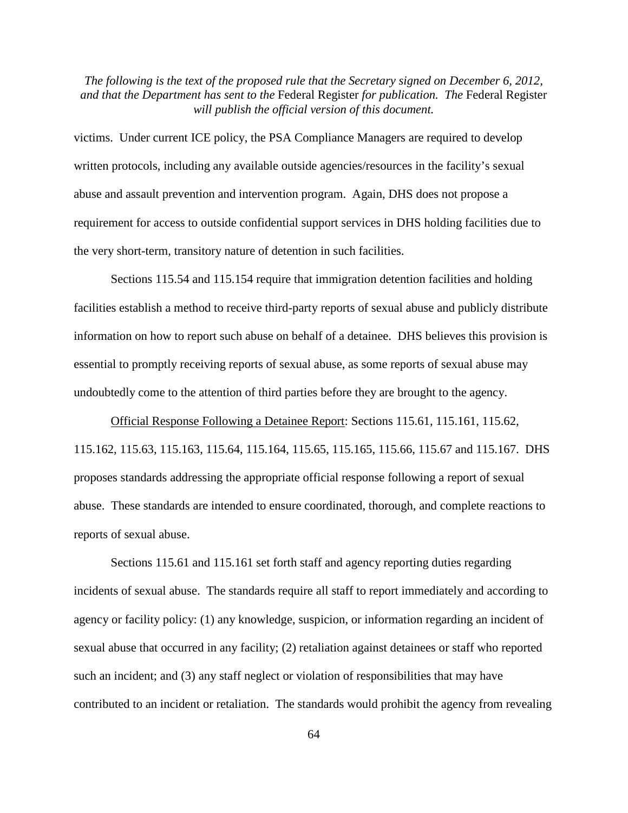victims. Under current ICE policy, the PSA Compliance Managers are required to develop written protocols, including any available outside agencies/resources in the facility's sexual abuse and assault prevention and intervention program. Again, DHS does not propose a requirement for access to outside confidential support services in DHS holding facilities due to the very short-term, transitory nature of detention in such facilities.

Sections 115.54 and 115.154 require that immigration detention facilities and holding facilities establish a method to receive third-party reports of sexual abuse and publicly distribute information on how to report such abuse on behalf of a detainee. DHS believes this provision is essential to promptly receiving reports of sexual abuse, as some reports of sexual abuse may undoubtedly come to the attention of third parties before they are brought to the agency.

Official Response Following a Detainee Report: Sections 115.61, 115.161, 115.62, 115.162, 115.63, 115.163, 115.64, 115.164, 115.65, 115.165, 115.66, 115.67 and 115.167. DHS proposes standards addressing the appropriate official response following a report of sexual abuse. These standards are intended to ensure coordinated, thorough, and complete reactions to reports of sexual abuse.

Sections 115.61 and 115.161 set forth staff and agency reporting duties regarding incidents of sexual abuse. The standards require all staff to report immediately and according to agency or facility policy: (1) any knowledge, suspicion, or information regarding an incident of sexual abuse that occurred in any facility; (2) retaliation against detainees or staff who reported such an incident; and (3) any staff neglect or violation of responsibilities that may have contributed to an incident or retaliation. The standards would prohibit the agency from revealing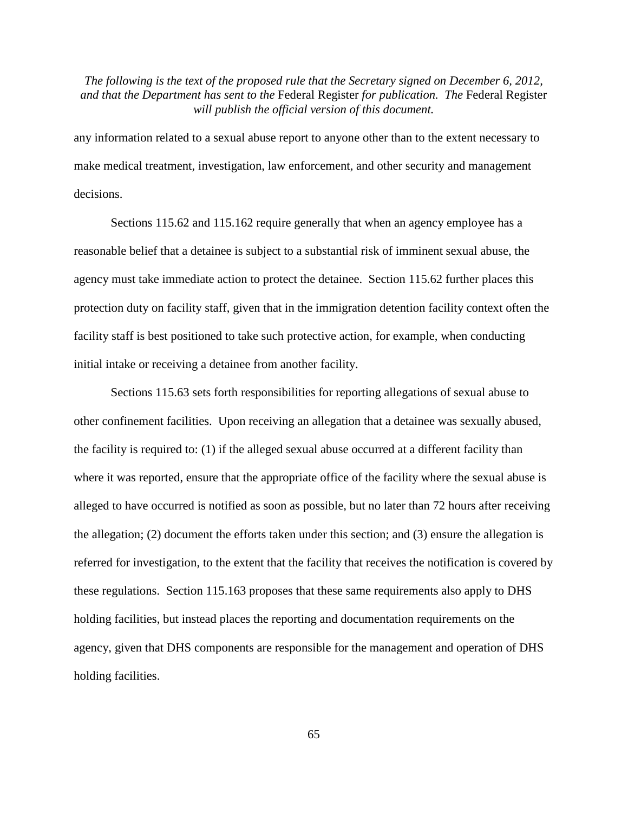any information related to a sexual abuse report to anyone other than to the extent necessary to make medical treatment, investigation, law enforcement, and other security and management decisions.

Sections 115.62 and 115.162 require generally that when an agency employee has a reasonable belief that a detainee is subject to a substantial risk of imminent sexual abuse, the agency must take immediate action to protect the detainee. Section 115.62 further places this protection duty on facility staff, given that in the immigration detention facility context often the facility staff is best positioned to take such protective action, for example, when conducting initial intake or receiving a detainee from another facility.

Sections 115.63 sets forth responsibilities for reporting allegations of sexual abuse to other confinement facilities. Upon receiving an allegation that a detainee was sexually abused, the facility is required to: (1) if the alleged sexual abuse occurred at a different facility than where it was reported, ensure that the appropriate office of the facility where the sexual abuse is alleged to have occurred is notified as soon as possible, but no later than 72 hours after receiving the allegation; (2) document the efforts taken under this section; and (3) ensure the allegation is referred for investigation, to the extent that the facility that receives the notification is covered by these regulations. Section 115.163 proposes that these same requirements also apply to DHS holding facilities, but instead places the reporting and documentation requirements on the agency, given that DHS components are responsible for the management and operation of DHS holding facilities.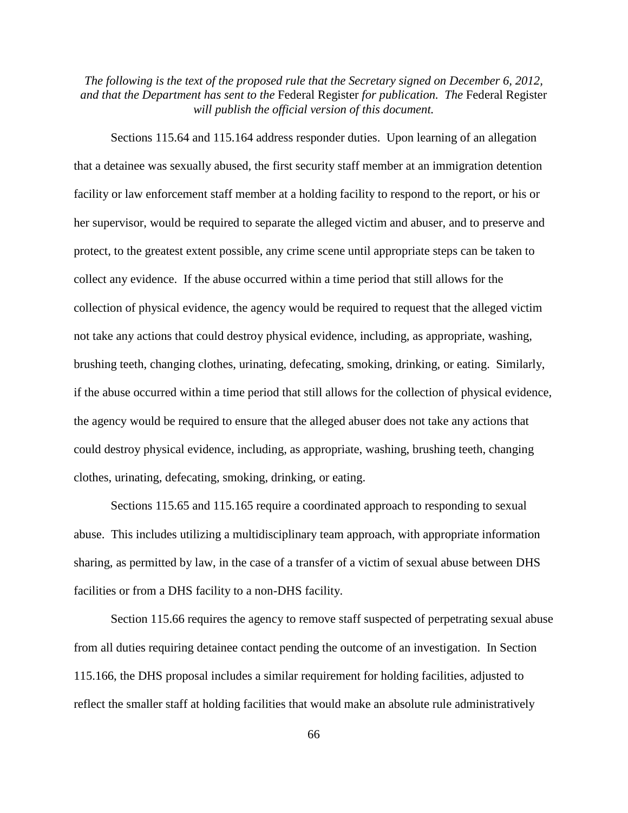Sections 115.64 and 115.164 address responder duties. Upon learning of an allegation that a detainee was sexually abused, the first security staff member at an immigration detention facility or law enforcement staff member at a holding facility to respond to the report, or his or her supervisor, would be required to separate the alleged victim and abuser, and to preserve and protect, to the greatest extent possible, any crime scene until appropriate steps can be taken to collect any evidence. If the abuse occurred within a time period that still allows for the collection of physical evidence, the agency would be required to request that the alleged victim not take any actions that could destroy physical evidence, including, as appropriate, washing, brushing teeth, changing clothes, urinating, defecating, smoking, drinking, or eating. Similarly, if the abuse occurred within a time period that still allows for the collection of physical evidence, the agency would be required to ensure that the alleged abuser does not take any actions that could destroy physical evidence, including, as appropriate, washing, brushing teeth, changing clothes, urinating, defecating, smoking, drinking, or eating.

Sections 115.65 and 115.165 require a coordinated approach to responding to sexual abuse. This includes utilizing a multidisciplinary team approach, with appropriate information sharing, as permitted by law, in the case of a transfer of a victim of sexual abuse between DHS facilities or from a DHS facility to a non-DHS facility.

Section 115.66 requires the agency to remove staff suspected of perpetrating sexual abuse from all duties requiring detainee contact pending the outcome of an investigation. In Section 115.166, the DHS proposal includes a similar requirement for holding facilities, adjusted to reflect the smaller staff at holding facilities that would make an absolute rule administratively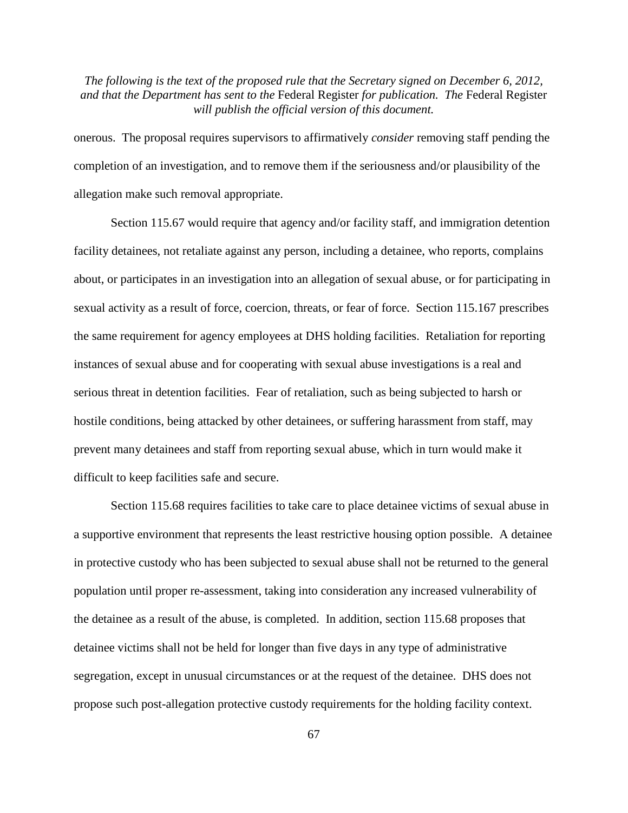onerous. The proposal requires supervisors to affirmatively *consider* removing staff pending the completion of an investigation, and to remove them if the seriousness and/or plausibility of the allegation make such removal appropriate.

Section 115.67 would require that agency and/or facility staff, and immigration detention facility detainees, not retaliate against any person, including a detainee, who reports, complains about, or participates in an investigation into an allegation of sexual abuse, or for participating in sexual activity as a result of force, coercion, threats, or fear of force. Section 115.167 prescribes the same requirement for agency employees at DHS holding facilities. Retaliation for reporting instances of sexual abuse and for cooperating with sexual abuse investigations is a real and serious threat in detention facilities. Fear of retaliation, such as being subjected to harsh or hostile conditions, being attacked by other detainees, or suffering harassment from staff, may prevent many detainees and staff from reporting sexual abuse, which in turn would make it difficult to keep facilities safe and secure.

Section 115.68 requires facilities to take care to place detainee victims of sexual abuse in a supportive environment that represents the least restrictive housing option possible. A detainee in protective custody who has been subjected to sexual abuse shall not be returned to the general population until proper re-assessment, taking into consideration any increased vulnerability of the detainee as a result of the abuse, is completed. In addition, section 115.68 proposes that detainee victims shall not be held for longer than five days in any type of administrative segregation, except in unusual circumstances or at the request of the detainee. DHS does not propose such post-allegation protective custody requirements for the holding facility context.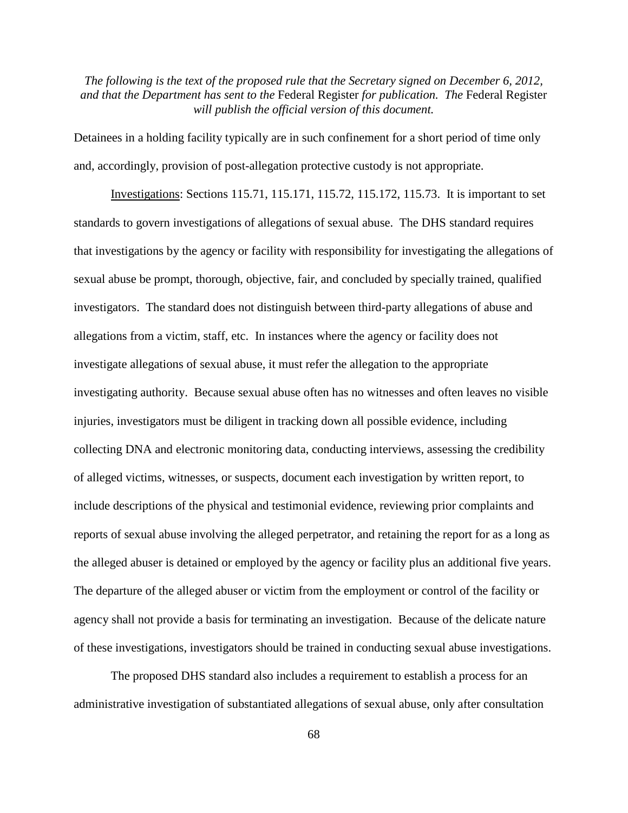Detainees in a holding facility typically are in such confinement for a short period of time only and, accordingly, provision of post-allegation protective custody is not appropriate.

Investigations: Sections 115.71, 115.171, 115.72, 115.172, 115.73. It is important to set standards to govern investigations of allegations of sexual abuse. The DHS standard requires that investigations by the agency or facility with responsibility for investigating the allegations of sexual abuse be prompt, thorough, objective, fair, and concluded by specially trained, qualified investigators. The standard does not distinguish between third-party allegations of abuse and allegations from a victim, staff, etc. In instances where the agency or facility does not investigate allegations of sexual abuse, it must refer the allegation to the appropriate investigating authority. Because sexual abuse often has no witnesses and often leaves no visible injuries, investigators must be diligent in tracking down all possible evidence, including collecting DNA and electronic monitoring data, conducting interviews, assessing the credibility of alleged victims, witnesses, or suspects, document each investigation by written report, to include descriptions of the physical and testimonial evidence, reviewing prior complaints and reports of sexual abuse involving the alleged perpetrator, and retaining the report for as a long as the alleged abuser is detained or employed by the agency or facility plus an additional five years. The departure of the alleged abuser or victim from the employment or control of the facility or agency shall not provide a basis for terminating an investigation. Because of the delicate nature of these investigations, investigators should be trained in conducting sexual abuse investigations.

The proposed DHS standard also includes a requirement to establish a process for an administrative investigation of substantiated allegations of sexual abuse, only after consultation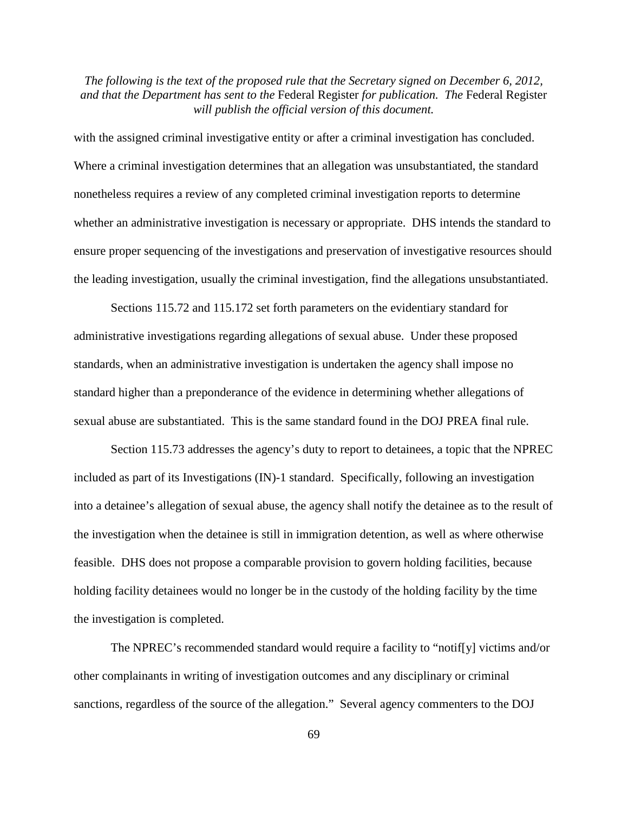with the assigned criminal investigative entity or after a criminal investigation has concluded. Where a criminal investigation determines that an allegation was unsubstantiated, the standard nonetheless requires a review of any completed criminal investigation reports to determine whether an administrative investigation is necessary or appropriate. DHS intends the standard to ensure proper sequencing of the investigations and preservation of investigative resources should the leading investigation, usually the criminal investigation, find the allegations unsubstantiated.

Sections 115.72 and 115.172 set forth parameters on the evidentiary standard for administrative investigations regarding allegations of sexual abuse. Under these proposed standards, when an administrative investigation is undertaken the agency shall impose no standard higher than a preponderance of the evidence in determining whether allegations of sexual abuse are substantiated. This is the same standard found in the DOJ PREA final rule.

Section 115.73 addresses the agency's duty to report to detainees, a topic that the NPREC included as part of its Investigations (IN)-1 standard. Specifically, following an investigation into a detainee's allegation of sexual abuse, the agency shall notify the detainee as to the result of the investigation when the detainee is still in immigration detention, as well as where otherwise feasible. DHS does not propose a comparable provision to govern holding facilities, because holding facility detainees would no longer be in the custody of the holding facility by the time the investigation is completed.

The NPREC's recommended standard would require a facility to "notif[y] victims and/or other complainants in writing of investigation outcomes and any disciplinary or criminal sanctions, regardless of the source of the allegation." Several agency commenters to the DOJ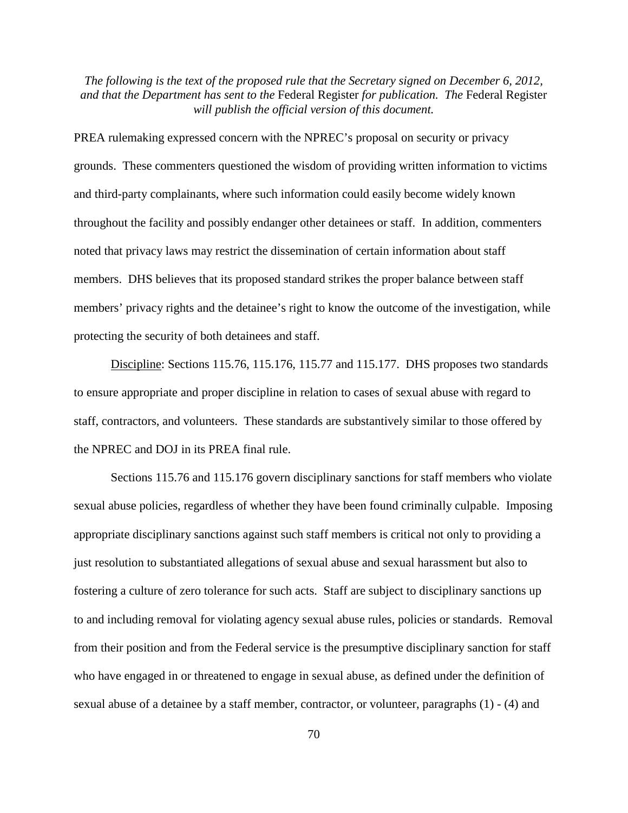PREA rulemaking expressed concern with the NPREC's proposal on security or privacy grounds. These commenters questioned the wisdom of providing written information to victims and third-party complainants, where such information could easily become widely known throughout the facility and possibly endanger other detainees or staff. In addition, commenters noted that privacy laws may restrict the dissemination of certain information about staff members. DHS believes that its proposed standard strikes the proper balance between staff members' privacy rights and the detainee's right to know the outcome of the investigation, while protecting the security of both detainees and staff.

Discipline: Sections 115.76, 115.176, 115.77 and 115.177. DHS proposes two standards to ensure appropriate and proper discipline in relation to cases of sexual abuse with regard to staff, contractors, and volunteers. These standards are substantively similar to those offered by the NPREC and DOJ in its PREA final rule.

Sections 115.76 and 115.176 govern disciplinary sanctions for staff members who violate sexual abuse policies, regardless of whether they have been found criminally culpable. Imposing appropriate disciplinary sanctions against such staff members is critical not only to providing a just resolution to substantiated allegations of sexual abuse and sexual harassment but also to fostering a culture of zero tolerance for such acts. Staff are subject to disciplinary sanctions up to and including removal for violating agency sexual abuse rules, policies or standards. Removal from their position and from the Federal service is the presumptive disciplinary sanction for staff who have engaged in or threatened to engage in sexual abuse, as defined under the definition of sexual abuse of a detainee by a staff member, contractor, or volunteer, paragraphs (1) - (4) and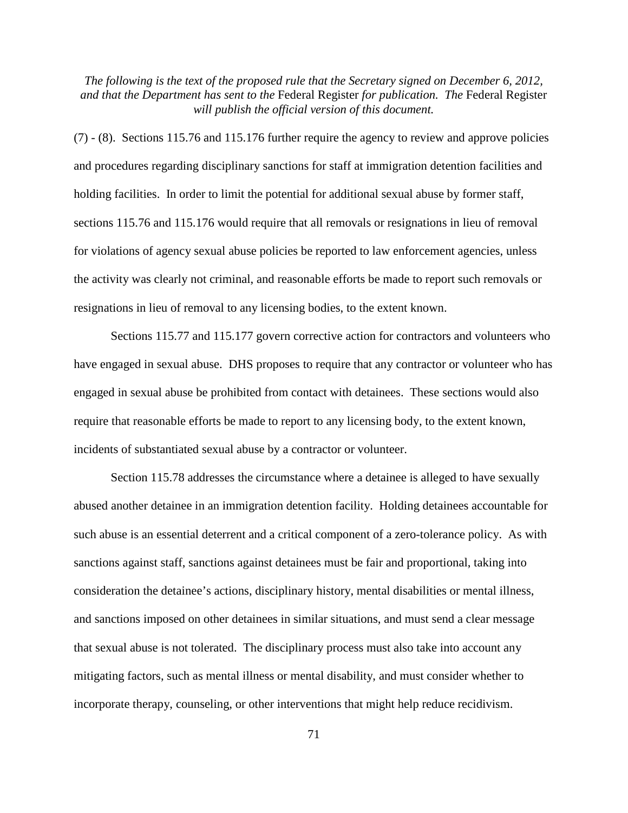(7) - (8). Sections 115.76 and 115.176 further require the agency to review and approve policies and procedures regarding disciplinary sanctions for staff at immigration detention facilities and holding facilities. In order to limit the potential for additional sexual abuse by former staff, sections 115.76 and 115.176 would require that all removals or resignations in lieu of removal for violations of agency sexual abuse policies be reported to law enforcement agencies, unless the activity was clearly not criminal, and reasonable efforts be made to report such removals or resignations in lieu of removal to any licensing bodies, to the extent known.

Sections 115.77 and 115.177 govern corrective action for contractors and volunteers who have engaged in sexual abuse. DHS proposes to require that any contractor or volunteer who has engaged in sexual abuse be prohibited from contact with detainees. These sections would also require that reasonable efforts be made to report to any licensing body, to the extent known, incidents of substantiated sexual abuse by a contractor or volunteer.

Section 115.78 addresses the circumstance where a detainee is alleged to have sexually abused another detainee in an immigration detention facility. Holding detainees accountable for such abuse is an essential deterrent and a critical component of a zero-tolerance policy. As with sanctions against staff, sanctions against detainees must be fair and proportional, taking into consideration the detainee's actions, disciplinary history, mental disabilities or mental illness, and sanctions imposed on other detainees in similar situations, and must send a clear message that sexual abuse is not tolerated. The disciplinary process must also take into account any mitigating factors, such as mental illness or mental disability, and must consider whether to incorporate therapy, counseling, or other interventions that might help reduce recidivism.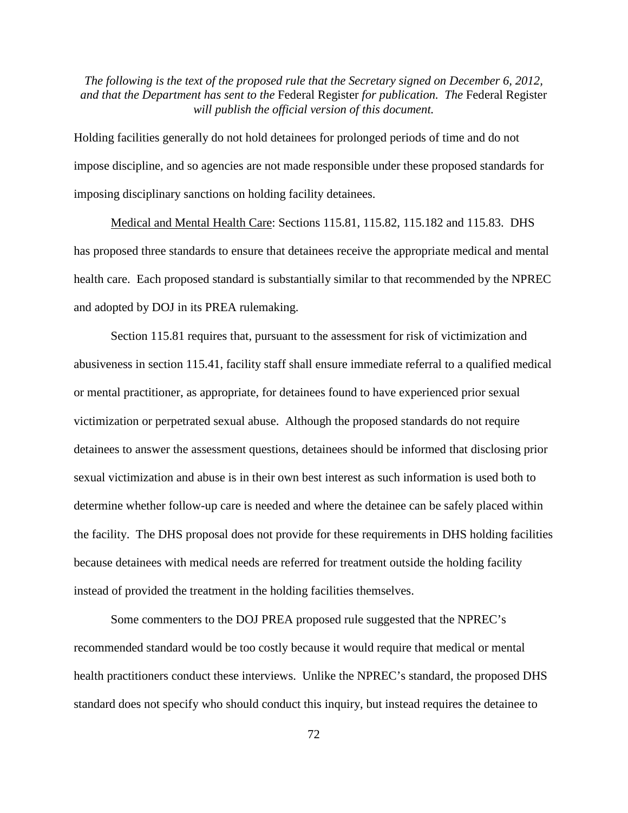Holding facilities generally do not hold detainees for prolonged periods of time and do not impose discipline, and so agencies are not made responsible under these proposed standards for imposing disciplinary sanctions on holding facility detainees.

Medical and Mental Health Care: Sections 115.81, 115.82, 115.182 and 115.83. DHS has proposed three standards to ensure that detainees receive the appropriate medical and mental health care. Each proposed standard is substantially similar to that recommended by the NPREC and adopted by DOJ in its PREA rulemaking.

Section 115.81 requires that, pursuant to the assessment for risk of victimization and abusiveness in section 115.41, facility staff shall ensure immediate referral to a qualified medical or mental practitioner, as appropriate, for detainees found to have experienced prior sexual victimization or perpetrated sexual abuse. Although the proposed standards do not require detainees to answer the assessment questions, detainees should be informed that disclosing prior sexual victimization and abuse is in their own best interest as such information is used both to determine whether follow-up care is needed and where the detainee can be safely placed within the facility. The DHS proposal does not provide for these requirements in DHS holding facilities because detainees with medical needs are referred for treatment outside the holding facility instead of provided the treatment in the holding facilities themselves.

Some commenters to the DOJ PREA proposed rule suggested that the NPREC's recommended standard would be too costly because it would require that medical or mental health practitioners conduct these interviews. Unlike the NPREC's standard, the proposed DHS standard does not specify who should conduct this inquiry, but instead requires the detainee to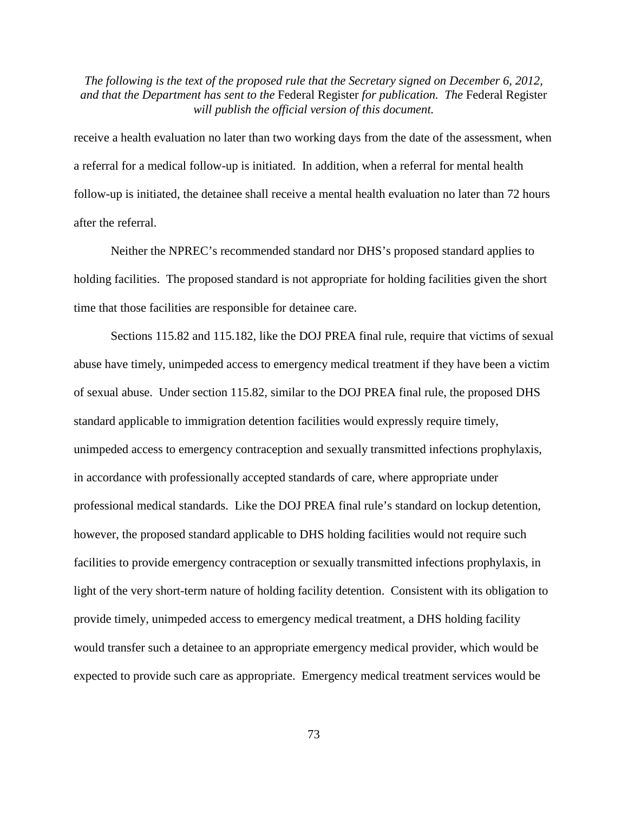receive a health evaluation no later than two working days from the date of the assessment, when a referral for a medical follow-up is initiated. In addition, when a referral for mental health follow-up is initiated, the detainee shall receive a mental health evaluation no later than 72 hours after the referral.

Neither the NPREC's recommended standard nor DHS's proposed standard applies to holding facilities. The proposed standard is not appropriate for holding facilities given the short time that those facilities are responsible for detainee care.

Sections 115.82 and 115.182, like the DOJ PREA final rule, require that victims of sexual abuse have timely, unimpeded access to emergency medical treatment if they have been a victim of sexual abuse. Under section 115.82, similar to the DOJ PREA final rule, the proposed DHS standard applicable to immigration detention facilities would expressly require timely, unimpeded access to emergency contraception and sexually transmitted infections prophylaxis, in accordance with professionally accepted standards of care, where appropriate under professional medical standards. Like the DOJ PREA final rule's standard on lockup detention, however, the proposed standard applicable to DHS holding facilities would not require such facilities to provide emergency contraception or sexually transmitted infections prophylaxis, in light of the very short-term nature of holding facility detention. Consistent with its obligation to provide timely, unimpeded access to emergency medical treatment, a DHS holding facility would transfer such a detainee to an appropriate emergency medical provider, which would be expected to provide such care as appropriate. Emergency medical treatment services would be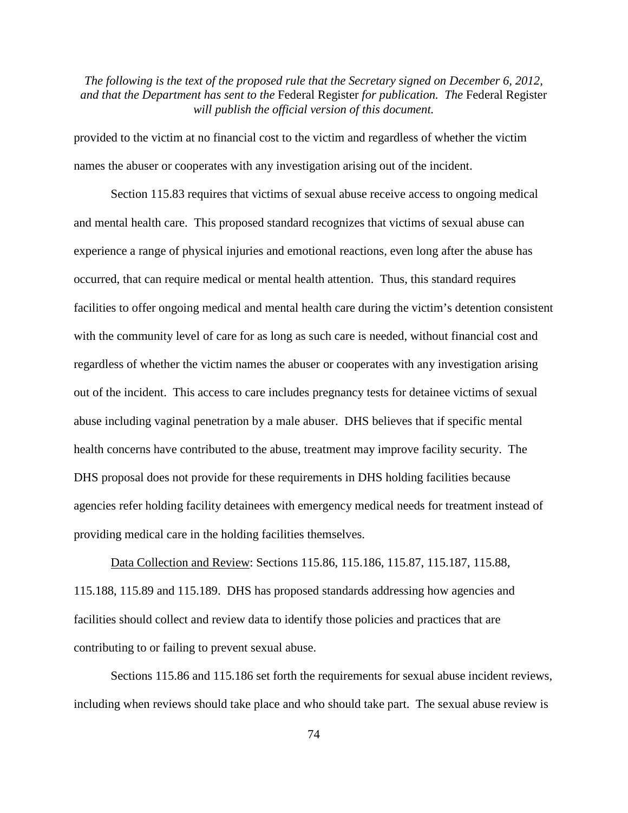provided to the victim at no financial cost to the victim and regardless of whether the victim names the abuser or cooperates with any investigation arising out of the incident.

Section 115.83 requires that victims of sexual abuse receive access to ongoing medical and mental health care. This proposed standard recognizes that victims of sexual abuse can experience a range of physical injuries and emotional reactions, even long after the abuse has occurred, that can require medical or mental health attention. Thus, this standard requires facilities to offer ongoing medical and mental health care during the victim's detention consistent with the community level of care for as long as such care is needed, without financial cost and regardless of whether the victim names the abuser or cooperates with any investigation arising out of the incident. This access to care includes pregnancy tests for detainee victims of sexual abuse including vaginal penetration by a male abuser. DHS believes that if specific mental health concerns have contributed to the abuse, treatment may improve facility security. The DHS proposal does not provide for these requirements in DHS holding facilities because agencies refer holding facility detainees with emergency medical needs for treatment instead of providing medical care in the holding facilities themselves.

Data Collection and Review: Sections 115.86, 115.186, 115.87, 115.187, 115.88, 115.188, 115.89 and 115.189. DHS has proposed standards addressing how agencies and facilities should collect and review data to identify those policies and practices that are contributing to or failing to prevent sexual abuse.

Sections 115.86 and 115.186 set forth the requirements for sexual abuse incident reviews, including when reviews should take place and who should take part. The sexual abuse review is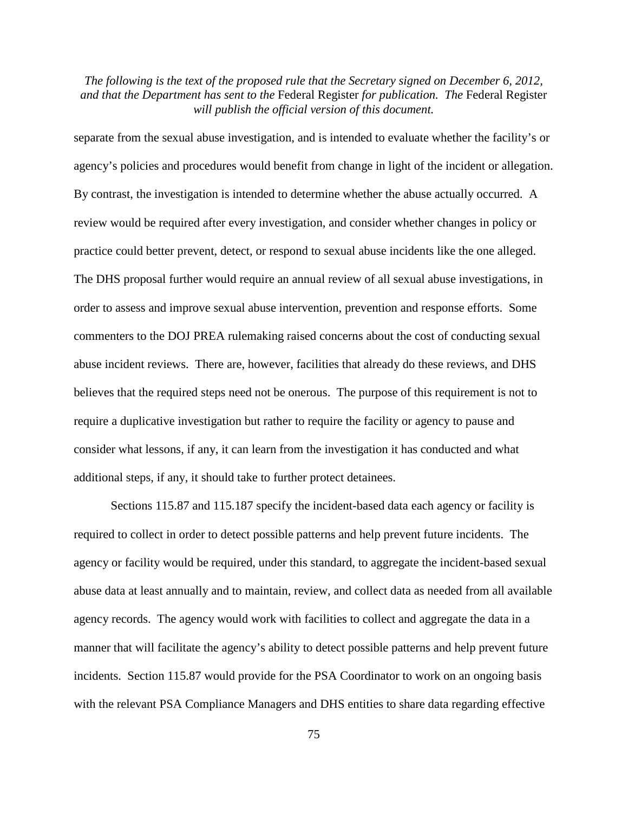separate from the sexual abuse investigation, and is intended to evaluate whether the facility's or agency's policies and procedures would benefit from change in light of the incident or allegation. By contrast, the investigation is intended to determine whether the abuse actually occurred. A review would be required after every investigation, and consider whether changes in policy or practice could better prevent, detect, or respond to sexual abuse incidents like the one alleged. The DHS proposal further would require an annual review of all sexual abuse investigations, in order to assess and improve sexual abuse intervention, prevention and response efforts. Some commenters to the DOJ PREA rulemaking raised concerns about the cost of conducting sexual abuse incident reviews. There are, however, facilities that already do these reviews, and DHS believes that the required steps need not be onerous. The purpose of this requirement is not to require a duplicative investigation but rather to require the facility or agency to pause and consider what lessons, if any, it can learn from the investigation it has conducted and what additional steps, if any, it should take to further protect detainees.

Sections 115.87 and 115.187 specify the incident-based data each agency or facility is required to collect in order to detect possible patterns and help prevent future incidents. The agency or facility would be required, under this standard, to aggregate the incident-based sexual abuse data at least annually and to maintain, review, and collect data as needed from all available agency records. The agency would work with facilities to collect and aggregate the data in a manner that will facilitate the agency's ability to detect possible patterns and help prevent future incidents. Section 115.87 would provide for the PSA Coordinator to work on an ongoing basis with the relevant PSA Compliance Managers and DHS entities to share data regarding effective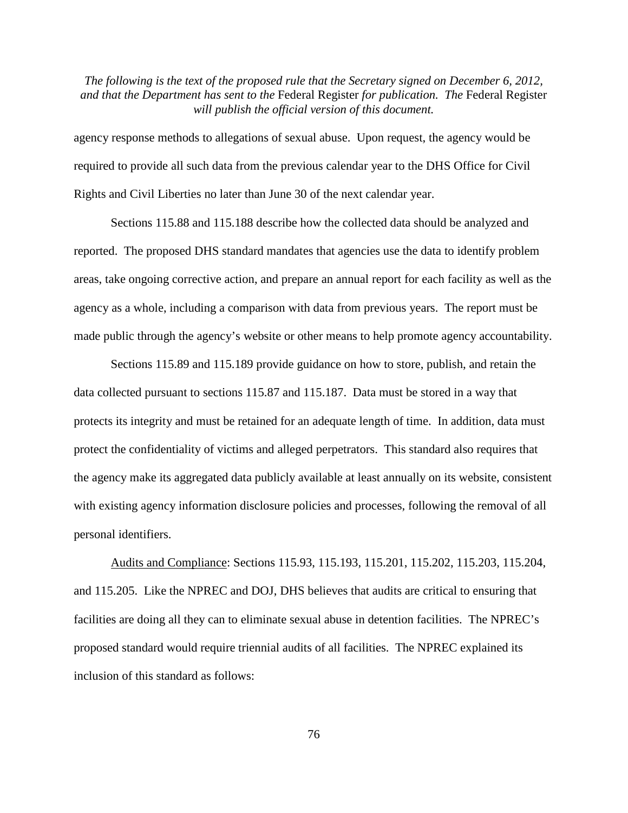agency response methods to allegations of sexual abuse. Upon request, the agency would be required to provide all such data from the previous calendar year to the DHS Office for Civil Rights and Civil Liberties no later than June 30 of the next calendar year.

Sections 115.88 and 115.188 describe how the collected data should be analyzed and reported. The proposed DHS standard mandates that agencies use the data to identify problem areas, take ongoing corrective action, and prepare an annual report for each facility as well as the agency as a whole, including a comparison with data from previous years. The report must be made public through the agency's website or other means to help promote agency accountability.

Sections 115.89 and 115.189 provide guidance on how to store, publish, and retain the data collected pursuant to sections 115.87 and 115.187. Data must be stored in a way that protects its integrity and must be retained for an adequate length of time. In addition, data must protect the confidentiality of victims and alleged perpetrators. This standard also requires that the agency make its aggregated data publicly available at least annually on its website, consistent with existing agency information disclosure policies and processes, following the removal of all personal identifiers.

Audits and Compliance: Sections 115.93, 115.193, 115.201, 115.202, 115.203, 115.204, and 115.205. Like the NPREC and DOJ, DHS believes that audits are critical to ensuring that facilities are doing all they can to eliminate sexual abuse in detention facilities. The NPREC's proposed standard would require triennial audits of all facilities. The NPREC explained its inclusion of this standard as follows: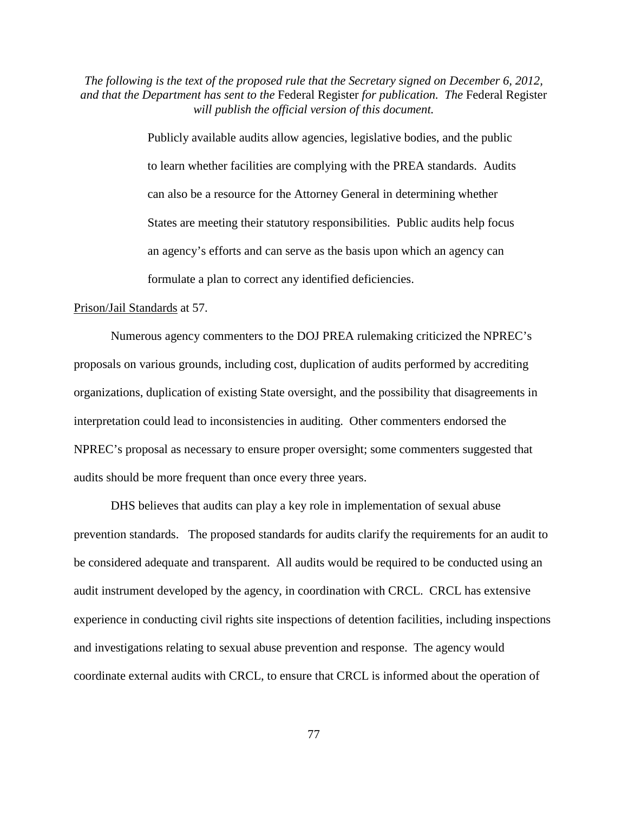> Publicly available audits allow agencies, legislative bodies, and the public to learn whether facilities are complying with the PREA standards. Audits can also be a resource for the Attorney General in determining whether States are meeting their statutory responsibilities. Public audits help focus an agency's efforts and can serve as the basis upon which an agency can formulate a plan to correct any identified deficiencies.

#### Prison/Jail Standards at 57.

Numerous agency commenters to the DOJ PREA rulemaking criticized the NPREC's proposals on various grounds, including cost, duplication of audits performed by accrediting organizations, duplication of existing State oversight, and the possibility that disagreements in interpretation could lead to inconsistencies in auditing. Other commenters endorsed the NPREC's proposal as necessary to ensure proper oversight; some commenters suggested that audits should be more frequent than once every three years.

DHS believes that audits can play a key role in implementation of sexual abuse prevention standards. The proposed standards for audits clarify the requirements for an audit to be considered adequate and transparent. All audits would be required to be conducted using an audit instrument developed by the agency, in coordination with CRCL. CRCL has extensive experience in conducting civil rights site inspections of detention facilities, including inspections and investigations relating to sexual abuse prevention and response. The agency would coordinate external audits with CRCL, to ensure that CRCL is informed about the operation of

77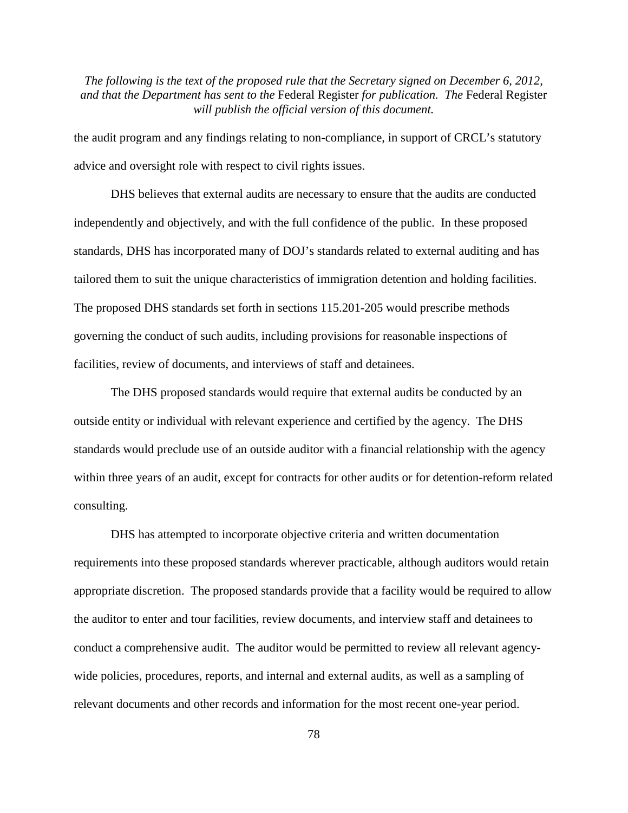the audit program and any findings relating to non-compliance, in support of CRCL's statutory advice and oversight role with respect to civil rights issues.

DHS believes that external audits are necessary to ensure that the audits are conducted independently and objectively, and with the full confidence of the public. In these proposed standards, DHS has incorporated many of DOJ's standards related to external auditing and has tailored them to suit the unique characteristics of immigration detention and holding facilities. The proposed DHS standards set forth in sections 115.201-205 would prescribe methods governing the conduct of such audits, including provisions for reasonable inspections of facilities, review of documents, and interviews of staff and detainees.

The DHS proposed standards would require that external audits be conducted by an outside entity or individual with relevant experience and certified by the agency. The DHS standards would preclude use of an outside auditor with a financial relationship with the agency within three years of an audit, except for contracts for other audits or for detention-reform related consulting.

DHS has attempted to incorporate objective criteria and written documentation requirements into these proposed standards wherever practicable, although auditors would retain appropriate discretion. The proposed standards provide that a facility would be required to allow the auditor to enter and tour facilities, review documents, and interview staff and detainees to conduct a comprehensive audit. The auditor would be permitted to review all relevant agencywide policies, procedures, reports, and internal and external audits, as well as a sampling of relevant documents and other records and information for the most recent one-year period.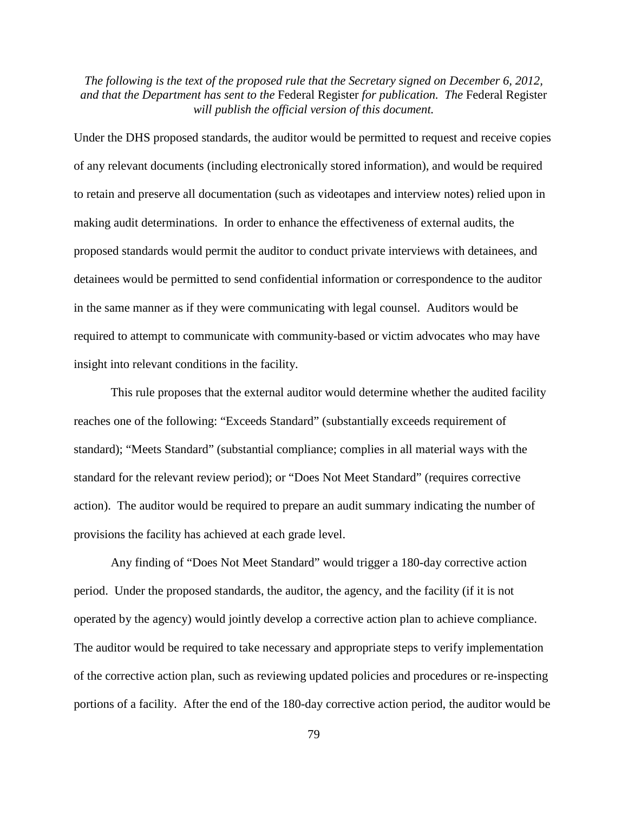Under the DHS proposed standards, the auditor would be permitted to request and receive copies of any relevant documents (including electronically stored information), and would be required to retain and preserve all documentation (such as videotapes and interview notes) relied upon in making audit determinations. In order to enhance the effectiveness of external audits, the proposed standards would permit the auditor to conduct private interviews with detainees, and detainees would be permitted to send confidential information or correspondence to the auditor in the same manner as if they were communicating with legal counsel. Auditors would be required to attempt to communicate with community-based or victim advocates who may have insight into relevant conditions in the facility.

This rule proposes that the external auditor would determine whether the audited facility reaches one of the following: "Exceeds Standard" (substantially exceeds requirement of standard); "Meets Standard" (substantial compliance; complies in all material ways with the standard for the relevant review period); or "Does Not Meet Standard" (requires corrective action). The auditor would be required to prepare an audit summary indicating the number of provisions the facility has achieved at each grade level.

Any finding of "Does Not Meet Standard" would trigger a 180-day corrective action period. Under the proposed standards, the auditor, the agency, and the facility (if it is not operated by the agency) would jointly develop a corrective action plan to achieve compliance. The auditor would be required to take necessary and appropriate steps to verify implementation of the corrective action plan, such as reviewing updated policies and procedures or re-inspecting portions of a facility. After the end of the 180-day corrective action period, the auditor would be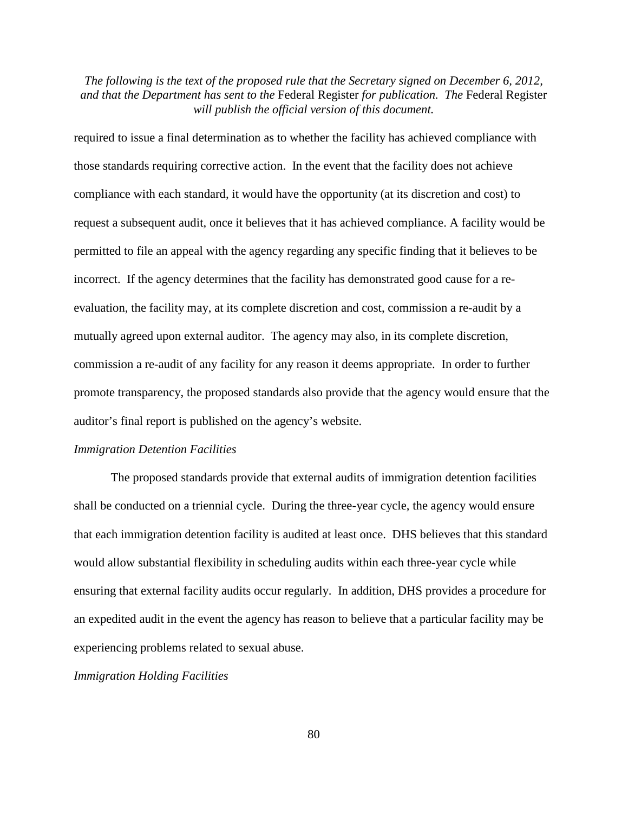required to issue a final determination as to whether the facility has achieved compliance with those standards requiring corrective action. In the event that the facility does not achieve compliance with each standard, it would have the opportunity (at its discretion and cost) to request a subsequent audit, once it believes that it has achieved compliance. A facility would be permitted to file an appeal with the agency regarding any specific finding that it believes to be incorrect. If the agency determines that the facility has demonstrated good cause for a reevaluation, the facility may, at its complete discretion and cost, commission a re-audit by a mutually agreed upon external auditor. The agency may also, in its complete discretion, commission a re-audit of any facility for any reason it deems appropriate. In order to further promote transparency, the proposed standards also provide that the agency would ensure that the auditor's final report is published on the agency's website.

#### *Immigration Detention Facilities*

The proposed standards provide that external audits of immigration detention facilities shall be conducted on a triennial cycle. During the three-year cycle, the agency would ensure that each immigration detention facility is audited at least once. DHS believes that this standard would allow substantial flexibility in scheduling audits within each three-year cycle while ensuring that external facility audits occur regularly. In addition, DHS provides a procedure for an expedited audit in the event the agency has reason to believe that a particular facility may be experiencing problems related to sexual abuse.

*Immigration Holding Facilities*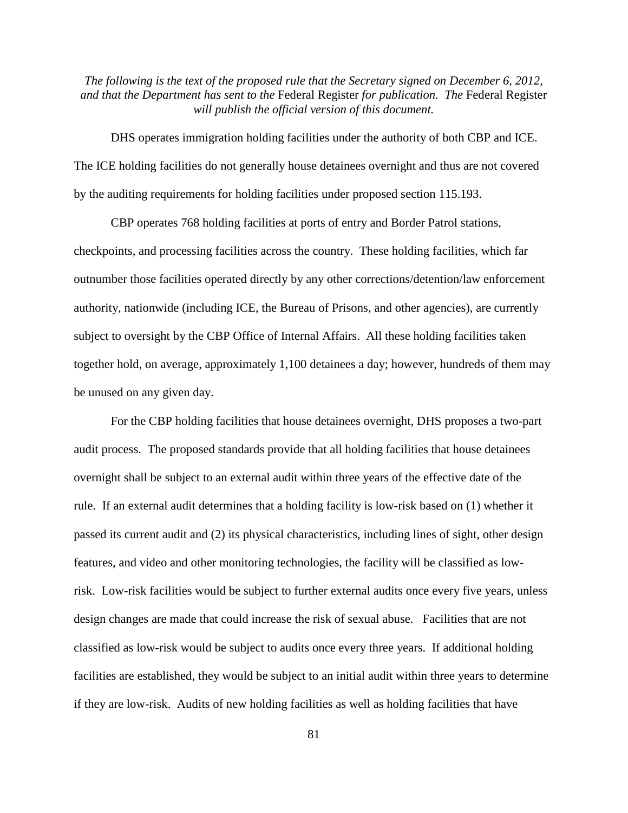DHS operates immigration holding facilities under the authority of both CBP and ICE. The ICE holding facilities do not generally house detainees overnight and thus are not covered by the auditing requirements for holding facilities under proposed section 115.193.

CBP operates 768 holding facilities at ports of entry and Border Patrol stations, checkpoints, and processing facilities across the country. These holding facilities, which far outnumber those facilities operated directly by any other corrections/detention/law enforcement authority, nationwide (including ICE, the Bureau of Prisons, and other agencies), are currently subject to oversight by the CBP Office of Internal Affairs. All these holding facilities taken together hold, on average, approximately 1,100 detainees a day; however, hundreds of them may be unused on any given day.

For the CBP holding facilities that house detainees overnight, DHS proposes a two-part audit process. The proposed standards provide that all holding facilities that house detainees overnight shall be subject to an external audit within three years of the effective date of the rule. If an external audit determines that a holding facility is low-risk based on (1) whether it passed its current audit and (2) its physical characteristics, including lines of sight, other design features, and video and other monitoring technologies, the facility will be classified as lowrisk. Low-risk facilities would be subject to further external audits once every five years, unless design changes are made that could increase the risk of sexual abuse. Facilities that are not classified as low-risk would be subject to audits once every three years. If additional holding facilities are established, they would be subject to an initial audit within three years to determine if they are low-risk. Audits of new holding facilities as well as holding facilities that have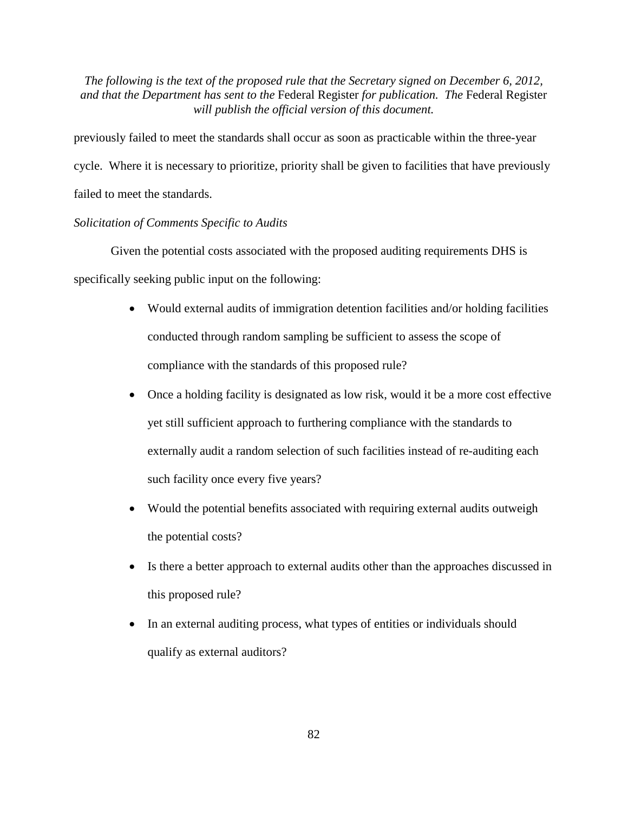previously failed to meet the standards shall occur as soon as practicable within the three-year cycle. Where it is necessary to prioritize, priority shall be given to facilities that have previously failed to meet the standards.

## *Solicitation of Comments Specific to Audits*

Given the potential costs associated with the proposed auditing requirements DHS is specifically seeking public input on the following:

- Would external audits of immigration detention facilities and/or holding facilities conducted through random sampling be sufficient to assess the scope of compliance with the standards of this proposed rule?
- Once a holding facility is designated as low risk, would it be a more cost effective yet still sufficient approach to furthering compliance with the standards to externally audit a random selection of such facilities instead of re-auditing each such facility once every five years?
- Would the potential benefits associated with requiring external audits outweigh the potential costs?
- Is there a better approach to external audits other than the approaches discussed in this proposed rule?
- In an external auditing process, what types of entities or individuals should qualify as external auditors?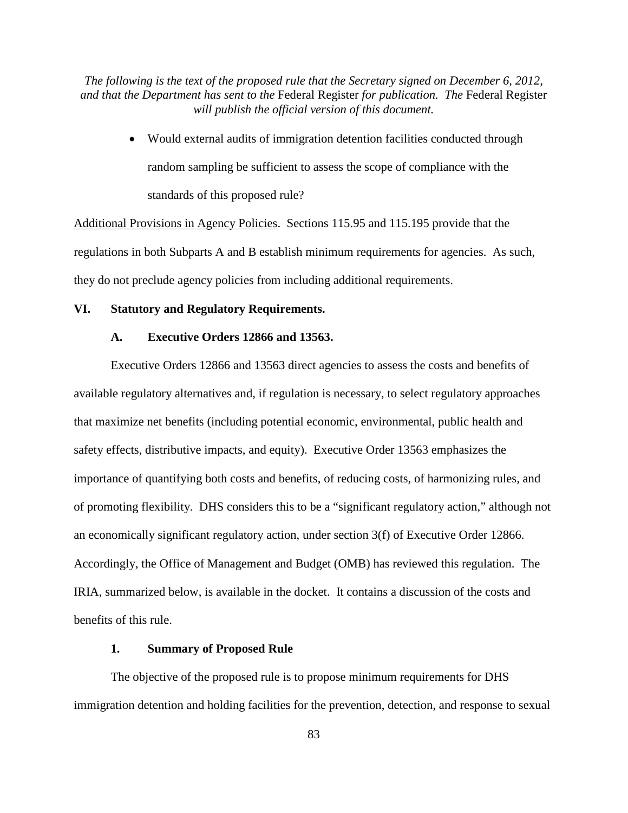> • Would external audits of immigration detention facilities conducted through random sampling be sufficient to assess the scope of compliance with the standards of this proposed rule?

Additional Provisions in Agency Policies. Sections 115.95 and 115.195 provide that the regulations in both Subparts A and B establish minimum requirements for agencies. As such, they do not preclude agency policies from including additional requirements.

# **VI. Statutory and Regulatory Requirements.**

### **A. Executive Orders 12866 and 13563.**

Executive Orders 12866 and 13563 direct agencies to assess the costs and benefits of available regulatory alternatives and, if regulation is necessary, to select regulatory approaches that maximize net benefits (including potential economic, environmental, public health and safety effects, distributive impacts, and equity). Executive Order 13563 emphasizes the importance of quantifying both costs and benefits, of reducing costs, of harmonizing rules, and of promoting flexibility. DHS considers this to be a "significant regulatory action," although not an economically significant regulatory action, under section 3(f) of Executive Order 12866. Accordingly, the Office of Management and Budget (OMB) has reviewed this regulation. The IRIA, summarized below, is available in the docket. It contains a discussion of the costs and benefits of this rule.

## **1. Summary of Proposed Rule**

The objective of the proposed rule is to propose minimum requirements for DHS immigration detention and holding facilities for the prevention, detection, and response to sexual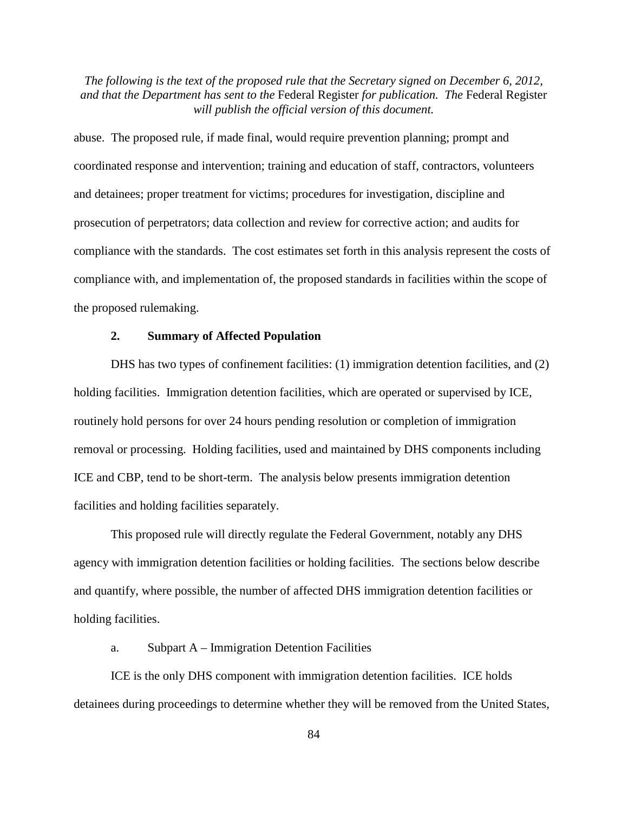abuse. The proposed rule, if made final, would require prevention planning; prompt and coordinated response and intervention; training and education of staff, contractors, volunteers and detainees; proper treatment for victims; procedures for investigation, discipline and prosecution of perpetrators; data collection and review for corrective action; and audits for compliance with the standards. The cost estimates set forth in this analysis represent the costs of compliance with, and implementation of, the proposed standards in facilities within the scope of the proposed rulemaking.

## **2. Summary of Affected Population**

DHS has two types of confinement facilities: (1) immigration detention facilities, and (2) holding facilities. Immigration detention facilities, which are operated or supervised by ICE, routinely hold persons for over 24 hours pending resolution or completion of immigration removal or processing. Holding facilities, used and maintained by DHS components including ICE and CBP, tend to be short-term. The analysis below presents immigration detention facilities and holding facilities separately.

This proposed rule will directly regulate the Federal Government, notably any DHS agency with immigration detention facilities or holding facilities. The sections below describe and quantify, where possible, the number of affected DHS immigration detention facilities or holding facilities.

#### a. Subpart A – Immigration Detention Facilities

ICE is the only DHS component with immigration detention facilities. ICE holds detainees during proceedings to determine whether they will be removed from the United States,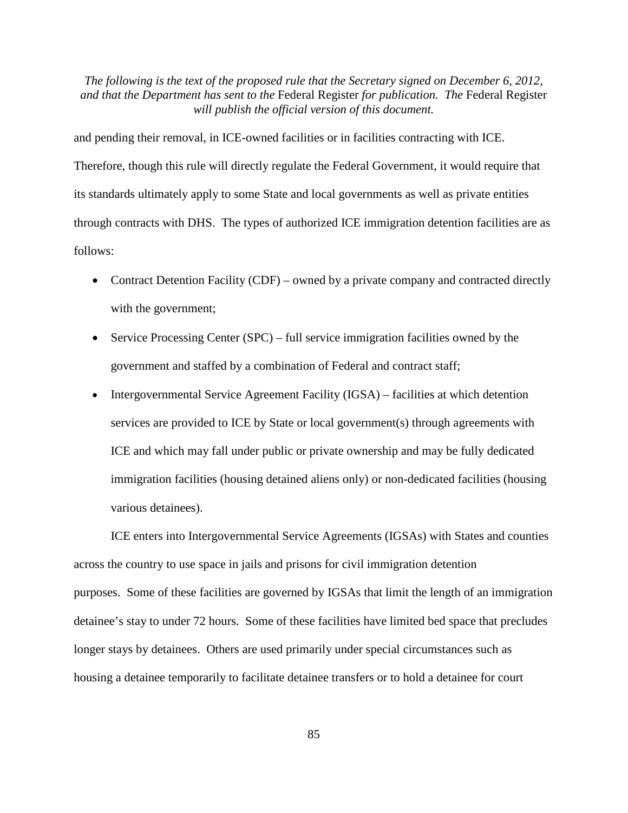and pending their removal, in ICE-owned facilities or in facilities contracting with ICE. Therefore, though this rule will directly regulate the Federal Government, it would require that its standards ultimately apply to some State and local governments as well as private entities through contracts with DHS. The types of authorized ICE immigration detention facilities are as follows:

- Contract Detention Facility (CDF) owned by a private company and contracted directly with the government;
- Service Processing Center (SPC) full service immigration facilities owned by the government and staffed by a combination of Federal and contract staff;
- Intergovernmental Service Agreement Facility (IGSA) facilities at which detention services are provided to ICE by State or local government(s) through agreements with ICE and which may fall under public or private ownership and may be fully dedicated immigration facilities (housing detained aliens only) or non-dedicated facilities (housing various detainees).

ICE enters into Intergovernmental Service Agreements (IGSAs) with States and counties across the country to use space in jails and prisons for civil immigration detention purposes. Some of these facilities are governed by IGSAs that limit the length of an immigration detainee's stay to under 72 hours. Some of these facilities have limited bed space that precludes longer stays by detainees. Others are used primarily under special circumstances such as housing a detainee temporarily to facilitate detainee transfers or to hold a detainee for court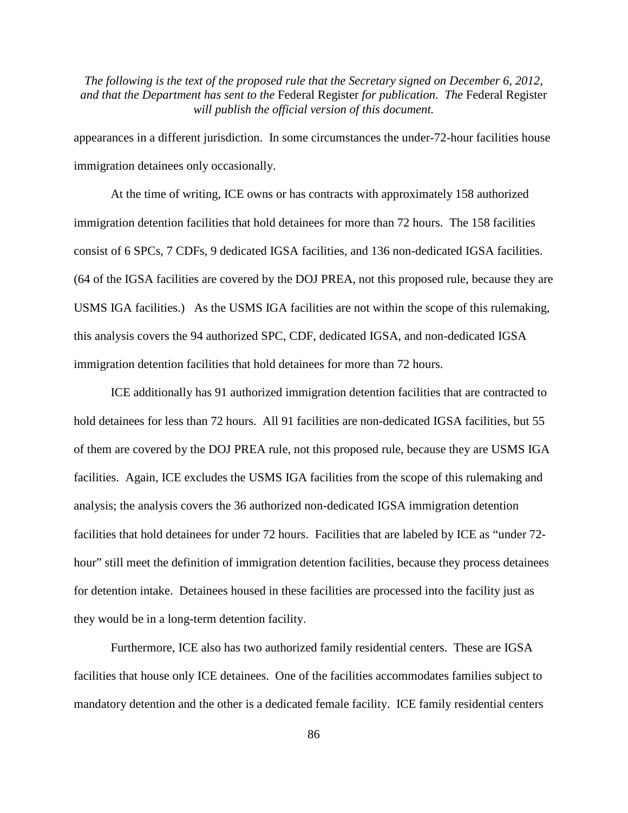appearances in a different jurisdiction. In some circumstances the under-72-hour facilities house immigration detainees only occasionally.

At the time of writing, ICE owns or has contracts with approximately 158 authorized immigration detention facilities that hold detainees for more than 72 hours. The 158 facilities consist of 6 SPCs, 7 CDFs, 9 dedicated IGSA facilities, and 136 non-dedicated IGSA facilities. (64 of the IGSA facilities are covered by the DOJ PREA, not this proposed rule, because they are USMS IGA facilities.) As the USMS IGA facilities are not within the scope of this rulemaking, this analysis covers the 94 authorized SPC, CDF, dedicated IGSA, and non-dedicated IGSA immigration detention facilities that hold detainees for more than 72 hours.

ICE additionally has 91 authorized immigration detention facilities that are contracted to hold detainees for less than 72 hours. All 91 facilities are non-dedicated IGSA facilities, but 55 of them are covered by the DOJ PREA rule, not this proposed rule, because they are USMS IGA facilities. Again, ICE excludes the USMS IGA facilities from the scope of this rulemaking and analysis; the analysis covers the 36 authorized non-dedicated IGSA immigration detention facilities that hold detainees for under 72 hours. Facilities that are labeled by ICE as "under 72 hour" still meet the definition of immigration detention facilities, because they process detainees for detention intake. Detainees housed in these facilities are processed into the facility just as they would be in a long-term detention facility.

Furthermore, ICE also has two authorized family residential centers. These are IGSA facilities that house only ICE detainees. One of the facilities accommodates families subject to mandatory detention and the other is a dedicated female facility. ICE family residential centers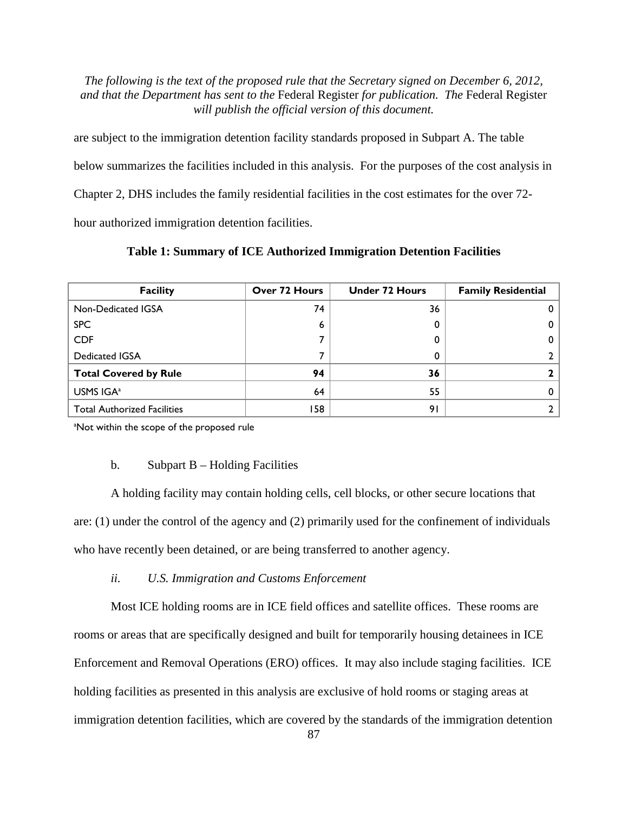are subject to the immigration detention facility standards proposed in Subpart A. The table below summarizes the facilities included in this analysis. For the purposes of the cost analysis in Chapter 2, DHS includes the family residential facilities in the cost estimates for the over 72 hour authorized immigration detention facilities.

**Table 1: Summary of ICE Authorized Immigration Detention Facilities** 

| <b>Facility</b>                    | Over 72 Hours | <b>Under 72 Hours</b> | <b>Family Residential</b> |
|------------------------------------|---------------|-----------------------|---------------------------|
| Non-Dedicated IGSA                 | 74            | 36                    |                           |
| <b>SPC</b>                         | ь             | 0                     | 0                         |
| <b>CDF</b>                         |               | O                     | 0                         |
| <b>Dedicated IGSA</b>              |               | 0                     |                           |
| <b>Total Covered by Rule</b>       | 94            | 36                    |                           |
| USMS IGA <sup>a</sup>              | 64            | 55                    |                           |
| <b>Total Authorized Facilities</b> | 158           | 91                    |                           |

<sup>a</sup>Not within the scope of the proposed rule

## b. Subpart  $B -$  Holding Facilities

A holding facility may contain holding cells, cell blocks, or other secure locations that are: (1) under the control of the agency and (2) primarily used for the confinement of individuals who have recently been detained, or are being transferred to another agency.

*ii. U.S. Immigration and Customs Enforcement* 

Most ICE holding rooms are in ICE field offices and satellite offices. These rooms are rooms or areas that are specifically designed and built for temporarily housing detainees in ICE Enforcement and Removal Operations (ERO) offices. It may also include staging facilities. ICE holding facilities as presented in this analysis are exclusive of hold rooms or staging areas at immigration detention facilities, which are covered by the standards of the immigration detention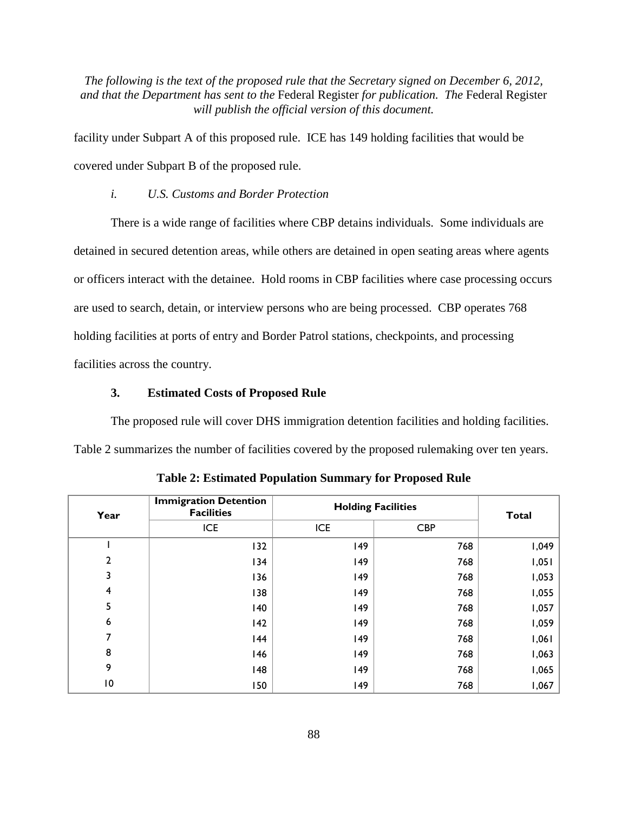facility under Subpart A of this proposed rule. ICE has 149 holding facilities that would be covered under Subpart B of the proposed rule.

#### *i. U.S. Customs and Border Protection*

There is a wide range of facilities where CBP detains individuals. Some individuals are detained in secured detention areas, while others are detained in open seating areas where agents or officers interact with the detainee. Hold rooms in CBP facilities where case processing occurs are used to search, detain, or interview persons who are being processed. CBP operates 768 holding facilities at ports of entry and Border Patrol stations, checkpoints, and processing facilities across the country.

### **3. Estimated Costs of Proposed Rule**

The proposed rule will cover DHS immigration detention facilities and holding facilities. Table 2 summarizes the number of facilities covered by the proposed rulemaking over ten years.

| Year | <b>Immigration Detention</b><br><b>Facilities</b> | <b>Holding Facilities</b> |            | <b>Total</b> |
|------|---------------------------------------------------|---------------------------|------------|--------------|
|      | <b>ICE</b>                                        | <b>ICE</b>                | <b>CBP</b> |              |
|      | 132                                               | 149                       | 768        | 1,049        |
| 2    | 134                                               | 149                       | 768        | 1,051        |
| 3    | 136                                               | 149                       | 768        | 1,053        |
| 4    | 138                                               | 149                       | 768        | 1,055        |
| 5    | 140                                               | 149                       | 768        | 1,057        |
| 6    | $ 42\rangle$                                      | 149                       | 768        | 1,059        |
| 7    | 144                                               | 149                       | 768        | 1,061        |
| 8    | 146                                               | 149                       | 768        | 1,063        |
| 9    | 148                                               | 149                       | 768        | 1,065        |
| 10   | 150                                               | 149                       | 768        | 1,067        |

**Table 2: Estimated Population Summary for Proposed Rule**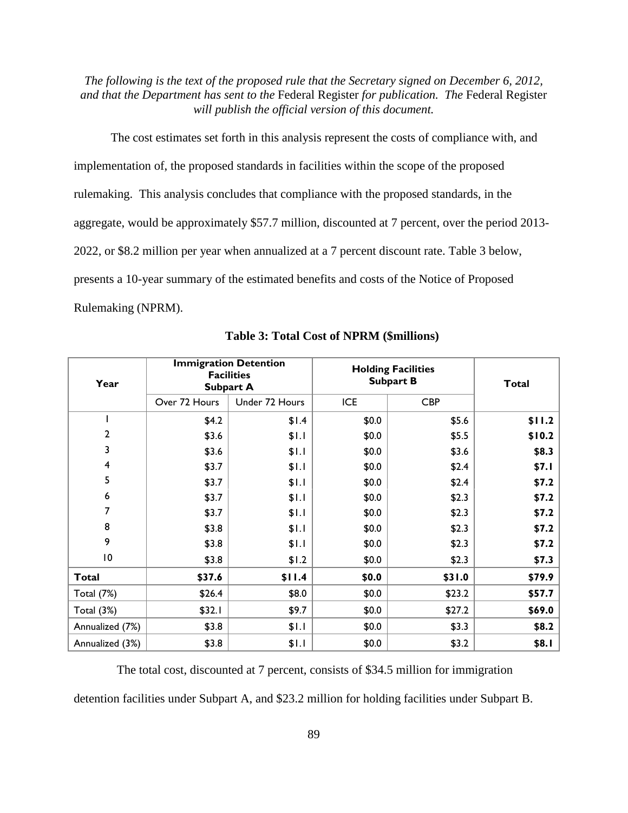The cost estimates set forth in this analysis represent the costs of compliance with, and implementation of, the proposed standards in facilities within the scope of the proposed rulemaking. This analysis concludes that compliance with the proposed standards, in the aggregate, would be approximately \$57.7 million, discounted at 7 percent, over the period 2013- 2022, or \$8.2 million per year when annualized at a 7 percent discount rate. Table 3 below, presents a 10-year summary of the estimated benefits and costs of the Notice of Proposed Rulemaking (NPRM).

| Year                    | <b>Immigration Detention</b><br><b>Facilities</b><br><b>Subpart A</b> |                | <b>Holding Facilities</b><br><b>Subpart B</b> |            | <b>Total</b> |
|-------------------------|-----------------------------------------------------------------------|----------------|-----------------------------------------------|------------|--------------|
|                         | Over 72 Hours                                                         | Under 72 Hours | <b>ICE</b>                                    | <b>CBP</b> |              |
|                         | \$4.2                                                                 | \$I.4          | \$0.0\$                                       | \$5.6      | \$11.2       |
| $\overline{\mathbf{c}}$ | \$3.6                                                                 | \$I.I          | \$0.0\$                                       | \$5.5      | \$10.2       |
| 3                       | \$3.6                                                                 | \$I.I          | \$0.0                                         | \$3.6      | \$8.3        |
| $\overline{\mathbf{4}}$ | \$3.7                                                                 | \$I.I          | \$0.0                                         | \$2.4      | \$7.1        |
| 5                       | \$3.7                                                                 | \$I.I          | \$0.0                                         | \$2.4      | \$7.2        |
| 6                       | \$3.7                                                                 | \$I.I          | \$0.0                                         | \$2.3      | \$7.2        |
| 7                       | \$3.7                                                                 | \$I.I          | \$0.0                                         | \$2.3      | \$7.2        |
| 8                       | \$3.8                                                                 | \$I.I          | \$0.0                                         | \$2.3      | \$7.2        |
| 9                       | \$3.8                                                                 | \$I.I          | \$0.0                                         | \$2.3      | \$7.2        |
| $\overline{10}$         | \$3.8                                                                 | \$1.2          | \$0.0\$                                       | \$2.3      | \$7.3        |
| <b>Total</b>            | \$37.6                                                                | \$11.4         | \$0.0                                         | \$31.0     | \$79.9       |
| <b>Total (7%)</b>       | \$26.4                                                                | \$8.0          | \$0.0\$                                       | \$23.2     | \$57.7       |
| Total (3%)              | \$32.1                                                                | \$9.7          | \$0.0\$                                       | \$27.2     | \$69.0       |
| Annualized (7%)         | \$3.8                                                                 | \$I.I          | \$0.0\$                                       | \$3.3      | \$8.2        |
| Annualized (3%)         | \$3.8                                                                 | \$1.1          | \$0.0\$                                       | \$3.2      | \$8.1        |

**Table 3: Total Cost of NPRM (\$millions)**

The total cost, discounted at 7 percent, consists of \$34.5 million for immigration

detention facilities under Subpart A, and \$23.2 million for holding facilities under Subpart B.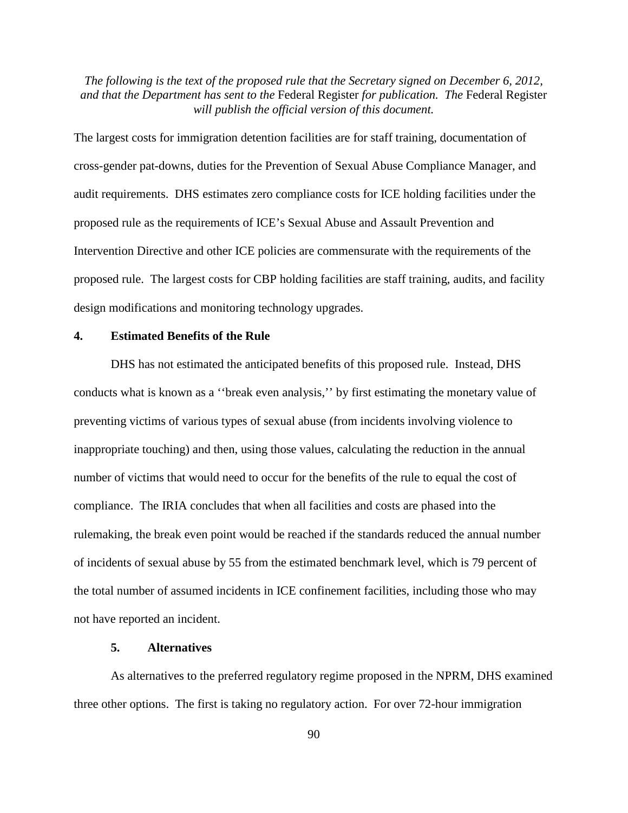The largest costs for immigration detention facilities are for staff training, documentation of cross-gender pat-downs, duties for the Prevention of Sexual Abuse Compliance Manager, and audit requirements. DHS estimates zero compliance costs for ICE holding facilities under the proposed rule as the requirements of ICE's Sexual Abuse and Assault Prevention and Intervention Directive and other ICE policies are commensurate with the requirements of the proposed rule. The largest costs for CBP holding facilities are staff training, audits, and facility design modifications and monitoring technology upgrades.

## **4. Estimated Benefits of the Rule**

DHS has not estimated the anticipated benefits of this proposed rule. Instead, DHS conducts what is known as a ''break even analysis,'' by first estimating the monetary value of preventing victims of various types of sexual abuse (from incidents involving violence to inappropriate touching) and then, using those values, calculating the reduction in the annual number of victims that would need to occur for the benefits of the rule to equal the cost of compliance. The IRIA concludes that when all facilities and costs are phased into the rulemaking, the break even point would be reached if the standards reduced the annual number of incidents of sexual abuse by 55 from the estimated benchmark level, which is 79 percent of the total number of assumed incidents in ICE confinement facilities, including those who may not have reported an incident.

#### **5. Alternatives**

As alternatives to the preferred regulatory regime proposed in the NPRM, DHS examined three other options. The first is taking no regulatory action. For over 72-hour immigration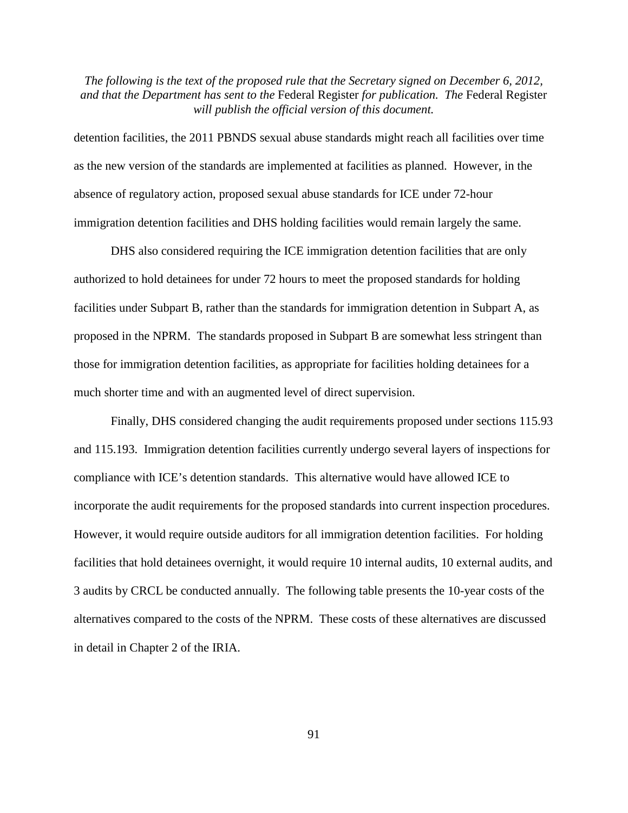detention facilities, the 2011 PBNDS sexual abuse standards might reach all facilities over time as the new version of the standards are implemented at facilities as planned. However, in the absence of regulatory action, proposed sexual abuse standards for ICE under 72-hour immigration detention facilities and DHS holding facilities would remain largely the same.

DHS also considered requiring the ICE immigration detention facilities that are only authorized to hold detainees for under 72 hours to meet the proposed standards for holding facilities under Subpart B, rather than the standards for immigration detention in Subpart A, as proposed in the NPRM. The standards proposed in Subpart B are somewhat less stringent than those for immigration detention facilities, as appropriate for facilities holding detainees for a much shorter time and with an augmented level of direct supervision.

Finally, DHS considered changing the audit requirements proposed under sections 115.93 and 115.193. Immigration detention facilities currently undergo several layers of inspections for compliance with ICE's detention standards. This alternative would have allowed ICE to incorporate the audit requirements for the proposed standards into current inspection procedures. However, it would require outside auditors for all immigration detention facilities. For holding facilities that hold detainees overnight, it would require 10 internal audits, 10 external audits, and 3 audits by CRCL be conducted annually. The following table presents the 10-year costs of the alternatives compared to the costs of the NPRM. These costs of these alternatives are discussed in detail in Chapter 2 of the IRIA.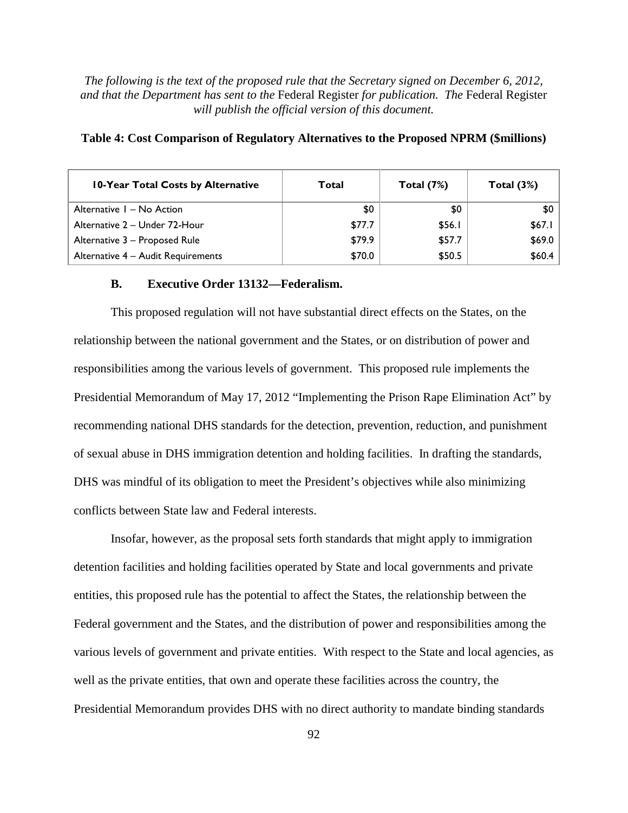| 10-Year Total Costs by Alternative | Total  | Total $(7%)$ | Total $(3%)$ |
|------------------------------------|--------|--------------|--------------|
| Alternative I - No Action          | \$0    | \$0          | <b>SO</b>    |
| Alternative 2 - Under 72-Hour      | \$77.7 | \$56.I       | \$67.1       |
| Alternative 3 - Proposed Rule      | \$79.9 | \$57.7       | \$69.0       |
| Alternative 4 - Audit Requirements | \$70.0 | \$50.5       | \$60.4       |

#### **Table 4: Cost Comparison of Regulatory Alternatives to the Proposed NPRM (\$millions)**

#### **B. Executive Order 13132—Federalism.**

This proposed regulation will not have substantial direct effects on the States, on the relationship between the national government and the States, or on distribution of power and responsibilities among the various levels of government. This proposed rule implements the Presidential Memorandum of May 17, 2012 "Implementing the Prison Rape Elimination Act" by recommending national DHS standards for the detection, prevention, reduction, and punishment of sexual abuse in DHS immigration detention and holding facilities. In drafting the standards, DHS was mindful of its obligation to meet the President's objectives while also minimizing conflicts between State law and Federal interests.

Insofar, however, as the proposal sets forth standards that might apply to immigration detention facilities and holding facilities operated by State and local governments and private entities, this proposed rule has the potential to affect the States, the relationship between the Federal government and the States, and the distribution of power and responsibilities among the various levels of government and private entities. With respect to the State and local agencies, as well as the private entities, that own and operate these facilities across the country, the Presidential Memorandum provides DHS with no direct authority to mandate binding standards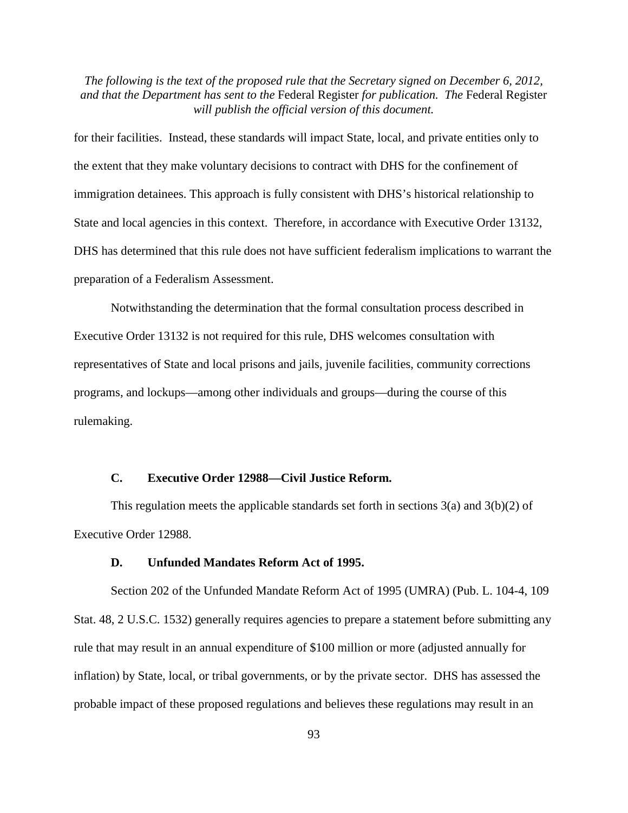for their facilities. Instead, these standards will impact State, local, and private entities only to the extent that they make voluntary decisions to contract with DHS for the confinement of immigration detainees. This approach is fully consistent with DHS's historical relationship to State and local agencies in this context. Therefore, in accordance with Executive Order 13132, DHS has determined that this rule does not have sufficient federalism implications to warrant the preparation of a Federalism Assessment.

Notwithstanding the determination that the formal consultation process described in Executive Order 13132 is not required for this rule, DHS welcomes consultation with representatives of State and local prisons and jails, juvenile facilities, community corrections programs, and lockups—among other individuals and groups—during the course of this rulemaking.

#### **C. Executive Order 12988—Civil Justice Reform.**

This regulation meets the applicable standards set forth in sections  $3(a)$  and  $3(b)(2)$  of Executive Order 12988.

#### **D. Unfunded Mandates Reform Act of 1995.**

Section 202 of the Unfunded Mandate Reform Act of 1995 (UMRA) (Pub. L. 104-4, 109 Stat. 48, 2 U.S.C. 1532) generally requires agencies to prepare a statement before submitting any rule that may result in an annual expenditure of \$100 million or more (adjusted annually for inflation) by State, local, or tribal governments, or by the private sector. DHS has assessed the probable impact of these proposed regulations and believes these regulations may result in an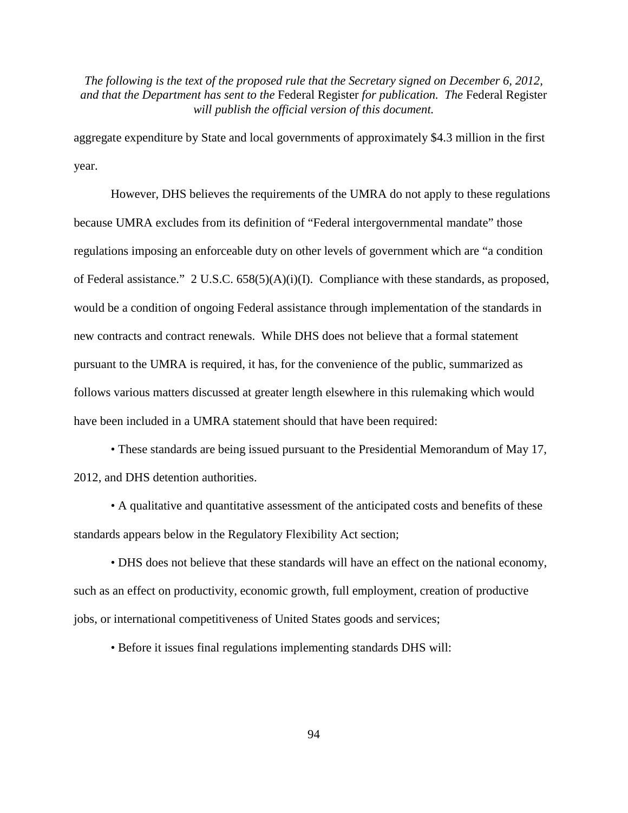aggregate expenditure by State and local governments of approximately \$4.3 million in the first year.

However, DHS believes the requirements of the UMRA do not apply to these regulations because UMRA excludes from its definition of "Federal intergovernmental mandate" those regulations imposing an enforceable duty on other levels of government which are "a condition of Federal assistance." 2 U.S.C. 658(5)(A)(i)(I). Compliance with these standards, as proposed, would be a condition of ongoing Federal assistance through implementation of the standards in new contracts and contract renewals. While DHS does not believe that a formal statement pursuant to the UMRA is required, it has, for the convenience of the public, summarized as follows various matters discussed at greater length elsewhere in this rulemaking which would have been included in a UMRA statement should that have been required:

• These standards are being issued pursuant to the Presidential Memorandum of May 17, 2012, and DHS detention authorities.

• A qualitative and quantitative assessment of the anticipated costs and benefits of these standards appears below in the Regulatory Flexibility Act section;

• DHS does not believe that these standards will have an effect on the national economy, such as an effect on productivity, economic growth, full employment, creation of productive jobs, or international competitiveness of United States goods and services;

• Before it issues final regulations implementing standards DHS will: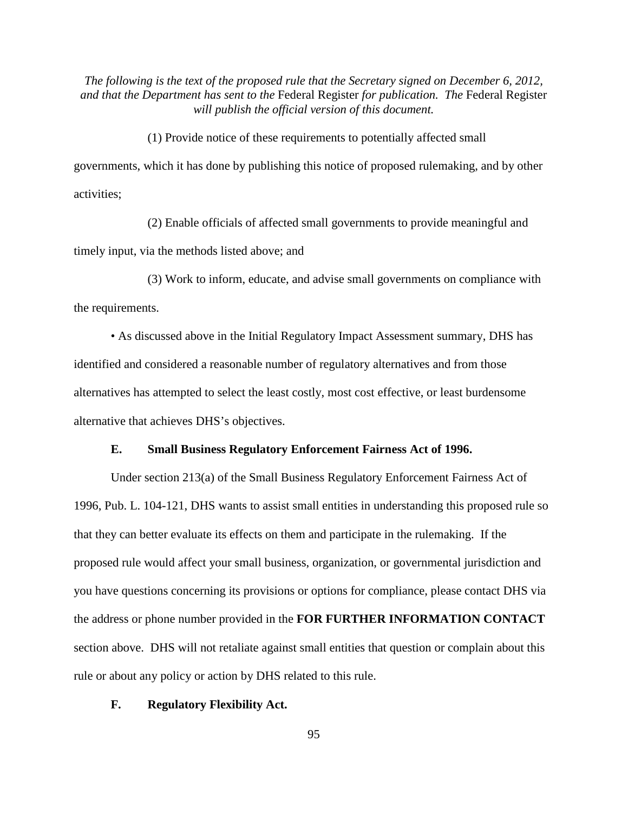(1) Provide notice of these requirements to potentially affected small governments, which it has done by publishing this notice of proposed rulemaking, and by other activities;

(2) Enable officials of affected small governments to provide meaningful and timely input, via the methods listed above; and

(3) Work to inform, educate, and advise small governments on compliance with the requirements.

• As discussed above in the Initial Regulatory Impact Assessment summary, DHS has identified and considered a reasonable number of regulatory alternatives and from those alternatives has attempted to select the least costly, most cost effective, or least burdensome alternative that achieves DHS's objectives.

## **E. Small Business Regulatory Enforcement Fairness Act of 1996.**

Under section 213(a) of the Small Business Regulatory Enforcement Fairness Act of 1996, Pub. L. 104-121, DHS wants to assist small entities in understanding this proposed rule so that they can better evaluate its effects on them and participate in the rulemaking. If the proposed rule would affect your small business, organization, or governmental jurisdiction and you have questions concerning its provisions or options for compliance, please contact DHS via the address or phone number provided in the **FOR FURTHER INFORMATION CONTACT** section above. DHS will not retaliate against small entities that question or complain about this rule or about any policy or action by DHS related to this rule.

## **F. Regulatory Flexibility Act.**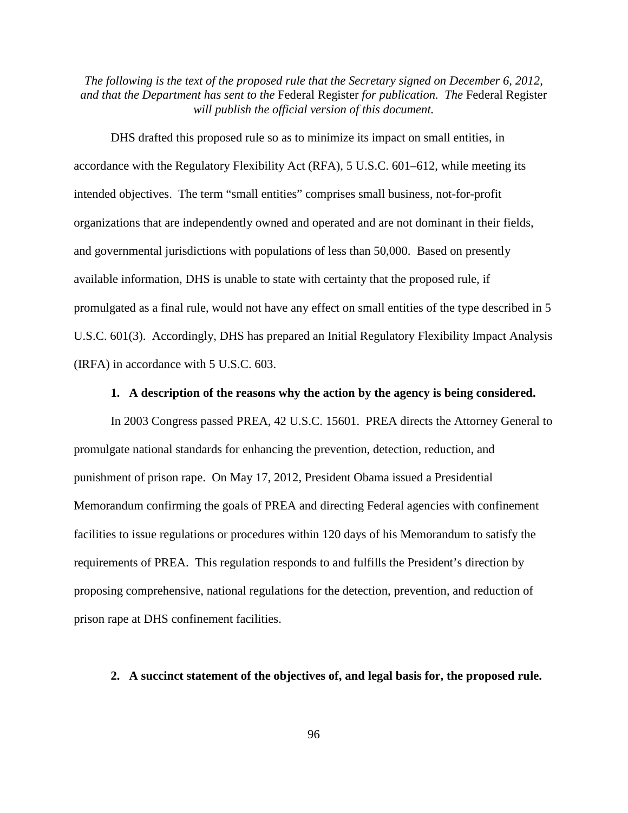DHS drafted this proposed rule so as to minimize its impact on small entities, in accordance with the Regulatory Flexibility Act (RFA), 5 U.S.C. 601–612, while meeting its intended objectives. The term "small entities" comprises small business, not-for-profit organizations that are independently owned and operated and are not dominant in their fields, and governmental jurisdictions with populations of less than 50,000. Based on presently available information, DHS is unable to state with certainty that the proposed rule, if promulgated as a final rule, would not have any effect on small entities of the type described in 5 U.S.C. 601(3). Accordingly, DHS has prepared an Initial Regulatory Flexibility Impact Analysis (IRFA) in accordance with 5 U.S.C. 603.

# **1. A description of the reasons why the action by the agency is being considered.**

In 2003 Congress passed PREA, 42 U.S.C. 15601. PREA directs the Attorney General to promulgate national standards for enhancing the prevention, detection, reduction, and punishment of prison rape. On May 17, 2012, President Obama issued a Presidential Memorandum confirming the goals of PREA and directing Federal agencies with confinement facilities to issue regulations or procedures within 120 days of his Memorandum to satisfy the requirements of PREA. This regulation responds to and fulfills the President's direction by proposing comprehensive, national regulations for the detection, prevention, and reduction of prison rape at DHS confinement facilities.

## **2. A succinct statement of the objectives of, and legal basis for, the proposed rule.**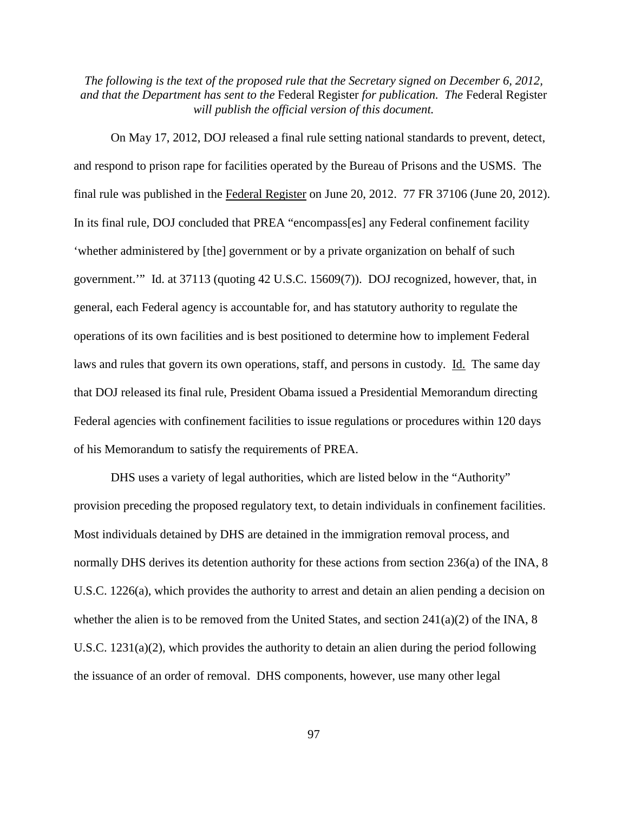On May 17, 2012, DOJ released a final rule setting national standards to prevent, detect, and respond to prison rape for facilities operated by the Bureau of Prisons and the USMS. The final rule was published in the Federal Register on June 20, 2012. 77 FR 37106 (June 20, 2012). In its final rule, DOJ concluded that PREA "encompass[es] any Federal confinement facility 'whether administered by [the] government or by a private organization on behalf of such government.'" Id. at 37113 (quoting 42 U.S.C. 15609(7)). DOJ recognized, however, that, in general, each Federal agency is accountable for, and has statutory authority to regulate the operations of its own facilities and is best positioned to determine how to implement Federal laws and rules that govern its own operations, staff, and persons in custody. Id. The same day that DOJ released its final rule, President Obama issued a Presidential Memorandum directing Federal agencies with confinement facilities to issue regulations or procedures within 120 days of his Memorandum to satisfy the requirements of PREA.

DHS uses a variety of legal authorities, which are listed below in the "Authority" provision preceding the proposed regulatory text, to detain individuals in confinement facilities. Most individuals detained by DHS are detained in the immigration removal process, and normally DHS derives its detention authority for these actions from section 236(a) of the INA, 8 U.S.C. 1226(a), which provides the authority to arrest and detain an alien pending a decision on whether the alien is to be removed from the United States, and section  $241(a)(2)$  of the INA, 8 U.S.C. 1231(a)(2), which provides the authority to detain an alien during the period following the issuance of an order of removal. DHS components, however, use many other legal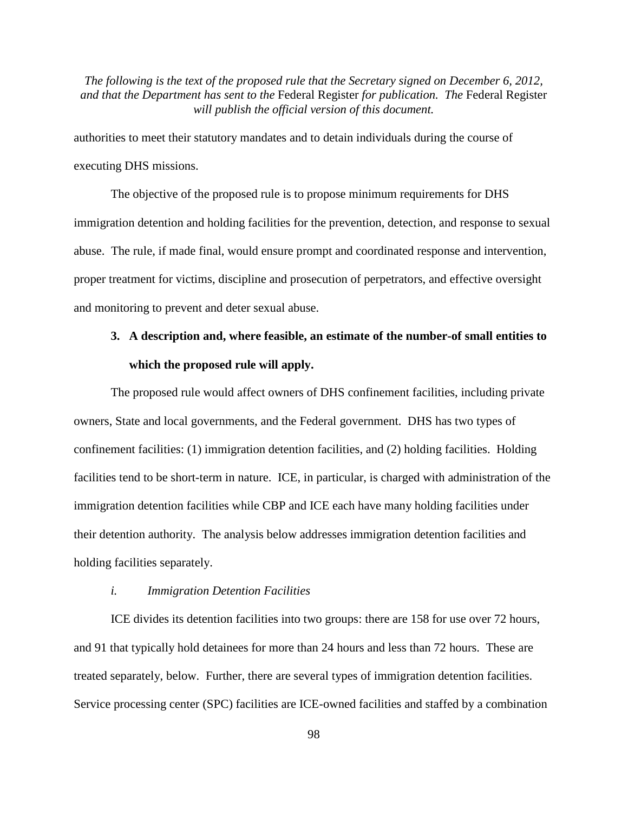authorities to meet their statutory mandates and to detain individuals during the course of executing DHS missions.

The objective of the proposed rule is to propose minimum requirements for DHS immigration detention and holding facilities for the prevention, detection, and response to sexual abuse. The rule, if made final, would ensure prompt and coordinated response and intervention, proper treatment for victims, discipline and prosecution of perpetrators, and effective oversight and monitoring to prevent and deter sexual abuse.

# **3. A description and, where feasible, an estimate of the number-of small entities to which the proposed rule will apply.**

The proposed rule would affect owners of DHS confinement facilities, including private owners, State and local governments, and the Federal government. DHS has two types of confinement facilities: (1) immigration detention facilities, and (2) holding facilities. Holding facilities tend to be short-term in nature. ICE, in particular, is charged with administration of the immigration detention facilities while CBP and ICE each have many holding facilities under their detention authority. The analysis below addresses immigration detention facilities and holding facilities separately.

#### *i. Immigration Detention Facilities*

ICE divides its detention facilities into two groups: there are 158 for use over 72 hours, and 91 that typically hold detainees for more than 24 hours and less than 72 hours. These are treated separately, below. Further, there are several types of immigration detention facilities. Service processing center (SPC) facilities are ICE-owned facilities and staffed by a combination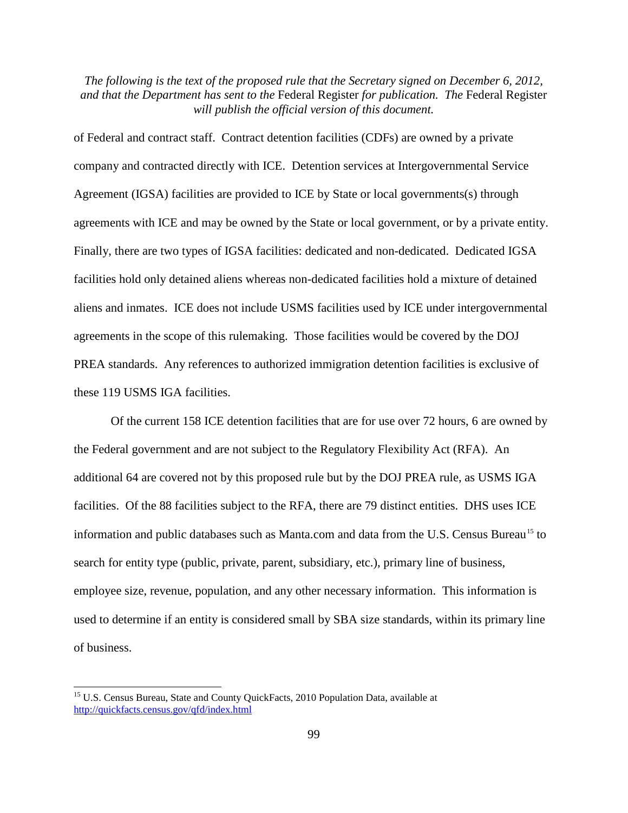of Federal and contract staff. Contract detention facilities (CDFs) are owned by a private company and contracted directly with ICE. Detention services at Intergovernmental Service Agreement (IGSA) facilities are provided to ICE by State or local governments(s) through agreements with ICE and may be owned by the State or local government, or by a private entity. Finally, there are two types of IGSA facilities: dedicated and non-dedicated. Dedicated IGSA facilities hold only detained aliens whereas non-dedicated facilities hold a mixture of detained aliens and inmates. ICE does not include USMS facilities used by ICE under intergovernmental agreements in the scope of this rulemaking. Those facilities would be covered by the DOJ PREA standards. Any references to authorized immigration detention facilities is exclusive of these 119 USMS IGA facilities.

Of the current 158 ICE detention facilities that are for use over 72 hours, 6 are owned by the Federal government and are not subject to the Regulatory Flexibility Act (RFA). An additional 64 are covered not by this proposed rule but by the DOJ PREA rule, as USMS IGA facilities. Of the 88 facilities subject to the RFA, there are 79 distinct entities. DHS uses ICE information and public databases such as Manta.com and data from the U.S. Census Bureau<sup>[15](#page-98-0)</sup> to search for entity type (public, private, parent, subsidiary, etc.), primary line of business, employee size, revenue, population, and any other necessary information. This information is used to determine if an entity is considered small by SBA size standards, within its primary line of business.

<span id="page-98-0"></span><sup>&</sup>lt;sup>15</sup> U.S. Census Bureau, State and County QuickFacts, 2010 Population Data, available at <http://quickfacts.census.gov/qfd/index.html>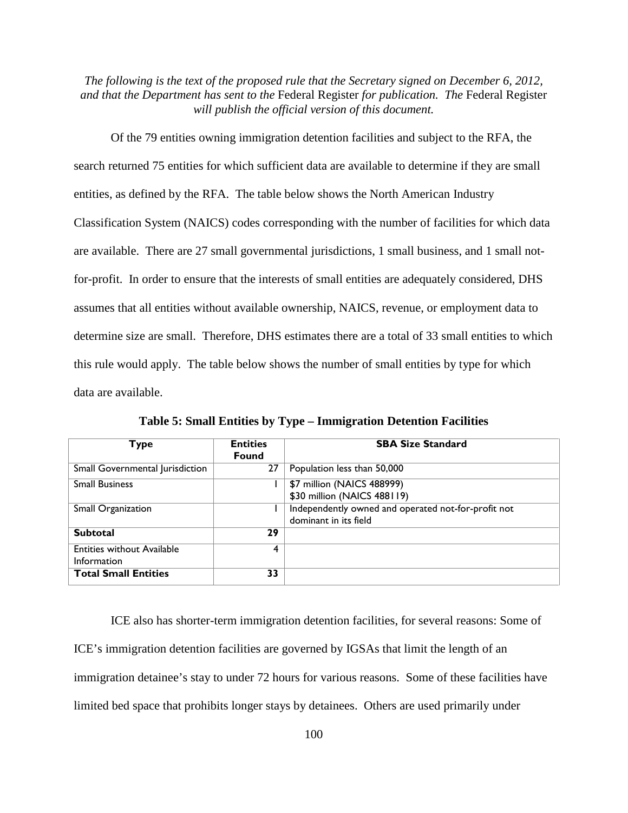Of the 79 entities owning immigration detention facilities and subject to the RFA, the search returned 75 entities for which sufficient data are available to determine if they are small entities, as defined by the RFA. The table below shows the North American Industry Classification System (NAICS) codes corresponding with the number of facilities for which data are available. There are 27 small governmental jurisdictions, 1 small business, and 1 small notfor-profit. In order to ensure that the interests of small entities are adequately considered, DHS assumes that all entities without available ownership, NAICS, revenue, or employment data to determine size are small. Therefore, DHS estimates there are a total of 33 small entities to which this rule would apply. The table below shows the number of small entities by type for which data are available.

| Туре                              | <b>Entities</b><br><b>Found</b> | <b>SBA Size Standard</b>                            |
|-----------------------------------|---------------------------------|-----------------------------------------------------|
|                                   |                                 |                                                     |
| Small Governmental Jurisdiction   | 27                              | Population less than 50,000                         |
| <b>Small Business</b>             |                                 | \$7 million (NAICS 488999)                          |
|                                   |                                 | \$30 million (NAICS 488119)                         |
| Small Organization                |                                 | Independently owned and operated not-for-profit not |
|                                   |                                 | dominant in its field                               |
| <b>Subtotal</b>                   | 29                              |                                                     |
| <b>Entities without Available</b> | 4                               |                                                     |
| Information                       |                                 |                                                     |
| <b>Total Small Entities</b>       | 33                              |                                                     |

**Table 5: Small Entities by Type – Immigration Detention Facilities**

ICE also has shorter-term immigration detention facilities, for several reasons: Some of ICE's immigration detention facilities are governed by IGSAs that limit the length of an immigration detainee's stay to under 72 hours for various reasons. Some of these facilities have limited bed space that prohibits longer stays by detainees. Others are used primarily under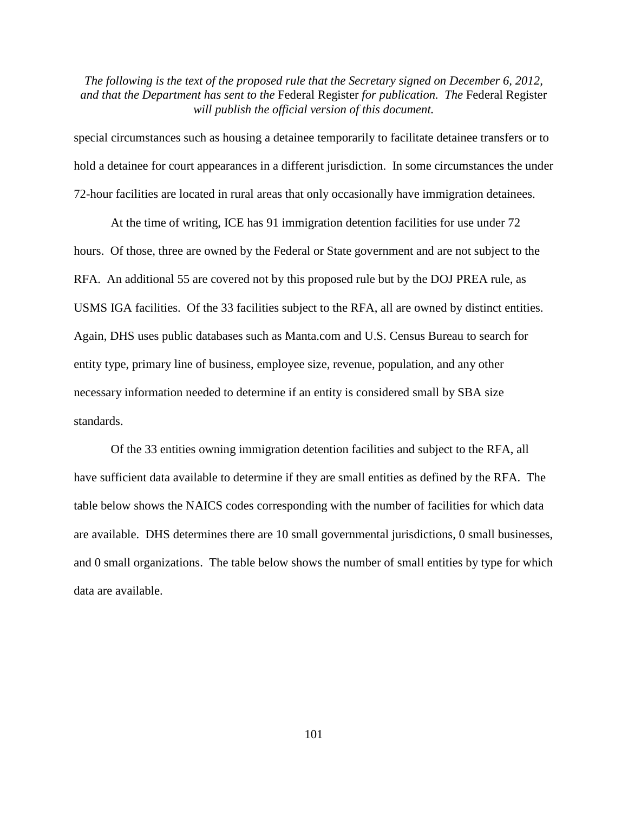special circumstances such as housing a detainee temporarily to facilitate detainee transfers or to hold a detainee for court appearances in a different jurisdiction. In some circumstances the under 72-hour facilities are located in rural areas that only occasionally have immigration detainees.

At the time of writing, ICE has 91 immigration detention facilities for use under 72 hours. Of those, three are owned by the Federal or State government and are not subject to the RFA. An additional 55 are covered not by this proposed rule but by the DOJ PREA rule, as USMS IGA facilities. Of the 33 facilities subject to the RFA, all are owned by distinct entities. Again, DHS uses public databases such as Manta.com and U.S. Census Bureau to search for entity type, primary line of business, employee size, revenue, population, and any other necessary information needed to determine if an entity is considered small by SBA size standards.

Of the 33 entities owning immigration detention facilities and subject to the RFA, all have sufficient data available to determine if they are small entities as defined by the RFA. The table below shows the NAICS codes corresponding with the number of facilities for which data are available. DHS determines there are 10 small governmental jurisdictions, 0 small businesses, and 0 small organizations. The table below shows the number of small entities by type for which data are available.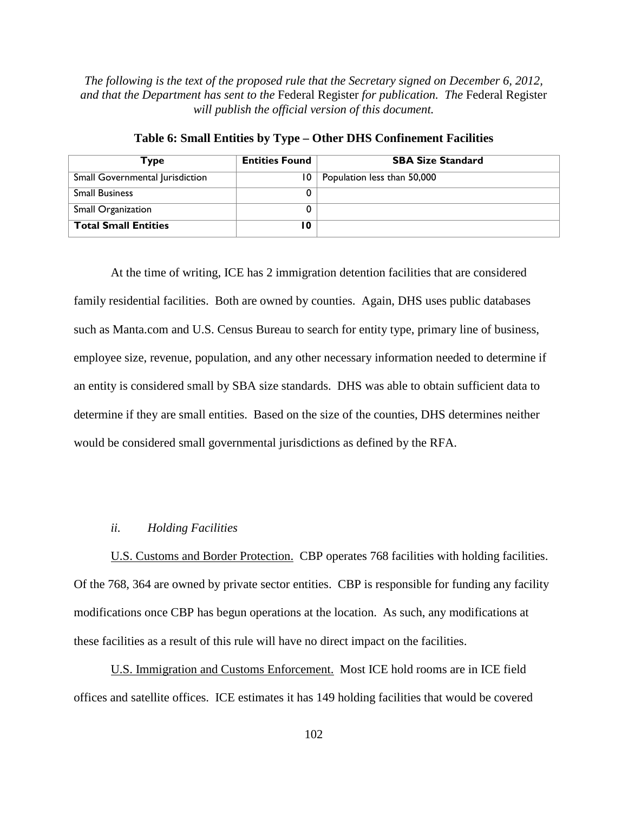| Type                            | <b>Entities Found</b> | <b>SBA Size Standard</b>    |
|---------------------------------|-----------------------|-----------------------------|
| Small Governmental Jurisdiction | 10                    | Population less than 50,000 |
| <b>Small Business</b>           |                       |                             |
| <b>Small Organization</b>       |                       |                             |
| <b>Total Small Entities</b>     | ۱0                    |                             |

**Table 6: Small Entities by Type – Other DHS Confinement Facilities**

At the time of writing, ICE has 2 immigration detention facilities that are considered family residential facilities. Both are owned by counties. Again, DHS uses public databases such as Manta.com and U.S. Census Bureau to search for entity type, primary line of business, employee size, revenue, population, and any other necessary information needed to determine if an entity is considered small by SBA size standards. DHS was able to obtain sufficient data to determine if they are small entities. Based on the size of the counties, DHS determines neither would be considered small governmental jurisdictions as defined by the RFA.

#### *ii. Holding Facilities*

U.S. Customs and Border Protection. CBP operates 768 facilities with holding facilities. Of the 768, 364 are owned by private sector entities. CBP is responsible for funding any facility modifications once CBP has begun operations at the location. As such, any modifications at these facilities as a result of this rule will have no direct impact on the facilities.

U.S. Immigration and Customs Enforcement. Most ICE hold rooms are in ICE field offices and satellite offices. ICE estimates it has 149 holding facilities that would be covered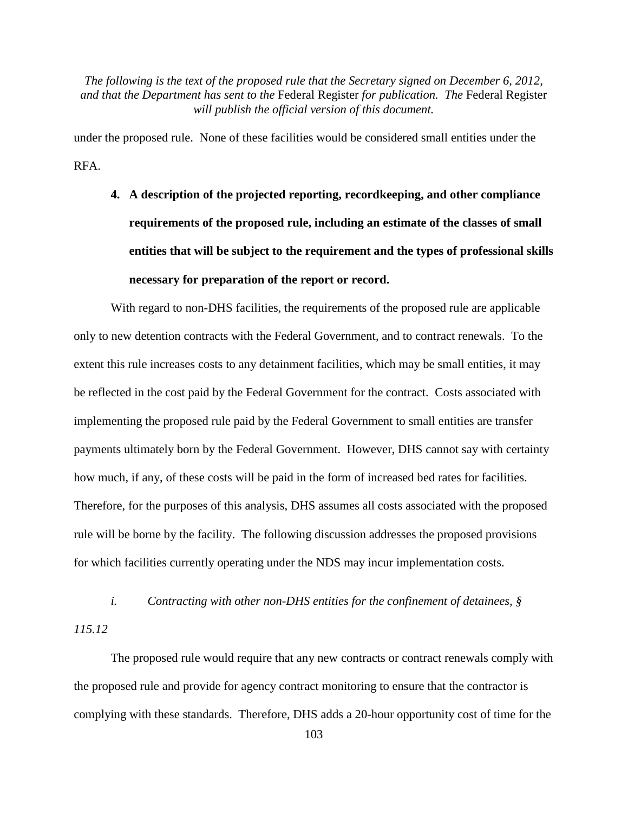under the proposed rule. None of these facilities would be considered small entities under the RFA.

**4. A description of the projected reporting, recordkeeping, and other compliance requirements of the proposed rule, including an estimate of the classes of small entities that will be subject to the requirement and the types of professional skills necessary for preparation of the report or record.**

With regard to non-DHS facilities, the requirements of the proposed rule are applicable only to new detention contracts with the Federal Government, and to contract renewals. To the extent this rule increases costs to any detainment facilities, which may be small entities, it may be reflected in the cost paid by the Federal Government for the contract. Costs associated with implementing the proposed rule paid by the Federal Government to small entities are transfer payments ultimately born by the Federal Government. However, DHS cannot say with certainty how much, if any, of these costs will be paid in the form of increased bed rates for facilities. Therefore, for the purposes of this analysis, DHS assumes all costs associated with the proposed rule will be borne by the facility. The following discussion addresses the proposed provisions for which facilities currently operating under the NDS may incur implementation costs.

*i. Contracting with other non-DHS entities for the confinement of detainees, § 115.12*

The proposed rule would require that any new contracts or contract renewals comply with the proposed rule and provide for agency contract monitoring to ensure that the contractor is complying with these standards. Therefore, DHS adds a 20-hour opportunity cost of time for the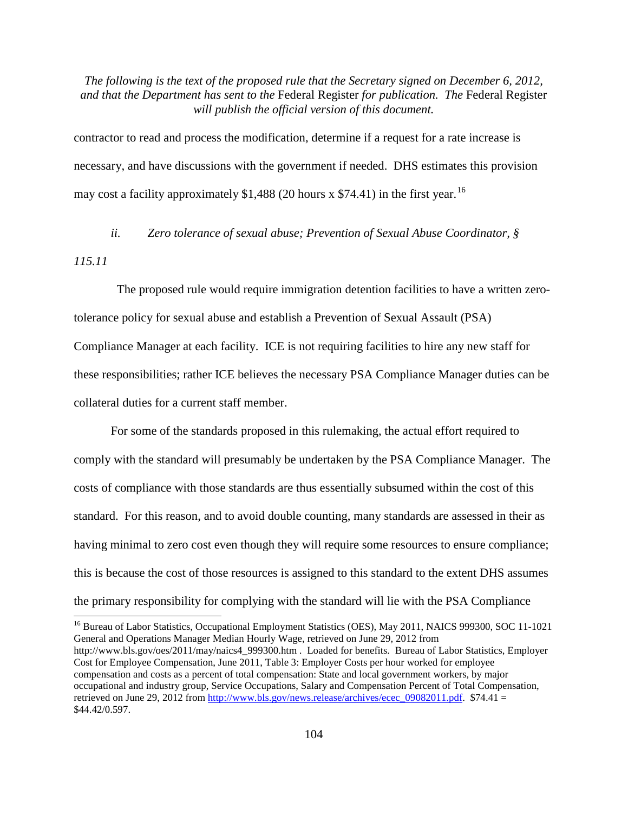contractor to read and process the modification, determine if a request for a rate increase is necessary, and have discussions with the government if needed. DHS estimates this provision may cost a facility approximately \$1,488 (20 hours x \$74.41) in the first year.<sup>[16](#page-103-0)</sup>

*ii. Zero tolerance of sexual abuse; Prevention of Sexual Abuse Coordinator, §* 

*115.11*

 The proposed rule would require immigration detention facilities to have a written zerotolerance policy for sexual abuse and establish a Prevention of Sexual Assault (PSA) Compliance Manager at each facility. ICE is not requiring facilities to hire any new staff for these responsibilities; rather ICE believes the necessary PSA Compliance Manager duties can be collateral duties for a current staff member.

For some of the standards proposed in this rulemaking, the actual effort required to comply with the standard will presumably be undertaken by the PSA Compliance Manager. The costs of compliance with those standards are thus essentially subsumed within the cost of this standard. For this reason, and to avoid double counting, many standards are assessed in their as having minimal to zero cost even though they will require some resources to ensure compliance; this is because the cost of those resources is assigned to this standard to the extent DHS assumes the primary responsibility for complying with the standard will lie with the PSA Compliance

<span id="page-103-0"></span><sup>&</sup>lt;sup>16</sup> Bureau of Labor Statistics, Occupational Employment Statistics (OES), May 2011, NAICS 999300, SOC 11-1021 General and Operations Manager Median Hourly Wage, retrieved on June 29, 2012 from http://www.bls.gov/oes/2011/may/naics4\_999300.htm . Loaded for benefits. Bureau of Labor Statistics, Employer Cost for Employee Compensation, June 2011, Table 3: Employer Costs per hour worked for employee compensation and costs as a percent of total compensation: State and local government workers, by major occupational and industry group, Service Occupations, Salary and Compensation Percent of Total Compensation, retrieved on June 29, 2012 from [http://www.bls.gov/news.release/archives/ecec\\_09082011.pdf.](http://www.bls.gov/news.release/archives/ecec_09082011.pdf)  $$74.41$  = \$44.42/0.597.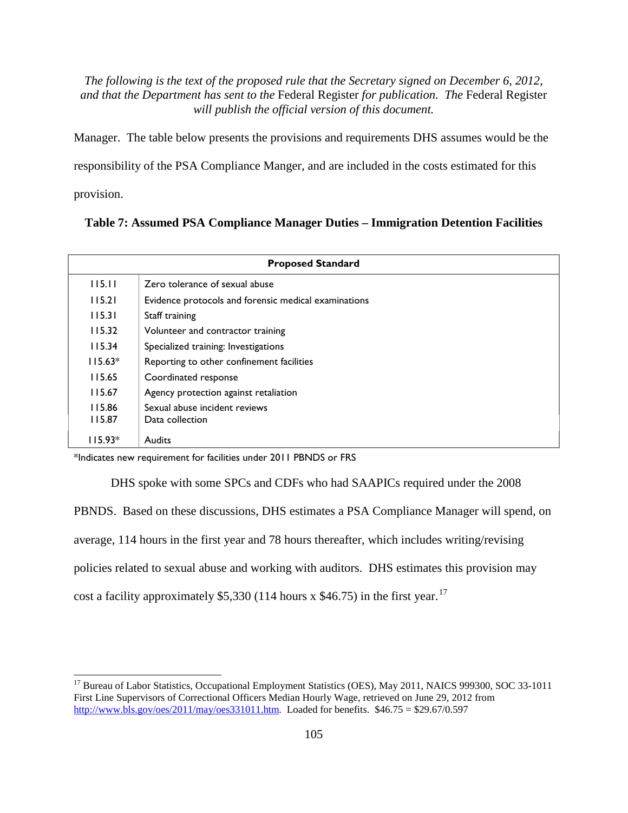Manager. The table below presents the provisions and requirements DHS assumes would be the

responsibility of the PSA Compliance Manger, and are included in the costs estimated for this

provision.

## **Table 7: Assumed PSA Compliance Manager Duties – Immigration Detention Facilities**

| <b>Proposed Standard</b> |                                                      |  |
|--------------------------|------------------------------------------------------|--|
| 115.11                   | Zero tolerance of sexual abuse                       |  |
| 115.21                   | Evidence protocols and forensic medical examinations |  |
| 115.31                   | Staff training                                       |  |
| 115.32                   | Volunteer and contractor training                    |  |
| 115.34                   | Specialized training: Investigations                 |  |
| $115.63*$                | Reporting to other confinement facilities            |  |
| 115.65                   | Coordinated response                                 |  |
| 115.67                   | Agency protection against retaliation                |  |
| 115.86                   | Sexual abuse incident reviews                        |  |
| 115.87                   | Data collection                                      |  |
| 115.93*                  | Audits                                               |  |

\*Indicates new requirement for facilities under 2011 PBNDS or FRS

DHS spoke with some SPCs and CDFs who had SAAPICs required under the 2008 PBNDS. Based on these discussions, DHS estimates a PSA Compliance Manager will spend, on average, 114 hours in the first year and 78 hours thereafter, which includes writing/revising policies related to sexual abuse and working with auditors. DHS estimates this provision may cost a facility approximately \$5,330 (114 hours x \$46.75) in the first year.<sup>[17](#page-104-0)</sup>

<span id="page-104-0"></span><sup>&</sup>lt;sup>17</sup> Bureau of Labor Statistics, Occupational Employment Statistics (OES), May 2011, NAICS 999300, SOC 33-1011 First Line Supervisors of Correctional Officers Median Hourly Wage, retrieved on June 29, 2012 from [http://www.bls.gov/oes/2011/may/oes331011.htm.](http://www.bls.gov/oes/2011/may/oes331011.htm) Loaded for benefits.  $$46.75 = $29.67/0.597$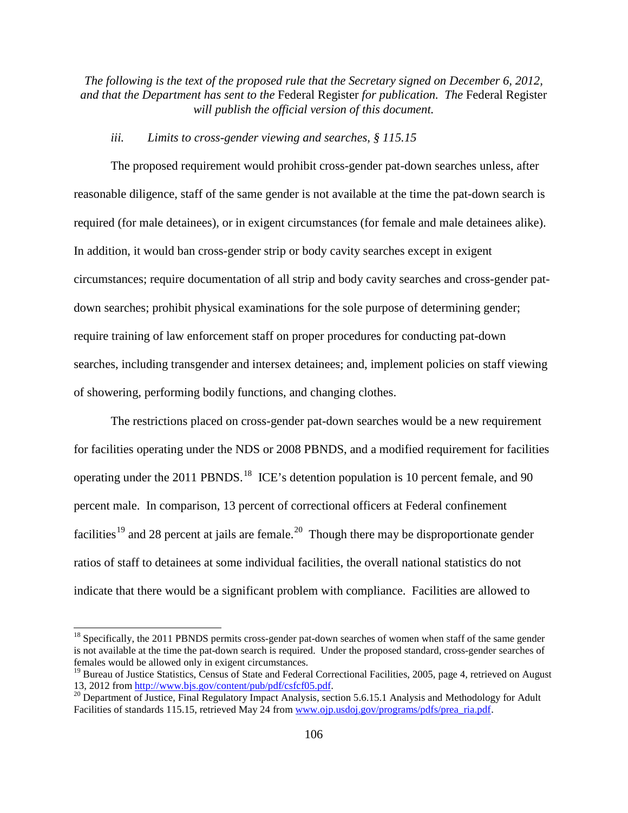# *iii. Limits to cross-gender viewing and searches, § 115.15*

The proposed requirement would prohibit cross-gender pat-down searches unless, after reasonable diligence, staff of the same gender is not available at the time the pat-down search is required (for male detainees), or in exigent circumstances (for female and male detainees alike). In addition, it would ban cross-gender strip or body cavity searches except in exigent circumstances; require documentation of all strip and body cavity searches and cross-gender patdown searches; prohibit physical examinations for the sole purpose of determining gender; require training of law enforcement staff on proper procedures for conducting pat-down searches, including transgender and intersex detainees; and, implement policies on staff viewing of showering, performing bodily functions, and changing clothes.

The restrictions placed on cross-gender pat-down searches would be a new requirement for facilities operating under the NDS or 2008 PBNDS, and a modified requirement for facilities operating under the 2011 PBNDS.<sup>18</sup> ICE's detention population is 10 percent female, and 90 percent male. In comparison, 13 percent of correctional officers at Federal confinement facilities<sup>[19](#page-105-1)</sup> and 28 percent at jails are female.<sup>[20](#page-105-2)</sup> Though there may be disproportionate gender ratios of staff to detainees at some individual facilities, the overall national statistics do not indicate that there would be a significant problem with compliance. Facilities are allowed to

<span id="page-105-0"></span><sup>&</sup>lt;sup>18</sup> Specifically, the 2011 PBNDS permits cross-gender pat-down searches of women when staff of the same gender is not available at the time the pat-down search is required. Under the proposed standard, cross-gender searches of females would be allowed only in exigent circumstances.

<span id="page-105-1"></span><sup>&</sup>lt;sup>19</sup> Bureau of Justice Statistics, Census of State and Federal Correctional Facilities, 2005, page 4, retrieved on August 13, 2012 from http://www.bis.gov/content/pub/pdf/csfcf05.pdf.

<span id="page-105-2"></span><sup>&</sup>lt;sup>20</sup> Department of Justice, Final Regulatory Impact Analysis, section 5.6.15.1 Analysis and Methodology for Adult Facilities of standards 115.15, retrieved May 24 from [www.ojp.usdoj.gov/programs/pdfs/prea\\_ria.pdf](http://www.ojp.usdoj.gov/programs/pdfs/prea_ria.pdf).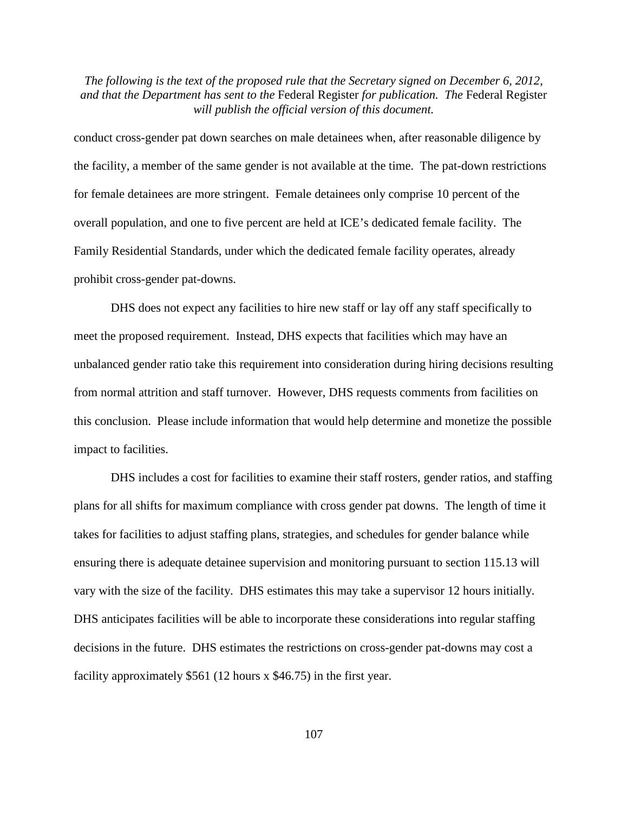conduct cross-gender pat down searches on male detainees when, after reasonable diligence by the facility, a member of the same gender is not available at the time. The pat-down restrictions for female detainees are more stringent. Female detainees only comprise 10 percent of the overall population, and one to five percent are held at ICE's dedicated female facility. The Family Residential Standards, under which the dedicated female facility operates, already prohibit cross-gender pat-downs.

DHS does not expect any facilities to hire new staff or lay off any staff specifically to meet the proposed requirement. Instead, DHS expects that facilities which may have an unbalanced gender ratio take this requirement into consideration during hiring decisions resulting from normal attrition and staff turnover. However, DHS requests comments from facilities on this conclusion. Please include information that would help determine and monetize the possible impact to facilities.

DHS includes a cost for facilities to examine their staff rosters, gender ratios, and staffing plans for all shifts for maximum compliance with cross gender pat downs. The length of time it takes for facilities to adjust staffing plans, strategies, and schedules for gender balance while ensuring there is adequate detainee supervision and monitoring pursuant to section 115.13 will vary with the size of the facility. DHS estimates this may take a supervisor 12 hours initially. DHS anticipates facilities will be able to incorporate these considerations into regular staffing decisions in the future. DHS estimates the restrictions on cross-gender pat-downs may cost a facility approximately \$561 (12 hours x \$46.75) in the first year.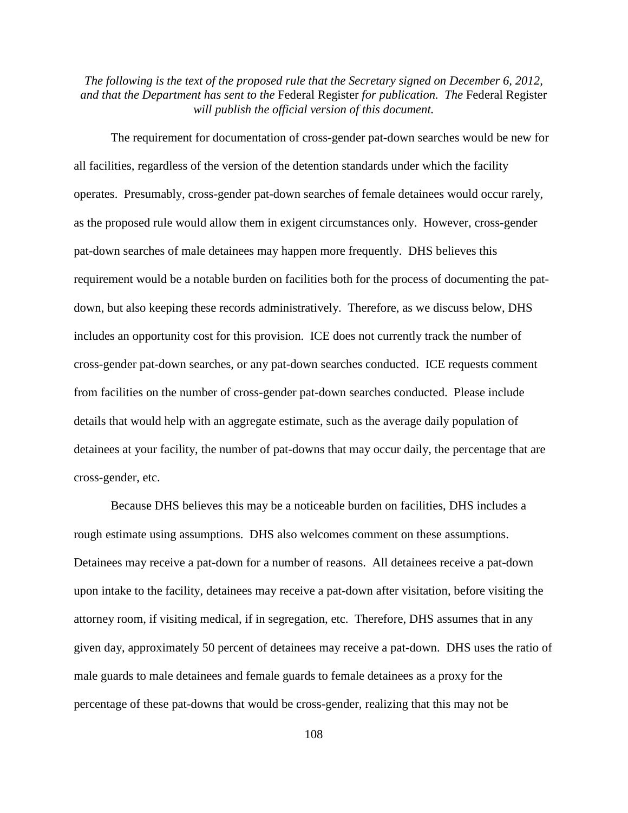The requirement for documentation of cross-gender pat-down searches would be new for all facilities, regardless of the version of the detention standards under which the facility operates. Presumably, cross-gender pat-down searches of female detainees would occur rarely, as the proposed rule would allow them in exigent circumstances only. However, cross-gender pat-down searches of male detainees may happen more frequently. DHS believes this requirement would be a notable burden on facilities both for the process of documenting the patdown, but also keeping these records administratively. Therefore, as we discuss below, DHS includes an opportunity cost for this provision. ICE does not currently track the number of cross-gender pat-down searches, or any pat-down searches conducted. ICE requests comment from facilities on the number of cross-gender pat-down searches conducted. Please include details that would help with an aggregate estimate, such as the average daily population of detainees at your facility, the number of pat-downs that may occur daily, the percentage that are cross-gender, etc.

Because DHS believes this may be a noticeable burden on facilities, DHS includes a rough estimate using assumptions. DHS also welcomes comment on these assumptions. Detainees may receive a pat-down for a number of reasons. All detainees receive a pat-down upon intake to the facility, detainees may receive a pat-down after visitation, before visiting the attorney room, if visiting medical, if in segregation, etc. Therefore, DHS assumes that in any given day, approximately 50 percent of detainees may receive a pat-down. DHS uses the ratio of male guards to male detainees and female guards to female detainees as a proxy for the percentage of these pat-downs that would be cross-gender, realizing that this may not be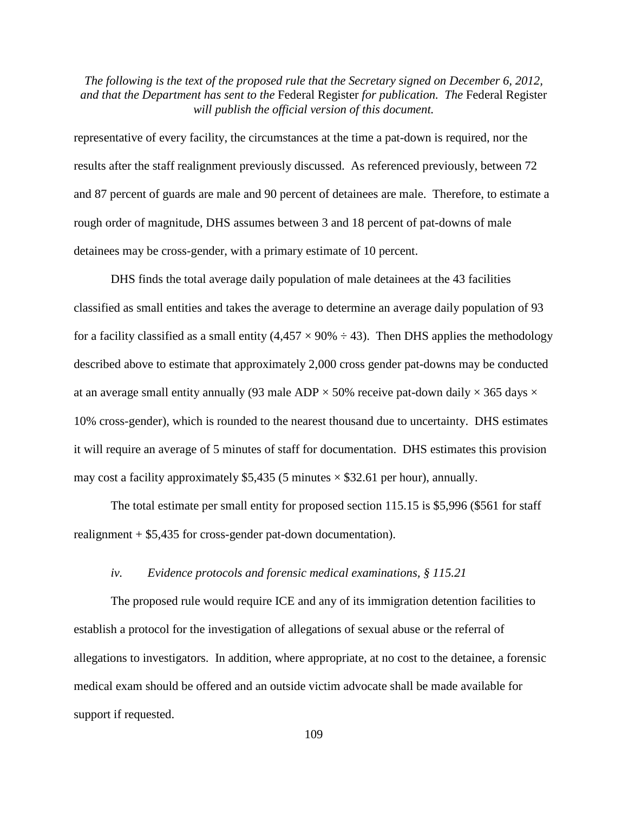representative of every facility, the circumstances at the time a pat-down is required, nor the results after the staff realignment previously discussed. As referenced previously, between 72 and 87 percent of guards are male and 90 percent of detainees are male. Therefore, to estimate a rough order of magnitude, DHS assumes between 3 and 18 percent of pat-downs of male detainees may be cross-gender, with a primary estimate of 10 percent.

DHS finds the total average daily population of male detainees at the 43 facilities classified as small entities and takes the average to determine an average daily population of 93 for a facility classified as a small entity (4,457  $\times$  90%  $\div$  43). Then DHS applies the methodology described above to estimate that approximately 2,000 cross gender pat-downs may be conducted at an average small entity annually (93 male ADP  $\times$  50% receive pat-down daily  $\times$  365 days  $\times$ 10% cross-gender), which is rounded to the nearest thousand due to uncertainty. DHS estimates it will require an average of 5 minutes of staff for documentation. DHS estimates this provision may cost a facility approximately \$5,435 (5 minutes  $\times$  \$32.61 per hour), annually.

The total estimate per small entity for proposed section 115.15 is \$5,996 (\$561 for staff realignment + \$5,435 for cross-gender pat-down documentation).

#### *iv. Evidence protocols and forensic medical examinations, § 115.21*

The proposed rule would require ICE and any of its immigration detention facilities to establish a protocol for the investigation of allegations of sexual abuse or the referral of allegations to investigators. In addition, where appropriate, at no cost to the detainee, a forensic medical exam should be offered and an outside victim advocate shall be made available for support if requested.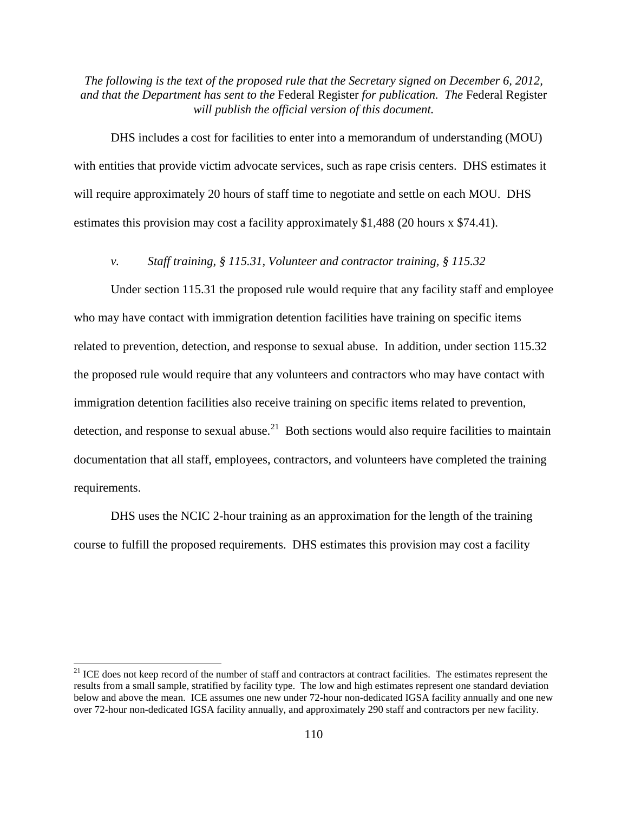DHS includes a cost for facilities to enter into a memorandum of understanding (MOU) with entities that provide victim advocate services, such as rape crisis centers. DHS estimates it will require approximately 20 hours of staff time to negotiate and settle on each MOU. DHS estimates this provision may cost a facility approximately \$1,488 (20 hours x \$74.41).

# *v. Staff training, § 115.31, Volunteer and contractor training, § 115.32*

Under section 115.31 the proposed rule would require that any facility staff and employee who may have contact with immigration detention facilities have training on specific items related to prevention, detection, and response to sexual abuse. In addition, under section 115.32 the proposed rule would require that any volunteers and contractors who may have contact with immigration detention facilities also receive training on specific items related to prevention, detection, and response to sexual abuse.<sup>[21](#page-109-0)</sup> Both sections would also require facilities to maintain documentation that all staff, employees, contractors, and volunteers have completed the training requirements.

DHS uses the NCIC 2-hour training as an approximation for the length of the training course to fulfill the proposed requirements. DHS estimates this provision may cost a facility

<span id="page-109-0"></span> $21$  ICE does not keep record of the number of staff and contractors at contract facilities. The estimates represent the results from a small sample, stratified by facility type. The low and high estimates represent one standard deviation below and above the mean. ICE assumes one new under 72-hour non-dedicated IGSA facility annually and one new over 72-hour non-dedicated IGSA facility annually, and approximately 290 staff and contractors per new facility.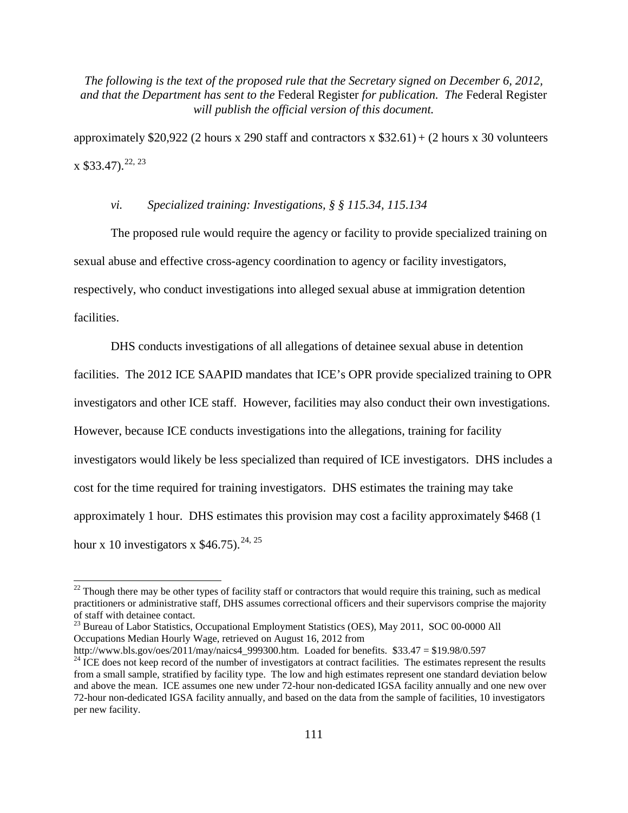approximately \$20,922 (2 hours x 290 staff and contractors x  $$32.61$ ) + (2 hours x 30 volunteers  $x$  \$33.47).<sup>[22,](#page-110-0) [23](#page-110-1)</sup>

# *vi. Specialized training: Investigations, § § 115.34, 115.134*

The proposed rule would require the agency or facility to provide specialized training on sexual abuse and effective cross-agency coordination to agency or facility investigators, respectively, who conduct investigations into alleged sexual abuse at immigration detention facilities.

DHS conducts investigations of all allegations of detainee sexual abuse in detention facilities. The 2012 ICE SAAPID mandates that ICE's OPR provide specialized training to OPR investigators and other ICE staff. However, facilities may also conduct their own investigations. However, because ICE conducts investigations into the allegations, training for facility investigators would likely be less specialized than required of ICE investigators. DHS includes a cost for the time required for training investigators. DHS estimates the training may take approximately 1 hour. DHS estimates this provision may cost a facility approximately \$468 (1 hour x 10 investigators x  $$46.75$ ).<sup>[24](#page-110-2), [25](#page-110-3)</sup>

<span id="page-110-1"></span><sup>23</sup> Bureau of Labor Statistics, Occupational Employment Statistics (OES), May 2011, SOC 00-0000 All Occupations Median Hourly Wage, retrieved on August 16, 2012 from<br>http://www.bls.gov/oes/2011/may/naics4 999300.htm. Loaded for benefits. \$33.47 = \$19.98/0.597

<span id="page-110-3"></span><span id="page-110-0"></span><sup>&</sup>lt;sup>22</sup> Though there may be other types of facility staff or contractors that would require this training, such as medical practitioners or administrative staff, DHS assumes correctional officers and their supervisors comprise the majority of staff with detainee contact.

<span id="page-110-2"></span> $^{24}$  ICE does not keep record of the number of investigators at contract facilities. The estimates represent the results from a small sample, stratified by facility type. The low and high estimates represent one standard deviation below and above the mean. ICE assumes one new under 72-hour non-dedicated IGSA facility annually and one new over 72-hour non-dedicated IGSA facility annually, and based on the data from the sample of facilities, 10 investigators per new facility.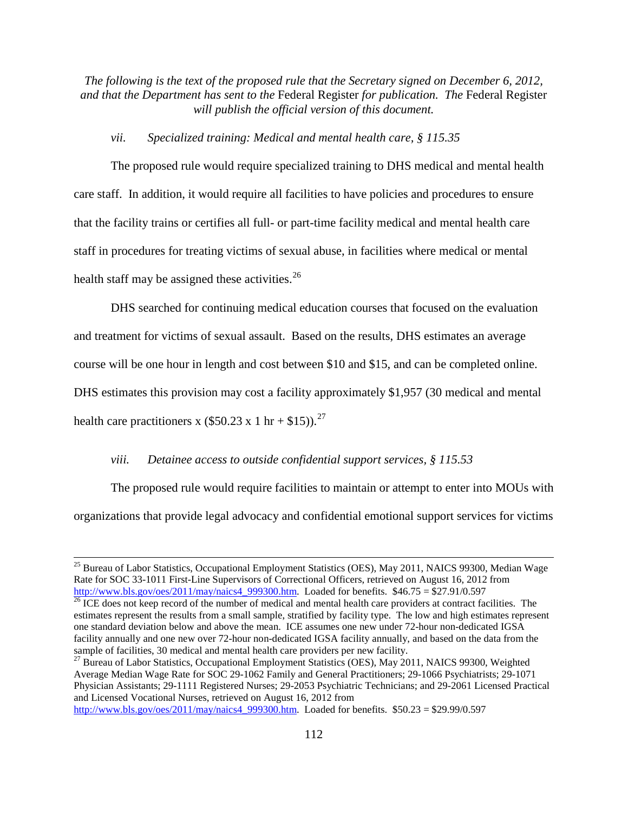# *vii. Specialized training: Medical and mental health care, § 115.35*

The proposed rule would require specialized training to DHS medical and mental health care staff. In addition, it would require all facilities to have policies and procedures to ensure that the facility trains or certifies all full- or part-time facility medical and mental health care staff in procedures for treating victims of sexual abuse, in facilities where medical or mental health staff may be assigned these activities. $^{26}$ 

DHS searched for continuing medical education courses that focused on the evaluation and treatment for victims of sexual assault. Based on the results, DHS estimates an average course will be one hour in length and cost between \$10 and \$15, and can be completed online. DHS estimates this provision may cost a facility approximately \$1,957 (30 medical and mental health care practitioners x (\$50.23 x 1 hr + \$15)).<sup>[27](#page-111-1)</sup>

# *viii. Detainee access to outside confidential support services, § 115.53*

The proposed rule would require facilities to maintain or attempt to enter into MOUs with organizations that provide legal advocacy and confidential emotional support services for victims

<span id="page-111-1"></span><sup>27</sup> Bureau of Labor Statistics, Occupational Employment Statistics (OES), May 2011, NAICS 99300, Weighted Average Median Wage Rate for SOC 29-1062 Family and General Practitioners; 29-1066 Psychiatrists; 29-1071 Physician Assistants; 29-1111 Registered Nurses; 29-2053 Psychiatric Technicians; and 29-2061 Licensed Practical and Licensed Vocational Nurses, retrieved on August 16, 2012 from

[http://www.bls.gov/oes/2011/may/naics4\\_999300.htm.](http://www.bls.gov/oes/2011/may/naics4_999300.htm) Loaded for benefits. \$50.23 = \$29.99/0.597

<sup>&</sup>lt;sup>25</sup> Bureau of Labor Statistics, Occupational Employment Statistics (OES), May 2011, NAICS 99300, Median Wage Rate for SOC 33-1011 First-Line Supervisors of Correctional Officers, retrieved on August 16, 2012 from

<span id="page-111-0"></span>[http://www.bls.gov/oes/2011/may/naics4\\_999300.htm.](http://www.bls.gov/oes/2011/may/naics4_999300.htm) Loaded for benefits.  $$46.75 = $27.91/0.597$ <br><sup>26</sup> ICE does not keep record of the number of medical and mental health care providers at contract facilities. The estimates represent the results from a small sample, stratified by facility type. The low and high estimates represent one standard deviation below and above the mean. ICE assumes one new under 72-hour non-dedicated IGSA facility annually and one new over 72-hour non-dedicated IGSA facility annually, and based on the data from the sample of facilities, 30 medical and mental health care providers per new facility.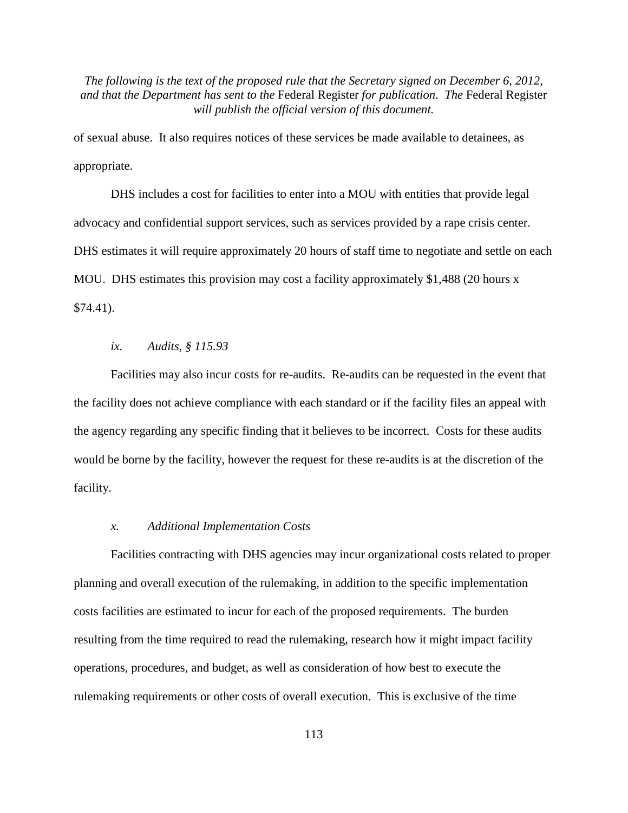of sexual abuse. It also requires notices of these services be made available to detainees, as appropriate.

DHS includes a cost for facilities to enter into a MOU with entities that provide legal advocacy and confidential support services, such as services provided by a rape crisis center. DHS estimates it will require approximately 20 hours of staff time to negotiate and settle on each MOU. DHS estimates this provision may cost a facility approximately \$1,488 (20 hours x \$74.41).

#### *ix. Audits, § 115.93*

Facilities may also incur costs for re-audits. Re-audits can be requested in the event that the facility does not achieve compliance with each standard or if the facility files an appeal with the agency regarding any specific finding that it believes to be incorrect. Costs for these audits would be borne by the facility, however the request for these re-audits is at the discretion of the facility.

#### *x. Additional Implementation Costs*

Facilities contracting with DHS agencies may incur organizational costs related to proper planning and overall execution of the rulemaking, in addition to the specific implementation costs facilities are estimated to incur for each of the proposed requirements. The burden resulting from the time required to read the rulemaking, research how it might impact facility operations, procedures, and budget, as well as consideration of how best to execute the rulemaking requirements or other costs of overall execution. This is exclusive of the time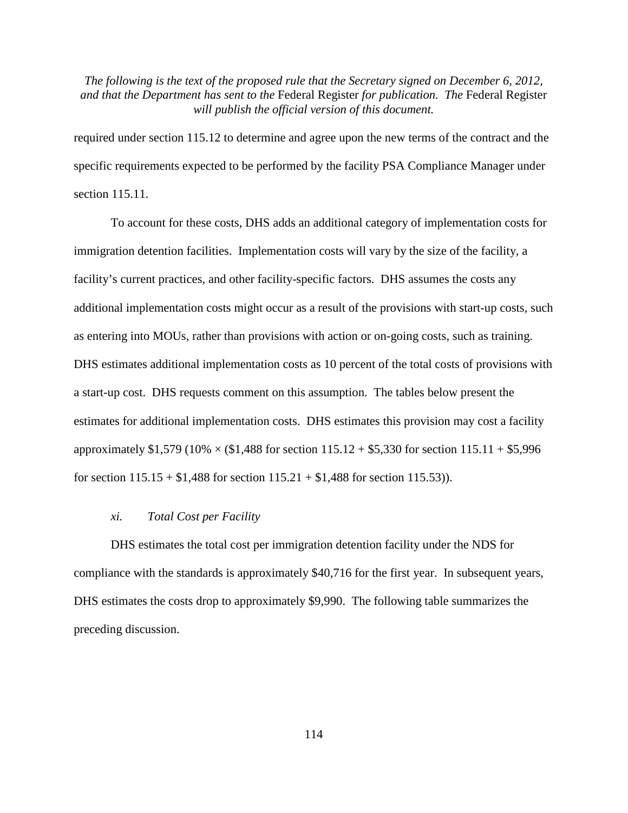required under section 115.12 to determine and agree upon the new terms of the contract and the specific requirements expected to be performed by the facility PSA Compliance Manager under section 115.11.

To account for these costs, DHS adds an additional category of implementation costs for immigration detention facilities. Implementation costs will vary by the size of the facility, a facility's current practices, and other facility-specific factors. DHS assumes the costs any additional implementation costs might occur as a result of the provisions with start-up costs, such as entering into MOUs, rather than provisions with action or on-going costs, such as training. DHS estimates additional implementation costs as 10 percent of the total costs of provisions with a start-up cost. DHS requests comment on this assumption. The tables below present the estimates for additional implementation costs. DHS estimates this provision may cost a facility approximately \$1,579 (10%  $\times$  (\$1,488 for section 115.12 + \$5,330 for section 115.11 + \$5,996 for section  $115.15 + $1,488$  for section  $115.21 + $1,488$  for section 115.53)).

#### *xi. Total Cost per Facility*

DHS estimates the total cost per immigration detention facility under the NDS for compliance with the standards is approximately \$40,716 for the first year. In subsequent years, DHS estimates the costs drop to approximately \$9,990. The following table summarizes the preceding discussion.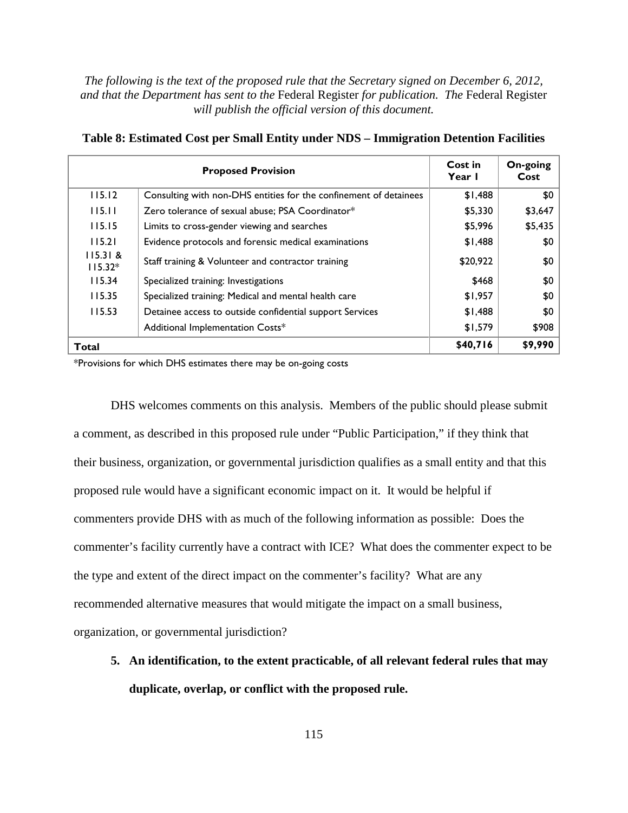| <b>Proposed Provision</b> |                                                                   | <b>Cost in</b><br>Year I | On-going<br>Cost |
|---------------------------|-------------------------------------------------------------------|--------------------------|------------------|
| 115.12                    | Consulting with non-DHS entities for the confinement of detainees | \$1,488                  | \$0              |
| 115.11                    | Zero tolerance of sexual abuse; PSA Coordinator*                  | \$5,330                  | \$3,647          |
| 115.15                    | Limits to cross-gender viewing and searches                       | \$5,996                  | \$5,435          |
| 115.21                    | Evidence protocols and forensic medical examinations              | \$1,488                  | \$0              |
| 115.31 &<br>$115.32*$     | Staff training & Volunteer and contractor training                | \$20,922                 | \$0              |
| 115.34                    | Specialized training: Investigations                              | \$468                    | \$0              |
| 115.35                    | Specialized training: Medical and mental health care              | \$1,957                  | \$0              |
| 115.53                    | Detainee access to outside confidential support Services          | \$1,488                  | \$0              |
|                           | Additional Implementation Costs*                                  | \$1,579                  | \$908            |
| <b>Total</b>              |                                                                   | \$40,716                 | \$9,990          |

| Table 8: Estimated Cost per Small Entity under NDS - Immigration Detention Facilities |  |  |
|---------------------------------------------------------------------------------------|--|--|
|                                                                                       |  |  |

\*Provisions for which DHS estimates there may be on-going costs

DHS welcomes comments on this analysis. Members of the public should please submit a comment, as described in this proposed rule under "Public Participation," if they think that their business, organization, or governmental jurisdiction qualifies as a small entity and that this proposed rule would have a significant economic impact on it. It would be helpful if commenters provide DHS with as much of the following information as possible: Does the commenter's facility currently have a contract with ICE? What does the commenter expect to be the type and extent of the direct impact on the commenter's facility? What are any recommended alternative measures that would mitigate the impact on a small business, organization, or governmental jurisdiction?

**5. An identification, to the extent practicable, of all relevant federal rules that may duplicate, overlap, or conflict with the proposed rule.**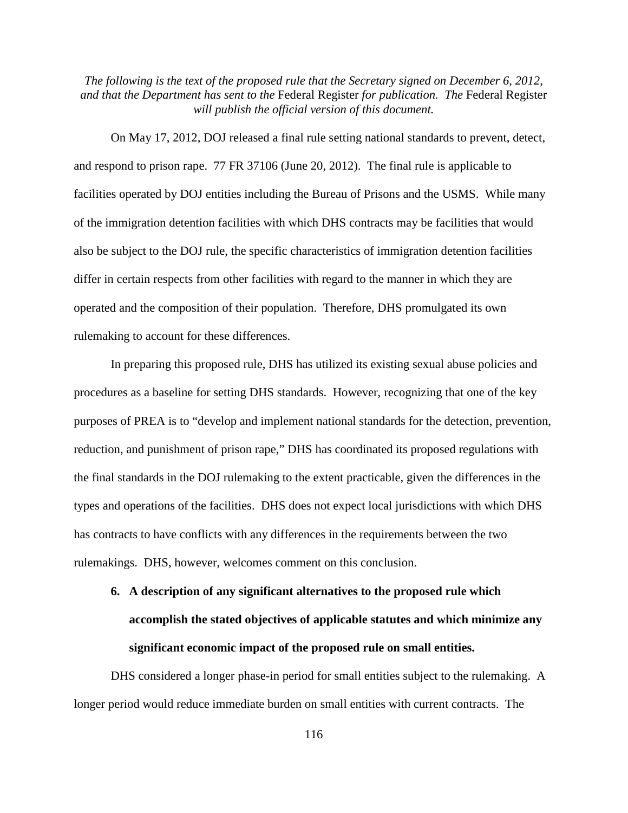On May 17, 2012, DOJ released a final rule setting national standards to prevent, detect, and respond to prison rape. 77 FR 37106 (June 20, 2012). The final rule is applicable to facilities operated by DOJ entities including the Bureau of Prisons and the USMS. While many of the immigration detention facilities with which DHS contracts may be facilities that would also be subject to the DOJ rule, the specific characteristics of immigration detention facilities differ in certain respects from other facilities with regard to the manner in which they are operated and the composition of their population. Therefore, DHS promulgated its own rulemaking to account for these differences.

In preparing this proposed rule, DHS has utilized its existing sexual abuse policies and procedures as a baseline for setting DHS standards. However, recognizing that one of the key purposes of PREA is to "develop and implement national standards for the detection, prevention, reduction, and punishment of prison rape," DHS has coordinated its proposed regulations with the final standards in the DOJ rulemaking to the extent practicable, given the differences in the types and operations of the facilities. DHS does not expect local jurisdictions with which DHS has contracts to have conflicts with any differences in the requirements between the two rulemakings. DHS, however, welcomes comment on this conclusion.

# **6. A description of any significant alternatives to the proposed rule which accomplish the stated objectives of applicable statutes and which minimize any significant economic impact of the proposed rule on small entities.**

DHS considered a longer phase-in period for small entities subject to the rulemaking. A longer period would reduce immediate burden on small entities with current contracts. The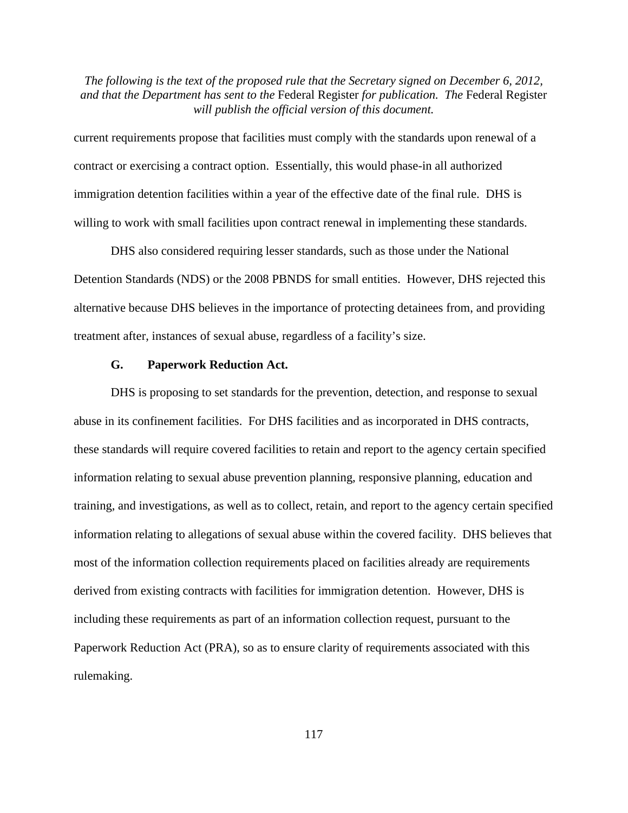current requirements propose that facilities must comply with the standards upon renewal of a contract or exercising a contract option. Essentially, this would phase-in all authorized immigration detention facilities within a year of the effective date of the final rule. DHS is willing to work with small facilities upon contract renewal in implementing these standards.

DHS also considered requiring lesser standards, such as those under the National Detention Standards (NDS) or the 2008 PBNDS for small entities. However, DHS rejected this alternative because DHS believes in the importance of protecting detainees from, and providing treatment after, instances of sexual abuse, regardless of a facility's size.

#### **G. Paperwork Reduction Act.**

DHS is proposing to set standards for the prevention, detection, and response to sexual abuse in its confinement facilities. For DHS facilities and as incorporated in DHS contracts, these standards will require covered facilities to retain and report to the agency certain specified information relating to sexual abuse prevention planning, responsive planning, education and training, and investigations, as well as to collect, retain, and report to the agency certain specified information relating to allegations of sexual abuse within the covered facility. DHS believes that most of the information collection requirements placed on facilities already are requirements derived from existing contracts with facilities for immigration detention. However, DHS is including these requirements as part of an information collection request, pursuant to the Paperwork Reduction Act (PRA), so as to ensure clarity of requirements associated with this rulemaking.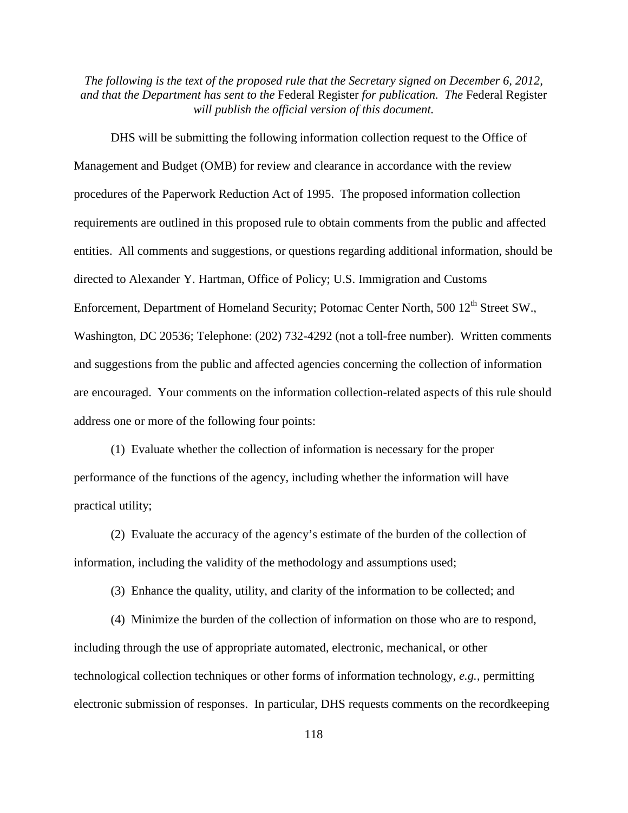DHS will be submitting the following information collection request to the Office of Management and Budget (OMB) for review and clearance in accordance with the review procedures of the Paperwork Reduction Act of 1995. The proposed information collection requirements are outlined in this proposed rule to obtain comments from the public and affected entities. All comments and suggestions, or questions regarding additional information, should be directed to Alexander Y. Hartman, Office of Policy; U.S. Immigration and Customs Enforcement, Department of Homeland Security; Potomac Center North, 500 12<sup>th</sup> Street SW., Washington, DC 20536; Telephone: (202) 732-4292 (not a toll-free number). Written comments and suggestions from the public and affected agencies concerning the collection of information are encouraged. Your comments on the information collection-related aspects of this rule should address one or more of the following four points:

(1) Evaluate whether the collection of information is necessary for the proper performance of the functions of the agency, including whether the information will have practical utility;

(2) Evaluate the accuracy of the agency's estimate of the burden of the collection of information, including the validity of the methodology and assumptions used;

(3) Enhance the quality, utility, and clarity of the information to be collected; and

(4) Minimize the burden of the collection of information on those who are to respond, including through the use of appropriate automated, electronic, mechanical, or other technological collection techniques or other forms of information technology, *e.g.,* permitting electronic submission of responses. In particular, DHS requests comments on the recordkeeping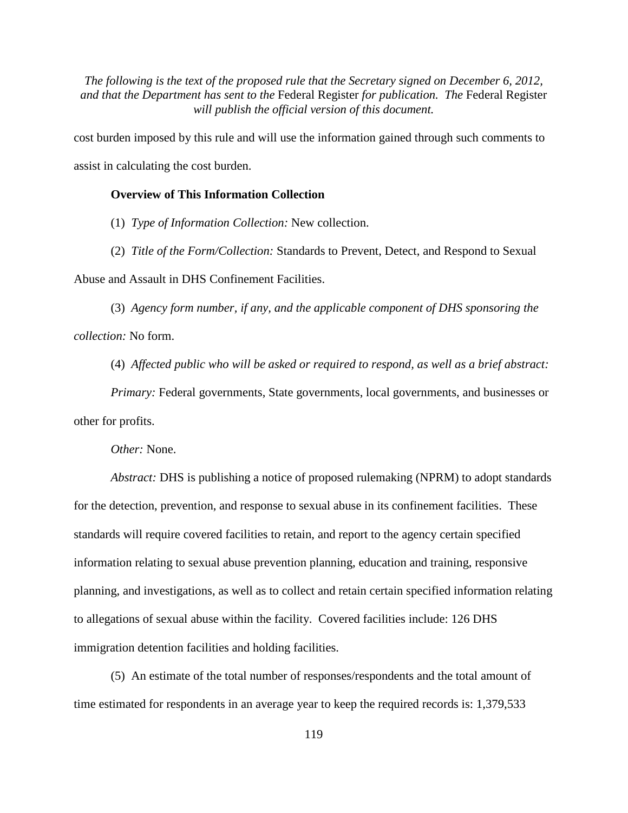cost burden imposed by this rule and will use the information gained through such comments to assist in calculating the cost burden.

# **Overview of This Information Collection**

(1) *Type of Information Collection:* New collection.

(2) *Title of the Form/Collection:* Standards to Prevent, Detect, and Respond to Sexual

Abuse and Assault in DHS Confinement Facilities.

(3) *Agency form number, if any, and the applicable component of DHS sponsoring the collection:* No form.

(4) *Affected public who will be asked or required to respond, as well as a brief abstract:* 

*Primary:* Federal governments, State governments, local governments, and businesses or other for profits.

*Other:* None.

*Abstract:* DHS is publishing a notice of proposed rulemaking (NPRM) to adopt standards for the detection, prevention, and response to sexual abuse in its confinement facilities. These standards will require covered facilities to retain, and report to the agency certain specified information relating to sexual abuse prevention planning, education and training, responsive planning, and investigations, as well as to collect and retain certain specified information relating to allegations of sexual abuse within the facility. Covered facilities include: 126 DHS immigration detention facilities and holding facilities.

(5) An estimate of the total number of responses/respondents and the total amount of time estimated for respondents in an average year to keep the required records is: 1,379,533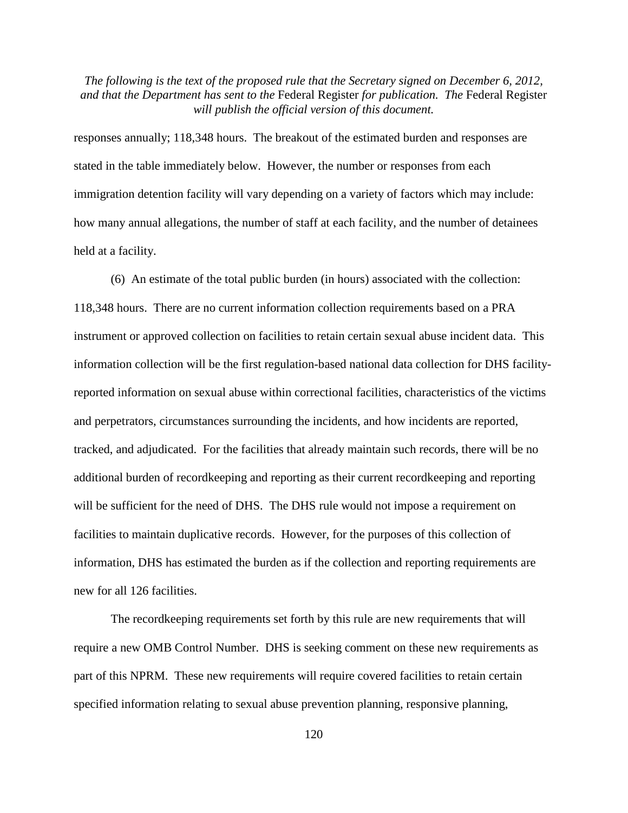responses annually; 118,348 hours. The breakout of the estimated burden and responses are stated in the table immediately below. However, the number or responses from each immigration detention facility will vary depending on a variety of factors which may include: how many annual allegations, the number of staff at each facility, and the number of detainees held at a facility.

(6) An estimate of the total public burden (in hours) associated with the collection: 118,348 hours. There are no current information collection requirements based on a PRA instrument or approved collection on facilities to retain certain sexual abuse incident data. This information collection will be the first regulation-based national data collection for DHS facilityreported information on sexual abuse within correctional facilities, characteristics of the victims and perpetrators, circumstances surrounding the incidents, and how incidents are reported, tracked, and adjudicated. For the facilities that already maintain such records, there will be no additional burden of recordkeeping and reporting as their current recordkeeping and reporting will be sufficient for the need of DHS. The DHS rule would not impose a requirement on facilities to maintain duplicative records. However, for the purposes of this collection of information, DHS has estimated the burden as if the collection and reporting requirements are new for all 126 facilities.

The recordkeeping requirements set forth by this rule are new requirements that will require a new OMB Control Number. DHS is seeking comment on these new requirements as part of this NPRM. These new requirements will require covered facilities to retain certain specified information relating to sexual abuse prevention planning, responsive planning,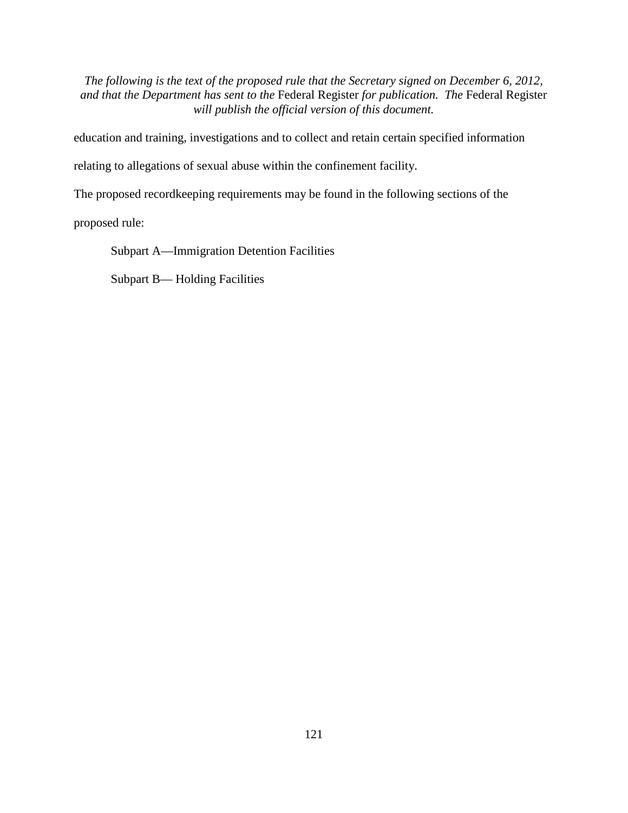education and training, investigations and to collect and retain certain specified information

relating to allegations of sexual abuse within the confinement facility.

The proposed recordkeeping requirements may be found in the following sections of the

proposed rule:

Subpart A—Immigration Detention Facilities

Subpart B— Holding Facilities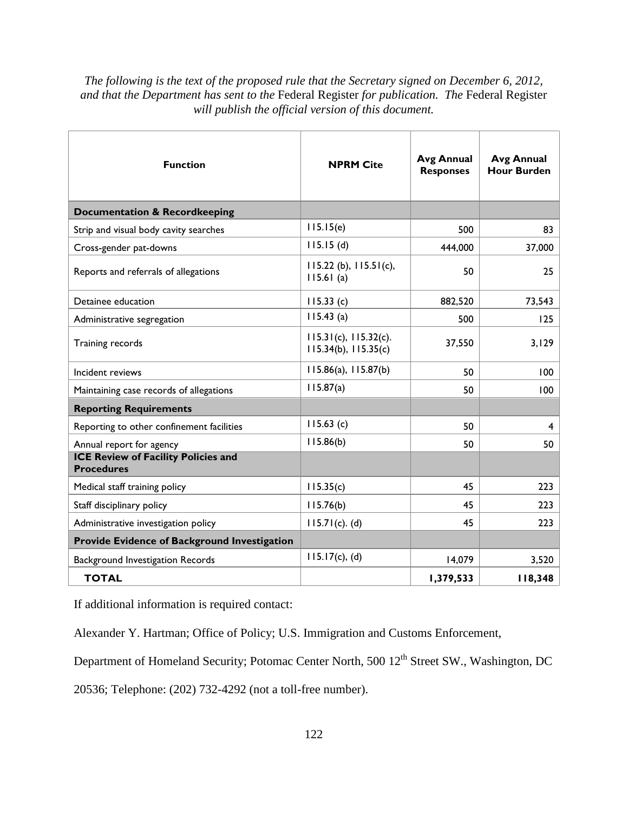| <b>Function</b>                                                 | <b>NPRM Cite</b>                                         | <b>Avg Annual</b><br><b>Responses</b> | <b>Avg Annual</b><br><b>Hour Burden</b> |
|-----------------------------------------------------------------|----------------------------------------------------------|---------------------------------------|-----------------------------------------|
| <b>Documentation &amp; Recordkeeping</b>                        |                                                          |                                       |                                         |
| Strip and visual body cavity searches                           | 115.15(e)                                                | 500                                   | 83                                      |
| Cross-gender pat-downs                                          | 115.15(d)                                                | 444,000                               | 37,000                                  |
| Reports and referrals of allegations                            | $115.22$ (b), $115.51$ (c),<br>115.61(a)                 | 50                                    | 25                                      |
| Detainee education                                              | 115.33(c)                                                | 882,520                               | 73,543                                  |
| Administrative segregation                                      | $115.43$ (a)                                             | 500                                   | 125                                     |
| Training records                                                | $115.31(c)$ , $115.32(c)$ .<br>$115.34(b)$ , $115.35(c)$ | 37,550                                | 3,129                                   |
| Incident reviews                                                | 115.86(a), 115.87(b)                                     | 50                                    | 100                                     |
| Maintaining case records of allegations                         | 115.87(a)                                                | 50                                    | 100                                     |
| <b>Reporting Requirements</b>                                   |                                                          |                                       |                                         |
| Reporting to other confinement facilities                       | 115.63(c)                                                | 50                                    | 4                                       |
| Annual report for agency                                        | 115.86(b)                                                | 50                                    | 50                                      |
| <b>ICE Review of Facility Policies and</b><br><b>Procedures</b> |                                                          |                                       |                                         |
| Medical staff training policy                                   | 115.35(c)                                                | 45                                    | 223                                     |
| Staff disciplinary policy                                       | 115.76(b)                                                | 45                                    | 223                                     |
| Administrative investigation policy                             | $115.71(c)$ . (d)                                        | 45                                    | 223                                     |
| Provide Evidence of Background Investigation                    |                                                          |                                       |                                         |
| Background Investigation Records                                | 115.17(c), (d)                                           | 14,079                                | 3,520                                   |
| <b>TOTAL</b>                                                    |                                                          | 1,379,533                             | 118,348                                 |

If additional information is required contact:

Alexander Y. Hartman; Office of Policy; U.S. Immigration and Customs Enforcement,

Department of Homeland Security; Potomac Center North, 500 12<sup>th</sup> Street SW., Washington, DC

20536; Telephone: (202) 732-4292 (not a toll-free number).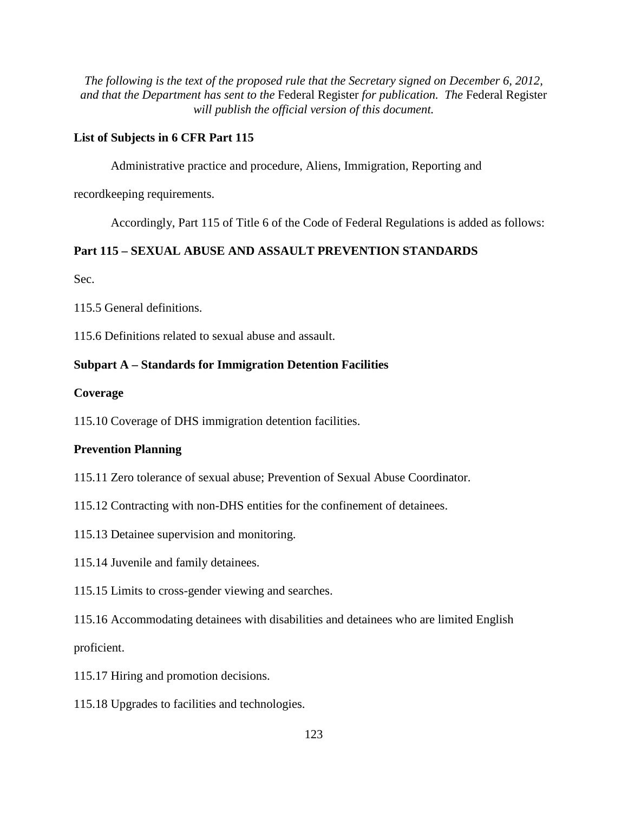# **List of Subjects in 6 CFR Part 115**

Administrative practice and procedure, Aliens, Immigration, Reporting and

recordkeeping requirements.

Accordingly, Part 115 of Title 6 of the Code of Federal Regulations is added as follows:

# **Part 115 – SEXUAL ABUSE AND ASSAULT PREVENTION STANDARDS**

Sec.

115.5 General definitions.

115.6 Definitions related to sexual abuse and assault.

#### **Subpart A – Standards for Immigration Detention Facilities**

#### **Coverage**

115.10 Coverage of DHS immigration detention facilities.

#### **Prevention Planning**

- 115.11 Zero tolerance of sexual abuse; Prevention of Sexual Abuse Coordinator.
- 115.12 Contracting with non-DHS entities for the confinement of detainees.
- 115.13 Detainee supervision and monitoring.
- 115.14 Juvenile and family detainees.
- 115.15 Limits to cross-gender viewing and searches.

115.16 Accommodating detainees with disabilities and detainees who are limited English proficient.

- 115.17 Hiring and promotion decisions.
- 115.18 Upgrades to facilities and technologies.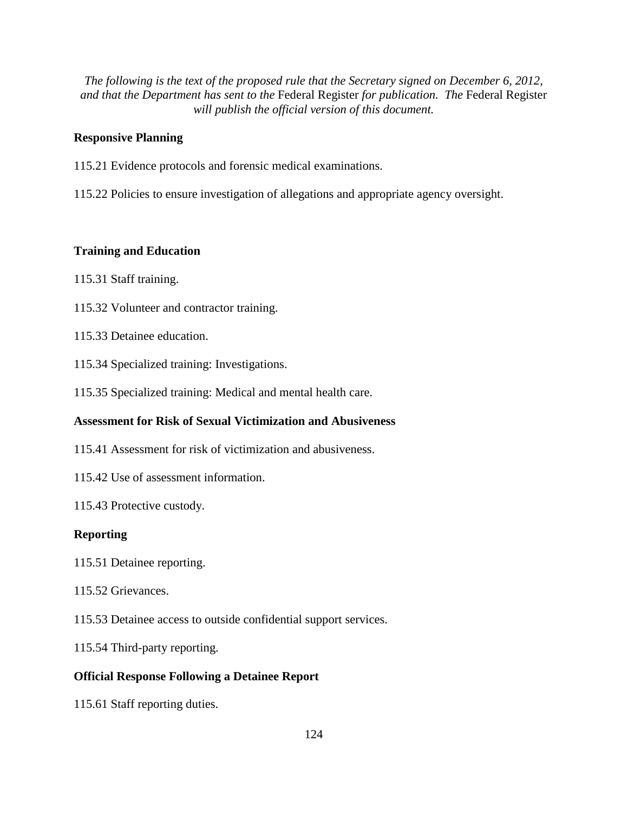### **Responsive Planning**

- 115.21 Evidence protocols and forensic medical examinations.
- 115.22 Policies to ensure investigation of allegations and appropriate agency oversight.

# **Training and Education**

- 115.31 Staff training.
- 115.32 Volunteer and contractor training.
- 115.33 Detainee education.
- 115.34 Specialized training: Investigations.
- 115.35 Specialized training: Medical and mental health care.

# **Assessment for Risk of Sexual Victimization and Abusiveness**

- 115.41 Assessment for risk of victimization and abusiveness.
- 115.42 Use of assessment information.
- 115.43 Protective custody.

#### **Reporting**

- 115.51 Detainee reporting.
- 115.52 Grievances.
- 115.53 Detainee access to outside confidential support services.
- 115.54 Third-party reporting.

#### **Official Response Following a Detainee Report**

115.61 Staff reporting duties.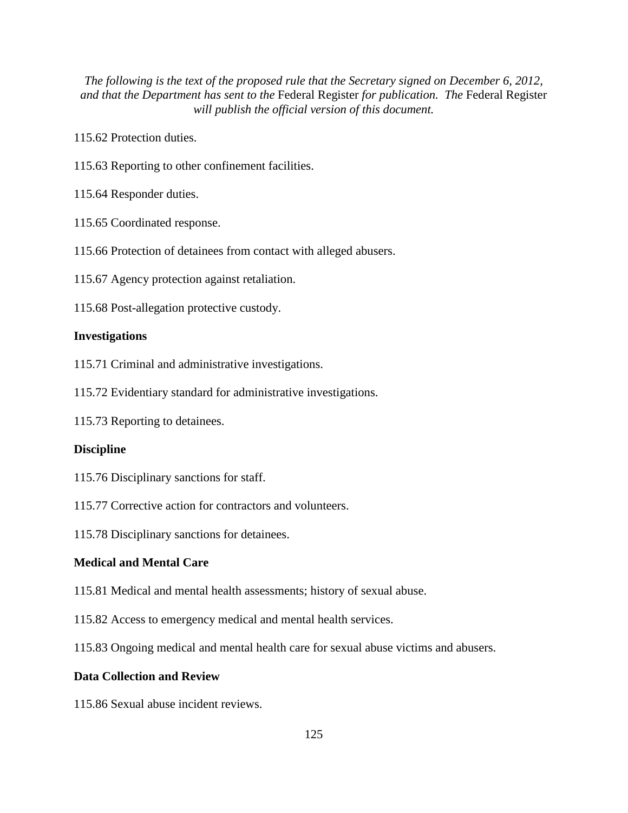115.62 Protection duties.

115.63 Reporting to other confinement facilities.

115.64 Responder duties.

- 115.65 Coordinated response.
- 115.66 Protection of detainees from contact with alleged abusers.
- 115.67 Agency protection against retaliation.
- 115.68 Post-allegation protective custody.

#### **Investigations**

- 115.71 Criminal and administrative investigations.
- 115.72 Evidentiary standard for administrative investigations.
- 115.73 Reporting to detainees.

#### **Discipline**

- 115.76 Disciplinary sanctions for staff.
- 115.77 Corrective action for contractors and volunteers.
- 115.78 Disciplinary sanctions for detainees.

#### **Medical and Mental Care**

- 115.81 Medical and mental health assessments; history of sexual abuse.
- 115.82 Access to emergency medical and mental health services.
- 115.83 Ongoing medical and mental health care for sexual abuse victims and abusers.

#### **Data Collection and Review**

115.86 Sexual abuse incident reviews.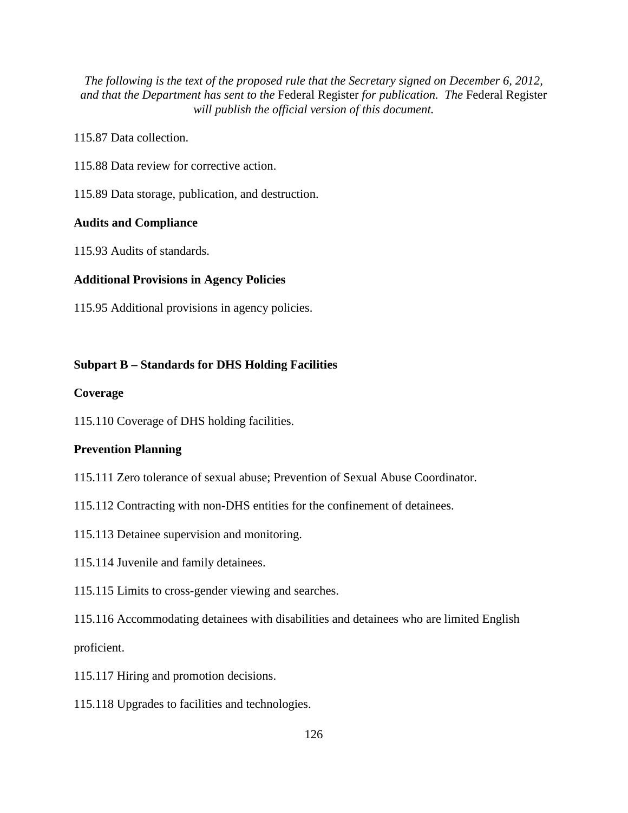115.87 Data collection.

115.88 Data review for corrective action.

115.89 Data storage, publication, and destruction.

# **Audits and Compliance**

115.93 Audits of standards.

#### **Additional Provisions in Agency Policies**

115.95 Additional provisions in agency policies.

#### **Subpart B – Standards for DHS Holding Facilities**

#### **Coverage**

115.110 Coverage of DHS holding facilities.

#### **Prevention Planning**

- 115.111 Zero tolerance of sexual abuse; Prevention of Sexual Abuse Coordinator.
- 115.112 Contracting with non-DHS entities for the confinement of detainees.
- 115.113 Detainee supervision and monitoring.
- 115.114 Juvenile and family detainees.
- 115.115 Limits to cross-gender viewing and searches.

115.116 Accommodating detainees with disabilities and detainees who are limited English proficient.

- 115.117 Hiring and promotion decisions.
- 115.118 Upgrades to facilities and technologies.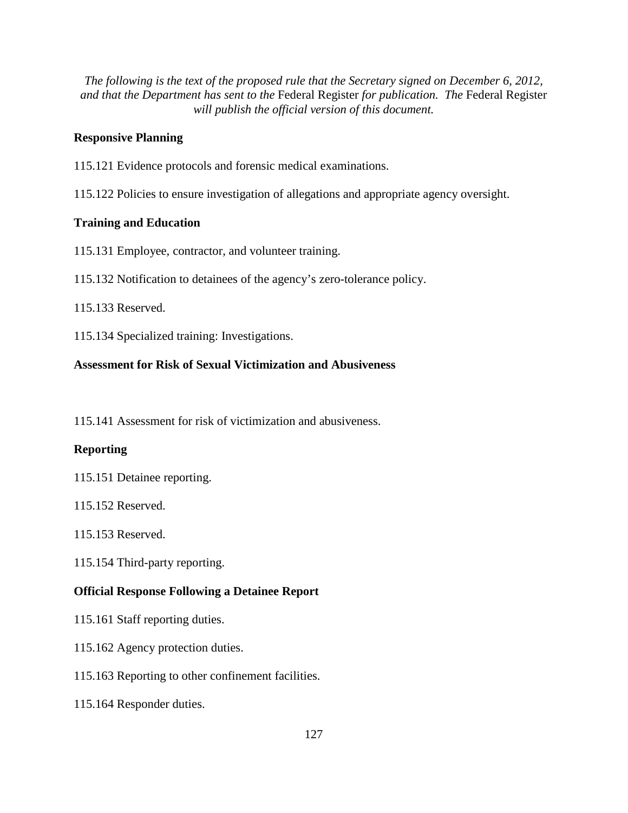#### **Responsive Planning**

- 115.121 Evidence protocols and forensic medical examinations.
- 115.122 Policies to ensure investigation of allegations and appropriate agency oversight.

#### **Training and Education**

- 115.131 Employee, contractor, and volunteer training.
- 115.132 Notification to detainees of the agency's zero-tolerance policy.

115.133 Reserved.

115.134 Specialized training: Investigations.

#### **Assessment for Risk of Sexual Victimization and Abusiveness**

115.141 Assessment for risk of victimization and abusiveness.

#### **Reporting**

- 115.151 Detainee reporting.
- 115.152 Reserved.
- 115.153 Reserved.
- 115.154 Third-party reporting.

#### **Official Response Following a Detainee Report**

- 115.161 Staff reporting duties.
- 115.162 Agency protection duties.
- 115.163 Reporting to other confinement facilities.
- 115.164 Responder duties.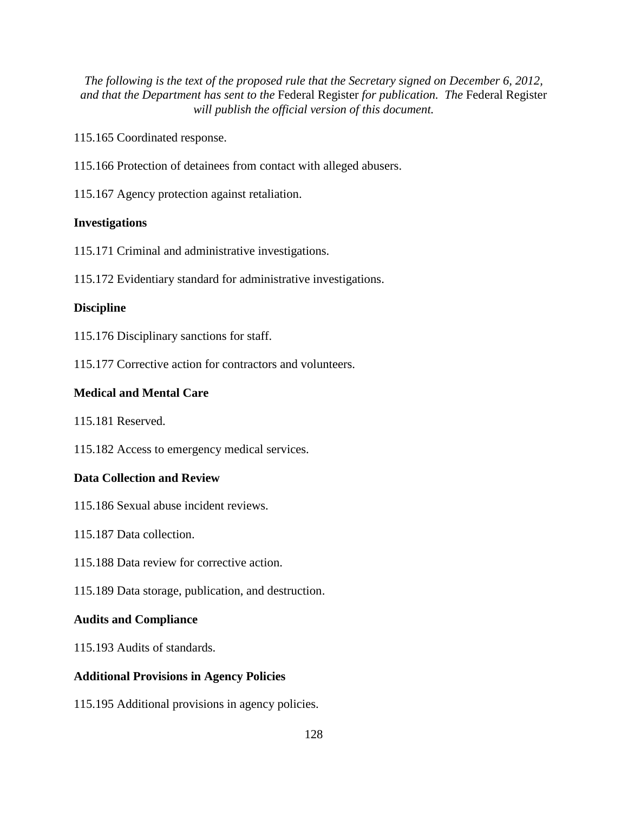115.165 Coordinated response.

115.166 Protection of detainees from contact with alleged abusers.

115.167 Agency protection against retaliation.

# **Investigations**

115.171 Criminal and administrative investigations.

115.172 Evidentiary standard for administrative investigations.

# **Discipline**

115.176 Disciplinary sanctions for staff.

115.177 Corrective action for contractors and volunteers.

# **Medical and Mental Care**

115.181 Reserved.

115.182 Access to emergency medical services.

#### **Data Collection and Review**

- 115.186 Sexual abuse incident reviews.
- 115.187 Data collection.
- 115.188 Data review for corrective action.
- 115.189 Data storage, publication, and destruction.

#### **Audits and Compliance**

115.193 Audits of standards.

#### **Additional Provisions in Agency Policies**

115.195 Additional provisions in agency policies.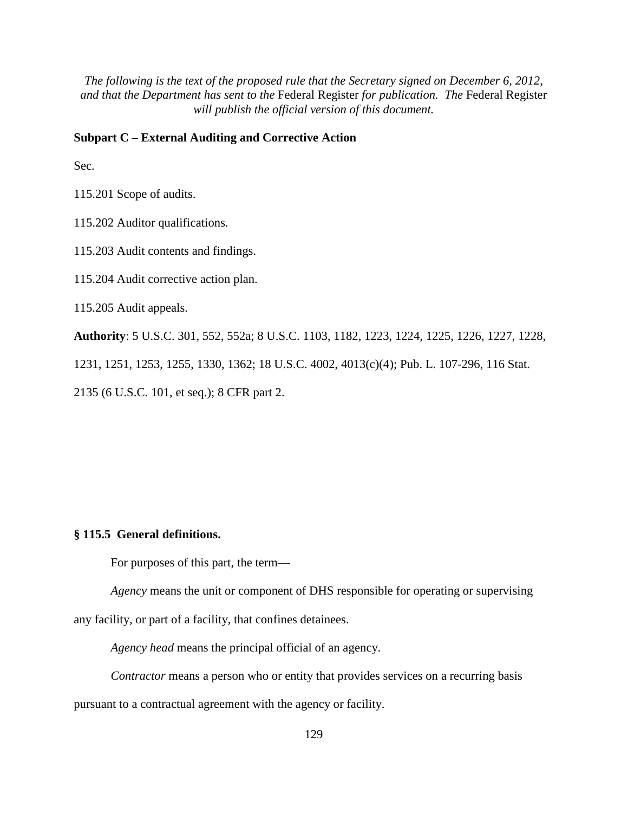# **Subpart C – External Auditing and Corrective Action**

Sec.

115.201 Scope of audits.

115.202 Auditor qualifications.

115.203 Audit contents and findings.

115.204 Audit corrective action plan.

115.205 Audit appeals.

**Authority**: 5 U.S.C. 301, 552, 552a; 8 U.S.C. 1103, 1182, 1223, 1224, 1225, 1226, 1227, 1228, 1231, 1251, 1253, 1255, 1330, 1362; 18 U.S.C. 4002, 4013(c)(4); Pub. L. 107-296, 116 Stat. 2135 (6 U.S.C. 101, et seq.); 8 CFR part 2.

#### **§ 115.5 General definitions.**

For purposes of this part, the term—

*Agency* means the unit or component of DHS responsible for operating or supervising any facility, or part of a facility, that confines detainees.

*Agency head* means the principal official of an agency.

*Contractor* means a person who or entity that provides services on a recurring basis pursuant to a contractual agreement with the agency or facility.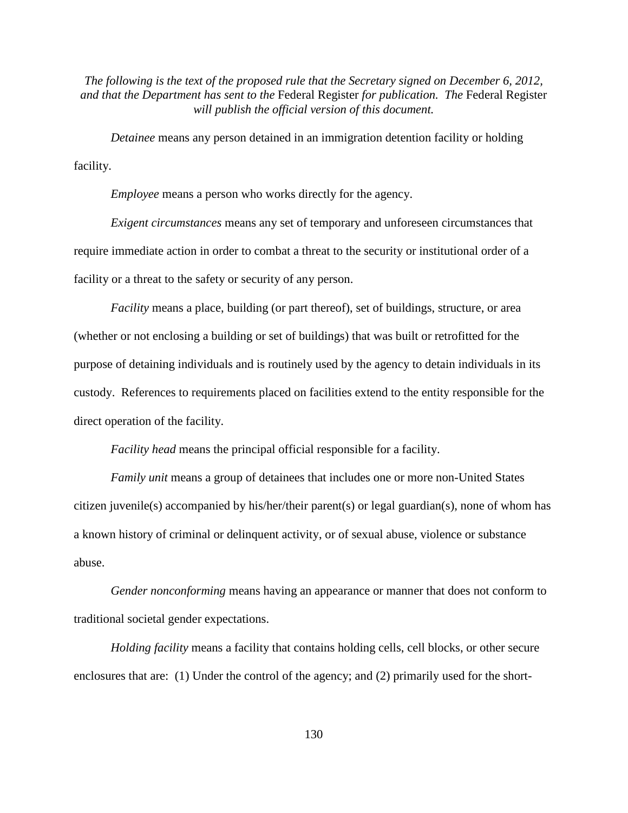*Detainee* means any person detained in an immigration detention facility or holding facility.

*Employee* means a person who works directly for the agency.

*Exigent circumstances* means any set of temporary and unforeseen circumstances that require immediate action in order to combat a threat to the security or institutional order of a facility or a threat to the safety or security of any person.

*Facility* means a place, building (or part thereof), set of buildings, structure, or area (whether or not enclosing a building or set of buildings) that was built or retrofitted for the purpose of detaining individuals and is routinely used by the agency to detain individuals in its custody. References to requirements placed on facilities extend to the entity responsible for the direct operation of the facility.

*Facility head* means the principal official responsible for a facility.

*Family unit* means a group of detainees that includes one or more non-United States citizen juvenile(s) accompanied by his/her/their parent(s) or legal guardian(s), none of whom has a known history of criminal or delinquent activity, or of sexual abuse, violence or substance abuse.

*Gender nonconforming* means having an appearance or manner that does not conform to traditional societal gender expectations.

*Holding facility* means a facility that contains holding cells, cell blocks, or other secure enclosures that are: (1) Under the control of the agency; and (2) primarily used for the short-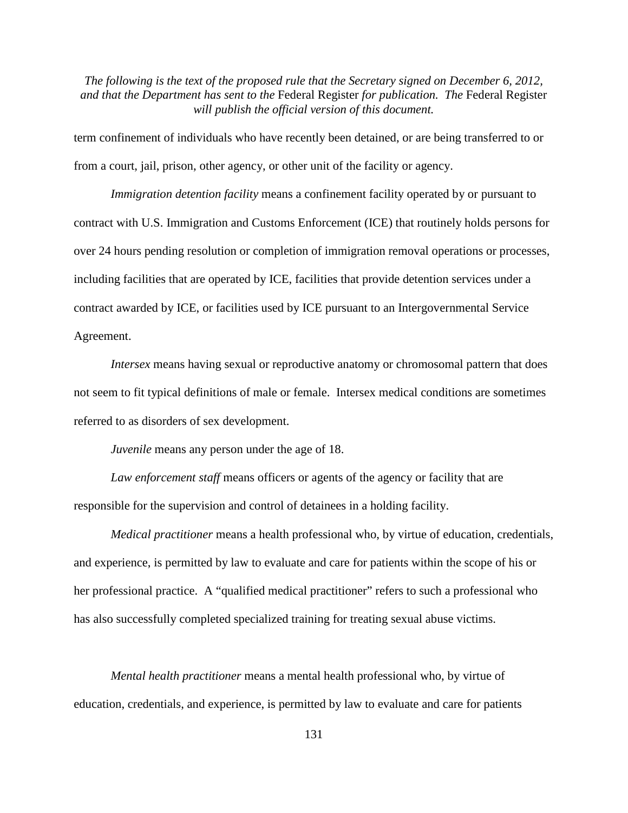term confinement of individuals who have recently been detained, or are being transferred to or from a court, jail, prison, other agency, or other unit of the facility or agency.

*Immigration detention facility* means a confinement facility operated by or pursuant to contract with U.S. Immigration and Customs Enforcement (ICE) that routinely holds persons for over 24 hours pending resolution or completion of immigration removal operations or processes, including facilities that are operated by ICE, facilities that provide detention services under a contract awarded by ICE, or facilities used by ICE pursuant to an Intergovernmental Service Agreement.

*Intersex* means having sexual or reproductive anatomy or chromosomal pattern that does not seem to fit typical definitions of male or female. Intersex medical conditions are sometimes referred to as disorders of sex development.

*Juvenile* means any person under the age of 18.

Law enforcement staff means officers or agents of the agency or facility that are responsible for the supervision and control of detainees in a holding facility.

*Medical practitioner* means a health professional who, by virtue of education, credentials, and experience, is permitted by law to evaluate and care for patients within the scope of his or her professional practice. A "qualified medical practitioner" refers to such a professional who has also successfully completed specialized training for treating sexual abuse victims.

*Mental health practitioner* means a mental health professional who, by virtue of education, credentials, and experience, is permitted by law to evaluate and care for patients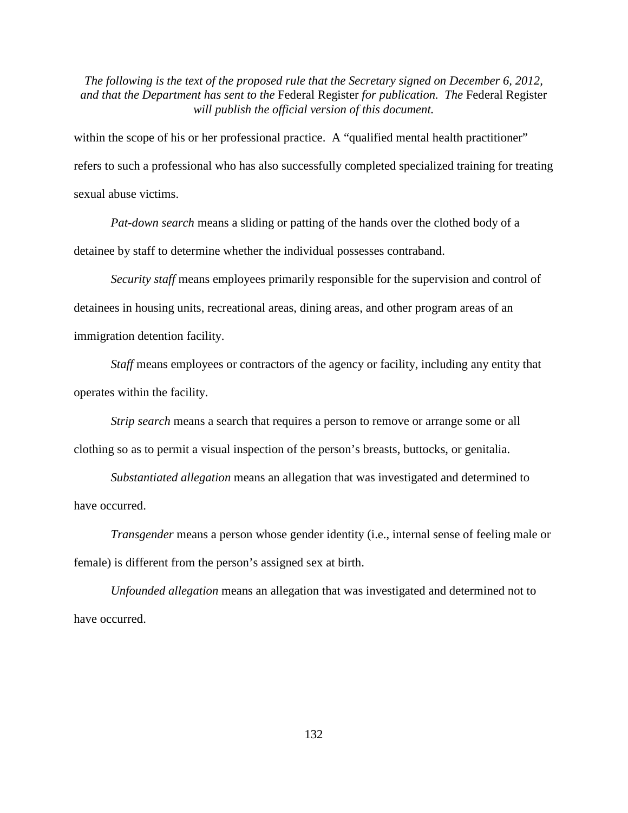within the scope of his or her professional practice. A "qualified mental health practitioner" refers to such a professional who has also successfully completed specialized training for treating sexual abuse victims.

*Pat-down search* means a sliding or patting of the hands over the clothed body of a detainee by staff to determine whether the individual possesses contraband.

*Security staff* means employees primarily responsible for the supervision and control of detainees in housing units, recreational areas, dining areas, and other program areas of an immigration detention facility.

*Staff* means employees or contractors of the agency or facility, including any entity that operates within the facility.

*Strip search* means a search that requires a person to remove or arrange some or all clothing so as to permit a visual inspection of the person's breasts, buttocks, or genitalia.

*Substantiated allegation* means an allegation that was investigated and determined to have occurred.

*Transgender* means a person whose gender identity (i.e., internal sense of feeling male or female) is different from the person's assigned sex at birth.

*Unfounded allegation* means an allegation that was investigated and determined not to have occurred.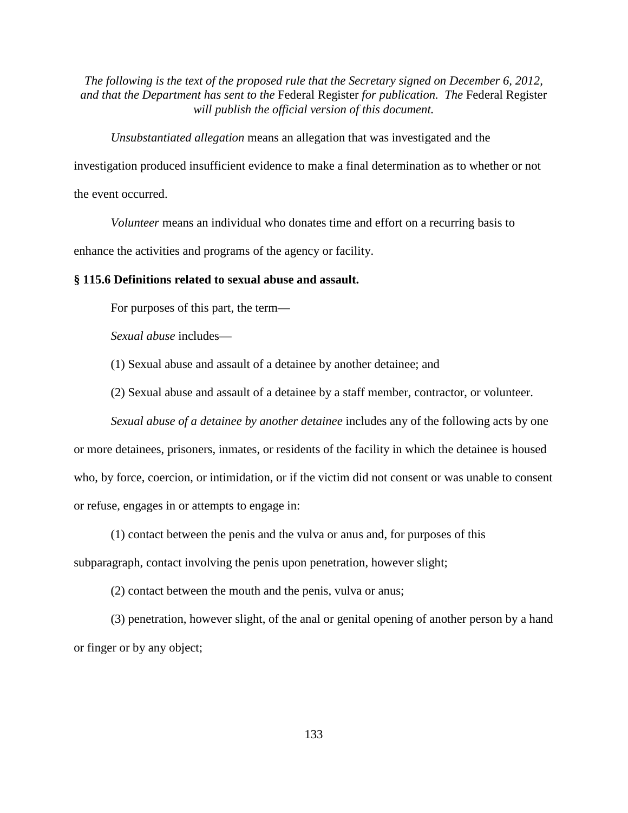*Unsubstantiated allegation* means an allegation that was investigated and the

investigation produced insufficient evidence to make a final determination as to whether or not

the event occurred.

*Volunteer* means an individual who donates time and effort on a recurring basis to

enhance the activities and programs of the agency or facility.

#### **§ 115.6 Definitions related to sexual abuse and assault.**

For purposes of this part, the term—

*Sexual abuse* includes—

(1) Sexual abuse and assault of a detainee by another detainee; and

(2) Sexual abuse and assault of a detainee by a staff member, contractor, or volunteer.

*Sexual abuse of a detainee by another detainee* includes any of the following acts by one or more detainees, prisoners, inmates, or residents of the facility in which the detainee is housed who, by force, coercion, or intimidation, or if the victim did not consent or was unable to consent

or refuse, engages in or attempts to engage in:

(1) contact between the penis and the vulva or anus and, for purposes of this

subparagraph, contact involving the penis upon penetration, however slight;

(2) contact between the mouth and the penis, vulva or anus;

(3) penetration, however slight, of the anal or genital opening of another person by a hand or finger or by any object;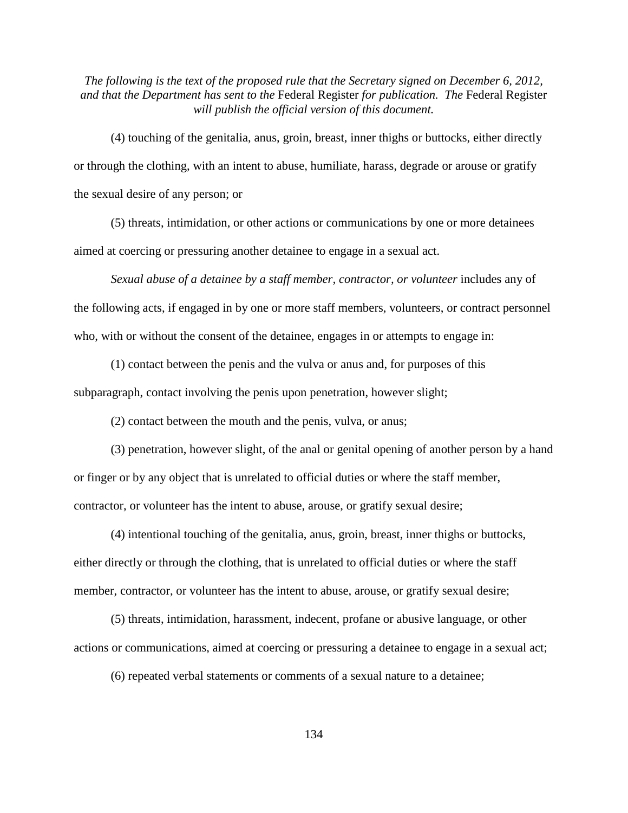(4) touching of the genitalia, anus, groin, breast, inner thighs or buttocks, either directly or through the clothing, with an intent to abuse, humiliate, harass, degrade or arouse or gratify the sexual desire of any person; or

(5) threats, intimidation, or other actions or communications by one or more detainees aimed at coercing or pressuring another detainee to engage in a sexual act.

*Sexual abuse of a detainee by a staff member, contractor, or volunteer* includes any of the following acts, if engaged in by one or more staff members, volunteers, or contract personnel who, with or without the consent of the detainee, engages in or attempts to engage in:

(1) contact between the penis and the vulva or anus and, for purposes of this subparagraph, contact involving the penis upon penetration, however slight;

(2) contact between the mouth and the penis, vulva, or anus;

(3) penetration, however slight, of the anal or genital opening of another person by a hand or finger or by any object that is unrelated to official duties or where the staff member, contractor, or volunteer has the intent to abuse, arouse, or gratify sexual desire;

(4) intentional touching of the genitalia, anus, groin, breast, inner thighs or buttocks, either directly or through the clothing, that is unrelated to official duties or where the staff member, contractor, or volunteer has the intent to abuse, arouse, or gratify sexual desire;

(5) threats, intimidation, harassment, indecent, profane or abusive language, or other actions or communications, aimed at coercing or pressuring a detainee to engage in a sexual act;

(6) repeated verbal statements or comments of a sexual nature to a detainee;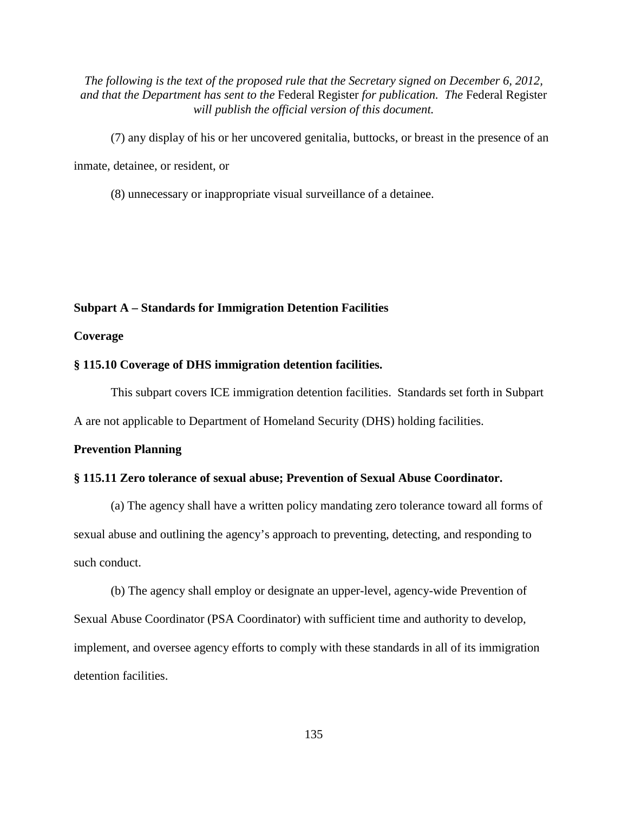- (7) any display of his or her uncovered genitalia, buttocks, or breast in the presence of an inmate, detainee, or resident, or
	- (8) unnecessary or inappropriate visual surveillance of a detainee.

#### **Subpart A – Standards for Immigration Detention Facilities**

**Coverage**

#### **§ 115.10 Coverage of DHS immigration detention facilities.**

This subpart covers ICE immigration detention facilities. Standards set forth in Subpart

A are not applicable to Department of Homeland Security (DHS) holding facilities.

#### **Prevention Planning**

#### **§ 115.11 Zero tolerance of sexual abuse; Prevention of Sexual Abuse Coordinator.**

(a) The agency shall have a written policy mandating zero tolerance toward all forms of sexual abuse and outlining the agency's approach to preventing, detecting, and responding to such conduct.

(b) The agency shall employ or designate an upper-level, agency-wide Prevention of Sexual Abuse Coordinator (PSA Coordinator) with sufficient time and authority to develop, implement, and oversee agency efforts to comply with these standards in all of its immigration detention facilities.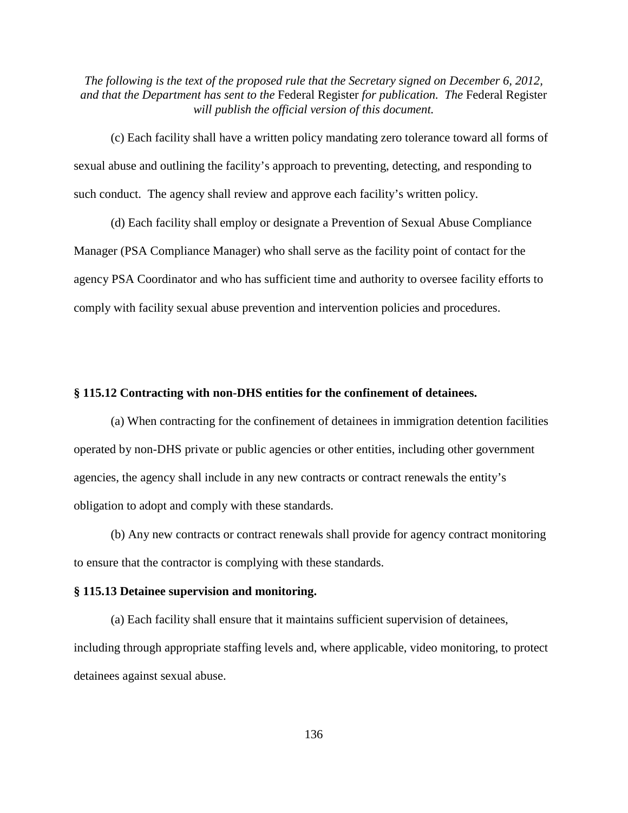(c) Each facility shall have a written policy mandating zero tolerance toward all forms of sexual abuse and outlining the facility's approach to preventing, detecting, and responding to such conduct. The agency shall review and approve each facility's written policy.

(d) Each facility shall employ or designate a Prevention of Sexual Abuse Compliance Manager (PSA Compliance Manager) who shall serve as the facility point of contact for the agency PSA Coordinator and who has sufficient time and authority to oversee facility efforts to comply with facility sexual abuse prevention and intervention policies and procedures.

#### **§ 115.12 Contracting with non-DHS entities for the confinement of detainees.**

(a) When contracting for the confinement of detainees in immigration detention facilities operated by non-DHS private or public agencies or other entities, including other government agencies, the agency shall include in any new contracts or contract renewals the entity's obligation to adopt and comply with these standards.

(b) Any new contracts or contract renewals shall provide for agency contract monitoring to ensure that the contractor is complying with these standards.

#### **§ 115.13 Detainee supervision and monitoring.**

(a) Each facility shall ensure that it maintains sufficient supervision of detainees, including through appropriate staffing levels and, where applicable, video monitoring, to protect detainees against sexual abuse.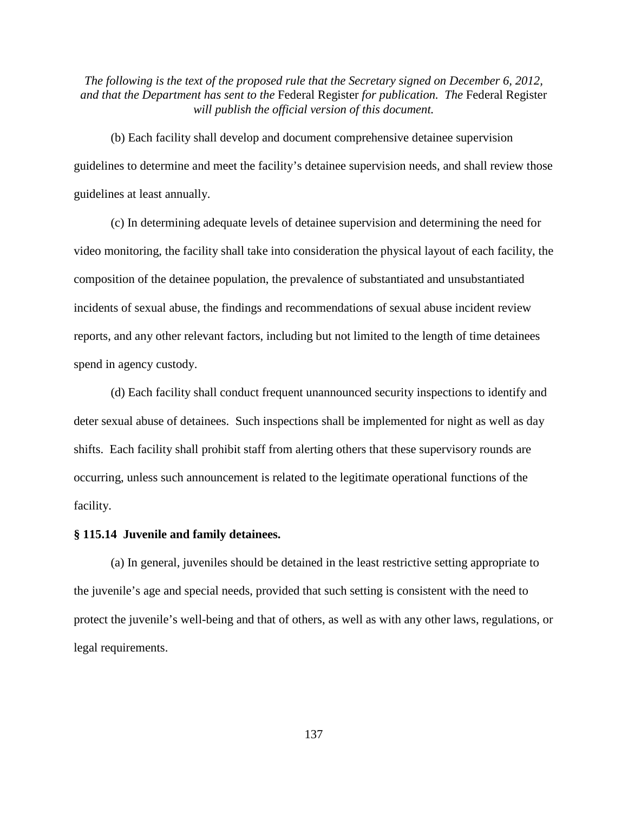(b) Each facility shall develop and document comprehensive detainee supervision guidelines to determine and meet the facility's detainee supervision needs, and shall review those guidelines at least annually.

(c) In determining adequate levels of detainee supervision and determining the need for video monitoring, the facility shall take into consideration the physical layout of each facility, the composition of the detainee population, the prevalence of substantiated and unsubstantiated incidents of sexual abuse, the findings and recommendations of sexual abuse incident review reports, and any other relevant factors, including but not limited to the length of time detainees spend in agency custody.

(d) Each facility shall conduct frequent unannounced security inspections to identify and deter sexual abuse of detainees. Such inspections shall be implemented for night as well as day shifts. Each facility shall prohibit staff from alerting others that these supervisory rounds are occurring, unless such announcement is related to the legitimate operational functions of the facility.

#### **§ 115.14 Juvenile and family detainees.**

(a) In general, juveniles should be detained in the least restrictive setting appropriate to the juvenile's age and special needs, provided that such setting is consistent with the need to protect the juvenile's well-being and that of others, as well as with any other laws, regulations, or legal requirements.

137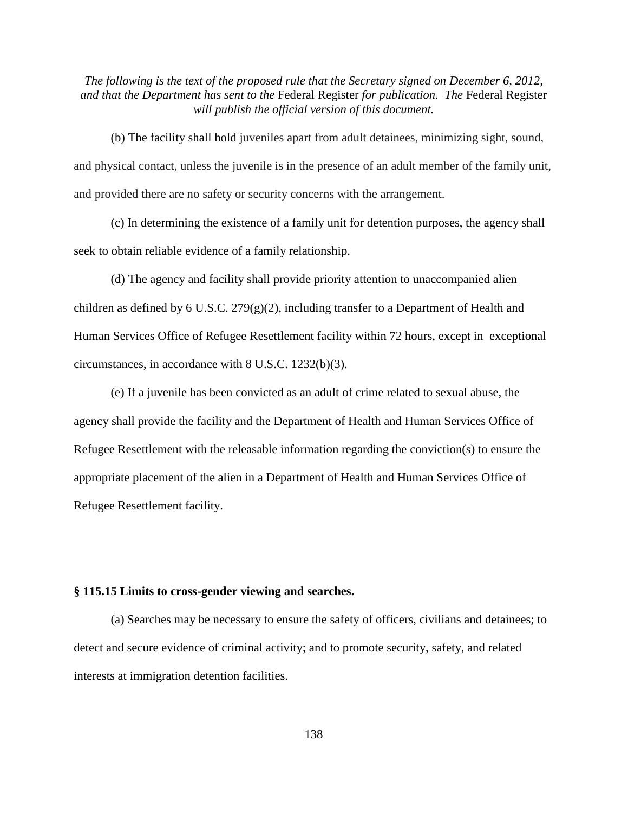(b) The facility shall hold juveniles apart from adult detainees, minimizing sight, sound, and physical contact, unless the juvenile is in the presence of an adult member of the family unit, and provided there are no safety or security concerns with the arrangement.

(c) In determining the existence of a family unit for detention purposes, the agency shall seek to obtain reliable evidence of a family relationship.

(d) The agency and facility shall provide priority attention to unaccompanied alien children as defined by 6 U.S.C. 279(g)(2), including transfer to a Department of Health and Human Services Office of Refugee Resettlement facility within 72 hours, except in exceptional circumstances, in accordance with 8 U.S.C. 1232(b)(3).

(e) If a juvenile has been convicted as an adult of crime related to sexual abuse, the agency shall provide the facility and the Department of Health and Human Services Office of Refugee Resettlement with the releasable information regarding the conviction(s) to ensure the appropriate placement of the alien in a Department of Health and Human Services Office of Refugee Resettlement facility.

#### **§ 115.15 Limits to cross-gender viewing and searches.**

(a) Searches may be necessary to ensure the safety of officers, civilians and detainees; to detect and secure evidence of criminal activity; and to promote security, safety, and related interests at immigration detention facilities.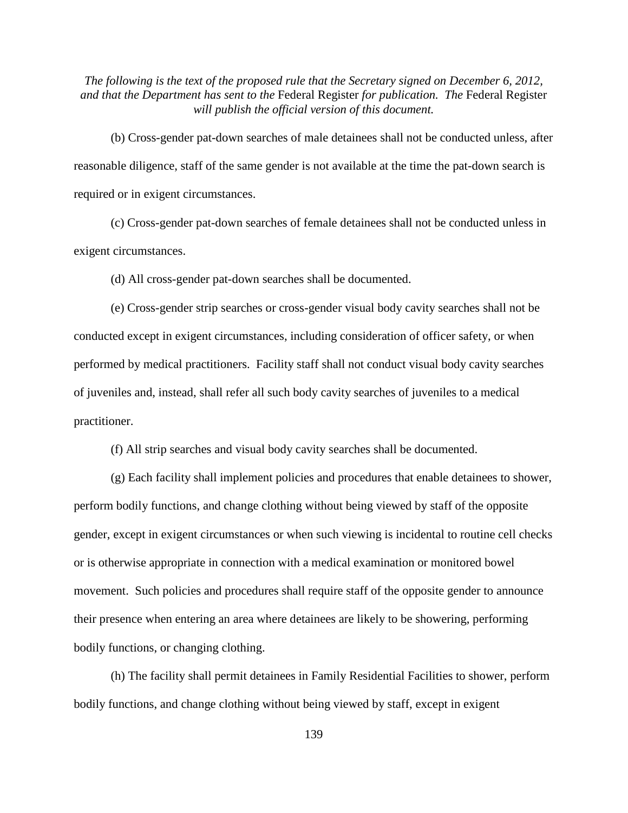(b) Cross-gender pat-down searches of male detainees shall not be conducted unless, after reasonable diligence, staff of the same gender is not available at the time the pat-down search is required or in exigent circumstances.

(c) Cross-gender pat-down searches of female detainees shall not be conducted unless in exigent circumstances.

(d) All cross-gender pat-down searches shall be documented.

(e) Cross-gender strip searches or cross-gender visual body cavity searches shall not be conducted except in exigent circumstances, including consideration of officer safety, or when performed by medical practitioners. Facility staff shall not conduct visual body cavity searches of juveniles and, instead, shall refer all such body cavity searches of juveniles to a medical practitioner.

(f) All strip searches and visual body cavity searches shall be documented.

(g) Each facility shall implement policies and procedures that enable detainees to shower, perform bodily functions, and change clothing without being viewed by staff of the opposite gender, except in exigent circumstances or when such viewing is incidental to routine cell checks or is otherwise appropriate in connection with a medical examination or monitored bowel movement. Such policies and procedures shall require staff of the opposite gender to announce their presence when entering an area where detainees are likely to be showering, performing bodily functions, or changing clothing.

(h) The facility shall permit detainees in Family Residential Facilities to shower, perform bodily functions, and change clothing without being viewed by staff, except in exigent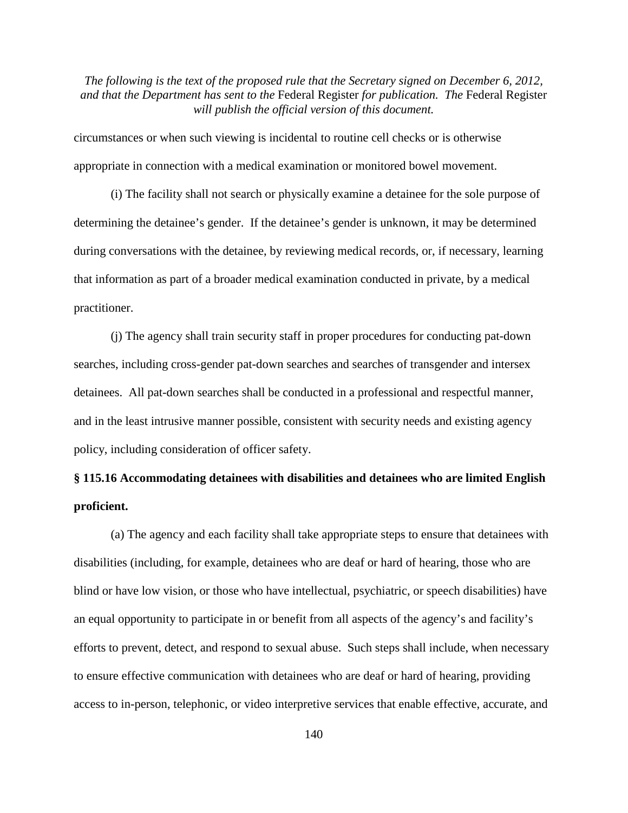circumstances or when such viewing is incidental to routine cell checks or is otherwise appropriate in connection with a medical examination or monitored bowel movement.

(i) The facility shall not search or physically examine a detainee for the sole purpose of determining the detainee's gender. If the detainee's gender is unknown, it may be determined during conversations with the detainee, by reviewing medical records, or, if necessary, learning that information as part of a broader medical examination conducted in private, by a medical practitioner.

(j) The agency shall train security staff in proper procedures for conducting pat-down searches, including cross-gender pat-down searches and searches of transgender and intersex detainees. All pat-down searches shall be conducted in a professional and respectful manner, and in the least intrusive manner possible, consistent with security needs and existing agency policy, including consideration of officer safety.

# **§ 115.16 Accommodating detainees with disabilities and detainees who are limited English proficient.**

(a) The agency and each facility shall take appropriate steps to ensure that detainees with disabilities (including, for example, detainees who are deaf or hard of hearing, those who are blind or have low vision, or those who have intellectual, psychiatric, or speech disabilities) have an equal opportunity to participate in or benefit from all aspects of the agency's and facility's efforts to prevent, detect, and respond to sexual abuse. Such steps shall include, when necessary to ensure effective communication with detainees who are deaf or hard of hearing, providing access to in-person, telephonic, or video interpretive services that enable effective, accurate, and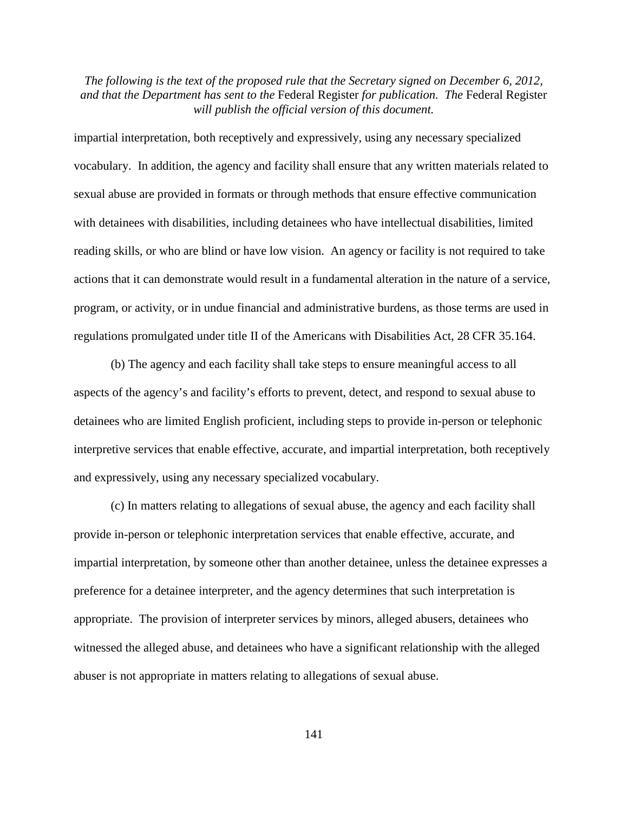impartial interpretation, both receptively and expressively, using any necessary specialized vocabulary. In addition, the agency and facility shall ensure that any written materials related to sexual abuse are provided in formats or through methods that ensure effective communication with detainees with disabilities, including detainees who have intellectual disabilities, limited reading skills, or who are blind or have low vision. An agency or facility is not required to take actions that it can demonstrate would result in a fundamental alteration in the nature of a service, program, or activity, or in undue financial and administrative burdens, as those terms are used in regulations promulgated under title II of the Americans with Disabilities Act, 28 CFR 35.164.

(b) The agency and each facility shall take steps to ensure meaningful access to all aspects of the agency's and facility's efforts to prevent, detect, and respond to sexual abuse to detainees who are limited English proficient, including steps to provide in-person or telephonic interpretive services that enable effective, accurate, and impartial interpretation, both receptively and expressively, using any necessary specialized vocabulary.

(c) In matters relating to allegations of sexual abuse, the agency and each facility shall provide in-person or telephonic interpretation services that enable effective, accurate, and impartial interpretation, by someone other than another detainee, unless the detainee expresses a preference for a detainee interpreter, and the agency determines that such interpretation is appropriate. The provision of interpreter services by minors, alleged abusers, detainees who witnessed the alleged abuse, and detainees who have a significant relationship with the alleged abuser is not appropriate in matters relating to allegations of sexual abuse.

141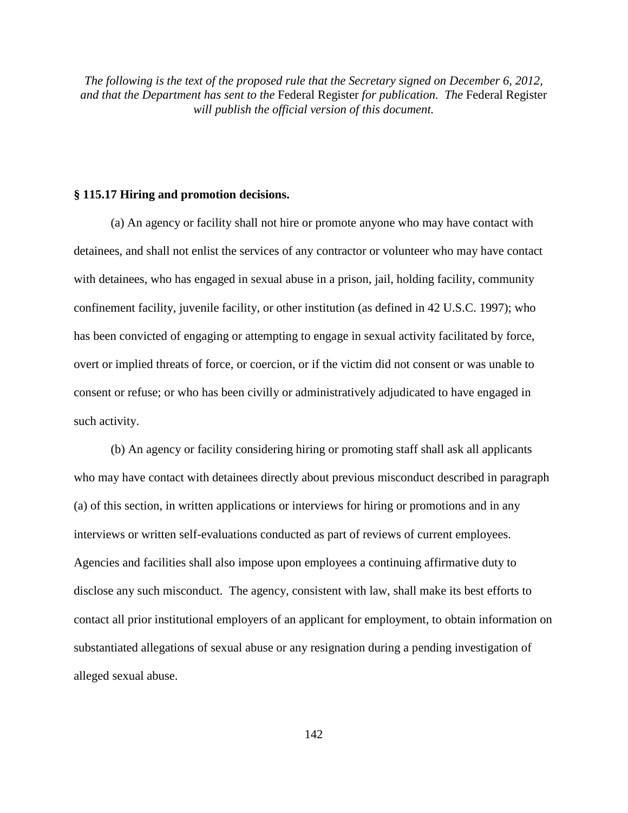#### **§ 115.17 Hiring and promotion decisions.**

(a) An agency or facility shall not hire or promote anyone who may have contact with detainees, and shall not enlist the services of any contractor or volunteer who may have contact with detainees, who has engaged in sexual abuse in a prison, jail, holding facility, community confinement facility, juvenile facility, or other institution (as defined in 42 U.S.C. 1997); who has been convicted of engaging or attempting to engage in sexual activity facilitated by force, overt or implied threats of force, or coercion, or if the victim did not consent or was unable to consent or refuse; or who has been civilly or administratively adjudicated to have engaged in such activity.

(b) An agency or facility considering hiring or promoting staff shall ask all applicants who may have contact with detainees directly about previous misconduct described in paragraph (a) of this section, in written applications or interviews for hiring or promotions and in any interviews or written self-evaluations conducted as part of reviews of current employees. Agencies and facilities shall also impose upon employees a continuing affirmative duty to disclose any such misconduct. The agency, consistent with law, shall make its best efforts to contact all prior institutional employers of an applicant for employment, to obtain information on substantiated allegations of sexual abuse or any resignation during a pending investigation of alleged sexual abuse.

142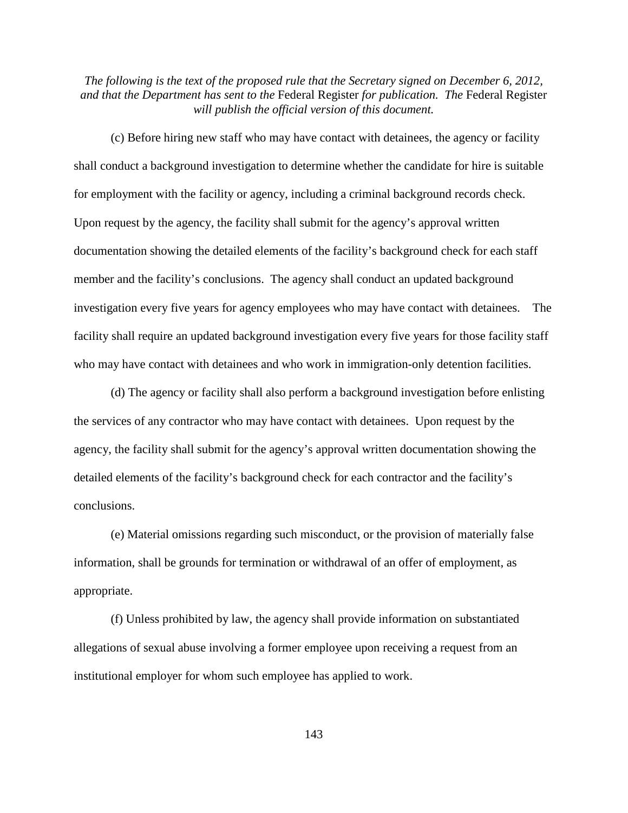(c) Before hiring new staff who may have contact with detainees, the agency or facility shall conduct a background investigation to determine whether the candidate for hire is suitable for employment with the facility or agency, including a criminal background records check. Upon request by the agency, the facility shall submit for the agency's approval written documentation showing the detailed elements of the facility's background check for each staff member and the facility's conclusions. The agency shall conduct an updated background investigation every five years for agency employees who may have contact with detainees. The facility shall require an updated background investigation every five years for those facility staff who may have contact with detainees and who work in immigration-only detention facilities.

(d) The agency or facility shall also perform a background investigation before enlisting the services of any contractor who may have contact with detainees. Upon request by the agency, the facility shall submit for the agency's approval written documentation showing the detailed elements of the facility's background check for each contractor and the facility's conclusions.

(e) Material omissions regarding such misconduct, or the provision of materially false information, shall be grounds for termination or withdrawal of an offer of employment, as appropriate.

(f) Unless prohibited by law, the agency shall provide information on substantiated allegations of sexual abuse involving a former employee upon receiving a request from an institutional employer for whom such employee has applied to work.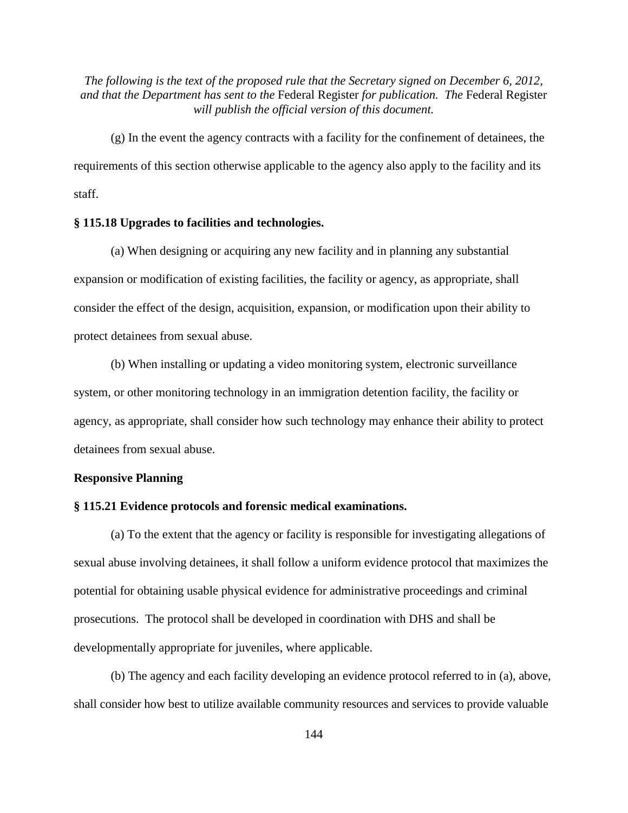(g) In the event the agency contracts with a facility for the confinement of detainees, the requirements of this section otherwise applicable to the agency also apply to the facility and its staff.

#### **§ 115.18 Upgrades to facilities and technologies.**

(a) When designing or acquiring any new facility and in planning any substantial expansion or modification of existing facilities, the facility or agency, as appropriate, shall consider the effect of the design, acquisition, expansion, or modification upon their ability to protect detainees from sexual abuse.

(b) When installing or updating a video monitoring system, electronic surveillance system, or other monitoring technology in an immigration detention facility, the facility or agency, as appropriate, shall consider how such technology may enhance their ability to protect detainees from sexual abuse.

#### **Responsive Planning**

#### **§ 115.21 Evidence protocols and forensic medical examinations.**

(a) To the extent that the agency or facility is responsible for investigating allegations of sexual abuse involving detainees, it shall follow a uniform evidence protocol that maximizes the potential for obtaining usable physical evidence for administrative proceedings and criminal prosecutions. The protocol shall be developed in coordination with DHS and shall be developmentally appropriate for juveniles, where applicable.

(b) The agency and each facility developing an evidence protocol referred to in (a), above, shall consider how best to utilize available community resources and services to provide valuable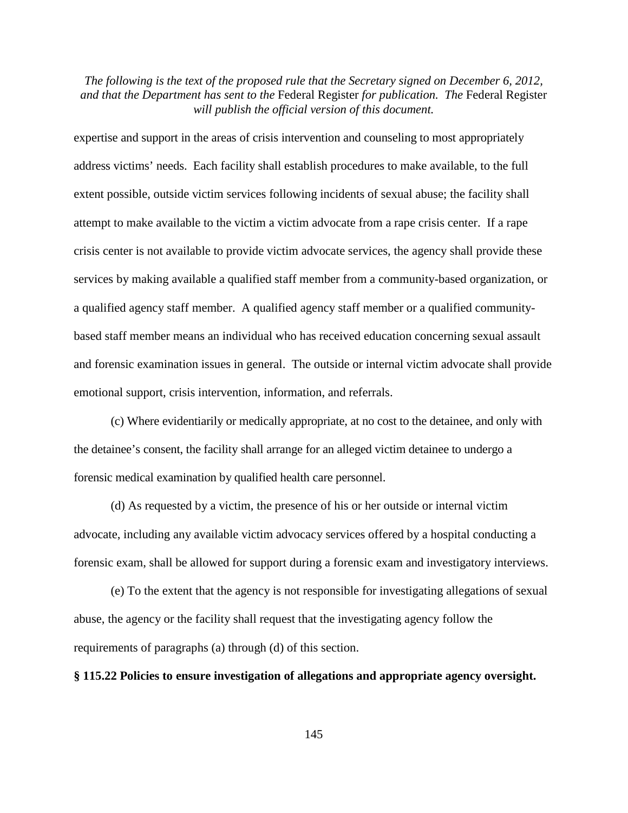expertise and support in the areas of crisis intervention and counseling to most appropriately address victims' needs. Each facility shall establish procedures to make available, to the full extent possible, outside victim services following incidents of sexual abuse; the facility shall attempt to make available to the victim a victim advocate from a rape crisis center. If a rape crisis center is not available to provide victim advocate services, the agency shall provide these services by making available a qualified staff member from a community-based organization, or a qualified agency staff member. A qualified agency staff member or a qualified communitybased staff member means an individual who has received education concerning sexual assault and forensic examination issues in general. The outside or internal victim advocate shall provide emotional support, crisis intervention, information, and referrals.

(c) Where evidentiarily or medically appropriate, at no cost to the detainee, and only with the detainee's consent, the facility shall arrange for an alleged victim detainee to undergo a forensic medical examination by qualified health care personnel.

(d) As requested by a victim, the presence of his or her outside or internal victim advocate, including any available victim advocacy services offered by a hospital conducting a forensic exam, shall be allowed for support during a forensic exam and investigatory interviews.

(e) To the extent that the agency is not responsible for investigating allegations of sexual abuse, the agency or the facility shall request that the investigating agency follow the requirements of paragraphs (a) through (d) of this section.

## **§ 115.22 Policies to ensure investigation of allegations and appropriate agency oversight.**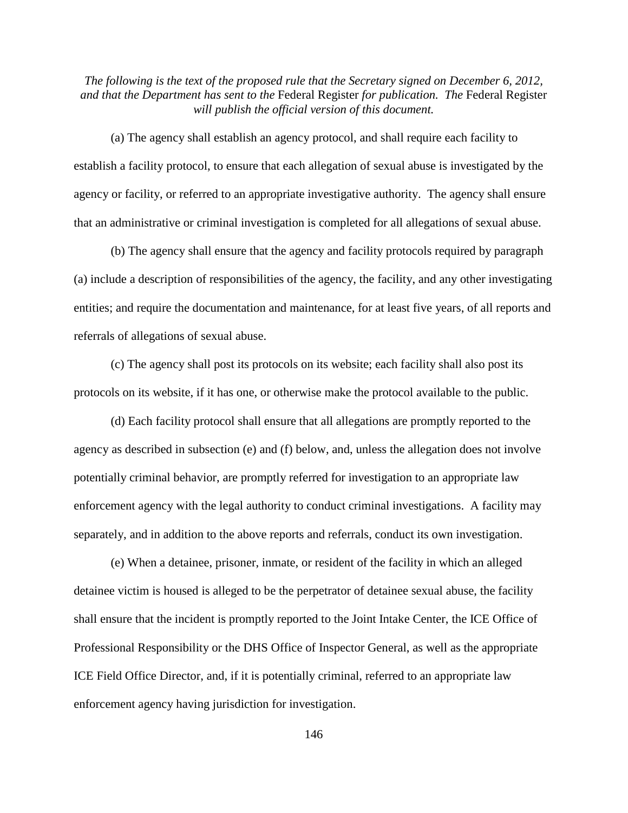(a) The agency shall establish an agency protocol, and shall require each facility to establish a facility protocol, to ensure that each allegation of sexual abuse is investigated by the agency or facility, or referred to an appropriate investigative authority. The agency shall ensure that an administrative or criminal investigation is completed for all allegations of sexual abuse.

(b) The agency shall ensure that the agency and facility protocols required by paragraph (a) include a description of responsibilities of the agency, the facility, and any other investigating entities; and require the documentation and maintenance, for at least five years, of all reports and referrals of allegations of sexual abuse.

(c) The agency shall post its protocols on its website; each facility shall also post its protocols on its website, if it has one, or otherwise make the protocol available to the public.

(d) Each facility protocol shall ensure that all allegations are promptly reported to the agency as described in subsection (e) and (f) below, and, unless the allegation does not involve potentially criminal behavior, are promptly referred for investigation to an appropriate law enforcement agency with the legal authority to conduct criminal investigations. A facility may separately, and in addition to the above reports and referrals, conduct its own investigation.

(e) When a detainee, prisoner, inmate, or resident of the facility in which an alleged detainee victim is housed is alleged to be the perpetrator of detainee sexual abuse, the facility shall ensure that the incident is promptly reported to the Joint Intake Center, the ICE Office of Professional Responsibility or the DHS Office of Inspector General, as well as the appropriate ICE Field Office Director, and, if it is potentially criminal, referred to an appropriate law enforcement agency having jurisdiction for investigation.

146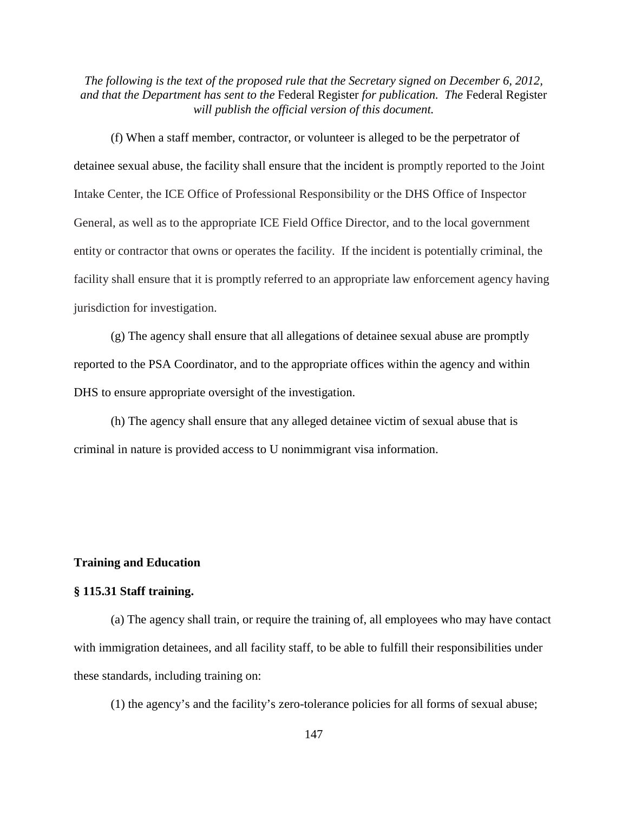(f) When a staff member, contractor, or volunteer is alleged to be the perpetrator of detainee sexual abuse, the facility shall ensure that the incident is promptly reported to the Joint Intake Center, the ICE Office of Professional Responsibility or the DHS Office of Inspector General, as well as to the appropriate ICE Field Office Director, and to the local government entity or contractor that owns or operates the facility. If the incident is potentially criminal, the facility shall ensure that it is promptly referred to an appropriate law enforcement agency having jurisdiction for investigation.

(g) The agency shall ensure that all allegations of detainee sexual abuse are promptly reported to the PSA Coordinator, and to the appropriate offices within the agency and within DHS to ensure appropriate oversight of the investigation.

(h) The agency shall ensure that any alleged detainee victim of sexual abuse that is criminal in nature is provided access to U nonimmigrant visa information.

## **Training and Education**

#### **§ 115.31 Staff training.**

(a) The agency shall train, or require the training of, all employees who may have contact with immigration detainees, and all facility staff, to be able to fulfill their responsibilities under these standards, including training on:

(1) the agency's and the facility's zero-tolerance policies for all forms of sexual abuse;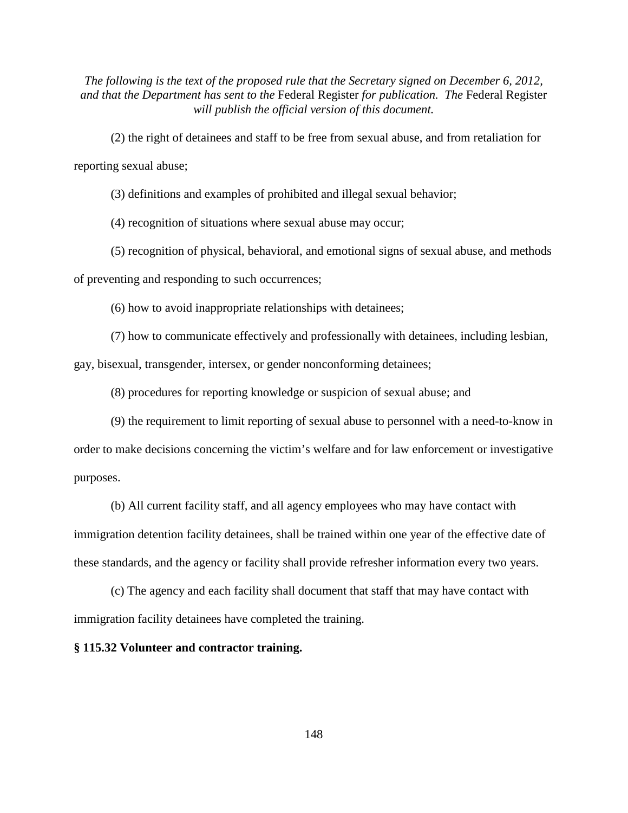(2) the right of detainees and staff to be free from sexual abuse, and from retaliation for reporting sexual abuse;

(3) definitions and examples of prohibited and illegal sexual behavior;

(4) recognition of situations where sexual abuse may occur;

(5) recognition of physical, behavioral, and emotional signs of sexual abuse, and methods

of preventing and responding to such occurrences;

(6) how to avoid inappropriate relationships with detainees;

(7) how to communicate effectively and professionally with detainees, including lesbian, gay, bisexual, transgender, intersex, or gender nonconforming detainees;

(8) procedures for reporting knowledge or suspicion of sexual abuse; and

(9) the requirement to limit reporting of sexual abuse to personnel with a need-to-know in order to make decisions concerning the victim's welfare and for law enforcement or investigative purposes.

(b) All current facility staff, and all agency employees who may have contact with immigration detention facility detainees, shall be trained within one year of the effective date of these standards, and the agency or facility shall provide refresher information every two years.

(c) The agency and each facility shall document that staff that may have contact with immigration facility detainees have completed the training.

**§ 115.32 Volunteer and contractor training.**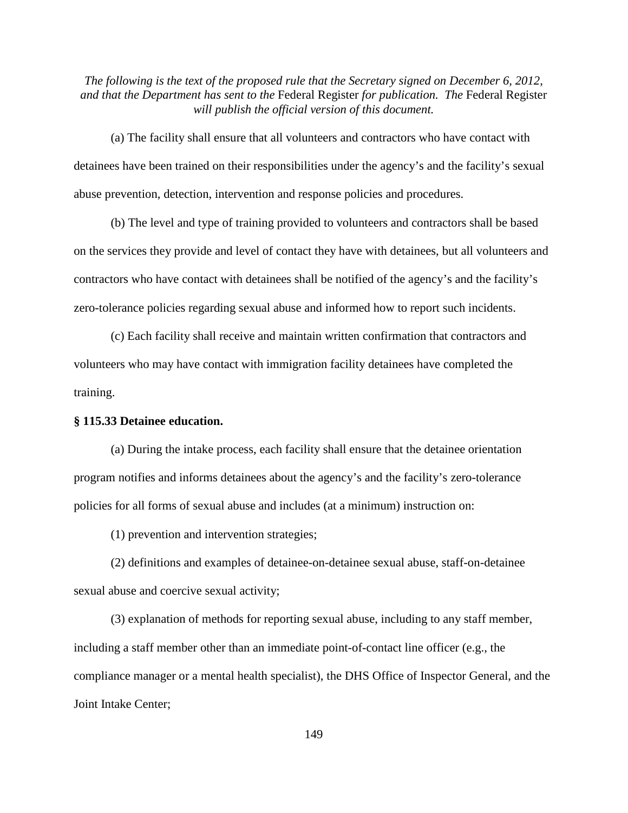(a) The facility shall ensure that all volunteers and contractors who have contact with detainees have been trained on their responsibilities under the agency's and the facility's sexual abuse prevention, detection, intervention and response policies and procedures.

(b) The level and type of training provided to volunteers and contractors shall be based on the services they provide and level of contact they have with detainees, but all volunteers and contractors who have contact with detainees shall be notified of the agency's and the facility's zero-tolerance policies regarding sexual abuse and informed how to report such incidents.

(c) Each facility shall receive and maintain written confirmation that contractors and volunteers who may have contact with immigration facility detainees have completed the training.

# **§ 115.33 Detainee education.**

(a) During the intake process, each facility shall ensure that the detainee orientation program notifies and informs detainees about the agency's and the facility's zero-tolerance policies for all forms of sexual abuse and includes (at a minimum) instruction on:

(1) prevention and intervention strategies;

(2) definitions and examples of detainee-on-detainee sexual abuse, staff-on-detainee sexual abuse and coercive sexual activity;

(3) explanation of methods for reporting sexual abuse, including to any staff member, including a staff member other than an immediate point-of-contact line officer (e.g., the compliance manager or a mental health specialist), the DHS Office of Inspector General, and the Joint Intake Center;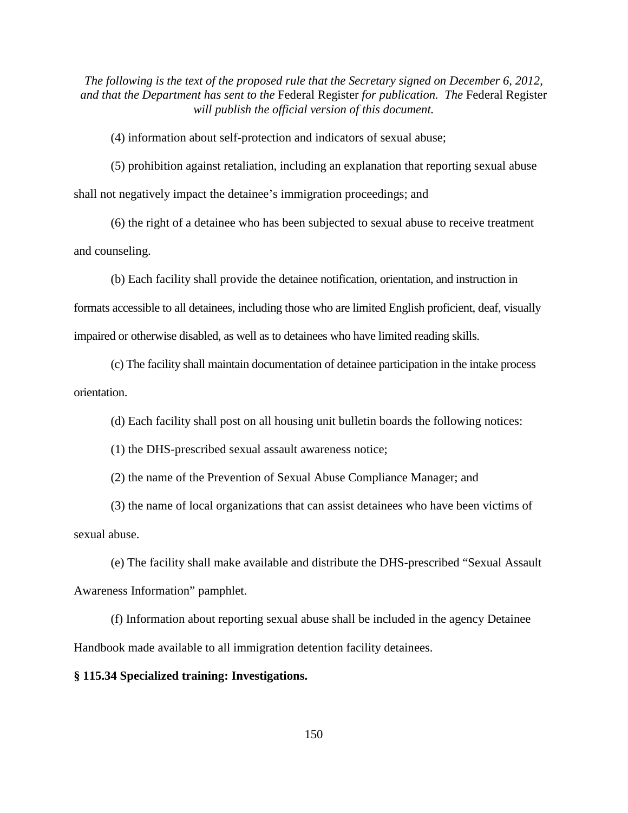(4) information about self-protection and indicators of sexual abuse;

(5) prohibition against retaliation, including an explanation that reporting sexual abuse shall not negatively impact the detainee's immigration proceedings; and

(6) the right of a detainee who has been subjected to sexual abuse to receive treatment and counseling.

(b) Each facility shall provide the detainee notification, orientation, and instruction in formats accessible to all detainees, including those who are limited English proficient, deaf, visually impaired or otherwise disabled, as well as to detainees who have limited reading skills.

(c) The facility shall maintain documentation of detainee participation in the intake process orientation.

(d) Each facility shall post on all housing unit bulletin boards the following notices:

(1) the DHS-prescribed sexual assault awareness notice;

(2) the name of the Prevention of Sexual Abuse Compliance Manager; and

(3) the name of local organizations that can assist detainees who have been victims of sexual abuse.

(e) The facility shall make available and distribute the DHS-prescribed "Sexual Assault Awareness Information" pamphlet.

(f) Information about reporting sexual abuse shall be included in the agency Detainee Handbook made available to all immigration detention facility detainees.

## **§ 115.34 Specialized training: Investigations.**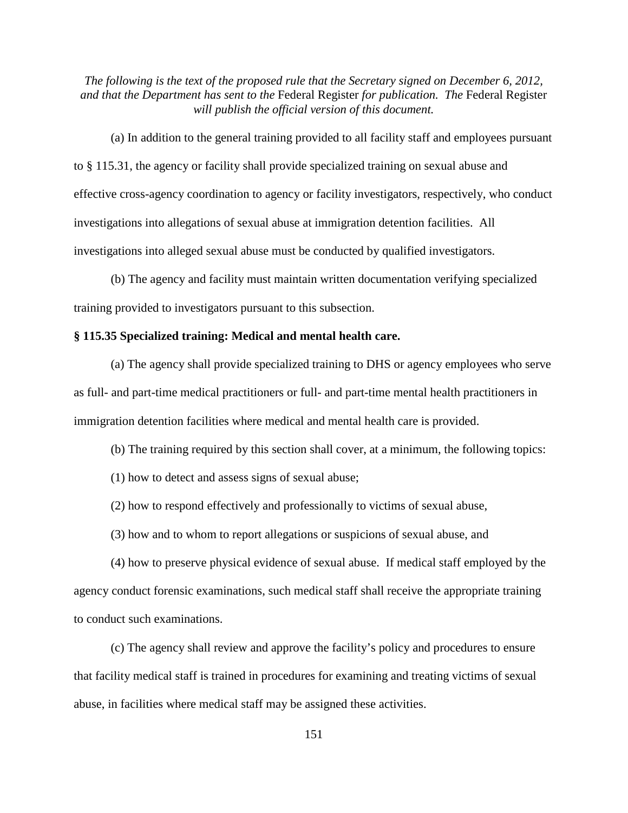(a) In addition to the general training provided to all facility staff and employees pursuant to § 115.31, the agency or facility shall provide specialized training on sexual abuse and effective cross-agency coordination to agency or facility investigators, respectively, who conduct investigations into allegations of sexual abuse at immigration detention facilities. All investigations into alleged sexual abuse must be conducted by qualified investigators.

(b) The agency and facility must maintain written documentation verifying specialized training provided to investigators pursuant to this subsection.

# **§ 115.35 Specialized training: Medical and mental health care.**

(a) The agency shall provide specialized training to DHS or agency employees who serve as full- and part-time medical practitioners or full- and part-time mental health practitioners in immigration detention facilities where medical and mental health care is provided.

(b) The training required by this section shall cover, at a minimum, the following topics:

(1) how to detect and assess signs of sexual abuse;

(2) how to respond effectively and professionally to victims of sexual abuse,

(3) how and to whom to report allegations or suspicions of sexual abuse, and

(4) how to preserve physical evidence of sexual abuse. If medical staff employed by the agency conduct forensic examinations, such medical staff shall receive the appropriate training to conduct such examinations.

(c) The agency shall review and approve the facility's policy and procedures to ensure that facility medical staff is trained in procedures for examining and treating victims of sexual abuse, in facilities where medical staff may be assigned these activities.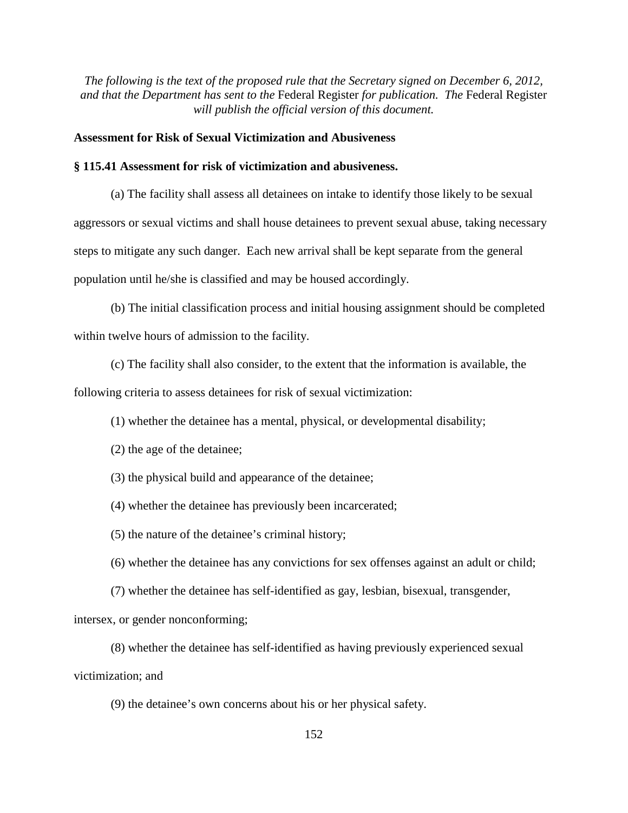# **Assessment for Risk of Sexual Victimization and Abusiveness**

## **§ 115.41 Assessment for risk of victimization and abusiveness.**

(a) The facility shall assess all detainees on intake to identify those likely to be sexual aggressors or sexual victims and shall house detainees to prevent sexual abuse, taking necessary steps to mitigate any such danger. Each new arrival shall be kept separate from the general population until he/she is classified and may be housed accordingly.

(b) The initial classification process and initial housing assignment should be completed within twelve hours of admission to the facility.

(c) The facility shall also consider, to the extent that the information is available, the following criteria to assess detainees for risk of sexual victimization:

(1) whether the detainee has a mental, physical, or developmental disability;

(2) the age of the detainee;

(3) the physical build and appearance of the detainee;

(4) whether the detainee has previously been incarcerated;

(5) the nature of the detainee's criminal history;

(6) whether the detainee has any convictions for sex offenses against an adult or child;

(7) whether the detainee has self-identified as gay, lesbian, bisexual, transgender,

intersex, or gender nonconforming;

(8) whether the detainee has self-identified as having previously experienced sexual victimization; and

(9) the detainee's own concerns about his or her physical safety.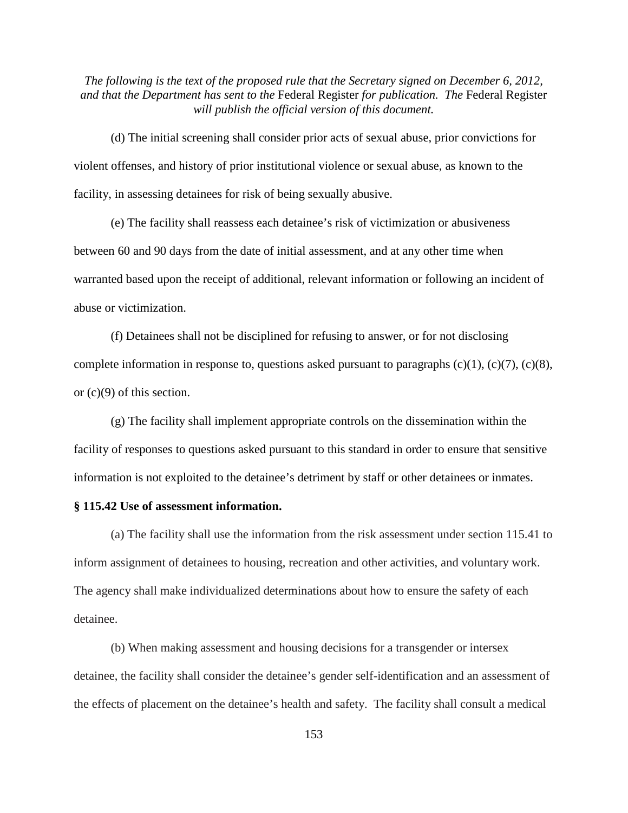(d) The initial screening shall consider prior acts of sexual abuse, prior convictions for violent offenses, and history of prior institutional violence or sexual abuse, as known to the facility, in assessing detainees for risk of being sexually abusive.

(e) The facility shall reassess each detainee's risk of victimization or abusiveness between 60 and 90 days from the date of initial assessment, and at any other time when warranted based upon the receipt of additional, relevant information or following an incident of abuse or victimization.

(f) Detainees shall not be disciplined for refusing to answer, or for not disclosing complete information in response to, questions asked pursuant to paragraphs  $(c)(1)$ ,  $(c)(7)$ ,  $(c)(8)$ , or (c)(9) of this section.

(g) The facility shall implement appropriate controls on the dissemination within the facility of responses to questions asked pursuant to this standard in order to ensure that sensitive information is not exploited to the detainee's detriment by staff or other detainees or inmates.

## **§ 115.42 Use of assessment information.**

(a) The facility shall use the information from the risk assessment under section 115.41 to inform assignment of detainees to housing, recreation and other activities, and voluntary work. The agency shall make individualized determinations about how to ensure the safety of each detainee.

(b) When making assessment and housing decisions for a transgender or intersex detainee, the facility shall consider the detainee's gender self-identification and an assessment of the effects of placement on the detainee's health and safety. The facility shall consult a medical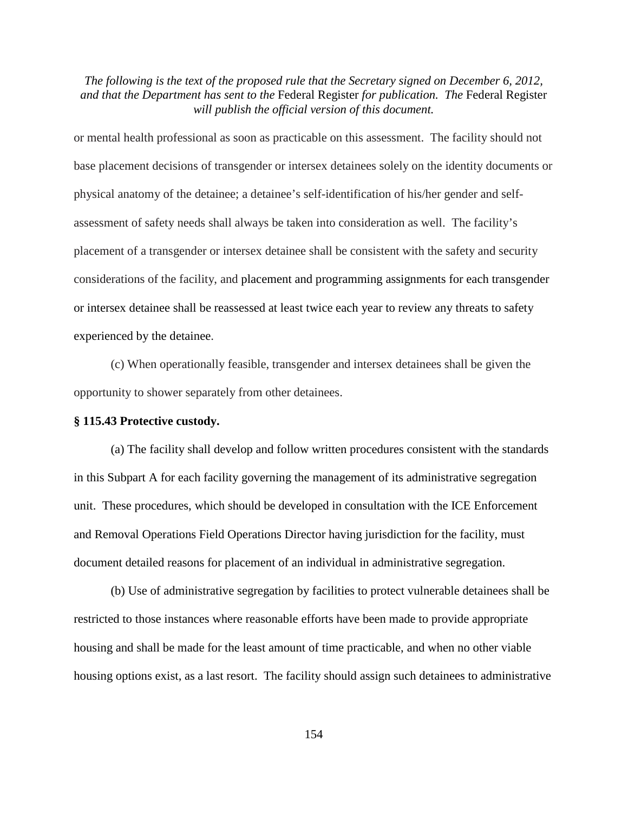or mental health professional as soon as practicable on this assessment. The facility should not base placement decisions of transgender or intersex detainees solely on the identity documents or physical anatomy of the detainee; a detainee's self-identification of his/her gender and selfassessment of safety needs shall always be taken into consideration as well. The facility's placement of a transgender or intersex detainee shall be consistent with the safety and security considerations of the facility, and placement and programming assignments for each transgender or intersex detainee shall be reassessed at least twice each year to review any threats to safety experienced by the detainee.

(c) When operationally feasible, transgender and intersex detainees shall be given the opportunity to shower separately from other detainees.

#### **§ 115.43 Protective custody.**

(a) The facility shall develop and follow written procedures consistent with the standards in this Subpart A for each facility governing the management of its administrative segregation unit. These procedures, which should be developed in consultation with the ICE Enforcement and Removal Operations Field Operations Director having jurisdiction for the facility, must document detailed reasons for placement of an individual in administrative segregation.

(b) Use of administrative segregation by facilities to protect vulnerable detainees shall be restricted to those instances where reasonable efforts have been made to provide appropriate housing and shall be made for the least amount of time practicable, and when no other viable housing options exist, as a last resort. The facility should assign such detainees to administrative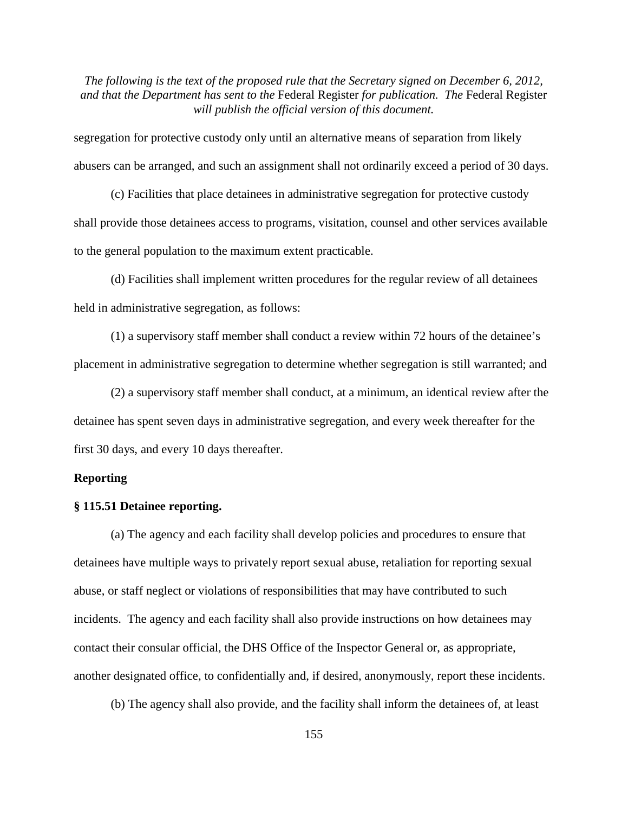segregation for protective custody only until an alternative means of separation from likely abusers can be arranged, and such an assignment shall not ordinarily exceed a period of 30 days.

(c) Facilities that place detainees in administrative segregation for protective custody shall provide those detainees access to programs, visitation, counsel and other services available to the general population to the maximum extent practicable.

(d) Facilities shall implement written procedures for the regular review of all detainees held in administrative segregation, as follows:

(1) a supervisory staff member shall conduct a review within 72 hours of the detainee's placement in administrative segregation to determine whether segregation is still warranted; and

(2) a supervisory staff member shall conduct, at a minimum, an identical review after the detainee has spent seven days in administrative segregation, and every week thereafter for the first 30 days, and every 10 days thereafter.

#### **Reporting**

#### **§ 115.51 Detainee reporting.**

(a) The agency and each facility shall develop policies and procedures to ensure that detainees have multiple ways to privately report sexual abuse, retaliation for reporting sexual abuse, or staff neglect or violations of responsibilities that may have contributed to such incidents. The agency and each facility shall also provide instructions on how detainees may contact their consular official, the DHS Office of the Inspector General or, as appropriate, another designated office, to confidentially and, if desired, anonymously, report these incidents.

(b) The agency shall also provide, and the facility shall inform the detainees of, at least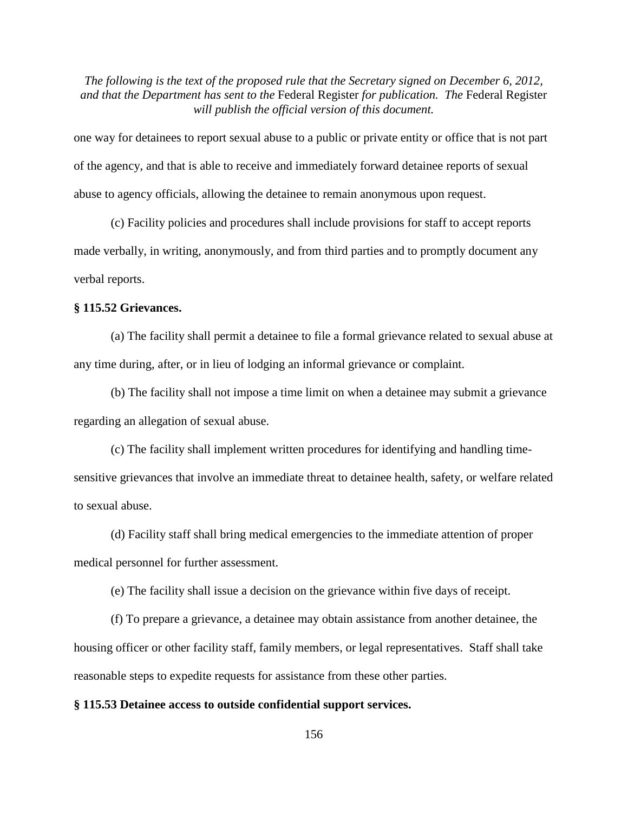one way for detainees to report sexual abuse to a public or private entity or office that is not part of the agency, and that is able to receive and immediately forward detainee reports of sexual abuse to agency officials, allowing the detainee to remain anonymous upon request.

(c) Facility policies and procedures shall include provisions for staff to accept reports made verbally, in writing, anonymously, and from third parties and to promptly document any verbal reports.

## **§ 115.52 Grievances.**

(a) The facility shall permit a detainee to file a formal grievance related to sexual abuse at any time during, after, or in lieu of lodging an informal grievance or complaint.

(b) The facility shall not impose a time limit on when a detainee may submit a grievance regarding an allegation of sexual abuse.

(c) The facility shall implement written procedures for identifying and handling timesensitive grievances that involve an immediate threat to detainee health, safety, or welfare related to sexual abuse.

(d) Facility staff shall bring medical emergencies to the immediate attention of proper medical personnel for further assessment.

(e) The facility shall issue a decision on the grievance within five days of receipt.

(f) To prepare a grievance, a detainee may obtain assistance from another detainee, the housing officer or other facility staff, family members, or legal representatives. Staff shall take reasonable steps to expedite requests for assistance from these other parties.

#### **§ 115.53 Detainee access to outside confidential support services.**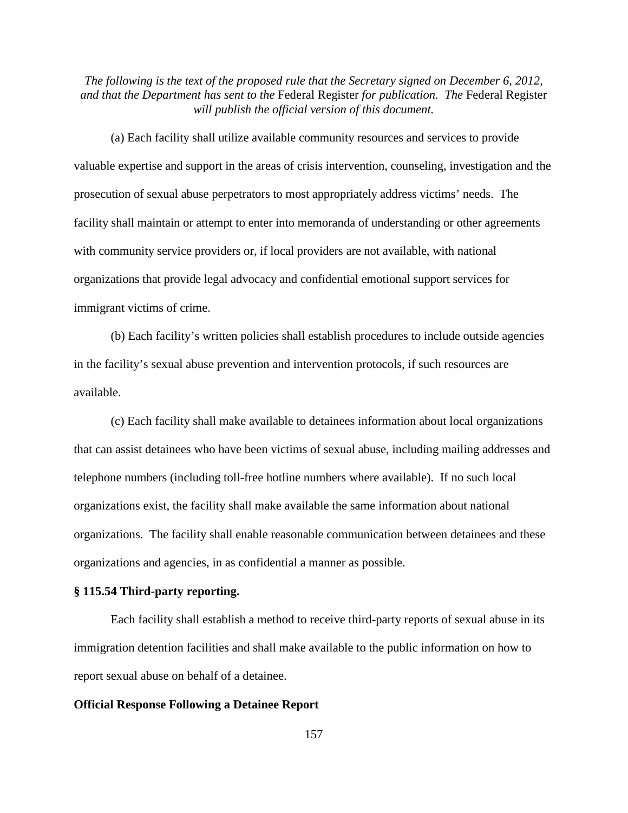(a) Each facility shall utilize available community resources and services to provide valuable expertise and support in the areas of crisis intervention, counseling, investigation and the prosecution of sexual abuse perpetrators to most appropriately address victims' needs. The facility shall maintain or attempt to enter into memoranda of understanding or other agreements with community service providers or, if local providers are not available, with national organizations that provide legal advocacy and confidential emotional support services for immigrant victims of crime.

(b) Each facility's written policies shall establish procedures to include outside agencies in the facility's sexual abuse prevention and intervention protocols, if such resources are available.

(c) Each facility shall make available to detainees information about local organizations that can assist detainees who have been victims of sexual abuse, including mailing addresses and telephone numbers (including toll-free hotline numbers where available). If no such local organizations exist, the facility shall make available the same information about national organizations. The facility shall enable reasonable communication between detainees and these organizations and agencies, in as confidential a manner as possible.

#### **§ 115.54 Third-party reporting.**

Each facility shall establish a method to receive third-party reports of sexual abuse in its immigration detention facilities and shall make available to the public information on how to report sexual abuse on behalf of a detainee.

#### **Official Response Following a Detainee Report**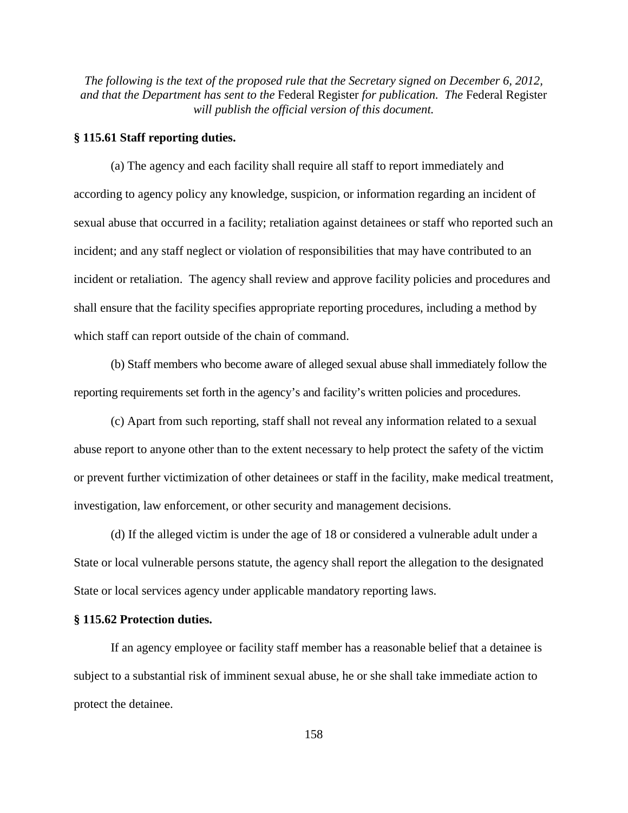## **§ 115.61 Staff reporting duties.**

(a) The agency and each facility shall require all staff to report immediately and according to agency policy any knowledge, suspicion, or information regarding an incident of sexual abuse that occurred in a facility; retaliation against detainees or staff who reported such an incident; and any staff neglect or violation of responsibilities that may have contributed to an incident or retaliation. The agency shall review and approve facility policies and procedures and shall ensure that the facility specifies appropriate reporting procedures, including a method by which staff can report outside of the chain of command.

(b) Staff members who become aware of alleged sexual abuse shall immediately follow the reporting requirements set forth in the agency's and facility's written policies and procedures.

(c) Apart from such reporting, staff shall not reveal any information related to a sexual abuse report to anyone other than to the extent necessary to help protect the safety of the victim or prevent further victimization of other detainees or staff in the facility, make medical treatment, investigation, law enforcement, or other security and management decisions.

(d) If the alleged victim is under the age of 18 or considered a vulnerable adult under a State or local vulnerable persons statute, the agency shall report the allegation to the designated State or local services agency under applicable mandatory reporting laws.

#### **§ 115.62 Protection duties.**

If an agency employee or facility staff member has a reasonable belief that a detainee is subject to a substantial risk of imminent sexual abuse, he or she shall take immediate action to protect the detainee.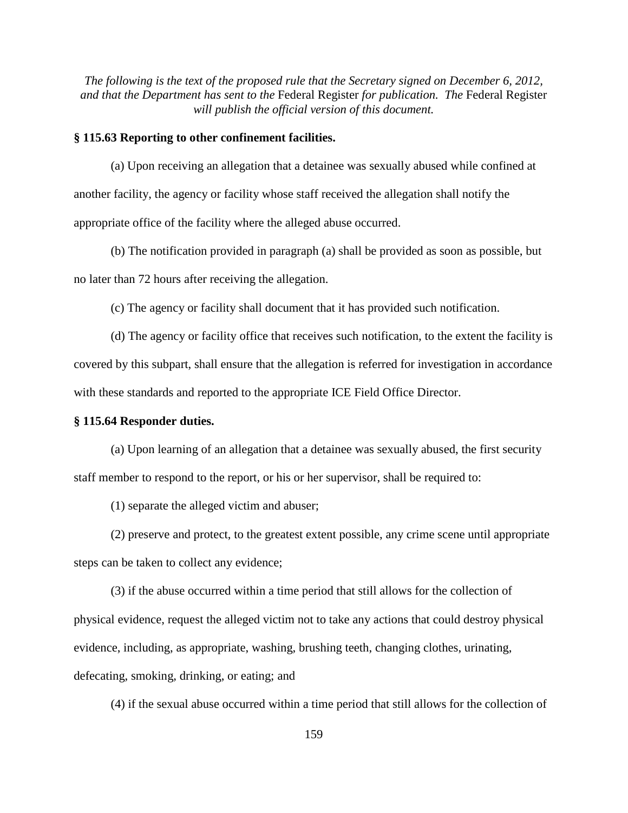## **§ 115.63 Reporting to other confinement facilities.**

(a) Upon receiving an allegation that a detainee was sexually abused while confined at another facility, the agency or facility whose staff received the allegation shall notify the appropriate office of the facility where the alleged abuse occurred.

(b) The notification provided in paragraph (a) shall be provided as soon as possible, but no later than 72 hours after receiving the allegation.

(c) The agency or facility shall document that it has provided such notification.

(d) The agency or facility office that receives such notification, to the extent the facility is covered by this subpart, shall ensure that the allegation is referred for investigation in accordance with these standards and reported to the appropriate ICE Field Office Director.

## **§ 115.64 Responder duties.**

(a) Upon learning of an allegation that a detainee was sexually abused, the first security staff member to respond to the report, or his or her supervisor, shall be required to:

(1) separate the alleged victim and abuser;

(2) preserve and protect, to the greatest extent possible, any crime scene until appropriate steps can be taken to collect any evidence;

(3) if the abuse occurred within a time period that still allows for the collection of physical evidence, request the alleged victim not to take any actions that could destroy physical evidence, including, as appropriate, washing, brushing teeth, changing clothes, urinating, defecating, smoking, drinking, or eating; and

(4) if the sexual abuse occurred within a time period that still allows for the collection of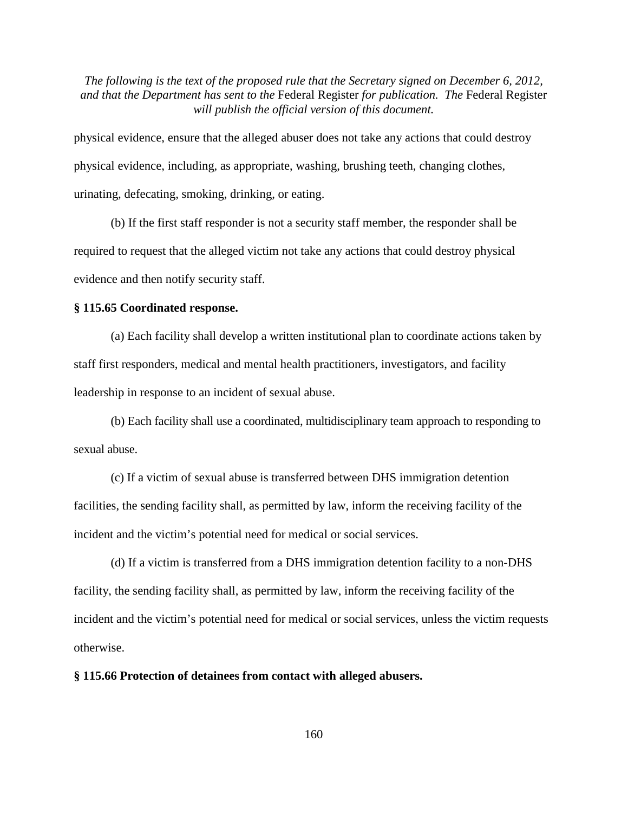physical evidence, ensure that the alleged abuser does not take any actions that could destroy physical evidence, including, as appropriate, washing, brushing teeth, changing clothes, urinating, defecating, smoking, drinking, or eating.

(b) If the first staff responder is not a security staff member, the responder shall be required to request that the alleged victim not take any actions that could destroy physical evidence and then notify security staff.

## **§ 115.65 Coordinated response.**

(a) Each facility shall develop a written institutional plan to coordinate actions taken by staff first responders, medical and mental health practitioners, investigators, and facility leadership in response to an incident of sexual abuse.

(b) Each facility shall use a coordinated, multidisciplinary team approach to responding to sexual abuse.

(c) If a victim of sexual abuse is transferred between DHS immigration detention facilities, the sending facility shall, as permitted by law, inform the receiving facility of the incident and the victim's potential need for medical or social services.

(d) If a victim is transferred from a DHS immigration detention facility to a non-DHS facility, the sending facility shall, as permitted by law, inform the receiving facility of the incident and the victim's potential need for medical or social services, unless the victim requests otherwise.

## **§ 115.66 Protection of detainees from contact with alleged abusers.**

160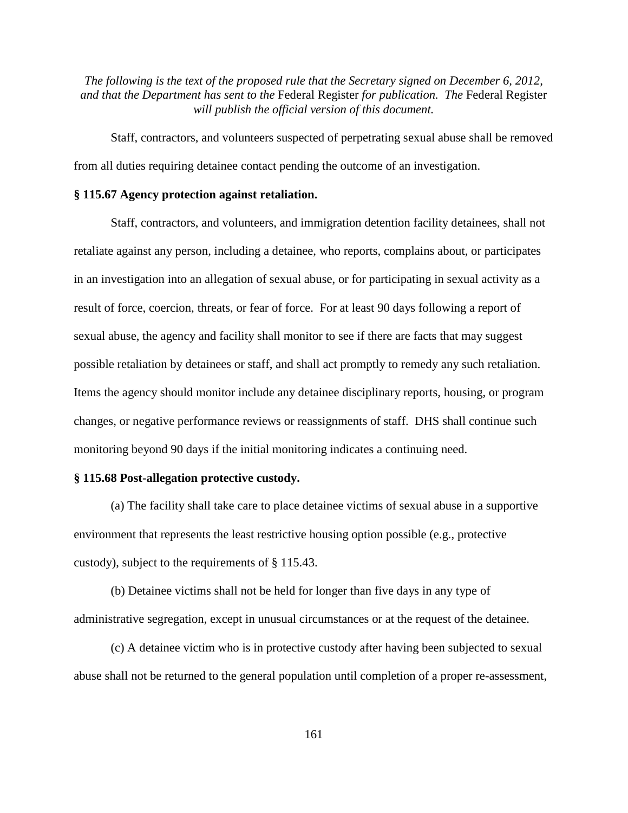Staff, contractors, and volunteers suspected of perpetrating sexual abuse shall be removed from all duties requiring detainee contact pending the outcome of an investigation.

## **§ 115.67 Agency protection against retaliation.**

Staff, contractors, and volunteers, and immigration detention facility detainees, shall not retaliate against any person, including a detainee, who reports, complains about, or participates in an investigation into an allegation of sexual abuse, or for participating in sexual activity as a result of force, coercion, threats, or fear of force. For at least 90 days following a report of sexual abuse, the agency and facility shall monitor to see if there are facts that may suggest possible retaliation by detainees or staff, and shall act promptly to remedy any such retaliation. Items the agency should monitor include any detainee disciplinary reports, housing, or program changes, or negative performance reviews or reassignments of staff. DHS shall continue such monitoring beyond 90 days if the initial monitoring indicates a continuing need.

#### **§ 115.68 Post-allegation protective custody.**

(a) The facility shall take care to place detainee victims of sexual abuse in a supportive environment that represents the least restrictive housing option possible (e.g., protective custody), subject to the requirements of § 115.43.

(b) Detainee victims shall not be held for longer than five days in any type of administrative segregation, except in unusual circumstances or at the request of the detainee.

(c) A detainee victim who is in protective custody after having been subjected to sexual abuse shall not be returned to the general population until completion of a proper re-assessment,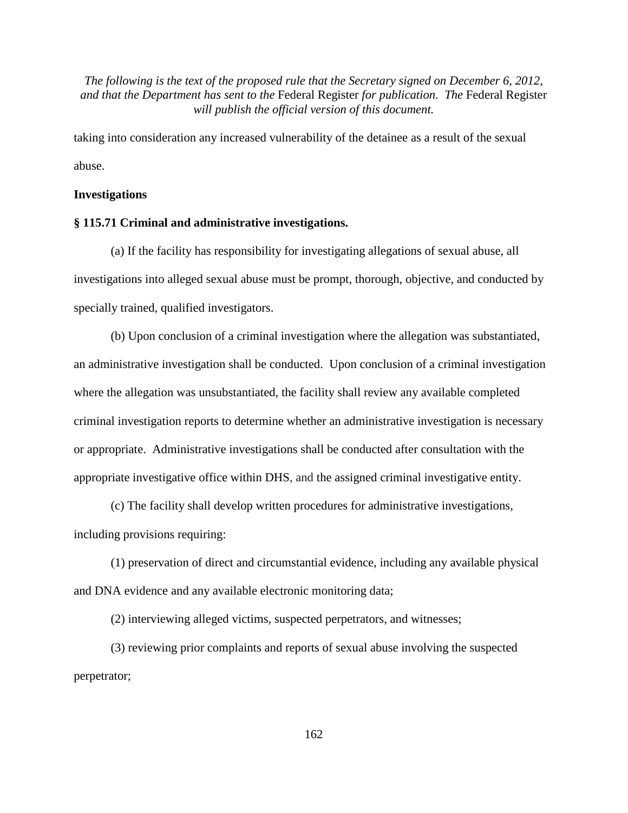taking into consideration any increased vulnerability of the detainee as a result of the sexual abuse.

#### **Investigations**

## **§ 115.71 Criminal and administrative investigations.**

(a) If the facility has responsibility for investigating allegations of sexual abuse, all investigations into alleged sexual abuse must be prompt, thorough, objective, and conducted by specially trained, qualified investigators.

(b) Upon conclusion of a criminal investigation where the allegation was substantiated, an administrative investigation shall be conducted. Upon conclusion of a criminal investigation where the allegation was unsubstantiated, the facility shall review any available completed criminal investigation reports to determine whether an administrative investigation is necessary or appropriate. Administrative investigations shall be conducted after consultation with the appropriate investigative office within DHS, and the assigned criminal investigative entity.

(c) The facility shall develop written procedures for administrative investigations, including provisions requiring:

(1) preservation of direct and circumstantial evidence, including any available physical and DNA evidence and any available electronic monitoring data;

(2) interviewing alleged victims, suspected perpetrators, and witnesses;

(3) reviewing prior complaints and reports of sexual abuse involving the suspected perpetrator;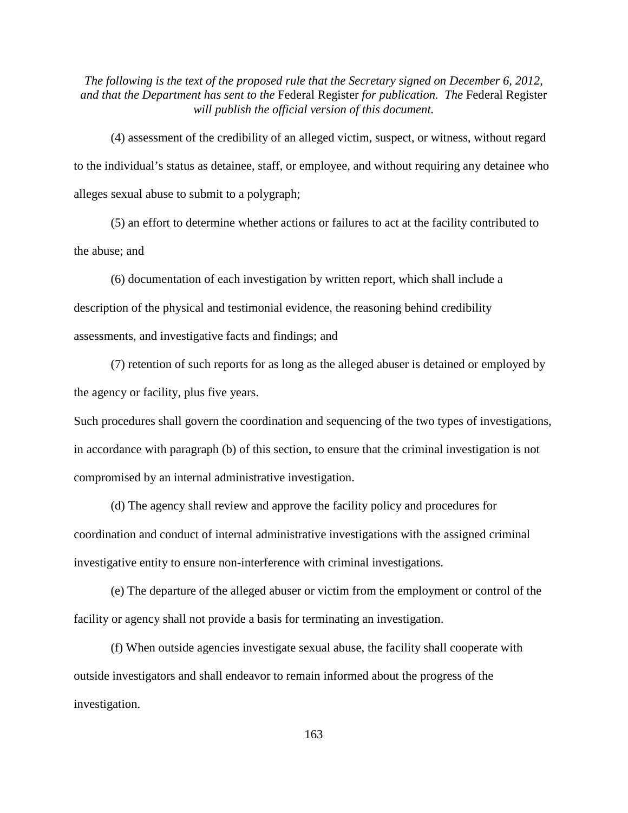(4) assessment of the credibility of an alleged victim, suspect, or witness, without regard to the individual's status as detainee, staff, or employee, and without requiring any detainee who alleges sexual abuse to submit to a polygraph;

(5) an effort to determine whether actions or failures to act at the facility contributed to the abuse; and

(6) documentation of each investigation by written report, which shall include a description of the physical and testimonial evidence, the reasoning behind credibility assessments, and investigative facts and findings; and

(7) retention of such reports for as long as the alleged abuser is detained or employed by the agency or facility, plus five years.

Such procedures shall govern the coordination and sequencing of the two types of investigations, in accordance with paragraph (b) of this section, to ensure that the criminal investigation is not compromised by an internal administrative investigation.

(d) The agency shall review and approve the facility policy and procedures for coordination and conduct of internal administrative investigations with the assigned criminal investigative entity to ensure non-interference with criminal investigations.

(e) The departure of the alleged abuser or victim from the employment or control of the facility or agency shall not provide a basis for terminating an investigation.

(f) When outside agencies investigate sexual abuse, the facility shall cooperate with outside investigators and shall endeavor to remain informed about the progress of the investigation.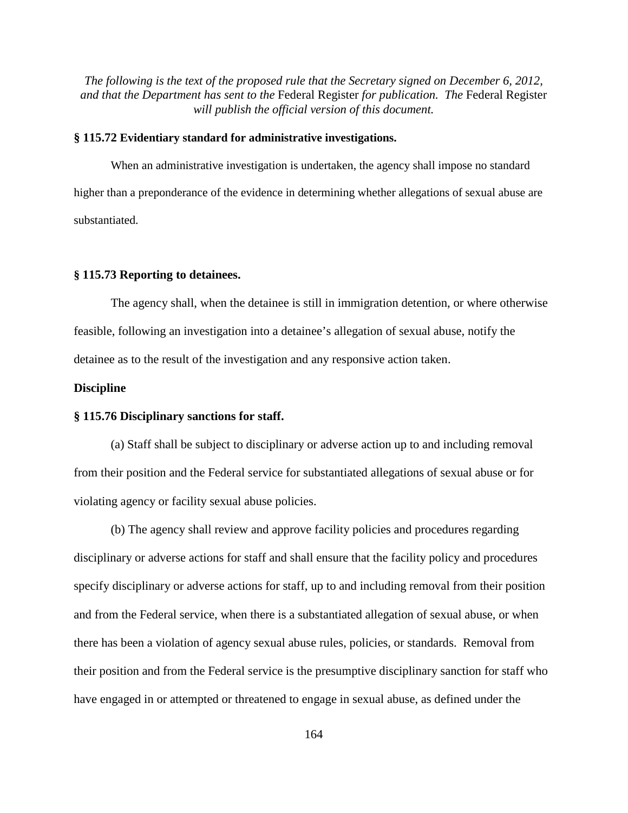## **§ 115.72 Evidentiary standard for administrative investigations.**

When an administrative investigation is undertaken, the agency shall impose no standard higher than a preponderance of the evidence in determining whether allegations of sexual abuse are substantiated.

## **§ 115.73 Reporting to detainees.**

The agency shall, when the detainee is still in immigration detention, or where otherwise feasible, following an investigation into a detainee's allegation of sexual abuse, notify the detainee as to the result of the investigation and any responsive action taken.

#### **Discipline**

#### **§ 115.76 Disciplinary sanctions for staff.**

(a) Staff shall be subject to disciplinary or adverse action up to and including removal from their position and the Federal service for substantiated allegations of sexual abuse or for violating agency or facility sexual abuse policies.

(b) The agency shall review and approve facility policies and procedures regarding disciplinary or adverse actions for staff and shall ensure that the facility policy and procedures specify disciplinary or adverse actions for staff, up to and including removal from their position and from the Federal service, when there is a substantiated allegation of sexual abuse, or when there has been a violation of agency sexual abuse rules, policies, or standards. Removal from their position and from the Federal service is the presumptive disciplinary sanction for staff who have engaged in or attempted or threatened to engage in sexual abuse, as defined under the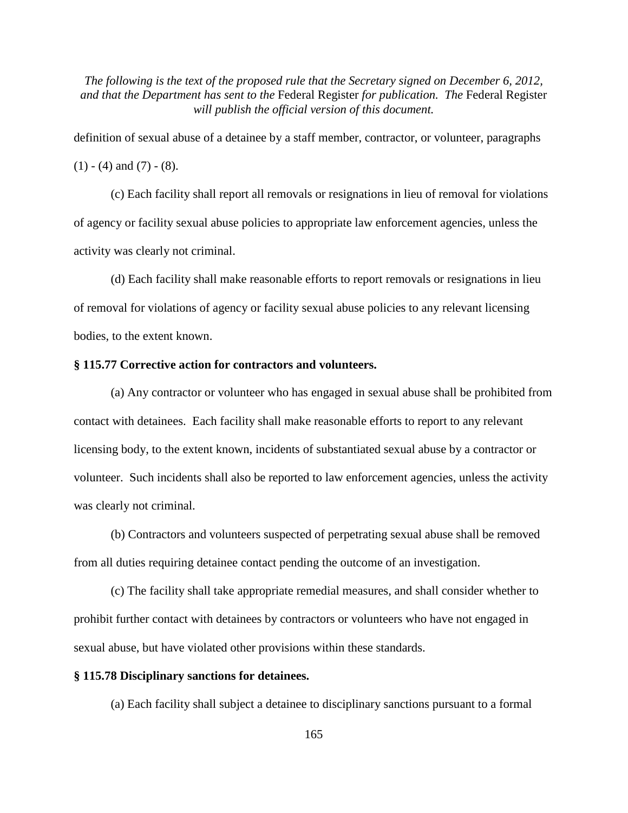definition of sexual abuse of a detainee by a staff member, contractor, or volunteer, paragraphs  $(1) - (4)$  and  $(7) - (8)$ .

(c) Each facility shall report all removals or resignations in lieu of removal for violations of agency or facility sexual abuse policies to appropriate law enforcement agencies, unless the activity was clearly not criminal.

(d) Each facility shall make reasonable efforts to report removals or resignations in lieu of removal for violations of agency or facility sexual abuse policies to any relevant licensing bodies, to the extent known.

## **§ 115.77 Corrective action for contractors and volunteers.**

(a) Any contractor or volunteer who has engaged in sexual abuse shall be prohibited from contact with detainees. Each facility shall make reasonable efforts to report to any relevant licensing body, to the extent known, incidents of substantiated sexual abuse by a contractor or volunteer. Such incidents shall also be reported to law enforcement agencies, unless the activity was clearly not criminal.

(b) Contractors and volunteers suspected of perpetrating sexual abuse shall be removed from all duties requiring detainee contact pending the outcome of an investigation.

(c) The facility shall take appropriate remedial measures, and shall consider whether to prohibit further contact with detainees by contractors or volunteers who have not engaged in sexual abuse, but have violated other provisions within these standards.

## **§ 115.78 Disciplinary sanctions for detainees.**

(a) Each facility shall subject a detainee to disciplinary sanctions pursuant to a formal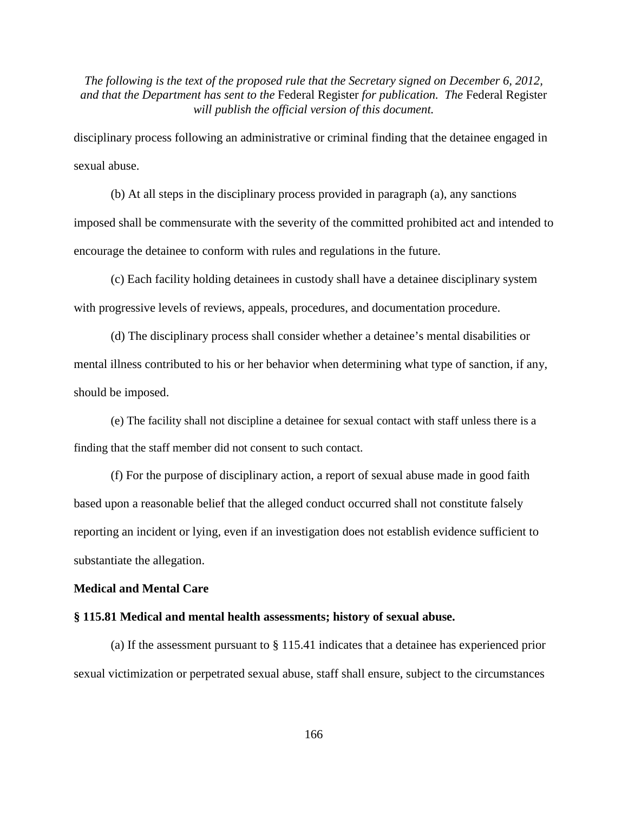disciplinary process following an administrative or criminal finding that the detainee engaged in sexual abuse.

(b) At all steps in the disciplinary process provided in paragraph (a), any sanctions imposed shall be commensurate with the severity of the committed prohibited act and intended to encourage the detainee to conform with rules and regulations in the future.

(c) Each facility holding detainees in custody shall have a detainee disciplinary system with progressive levels of reviews, appeals, procedures, and documentation procedure.

(d) The disciplinary process shall consider whether a detainee's mental disabilities or mental illness contributed to his or her behavior when determining what type of sanction, if any, should be imposed.

(e) The facility shall not discipline a detainee for sexual contact with staff unless there is a finding that the staff member did not consent to such contact.

(f) For the purpose of disciplinary action, a report of sexual abuse made in good faith based upon a reasonable belief that the alleged conduct occurred shall not constitute falsely reporting an incident or lying, even if an investigation does not establish evidence sufficient to substantiate the allegation.

## **Medical and Mental Care**

## **§ 115.81 Medical and mental health assessments; history of sexual abuse.**

(a) If the assessment pursuant to § 115.41 indicates that a detainee has experienced prior sexual victimization or perpetrated sexual abuse, staff shall ensure, subject to the circumstances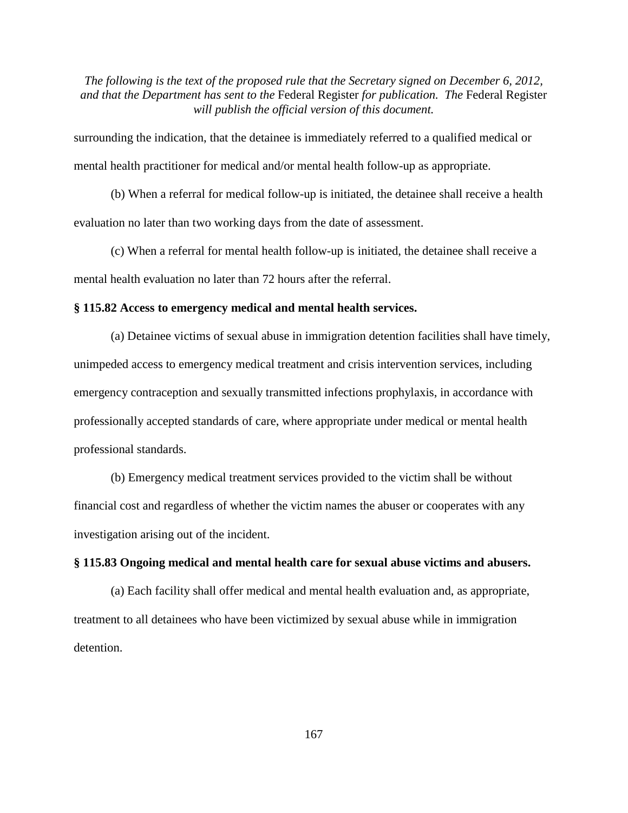surrounding the indication, that the detainee is immediately referred to a qualified medical or mental health practitioner for medical and/or mental health follow-up as appropriate.

(b) When a referral for medical follow-up is initiated, the detainee shall receive a health evaluation no later than two working days from the date of assessment.

(c) When a referral for mental health follow-up is initiated, the detainee shall receive a mental health evaluation no later than 72 hours after the referral.

#### **§ 115.82 Access to emergency medical and mental health services.**

(a) Detainee victims of sexual abuse in immigration detention facilities shall have timely, unimpeded access to emergency medical treatment and crisis intervention services, including emergency contraception and sexually transmitted infections prophylaxis, in accordance with professionally accepted standards of care, where appropriate under medical or mental health professional standards.

(b) Emergency medical treatment services provided to the victim shall be without financial cost and regardless of whether the victim names the abuser or cooperates with any investigation arising out of the incident.

## **§ 115.83 Ongoing medical and mental health care for sexual abuse victims and abusers.**

(a) Each facility shall offer medical and mental health evaluation and, as appropriate, treatment to all detainees who have been victimized by sexual abuse while in immigration detention.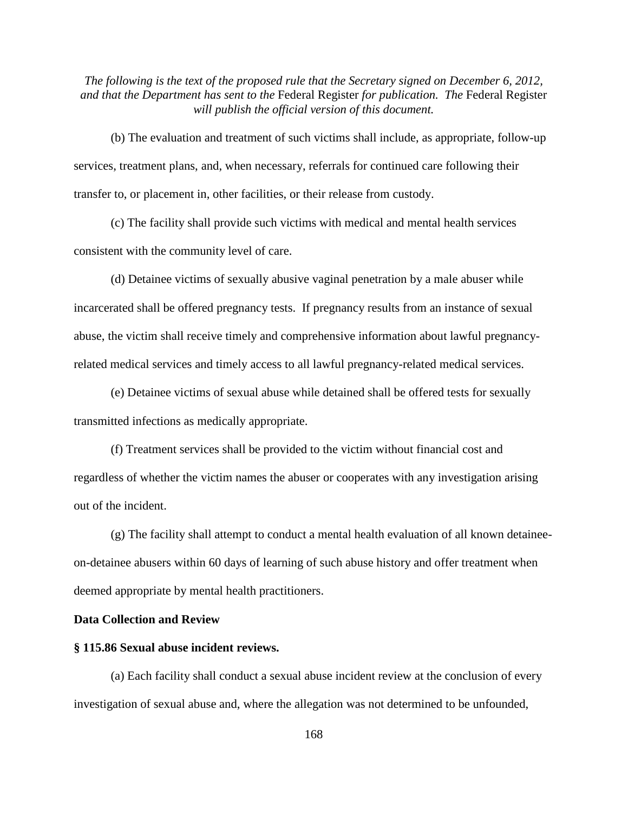(b) The evaluation and treatment of such victims shall include, as appropriate, follow-up services, treatment plans, and, when necessary, referrals for continued care following their transfer to, or placement in, other facilities, or their release from custody.

(c) The facility shall provide such victims with medical and mental health services consistent with the community level of care.

(d) Detainee victims of sexually abusive vaginal penetration by a male abuser while incarcerated shall be offered pregnancy tests. If pregnancy results from an instance of sexual abuse, the victim shall receive timely and comprehensive information about lawful pregnancyrelated medical services and timely access to all lawful pregnancy-related medical services.

(e) Detainee victims of sexual abuse while detained shall be offered tests for sexually transmitted infections as medically appropriate.

(f) Treatment services shall be provided to the victim without financial cost and regardless of whether the victim names the abuser or cooperates with any investigation arising out of the incident.

(g) The facility shall attempt to conduct a mental health evaluation of all known detaineeon-detainee abusers within 60 days of learning of such abuse history and offer treatment when deemed appropriate by mental health practitioners.

### **Data Collection and Review**

#### **§ 115.86 Sexual abuse incident reviews.**

(a) Each facility shall conduct a sexual abuse incident review at the conclusion of every investigation of sexual abuse and, where the allegation was not determined to be unfounded,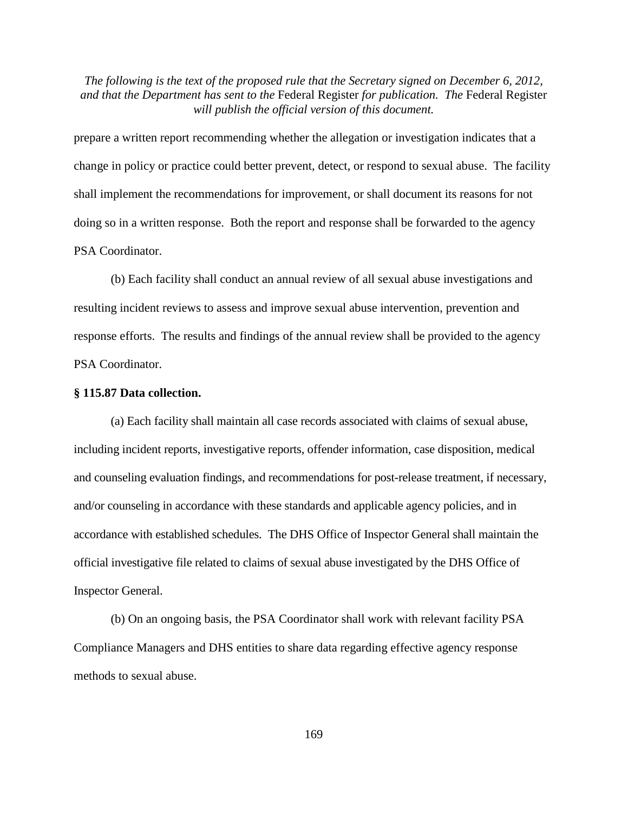prepare a written report recommending whether the allegation or investigation indicates that a change in policy or practice could better prevent, detect, or respond to sexual abuse. The facility shall implement the recommendations for improvement, or shall document its reasons for not doing so in a written response. Both the report and response shall be forwarded to the agency PSA Coordinator.

(b) Each facility shall conduct an annual review of all sexual abuse investigations and resulting incident reviews to assess and improve sexual abuse intervention, prevention and response efforts. The results and findings of the annual review shall be provided to the agency PSA Coordinator.

#### **§ 115.87 Data collection.**

(a) Each facility shall maintain all case records associated with claims of sexual abuse, including incident reports, investigative reports, offender information, case disposition, medical and counseling evaluation findings, and recommendations for post-release treatment, if necessary, and/or counseling in accordance with these standards and applicable agency policies, and in accordance with established schedules. The DHS Office of Inspector General shall maintain the official investigative file related to claims of sexual abuse investigated by the DHS Office of Inspector General.

(b) On an ongoing basis, the PSA Coordinator shall work with relevant facility PSA Compliance Managers and DHS entities to share data regarding effective agency response methods to sexual abuse.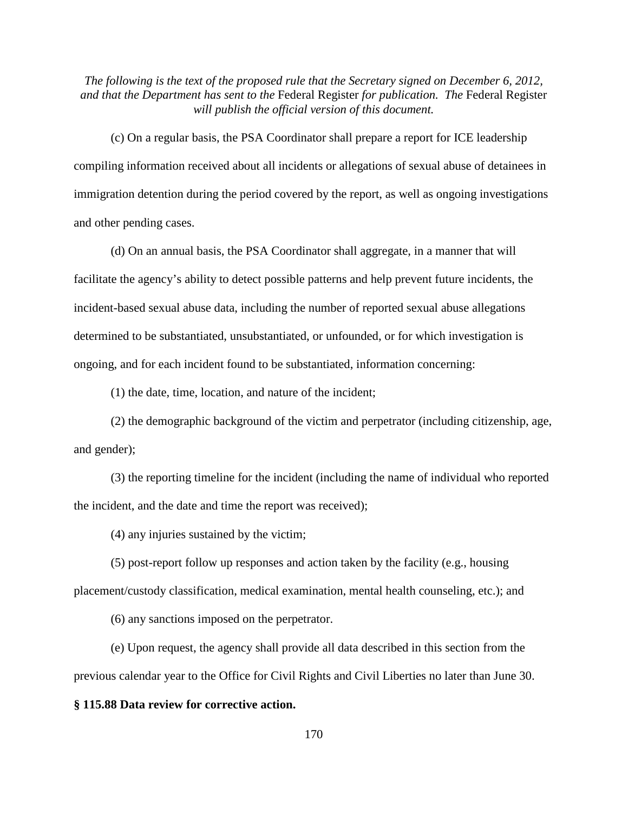(c) On a regular basis, the PSA Coordinator shall prepare a report for ICE leadership compiling information received about all incidents or allegations of sexual abuse of detainees in immigration detention during the period covered by the report, as well as ongoing investigations and other pending cases.

(d) On an annual basis, the PSA Coordinator shall aggregate, in a manner that will facilitate the agency's ability to detect possible patterns and help prevent future incidents, the incident-based sexual abuse data, including the number of reported sexual abuse allegations determined to be substantiated, unsubstantiated, or unfounded, or for which investigation is ongoing, and for each incident found to be substantiated, information concerning:

(1) the date, time, location, and nature of the incident;

(2) the demographic background of the victim and perpetrator (including citizenship, age, and gender);

(3) the reporting timeline for the incident (including the name of individual who reported the incident, and the date and time the report was received);

(4) any injuries sustained by the victim;

(5) post-report follow up responses and action taken by the facility (e.g., housing placement/custody classification, medical examination, mental health counseling, etc.); and

(6) any sanctions imposed on the perpetrator.

(e) Upon request, the agency shall provide all data described in this section from the previous calendar year to the Office for Civil Rights and Civil Liberties no later than June 30.

#### **§ 115.88 Data review for corrective action.**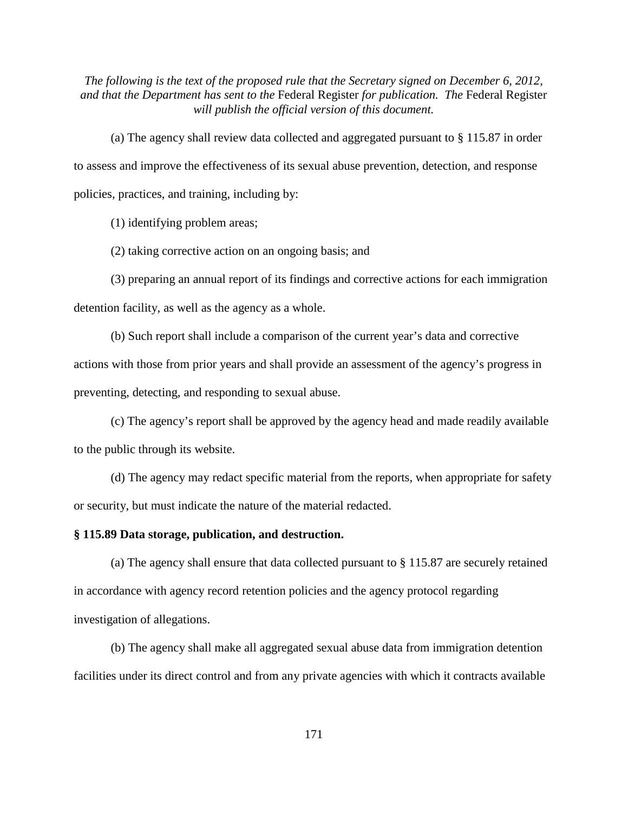(a) The agency shall review data collected and aggregated pursuant to § 115.87 in order to assess and improve the effectiveness of its sexual abuse prevention, detection, and response policies, practices, and training, including by:

(1) identifying problem areas;

(2) taking corrective action on an ongoing basis; and

(3) preparing an annual report of its findings and corrective actions for each immigration detention facility, as well as the agency as a whole.

(b) Such report shall include a comparison of the current year's data and corrective actions with those from prior years and shall provide an assessment of the agency's progress in preventing, detecting, and responding to sexual abuse.

(c) The agency's report shall be approved by the agency head and made readily available to the public through its website.

(d) The agency may redact specific material from the reports, when appropriate for safety or security, but must indicate the nature of the material redacted.

# **§ 115.89 Data storage, publication, and destruction.**

(a) The agency shall ensure that data collected pursuant to § 115.87 are securely retained in accordance with agency record retention policies and the agency protocol regarding investigation of allegations.

(b) The agency shall make all aggregated sexual abuse data from immigration detention facilities under its direct control and from any private agencies with which it contracts available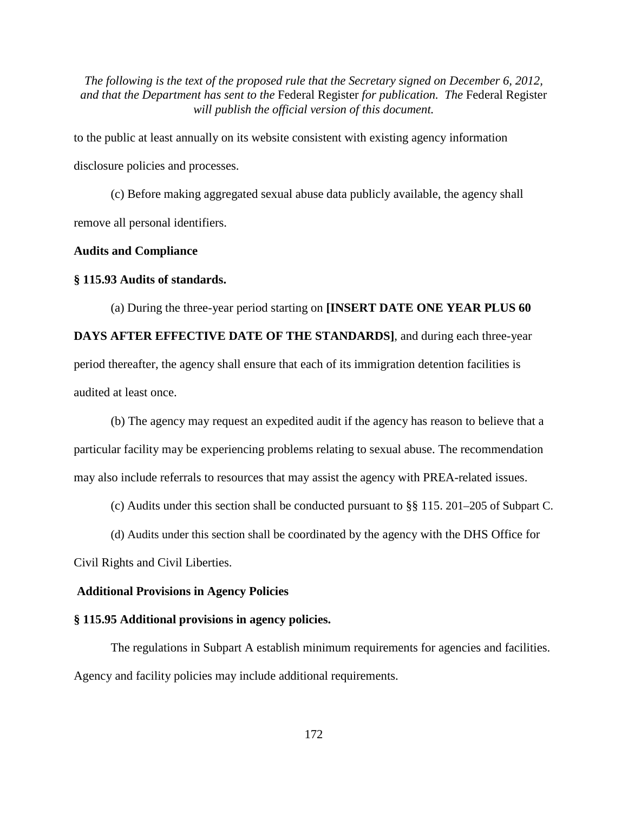to the public at least annually on its website consistent with existing agency information disclosure policies and processes.

(c) Before making aggregated sexual abuse data publicly available, the agency shall remove all personal identifiers.

#### **Audits and Compliance**

#### **§ 115.93 Audits of standards.**

(a) During the three-year period starting on **[INSERT DATE ONE YEAR PLUS 60 DAYS AFTER EFFECTIVE DATE OF THE STANDARDS]**, and during each three-year period thereafter, the agency shall ensure that each of its immigration detention facilities is audited at least once.

(b) The agency may request an expedited audit if the agency has reason to believe that a particular facility may be experiencing problems relating to sexual abuse. The recommendation may also include referrals to resources that may assist the agency with PREA-related issues.

(c) Audits under this section shall be conducted pursuant to §§ 115. 201–205 of Subpart C.

(d) Audits under this section shall be coordinated by the agency with the DHS Office for

Civil Rights and Civil Liberties.

#### **Additional Provisions in Agency Policies**

#### **§ 115.95 Additional provisions in agency policies.**

The regulations in Subpart A establish minimum requirements for agencies and facilities. Agency and facility policies may include additional requirements.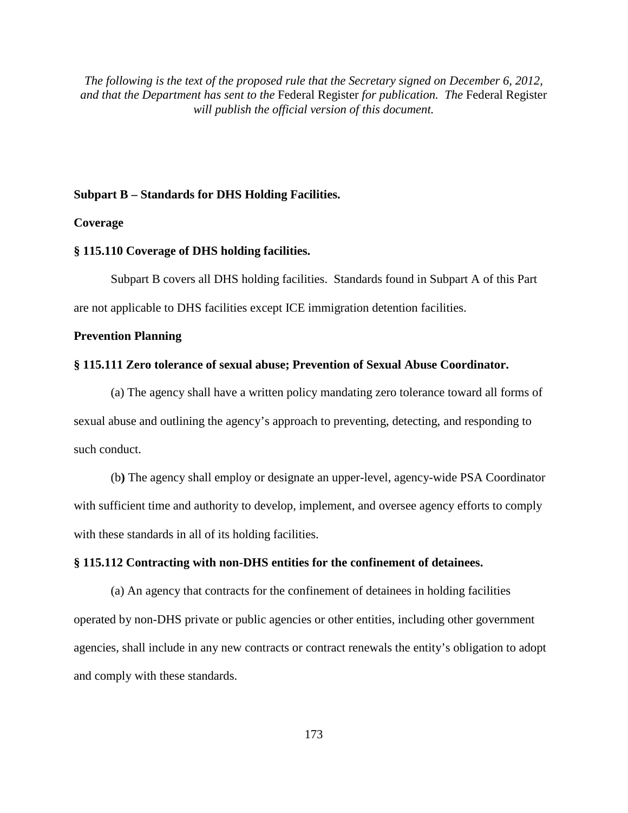#### **Subpart B – Standards for DHS Holding Facilities.**

## **Coverage**

## **§ 115.110 Coverage of DHS holding facilities.**

Subpart B covers all DHS holding facilities. Standards found in Subpart A of this Part are not applicable to DHS facilities except ICE immigration detention facilities.

#### **Prevention Planning**

#### **§ 115.111 Zero tolerance of sexual abuse; Prevention of Sexual Abuse Coordinator.**

(a) The agency shall have a written policy mandating zero tolerance toward all forms of sexual abuse and outlining the agency's approach to preventing, detecting, and responding to such conduct.

(b**)** The agency shall employ or designate an upper-level, agency-wide PSA Coordinator with sufficient time and authority to develop, implement, and oversee agency efforts to comply with these standards in all of its holding facilities.

#### **§ 115.112 Contracting with non-DHS entities for the confinement of detainees.**

(a) An agency that contracts for the confinement of detainees in holding facilities operated by non-DHS private or public agencies or other entities, including other government agencies, shall include in any new contracts or contract renewals the entity's obligation to adopt and comply with these standards.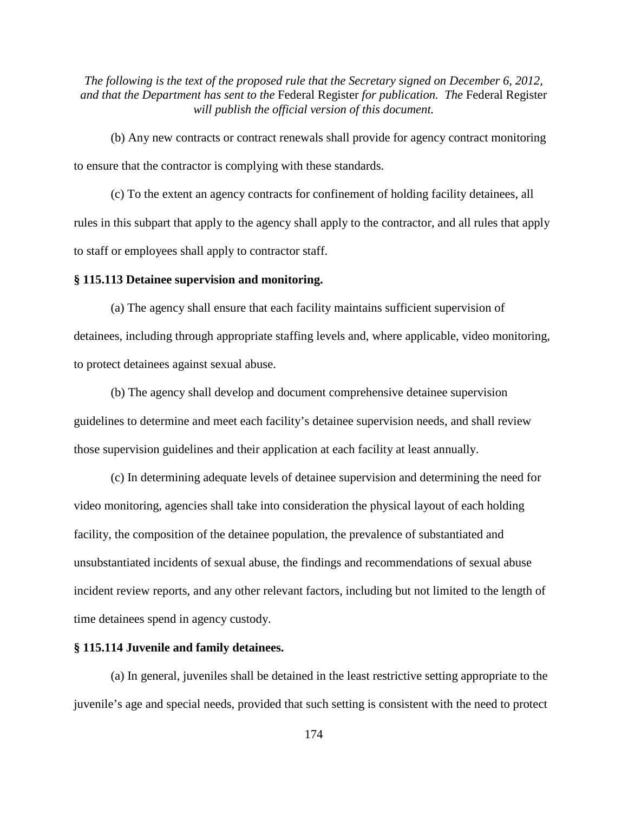(b) Any new contracts or contract renewals shall provide for agency contract monitoring to ensure that the contractor is complying with these standards.

(c) To the extent an agency contracts for confinement of holding facility detainees, all rules in this subpart that apply to the agency shall apply to the contractor, and all rules that apply to staff or employees shall apply to contractor staff.

# **§ 115.113 Detainee supervision and monitoring.**

(a) The agency shall ensure that each facility maintains sufficient supervision of detainees, including through appropriate staffing levels and, where applicable, video monitoring, to protect detainees against sexual abuse.

(b) The agency shall develop and document comprehensive detainee supervision guidelines to determine and meet each facility's detainee supervision needs, and shall review those supervision guidelines and their application at each facility at least annually.

(c) In determining adequate levels of detainee supervision and determining the need for video monitoring, agencies shall take into consideration the physical layout of each holding facility, the composition of the detainee population, the prevalence of substantiated and unsubstantiated incidents of sexual abuse, the findings and recommendations of sexual abuse incident review reports, and any other relevant factors, including but not limited to the length of time detainees spend in agency custody.

#### **§ 115.114 Juvenile and family detainees.**

(a) In general, juveniles shall be detained in the least restrictive setting appropriate to the juvenile's age and special needs, provided that such setting is consistent with the need to protect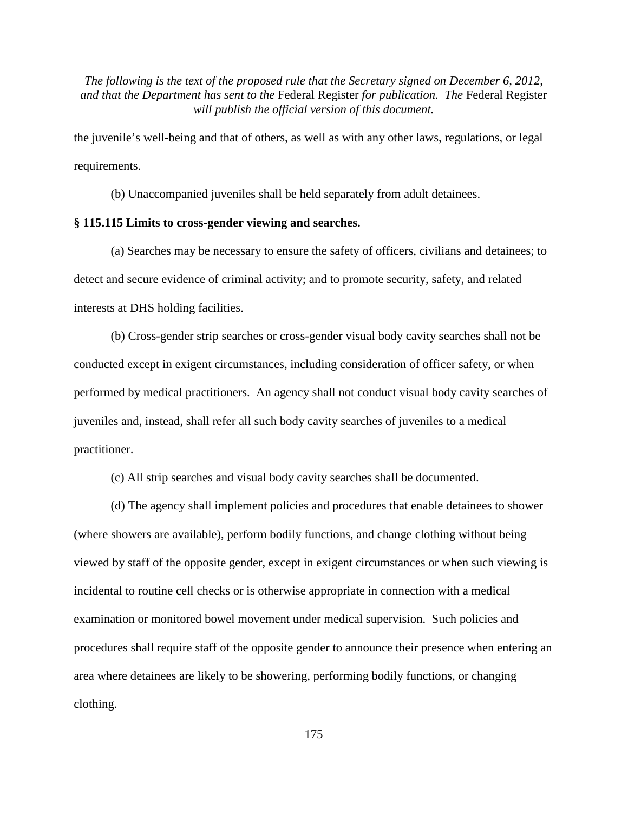the juvenile's well-being and that of others, as well as with any other laws, regulations, or legal requirements.

(b) Unaccompanied juveniles shall be held separately from adult detainees.

## **§ 115.115 Limits to cross-gender viewing and searches.**

(a) Searches may be necessary to ensure the safety of officers, civilians and detainees; to detect and secure evidence of criminal activity; and to promote security, safety, and related interests at DHS holding facilities.

(b) Cross-gender strip searches or cross-gender visual body cavity searches shall not be conducted except in exigent circumstances, including consideration of officer safety, or when performed by medical practitioners. An agency shall not conduct visual body cavity searches of juveniles and, instead, shall refer all such body cavity searches of juveniles to a medical practitioner.

(c) All strip searches and visual body cavity searches shall be documented.

(d) The agency shall implement policies and procedures that enable detainees to shower (where showers are available), perform bodily functions, and change clothing without being viewed by staff of the opposite gender, except in exigent circumstances or when such viewing is incidental to routine cell checks or is otherwise appropriate in connection with a medical examination or monitored bowel movement under medical supervision. Such policies and procedures shall require staff of the opposite gender to announce their presence when entering an area where detainees are likely to be showering, performing bodily functions, or changing clothing.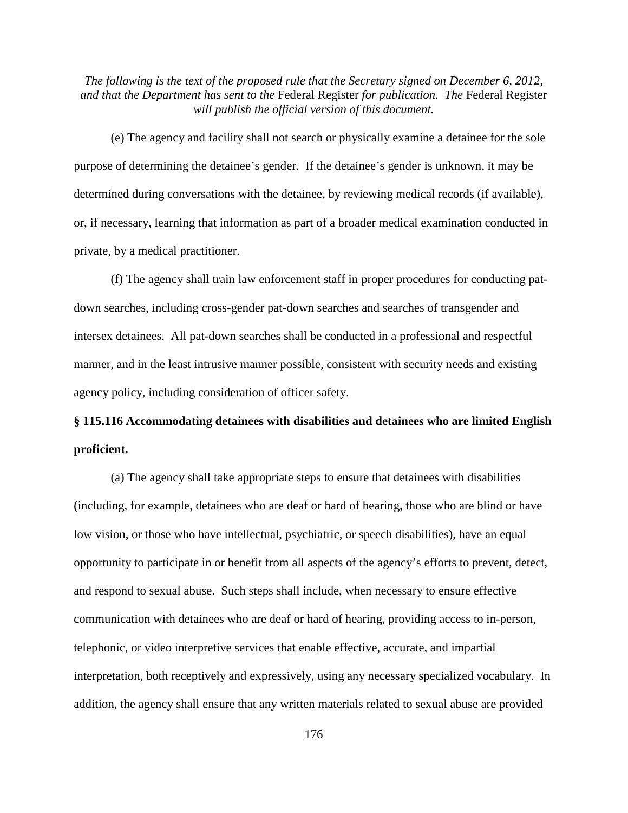(e) The agency and facility shall not search or physically examine a detainee for the sole purpose of determining the detainee's gender. If the detainee's gender is unknown, it may be determined during conversations with the detainee, by reviewing medical records (if available), or, if necessary, learning that information as part of a broader medical examination conducted in private, by a medical practitioner.

(f) The agency shall train law enforcement staff in proper procedures for conducting patdown searches, including cross-gender pat-down searches and searches of transgender and intersex detainees. All pat-down searches shall be conducted in a professional and respectful manner, and in the least intrusive manner possible, consistent with security needs and existing agency policy, including consideration of officer safety.

# **§ 115.116 Accommodating detainees with disabilities and detainees who are limited English proficient.**

(a) The agency shall take appropriate steps to ensure that detainees with disabilities (including, for example, detainees who are deaf or hard of hearing, those who are blind or have low vision, or those who have intellectual, psychiatric, or speech disabilities), have an equal opportunity to participate in or benefit from all aspects of the agency's efforts to prevent, detect, and respond to sexual abuse. Such steps shall include, when necessary to ensure effective communication with detainees who are deaf or hard of hearing, providing access to in-person, telephonic, or video interpretive services that enable effective, accurate, and impartial interpretation, both receptively and expressively, using any necessary specialized vocabulary. In addition, the agency shall ensure that any written materials related to sexual abuse are provided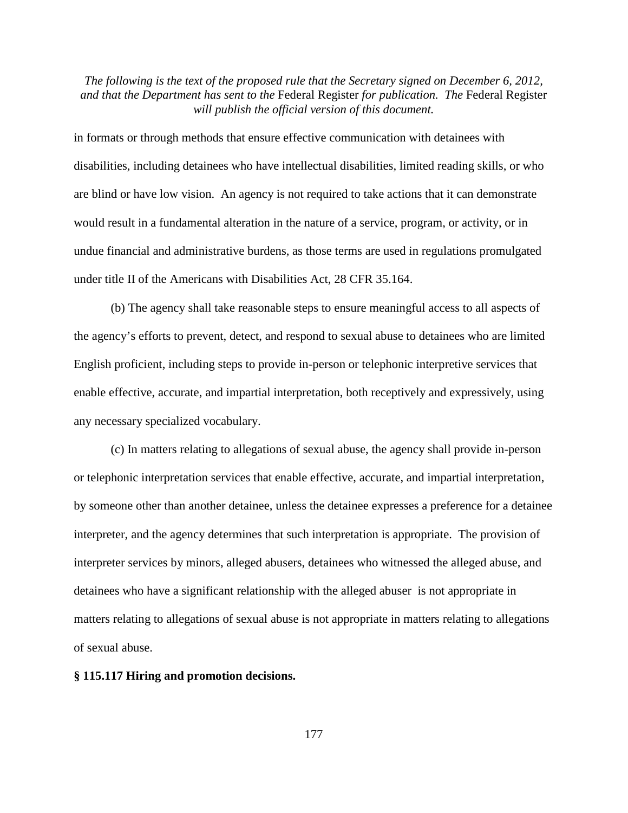in formats or through methods that ensure effective communication with detainees with disabilities, including detainees who have intellectual disabilities, limited reading skills, or who are blind or have low vision. An agency is not required to take actions that it can demonstrate would result in a fundamental alteration in the nature of a service, program, or activity, or in undue financial and administrative burdens, as those terms are used in regulations promulgated under title II of the Americans with Disabilities Act, 28 CFR 35.164.

(b) The agency shall take reasonable steps to ensure meaningful access to all aspects of the agency's efforts to prevent, detect, and respond to sexual abuse to detainees who are limited English proficient, including steps to provide in-person or telephonic interpretive services that enable effective, accurate, and impartial interpretation, both receptively and expressively, using any necessary specialized vocabulary.

(c) In matters relating to allegations of sexual abuse, the agency shall provide in-person or telephonic interpretation services that enable effective, accurate, and impartial interpretation, by someone other than another detainee, unless the detainee expresses a preference for a detainee interpreter, and the agency determines that such interpretation is appropriate. The provision of interpreter services by minors, alleged abusers, detainees who witnessed the alleged abuse, and detainees who have a significant relationship with the alleged abuser is not appropriate in matters relating to allegations of sexual abuse is not appropriate in matters relating to allegations of sexual abuse.

#### **§ 115.117 Hiring and promotion decisions.**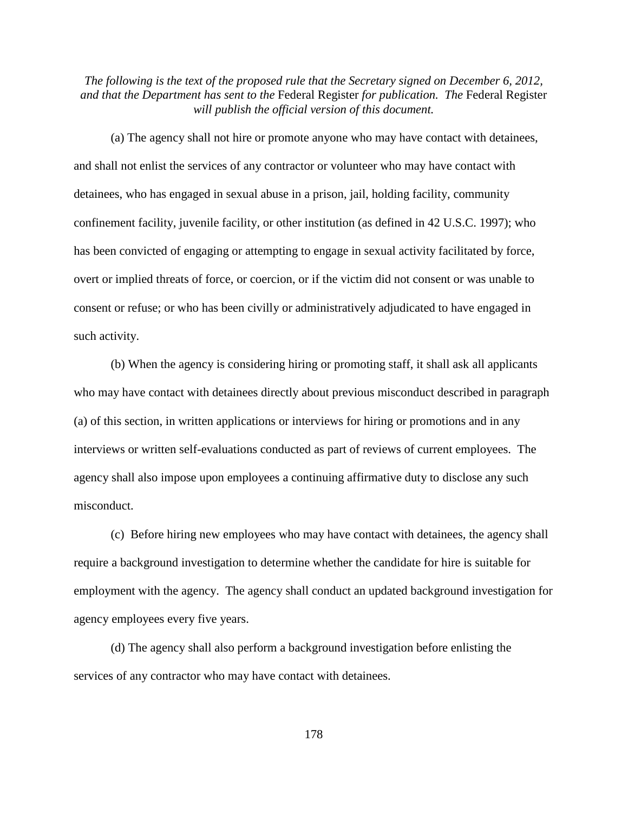(a) The agency shall not hire or promote anyone who may have contact with detainees, and shall not enlist the services of any contractor or volunteer who may have contact with detainees, who has engaged in sexual abuse in a prison, jail, holding facility, community confinement facility, juvenile facility, or other institution (as defined in 42 U.S.C. 1997); who has been convicted of engaging or attempting to engage in sexual activity facilitated by force, overt or implied threats of force, or coercion, or if the victim did not consent or was unable to consent or refuse; or who has been civilly or administratively adjudicated to have engaged in such activity.

(b) When the agency is considering hiring or promoting staff, it shall ask all applicants who may have contact with detainees directly about previous misconduct described in paragraph (a) of this section, in written applications or interviews for hiring or promotions and in any interviews or written self-evaluations conducted as part of reviews of current employees. The agency shall also impose upon employees a continuing affirmative duty to disclose any such misconduct.

(c) Before hiring new employees who may have contact with detainees, the agency shall require a background investigation to determine whether the candidate for hire is suitable for employment with the agency. The agency shall conduct an updated background investigation for agency employees every five years.

(d) The agency shall also perform a background investigation before enlisting the services of any contractor who may have contact with detainees.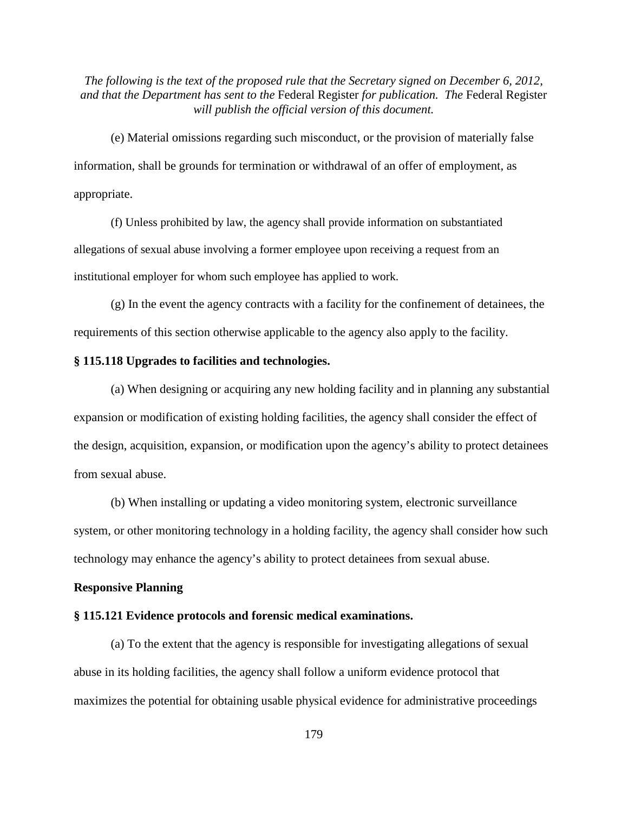(e) Material omissions regarding such misconduct, or the provision of materially false information, shall be grounds for termination or withdrawal of an offer of employment, as appropriate.

(f) Unless prohibited by law, the agency shall provide information on substantiated allegations of sexual abuse involving a former employee upon receiving a request from an institutional employer for whom such employee has applied to work.

(g) In the event the agency contracts with a facility for the confinement of detainees, the requirements of this section otherwise applicable to the agency also apply to the facility.

# **§ 115.118 Upgrades to facilities and technologies.**

(a) When designing or acquiring any new holding facility and in planning any substantial expansion or modification of existing holding facilities, the agency shall consider the effect of the design, acquisition, expansion, or modification upon the agency's ability to protect detainees from sexual abuse.

(b) When installing or updating a video monitoring system, electronic surveillance system, or other monitoring technology in a holding facility, the agency shall consider how such technology may enhance the agency's ability to protect detainees from sexual abuse.

#### **Responsive Planning**

## **§ 115.121 Evidence protocols and forensic medical examinations.**

(a) To the extent that the agency is responsible for investigating allegations of sexual abuse in its holding facilities, the agency shall follow a uniform evidence protocol that maximizes the potential for obtaining usable physical evidence for administrative proceedings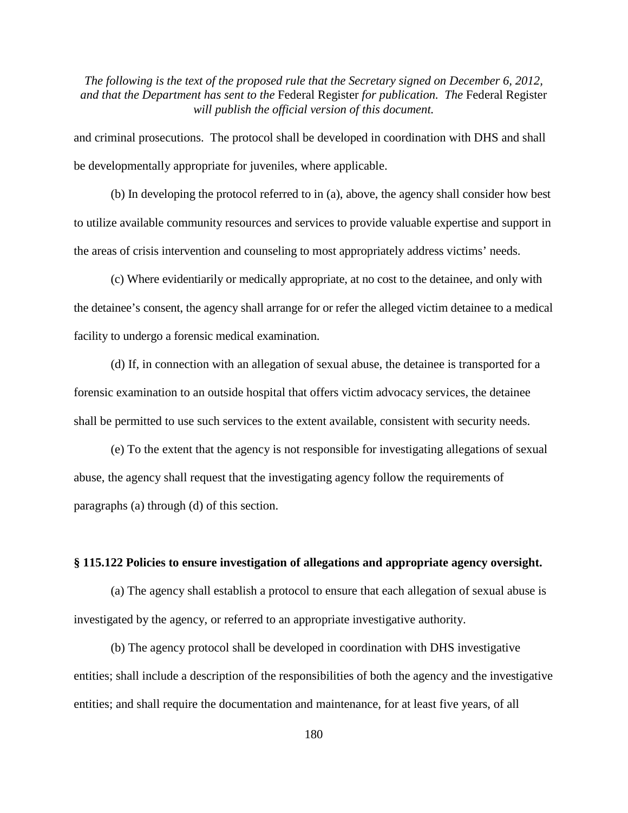and criminal prosecutions. The protocol shall be developed in coordination with DHS and shall be developmentally appropriate for juveniles, where applicable.

(b) In developing the protocol referred to in (a), above, the agency shall consider how best to utilize available community resources and services to provide valuable expertise and support in the areas of crisis intervention and counseling to most appropriately address victims' needs.

(c) Where evidentiarily or medically appropriate, at no cost to the detainee, and only with the detainee's consent, the agency shall arrange for or refer the alleged victim detainee to a medical facility to undergo a forensic medical examination.

(d) If, in connection with an allegation of sexual abuse, the detainee is transported for a forensic examination to an outside hospital that offers victim advocacy services, the detainee shall be permitted to use such services to the extent available, consistent with security needs.

(e) To the extent that the agency is not responsible for investigating allegations of sexual abuse, the agency shall request that the investigating agency follow the requirements of paragraphs (a) through (d) of this section.

#### **§ 115.122 Policies to ensure investigation of allegations and appropriate agency oversight.**

(a) The agency shall establish a protocol to ensure that each allegation of sexual abuse is investigated by the agency, or referred to an appropriate investigative authority.

(b) The agency protocol shall be developed in coordination with DHS investigative entities; shall include a description of the responsibilities of both the agency and the investigative entities; and shall require the documentation and maintenance, for at least five years, of all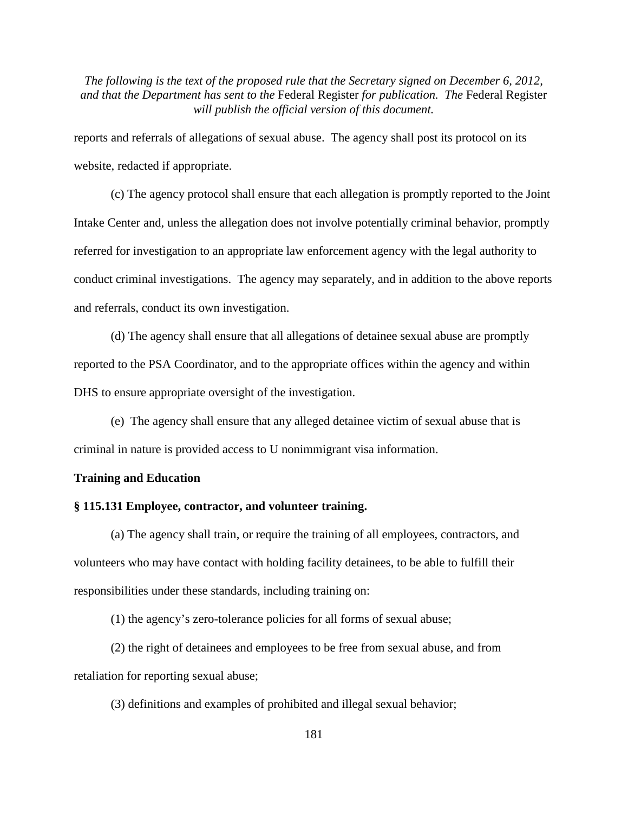reports and referrals of allegations of sexual abuse. The agency shall post its protocol on its website, redacted if appropriate.

(c) The agency protocol shall ensure that each allegation is promptly reported to the Joint Intake Center and, unless the allegation does not involve potentially criminal behavior, promptly referred for investigation to an appropriate law enforcement agency with the legal authority to conduct criminal investigations. The agency may separately, and in addition to the above reports and referrals, conduct its own investigation.

(d) The agency shall ensure that all allegations of detainee sexual abuse are promptly reported to the PSA Coordinator, and to the appropriate offices within the agency and within DHS to ensure appropriate oversight of the investigation.

(e) The agency shall ensure that any alleged detainee victim of sexual abuse that is criminal in nature is provided access to U nonimmigrant visa information.

### **Training and Education**

# **§ 115.131 Employee, contractor, and volunteer training.**

(a) The agency shall train, or require the training of all employees, contractors, and volunteers who may have contact with holding facility detainees, to be able to fulfill their responsibilities under these standards, including training on:

(1) the agency's zero-tolerance policies for all forms of sexual abuse;

(2) the right of detainees and employees to be free from sexual abuse, and from retaliation for reporting sexual abuse;

(3) definitions and examples of prohibited and illegal sexual behavior;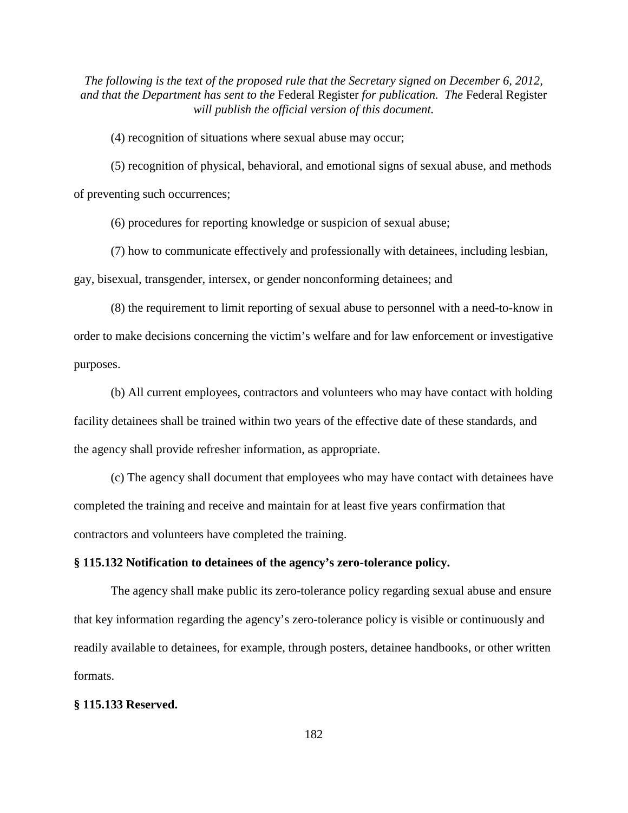(4) recognition of situations where sexual abuse may occur;

(5) recognition of physical, behavioral, and emotional signs of sexual abuse, and methods of preventing such occurrences;

(6) procedures for reporting knowledge or suspicion of sexual abuse;

(7) how to communicate effectively and professionally with detainees, including lesbian, gay, bisexual, transgender, intersex, or gender nonconforming detainees; and

(8) the requirement to limit reporting of sexual abuse to personnel with a need-to-know in order to make decisions concerning the victim's welfare and for law enforcement or investigative purposes.

(b) All current employees, contractors and volunteers who may have contact with holding facility detainees shall be trained within two years of the effective date of these standards, and the agency shall provide refresher information, as appropriate.

(c) The agency shall document that employees who may have contact with detainees have completed the training and receive and maintain for at least five years confirmation that contractors and volunteers have completed the training.

## **§ 115.132 Notification to detainees of the agency's zero-tolerance policy.**

The agency shall make public its zero-tolerance policy regarding sexual abuse and ensure that key information regarding the agency's zero-tolerance policy is visible or continuously and readily available to detainees, for example, through posters, detainee handbooks, or other written formats.

### **§ 115.133 Reserved.**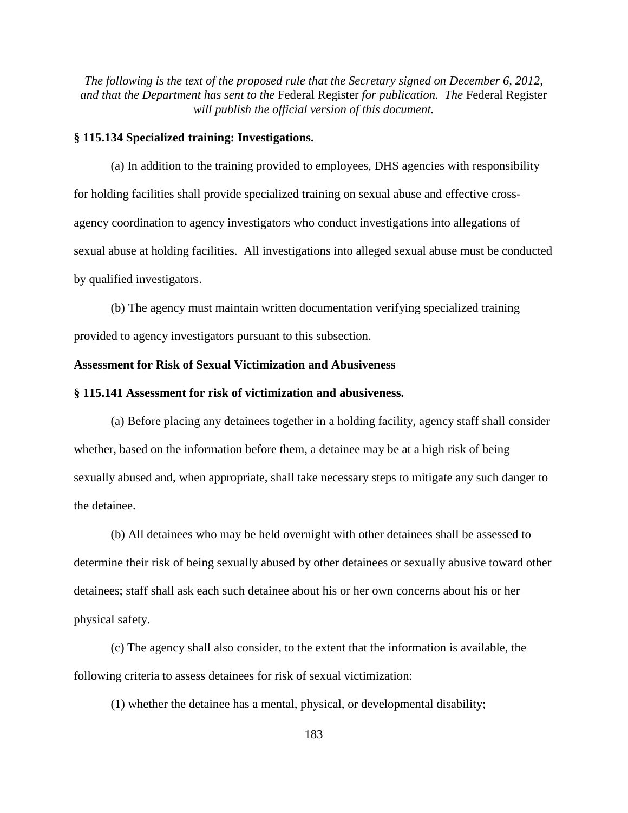### **§ 115.134 Specialized training: Investigations.**

(a) In addition to the training provided to employees, DHS agencies with responsibility for holding facilities shall provide specialized training on sexual abuse and effective crossagency coordination to agency investigators who conduct investigations into allegations of sexual abuse at holding facilities. All investigations into alleged sexual abuse must be conducted by qualified investigators.

(b) The agency must maintain written documentation verifying specialized training provided to agency investigators pursuant to this subsection.

### **Assessment for Risk of Sexual Victimization and Abusiveness**

#### **§ 115.141 Assessment for risk of victimization and abusiveness.**

(a) Before placing any detainees together in a holding facility, agency staff shall consider whether, based on the information before them, a detainee may be at a high risk of being sexually abused and, when appropriate, shall take necessary steps to mitigate any such danger to the detainee.

(b) All detainees who may be held overnight with other detainees shall be assessed to determine their risk of being sexually abused by other detainees or sexually abusive toward other detainees; staff shall ask each such detainee about his or her own concerns about his or her physical safety.

(c) The agency shall also consider, to the extent that the information is available, the following criteria to assess detainees for risk of sexual victimization:

(1) whether the detainee has a mental, physical, or developmental disability;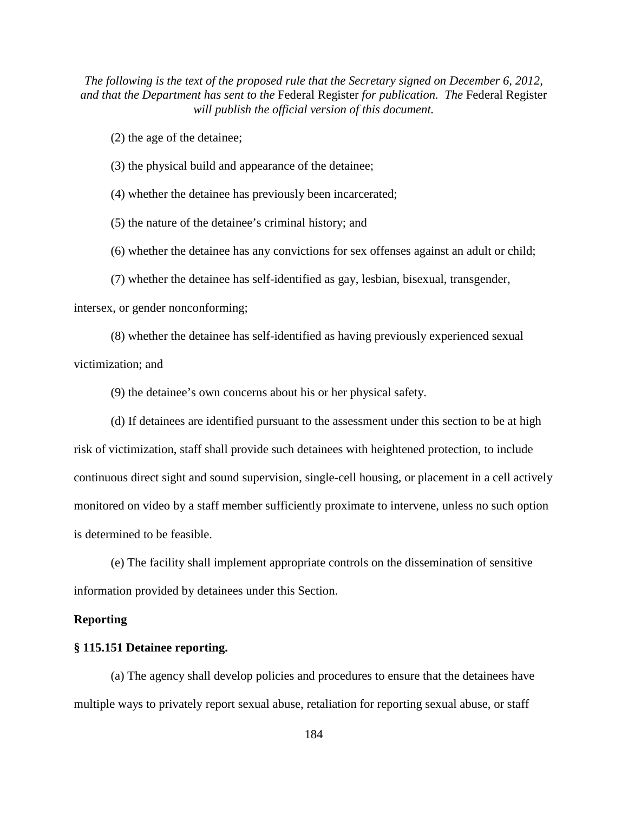(2) the age of the detainee;

(3) the physical build and appearance of the detainee;

(4) whether the detainee has previously been incarcerated;

(5) the nature of the detainee's criminal history; and

(6) whether the detainee has any convictions for sex offenses against an adult or child;

(7) whether the detainee has self-identified as gay, lesbian, bisexual, transgender,

intersex, or gender nonconforming;

(8) whether the detainee has self-identified as having previously experienced sexual

victimization; and

(9) the detainee's own concerns about his or her physical safety.

(d) If detainees are identified pursuant to the assessment under this section to be at high risk of victimization, staff shall provide such detainees with heightened protection, to include continuous direct sight and sound supervision, single-cell housing, or placement in a cell actively monitored on video by a staff member sufficiently proximate to intervene, unless no such option is determined to be feasible.

(e) The facility shall implement appropriate controls on the dissemination of sensitive information provided by detainees under this Section.

### **Reporting**

### **§ 115.151 Detainee reporting.**

(a) The agency shall develop policies and procedures to ensure that the detainees have multiple ways to privately report sexual abuse, retaliation for reporting sexual abuse, or staff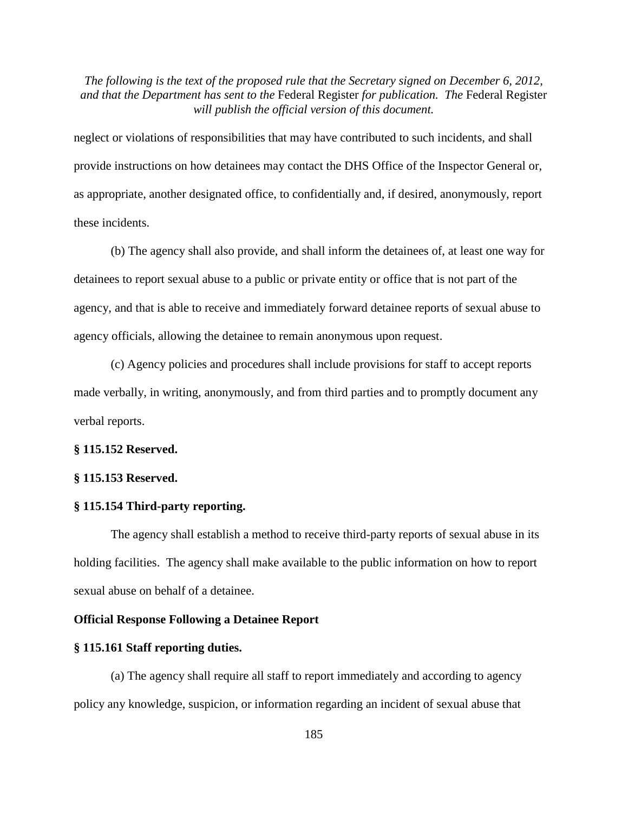neglect or violations of responsibilities that may have contributed to such incidents, and shall provide instructions on how detainees may contact the DHS Office of the Inspector General or, as appropriate, another designated office, to confidentially and, if desired, anonymously, report these incidents.

(b) The agency shall also provide, and shall inform the detainees of, at least one way for detainees to report sexual abuse to a public or private entity or office that is not part of the agency, and that is able to receive and immediately forward detainee reports of sexual abuse to agency officials, allowing the detainee to remain anonymous upon request.

(c) Agency policies and procedures shall include provisions for staff to accept reports made verbally, in writing, anonymously, and from third parties and to promptly document any verbal reports.

### **§ 115.152 Reserved.**

### **§ 115.153 Reserved.**

### **§ 115.154 Third-party reporting.**

The agency shall establish a method to receive third-party reports of sexual abuse in its holding facilities. The agency shall make available to the public information on how to report sexual abuse on behalf of a detainee.

### **Official Response Following a Detainee Report**

#### **§ 115.161 Staff reporting duties.**

(a) The agency shall require all staff to report immediately and according to agency policy any knowledge, suspicion, or information regarding an incident of sexual abuse that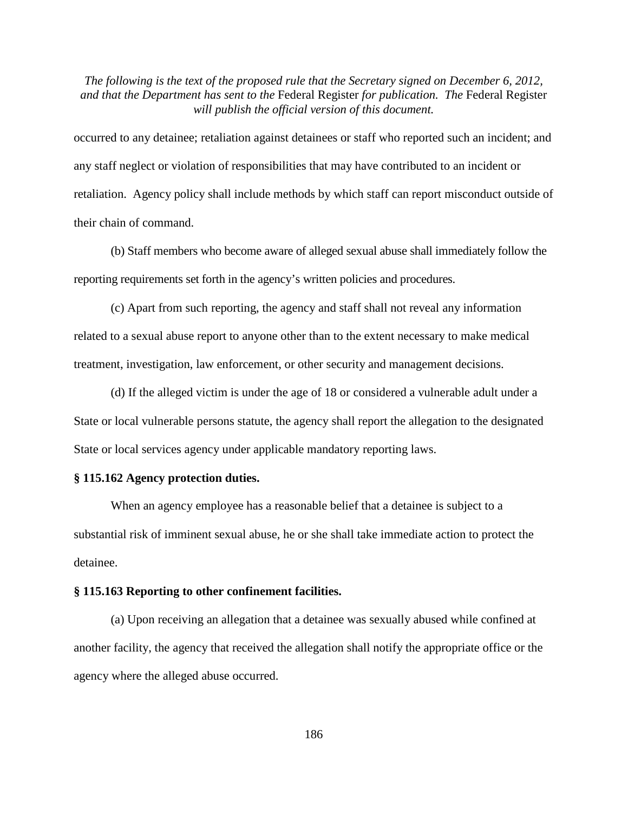occurred to any detainee; retaliation against detainees or staff who reported such an incident; and any staff neglect or violation of responsibilities that may have contributed to an incident or retaliation. Agency policy shall include methods by which staff can report misconduct outside of their chain of command.

(b) Staff members who become aware of alleged sexual abuse shall immediately follow the reporting requirements set forth in the agency's written policies and procedures.

(c) Apart from such reporting, the agency and staff shall not reveal any information related to a sexual abuse report to anyone other than to the extent necessary to make medical treatment, investigation, law enforcement, or other security and management decisions.

(d) If the alleged victim is under the age of 18 or considered a vulnerable adult under a State or local vulnerable persons statute, the agency shall report the allegation to the designated State or local services agency under applicable mandatory reporting laws.

# **§ 115.162 Agency protection duties.**

When an agency employee has a reasonable belief that a detainee is subject to a substantial risk of imminent sexual abuse, he or she shall take immediate action to protect the detainee.

#### **§ 115.163 Reporting to other confinement facilities.**

(a) Upon receiving an allegation that a detainee was sexually abused while confined at another facility, the agency that received the allegation shall notify the appropriate office or the agency where the alleged abuse occurred.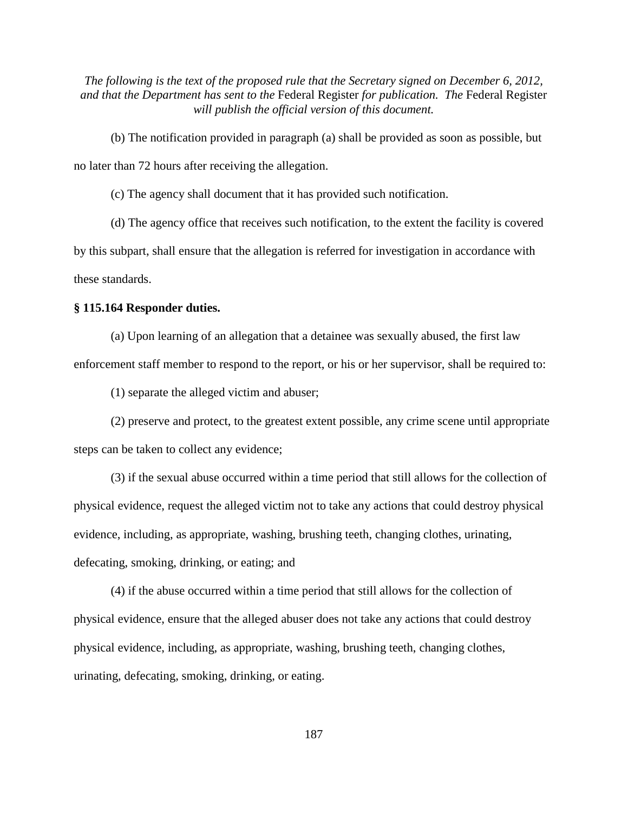(b) The notification provided in paragraph (a) shall be provided as soon as possible, but no later than 72 hours after receiving the allegation.

(c) The agency shall document that it has provided such notification.

(d) The agency office that receives such notification, to the extent the facility is covered by this subpart, shall ensure that the allegation is referred for investigation in accordance with these standards.

### **§ 115.164 Responder duties.**

(a) Upon learning of an allegation that a detainee was sexually abused, the first law enforcement staff member to respond to the report, or his or her supervisor, shall be required to:

(1) separate the alleged victim and abuser;

(2) preserve and protect, to the greatest extent possible, any crime scene until appropriate steps can be taken to collect any evidence;

(3) if the sexual abuse occurred within a time period that still allows for the collection of physical evidence, request the alleged victim not to take any actions that could destroy physical evidence, including, as appropriate, washing, brushing teeth, changing clothes, urinating, defecating, smoking, drinking, or eating; and

(4) if the abuse occurred within a time period that still allows for the collection of physical evidence, ensure that the alleged abuser does not take any actions that could destroy physical evidence, including, as appropriate, washing, brushing teeth, changing clothes, urinating, defecating, smoking, drinking, or eating.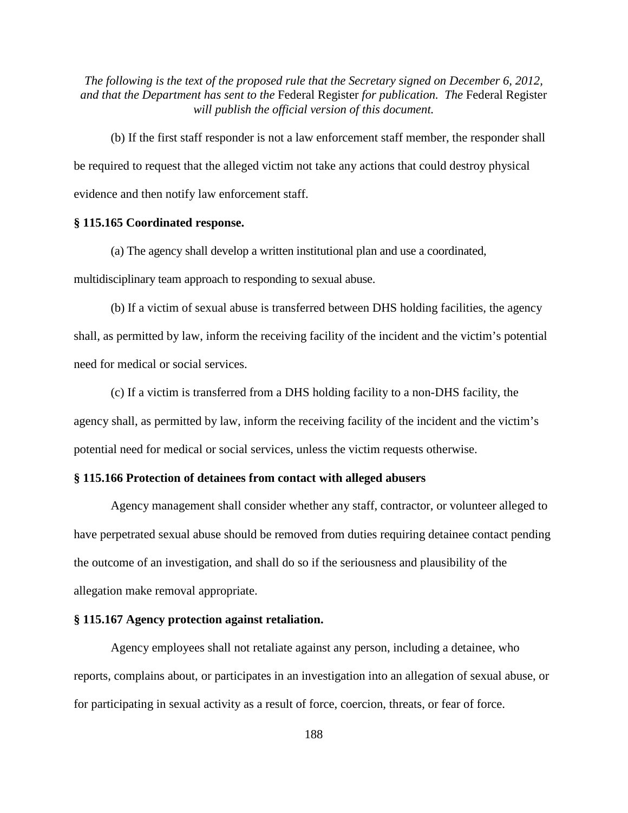(b) If the first staff responder is not a law enforcement staff member, the responder shall be required to request that the alleged victim not take any actions that could destroy physical evidence and then notify law enforcement staff.

# **§ 115.165 Coordinated response.**

(a) The agency shall develop a written institutional plan and use a coordinated, multidisciplinary team approach to responding to sexual abuse.

(b) If a victim of sexual abuse is transferred between DHS holding facilities, the agency shall, as permitted by law, inform the receiving facility of the incident and the victim's potential need for medical or social services.

(c) If a victim is transferred from a DHS holding facility to a non-DHS facility, the agency shall, as permitted by law, inform the receiving facility of the incident and the victim's potential need for medical or social services, unless the victim requests otherwise.

# **§ 115.166 Protection of detainees from contact with alleged abusers**

Agency management shall consider whether any staff, contractor, or volunteer alleged to have perpetrated sexual abuse should be removed from duties requiring detainee contact pending the outcome of an investigation, and shall do so if the seriousness and plausibility of the allegation make removal appropriate.

### **§ 115.167 Agency protection against retaliation.**

Agency employees shall not retaliate against any person, including a detainee, who reports, complains about, or participates in an investigation into an allegation of sexual abuse, or for participating in sexual activity as a result of force, coercion, threats, or fear of force.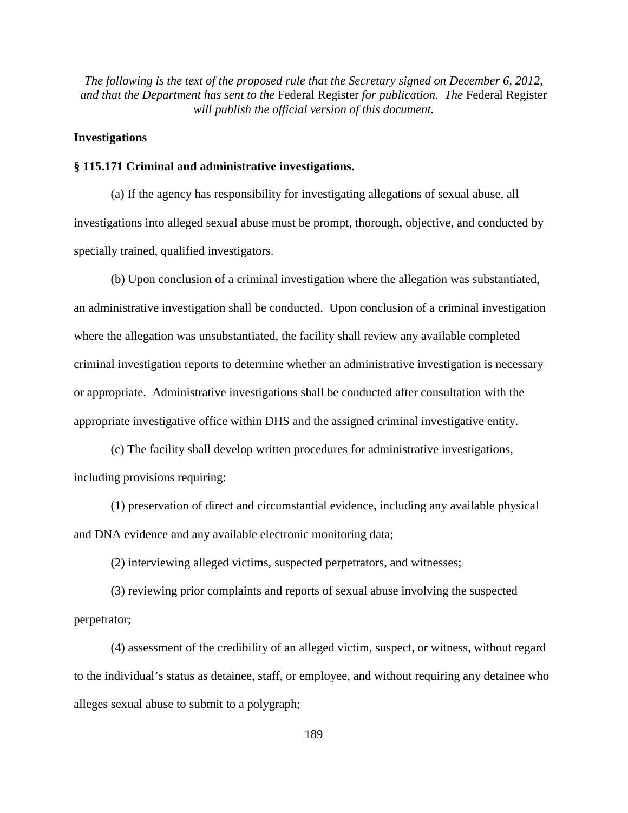# **Investigations**

### **§ 115.171 Criminal and administrative investigations.**

(a) If the agency has responsibility for investigating allegations of sexual abuse, all investigations into alleged sexual abuse must be prompt, thorough, objective, and conducted by specially trained, qualified investigators.

(b) Upon conclusion of a criminal investigation where the allegation was substantiated, an administrative investigation shall be conducted. Upon conclusion of a criminal investigation where the allegation was unsubstantiated, the facility shall review any available completed criminal investigation reports to determine whether an administrative investigation is necessary or appropriate. Administrative investigations shall be conducted after consultation with the appropriate investigative office within DHS and the assigned criminal investigative entity.

(c) The facility shall develop written procedures for administrative investigations, including provisions requiring:

(1) preservation of direct and circumstantial evidence, including any available physical and DNA evidence and any available electronic monitoring data;

(2) interviewing alleged victims, suspected perpetrators, and witnesses;

(3) reviewing prior complaints and reports of sexual abuse involving the suspected perpetrator;

(4) assessment of the credibility of an alleged victim, suspect, or witness, without regard to the individual's status as detainee, staff, or employee, and without requiring any detainee who alleges sexual abuse to submit to a polygraph;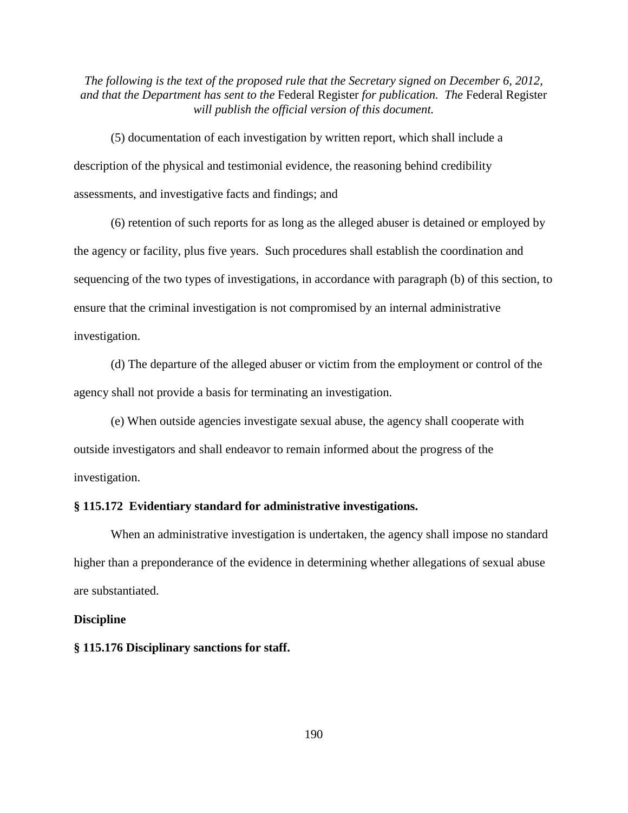(5) documentation of each investigation by written report, which shall include a description of the physical and testimonial evidence, the reasoning behind credibility assessments, and investigative facts and findings; and

(6) retention of such reports for as long as the alleged abuser is detained or employed by the agency or facility, plus five years. Such procedures shall establish the coordination and sequencing of the two types of investigations, in accordance with paragraph (b) of this section, to ensure that the criminal investigation is not compromised by an internal administrative investigation.

(d) The departure of the alleged abuser or victim from the employment or control of the agency shall not provide a basis for terminating an investigation.

(e) When outside agencies investigate sexual abuse, the agency shall cooperate with outside investigators and shall endeavor to remain informed about the progress of the investigation.

### **§ 115.172 Evidentiary standard for administrative investigations.**

When an administrative investigation is undertaken, the agency shall impose no standard higher than a preponderance of the evidence in determining whether allegations of sexual abuse are substantiated.

### **Discipline**

### **§ 115.176 Disciplinary sanctions for staff.**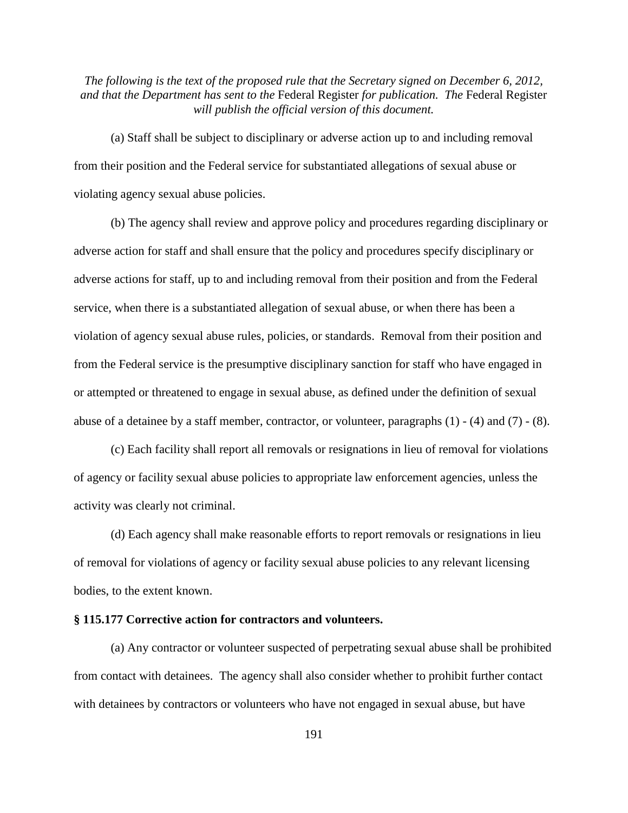(a) Staff shall be subject to disciplinary or adverse action up to and including removal from their position and the Federal service for substantiated allegations of sexual abuse or violating agency sexual abuse policies.

(b) The agency shall review and approve policy and procedures regarding disciplinary or adverse action for staff and shall ensure that the policy and procedures specify disciplinary or adverse actions for staff, up to and including removal from their position and from the Federal service, when there is a substantiated allegation of sexual abuse, or when there has been a violation of agency sexual abuse rules, policies, or standards. Removal from their position and from the Federal service is the presumptive disciplinary sanction for staff who have engaged in or attempted or threatened to engage in sexual abuse, as defined under the definition of sexual abuse of a detainee by a staff member, contractor, or volunteer, paragraphs (1) - (4) and (7) - (8).

(c) Each facility shall report all removals or resignations in lieu of removal for violations of agency or facility sexual abuse policies to appropriate law enforcement agencies, unless the activity was clearly not criminal.

(d) Each agency shall make reasonable efforts to report removals or resignations in lieu of removal for violations of agency or facility sexual abuse policies to any relevant licensing bodies, to the extent known.

# **§ 115.177 Corrective action for contractors and volunteers.**

(a) Any contractor or volunteer suspected of perpetrating sexual abuse shall be prohibited from contact with detainees. The agency shall also consider whether to prohibit further contact with detainees by contractors or volunteers who have not engaged in sexual abuse, but have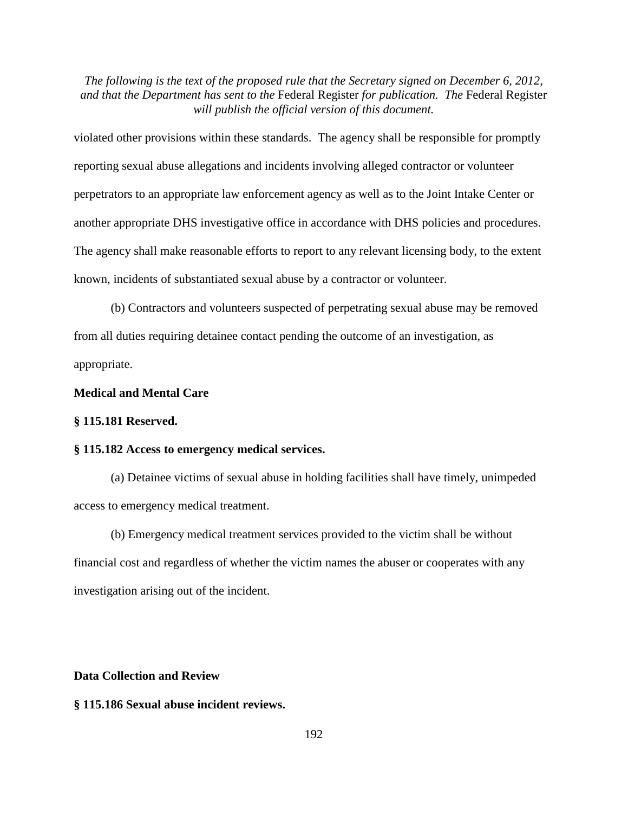violated other provisions within these standards. The agency shall be responsible for promptly reporting sexual abuse allegations and incidents involving alleged contractor or volunteer perpetrators to an appropriate law enforcement agency as well as to the Joint Intake Center or another appropriate DHS investigative office in accordance with DHS policies and procedures. The agency shall make reasonable efforts to report to any relevant licensing body, to the extent known, incidents of substantiated sexual abuse by a contractor or volunteer.

(b) Contractors and volunteers suspected of perpetrating sexual abuse may be removed from all duties requiring detainee contact pending the outcome of an investigation, as appropriate.

# **Medical and Mental Care**

### **§ 115.181 Reserved.**

### **§ 115.182 Access to emergency medical services.**

(a) Detainee victims of sexual abuse in holding facilities shall have timely, unimpeded access to emergency medical treatment.

(b) Emergency medical treatment services provided to the victim shall be without financial cost and regardless of whether the victim names the abuser or cooperates with any investigation arising out of the incident.

# **Data Collection and Review**

# **§ 115.186 Sexual abuse incident reviews.**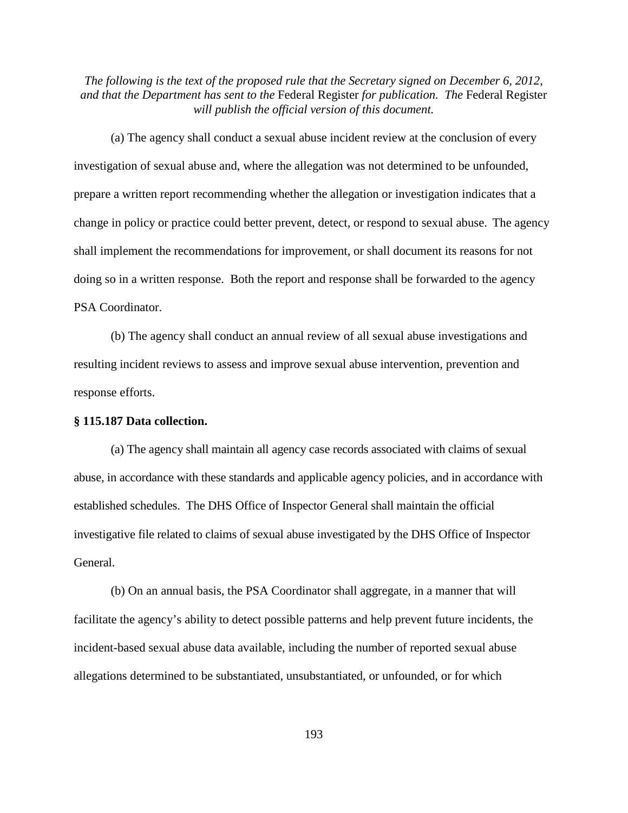(a) The agency shall conduct a sexual abuse incident review at the conclusion of every investigation of sexual abuse and, where the allegation was not determined to be unfounded, prepare a written report recommending whether the allegation or investigation indicates that a change in policy or practice could better prevent, detect, or respond to sexual abuse. The agency shall implement the recommendations for improvement, or shall document its reasons for not doing so in a written response. Both the report and response shall be forwarded to the agency PSA Coordinator.

(b) The agency shall conduct an annual review of all sexual abuse investigations and resulting incident reviews to assess and improve sexual abuse intervention, prevention and response efforts.

### **§ 115.187 Data collection.**

(a) The agency shall maintain all agency case records associated with claims of sexual abuse, in accordance with these standards and applicable agency policies, and in accordance with established schedules. The DHS Office of Inspector General shall maintain the official investigative file related to claims of sexual abuse investigated by the DHS Office of Inspector General.

(b) On an annual basis, the PSA Coordinator shall aggregate, in a manner that will facilitate the agency's ability to detect possible patterns and help prevent future incidents, the incident-based sexual abuse data available, including the number of reported sexual abuse allegations determined to be substantiated, unsubstantiated, or unfounded, or for which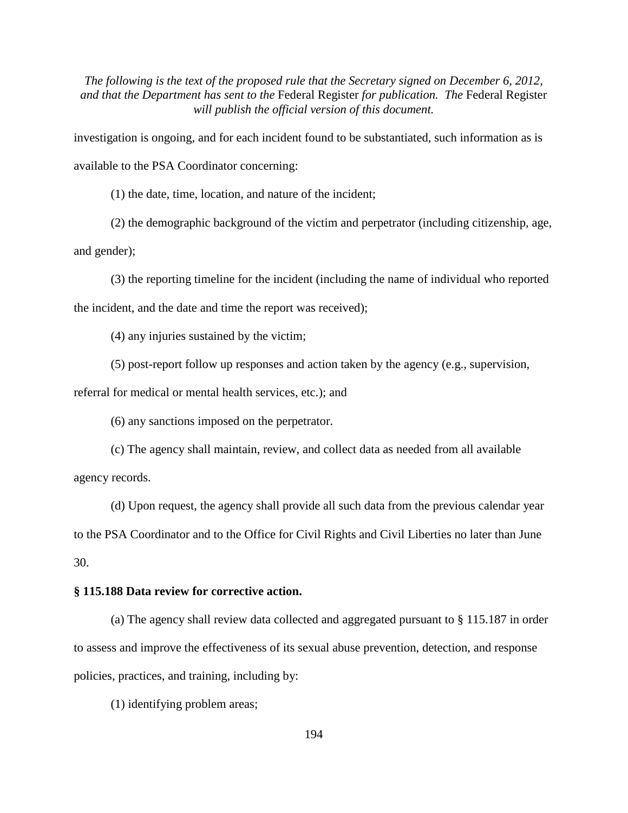investigation is ongoing, and for each incident found to be substantiated, such information as is available to the PSA Coordinator concerning:

(1) the date, time, location, and nature of the incident;

(2) the demographic background of the victim and perpetrator (including citizenship, age,

and gender);

(3) the reporting timeline for the incident (including the name of individual who reported the incident, and the date and time the report was received);

(4) any injuries sustained by the victim;

(5) post-report follow up responses and action taken by the agency (e.g., supervision,

referral for medical or mental health services, etc.); and

(6) any sanctions imposed on the perpetrator.

(c) The agency shall maintain, review, and collect data as needed from all available agency records.

(d) Upon request, the agency shall provide all such data from the previous calendar year to the PSA Coordinator and to the Office for Civil Rights and Civil Liberties no later than June 30.

# **§ 115.188 Data review for corrective action.**

(a) The agency shall review data collected and aggregated pursuant to § 115.187 in order to assess and improve the effectiveness of its sexual abuse prevention, detection, and response policies, practices, and training, including by:

(1) identifying problem areas;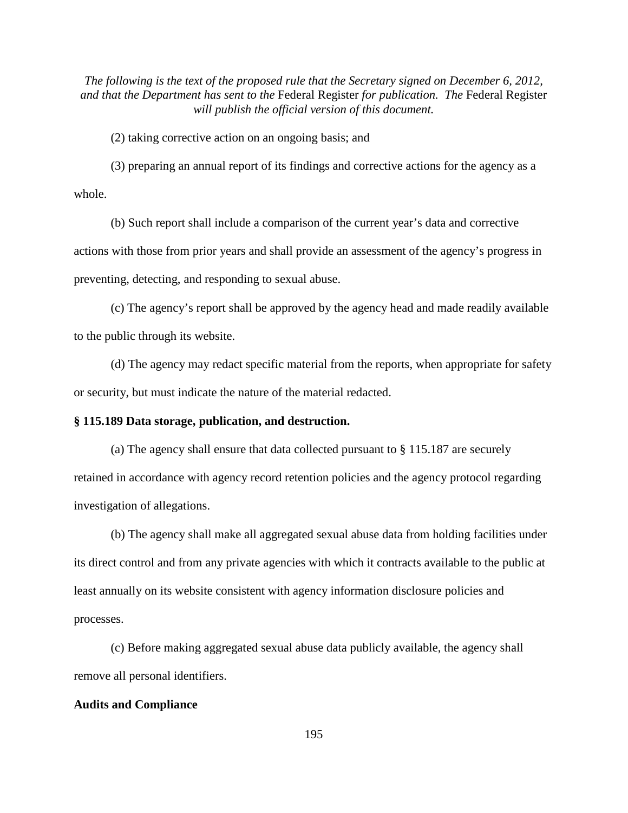(2) taking corrective action on an ongoing basis; and

(3) preparing an annual report of its findings and corrective actions for the agency as a whole.

(b) Such report shall include a comparison of the current year's data and corrective actions with those from prior years and shall provide an assessment of the agency's progress in preventing, detecting, and responding to sexual abuse.

(c) The agency's report shall be approved by the agency head and made readily available to the public through its website.

(d) The agency may redact specific material from the reports, when appropriate for safety or security, but must indicate the nature of the material redacted.

### **§ 115.189 Data storage, publication, and destruction.**

(a) The agency shall ensure that data collected pursuant to § 115.187 are securely retained in accordance with agency record retention policies and the agency protocol regarding investigation of allegations.

(b) The agency shall make all aggregated sexual abuse data from holding facilities under its direct control and from any private agencies with which it contracts available to the public at least annually on its website consistent with agency information disclosure policies and processes.

(c) Before making aggregated sexual abuse data publicly available, the agency shall remove all personal identifiers.

#### **Audits and Compliance**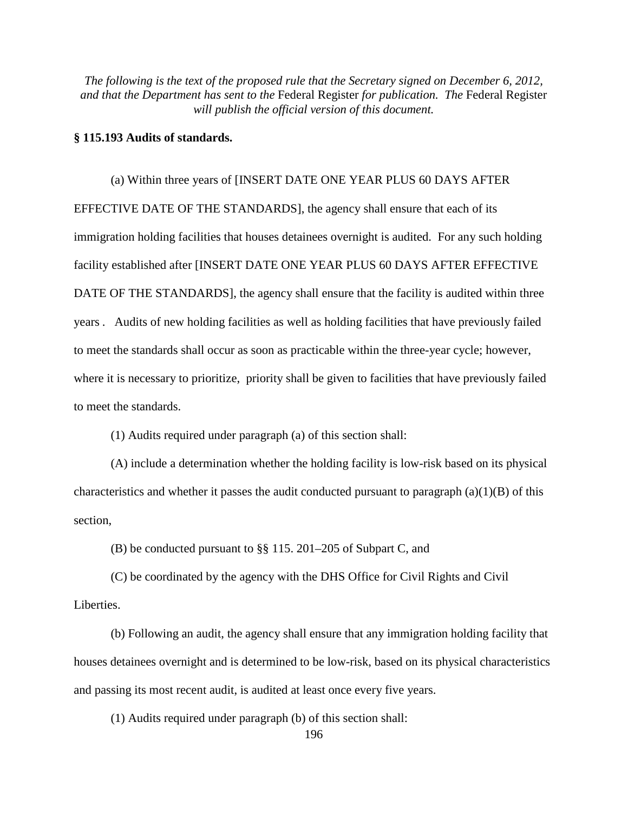### **§ 115.193 Audits of standards.**

(a) Within three years of [INSERT DATE ONE YEAR PLUS 60 DAYS AFTER EFFECTIVE DATE OF THE STANDARDS], the agency shall ensure that each of its immigration holding facilities that houses detainees overnight is audited. For any such holding facility established after [INSERT DATE ONE YEAR PLUS 60 DAYS AFTER EFFECTIVE DATE OF THE STANDARDS], the agency shall ensure that the facility is audited within three years . Audits of new holding facilities as well as holding facilities that have previously failed to meet the standards shall occur as soon as practicable within the three-year cycle; however, where it is necessary to prioritize, priority shall be given to facilities that have previously failed to meet the standards.

(1) Audits required under paragraph (a) of this section shall:

(A) include a determination whether the holding facility is low-risk based on its physical characteristics and whether it passes the audit conducted pursuant to paragraph  $(a)(1)(B)$  of this section,

(B) be conducted pursuant to §§ 115. 201–205 of Subpart C, and

(C) be coordinated by the agency with the DHS Office for Civil Rights and Civil Liberties.

(b) Following an audit, the agency shall ensure that any immigration holding facility that houses detainees overnight and is determined to be low-risk, based on its physical characteristics and passing its most recent audit, is audited at least once every five years.

(1) Audits required under paragraph (b) of this section shall: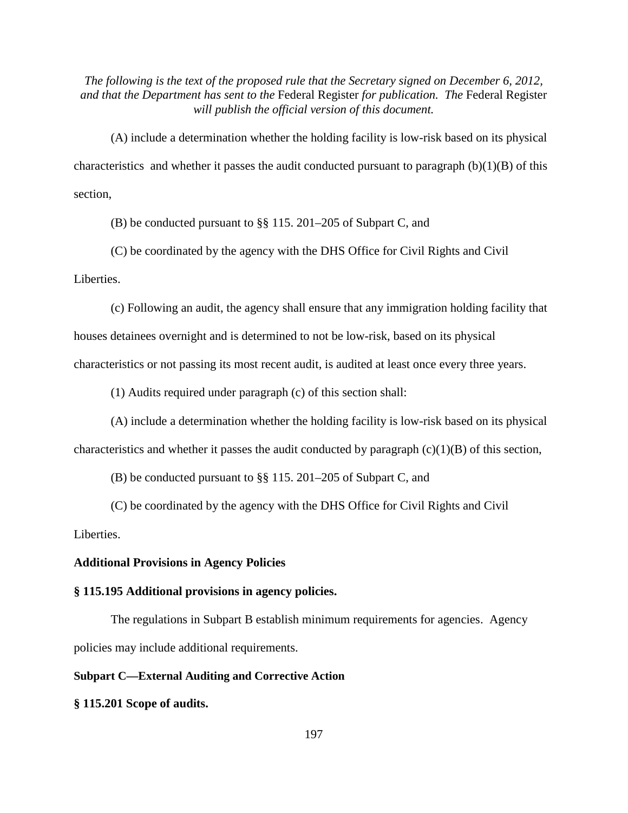(A) include a determination whether the holding facility is low-risk based on its physical characteristics and whether it passes the audit conducted pursuant to paragraph  $(b)(1)(B)$  of this section,

(B) be conducted pursuant to §§ 115. 201–205 of Subpart C, and

(C) be coordinated by the agency with the DHS Office for Civil Rights and Civil Liberties.

(c) Following an audit, the agency shall ensure that any immigration holding facility that houses detainees overnight and is determined to not be low-risk, based on its physical characteristics or not passing its most recent audit, is audited at least once every three years.

(1) Audits required under paragraph (c) of this section shall:

(A) include a determination whether the holding facility is low-risk based on its physical characteristics and whether it passes the audit conducted by paragraph  $(c)(1)(B)$  of this section,

(B) be conducted pursuant to §§ 115. 201–205 of Subpart C, and

(C) be coordinated by the agency with the DHS Office for Civil Rights and Civil Liberties.

### **Additional Provisions in Agency Policies**

#### **§ 115.195 Additional provisions in agency policies.**

The regulations in Subpart B establish minimum requirements for agencies. Agency policies may include additional requirements.

# **Subpart C—External Auditing and Corrective Action**

**§ 115.201 Scope of audits.**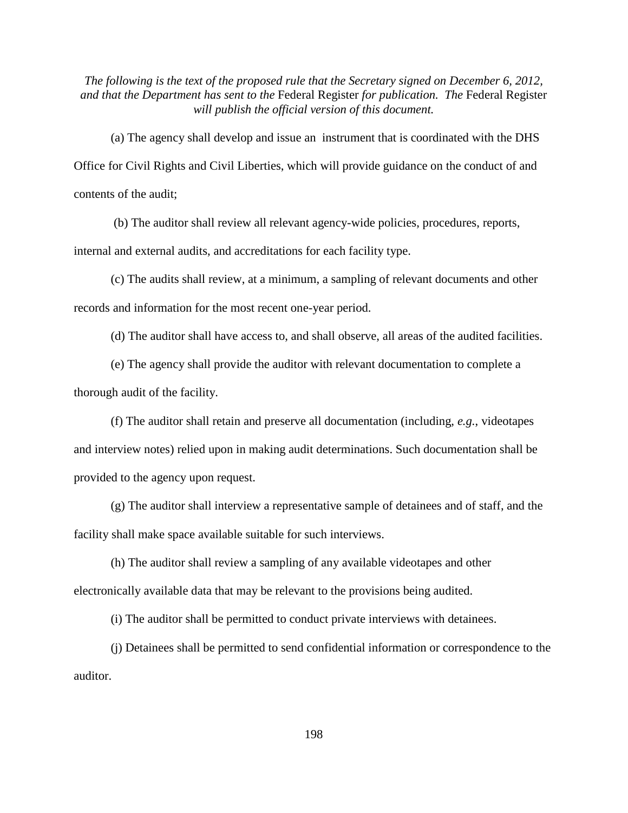(a) The agency shall develop and issue an instrument that is coordinated with the DHS Office for Civil Rights and Civil Liberties, which will provide guidance on the conduct of and contents of the audit;

(b) The auditor shall review all relevant agency-wide policies, procedures, reports,

internal and external audits, and accreditations for each facility type.

(c) The audits shall review, at a minimum, a sampling of relevant documents and other records and information for the most recent one-year period.

(d) The auditor shall have access to, and shall observe, all areas of the audited facilities.

(e) The agency shall provide the auditor with relevant documentation to complete a thorough audit of the facility.

(f) The auditor shall retain and preserve all documentation (including, *e.g.*, videotapes and interview notes) relied upon in making audit determinations. Such documentation shall be provided to the agency upon request.

(g) The auditor shall interview a representative sample of detainees and of staff, and the facility shall make space available suitable for such interviews.

(h) The auditor shall review a sampling of any available videotapes and other electronically available data that may be relevant to the provisions being audited.

(i) The auditor shall be permitted to conduct private interviews with detainees.

(j) Detainees shall be permitted to send confidential information or correspondence to the auditor.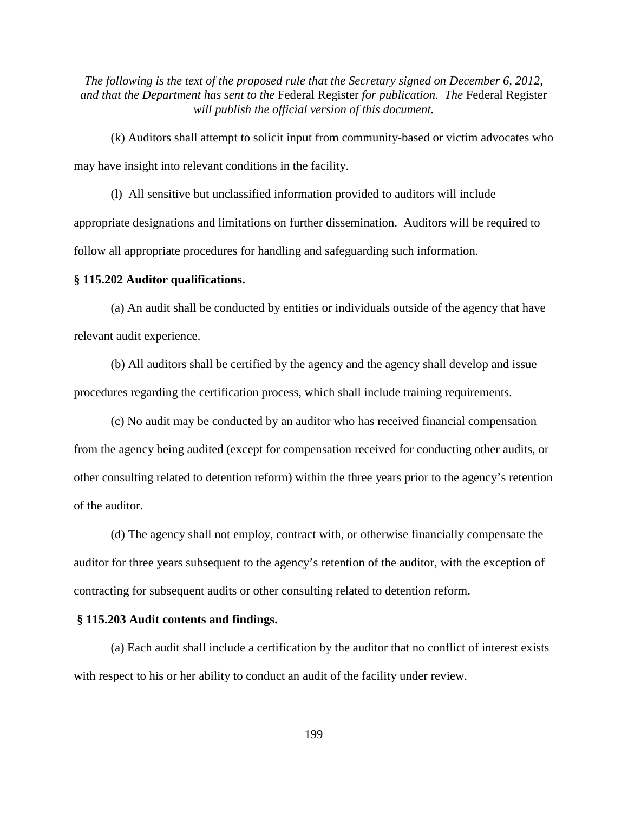(k) Auditors shall attempt to solicit input from community-based or victim advocates who may have insight into relevant conditions in the facility.

(l) All sensitive but unclassified information provided to auditors will include appropriate designations and limitations on further dissemination. Auditors will be required to follow all appropriate procedures for handling and safeguarding such information.

### **§ 115.202 Auditor qualifications.**

(a) An audit shall be conducted by entities or individuals outside of the agency that have relevant audit experience.

(b) All auditors shall be certified by the agency and the agency shall develop and issue procedures regarding the certification process, which shall include training requirements.

(c) No audit may be conducted by an auditor who has received financial compensation from the agency being audited (except for compensation received for conducting other audits, or other consulting related to detention reform) within the three years prior to the agency's retention of the auditor.

(d) The agency shall not employ, contract with, or otherwise financially compensate the auditor for three years subsequent to the agency's retention of the auditor, with the exception of contracting for subsequent audits or other consulting related to detention reform.

### **§ 115.203 Audit contents and findings.**

(a) Each audit shall include a certification by the auditor that no conflict of interest exists with respect to his or her ability to conduct an audit of the facility under review.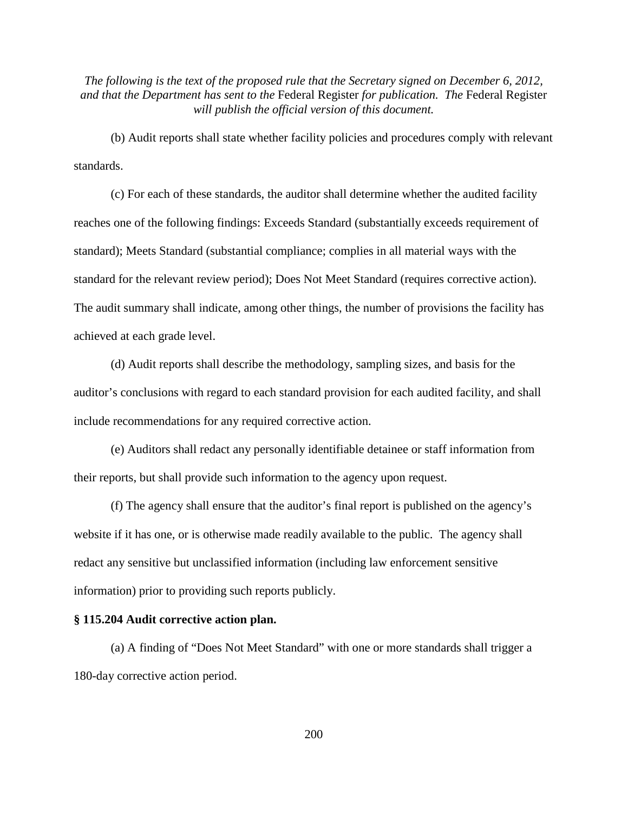(b) Audit reports shall state whether facility policies and procedures comply with relevant standards.

(c) For each of these standards, the auditor shall determine whether the audited facility reaches one of the following findings: Exceeds Standard (substantially exceeds requirement of standard); Meets Standard (substantial compliance; complies in all material ways with the standard for the relevant review period); Does Not Meet Standard (requires corrective action). The audit summary shall indicate, among other things, the number of provisions the facility has achieved at each grade level.

(d) Audit reports shall describe the methodology, sampling sizes, and basis for the auditor's conclusions with regard to each standard provision for each audited facility, and shall include recommendations for any required corrective action.

(e) Auditors shall redact any personally identifiable detainee or staff information from their reports, but shall provide such information to the agency upon request.

(f) The agency shall ensure that the auditor's final report is published on the agency's website if it has one, or is otherwise made readily available to the public. The agency shall redact any sensitive but unclassified information (including law enforcement sensitive information) prior to providing such reports publicly.

### **§ 115.204 Audit corrective action plan.**

(a) A finding of "Does Not Meet Standard" with one or more standards shall trigger a 180-day corrective action period.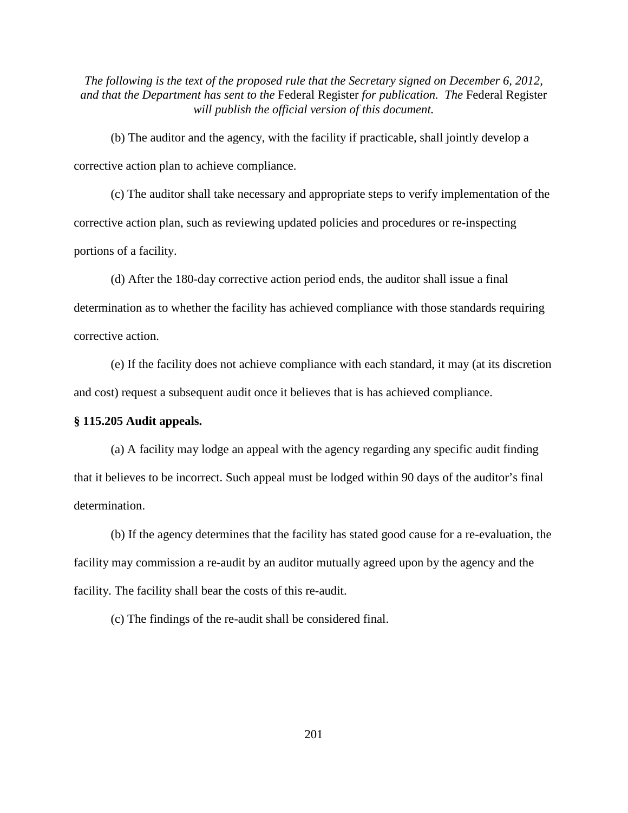(b) The auditor and the agency, with the facility if practicable, shall jointly develop a corrective action plan to achieve compliance.

(c) The auditor shall take necessary and appropriate steps to verify implementation of the corrective action plan, such as reviewing updated policies and procedures or re-inspecting portions of a facility.

(d) After the 180-day corrective action period ends, the auditor shall issue a final determination as to whether the facility has achieved compliance with those standards requiring corrective action.

(e) If the facility does not achieve compliance with each standard, it may (at its discretion and cost) request a subsequent audit once it believes that is has achieved compliance.

# **§ 115.205 Audit appeals.**

(a) A facility may lodge an appeal with the agency regarding any specific audit finding that it believes to be incorrect. Such appeal must be lodged within 90 days of the auditor's final determination.

(b) If the agency determines that the facility has stated good cause for a re-evaluation, the facility may commission a re-audit by an auditor mutually agreed upon by the agency and the facility. The facility shall bear the costs of this re-audit.

(c) The findings of the re-audit shall be considered final.